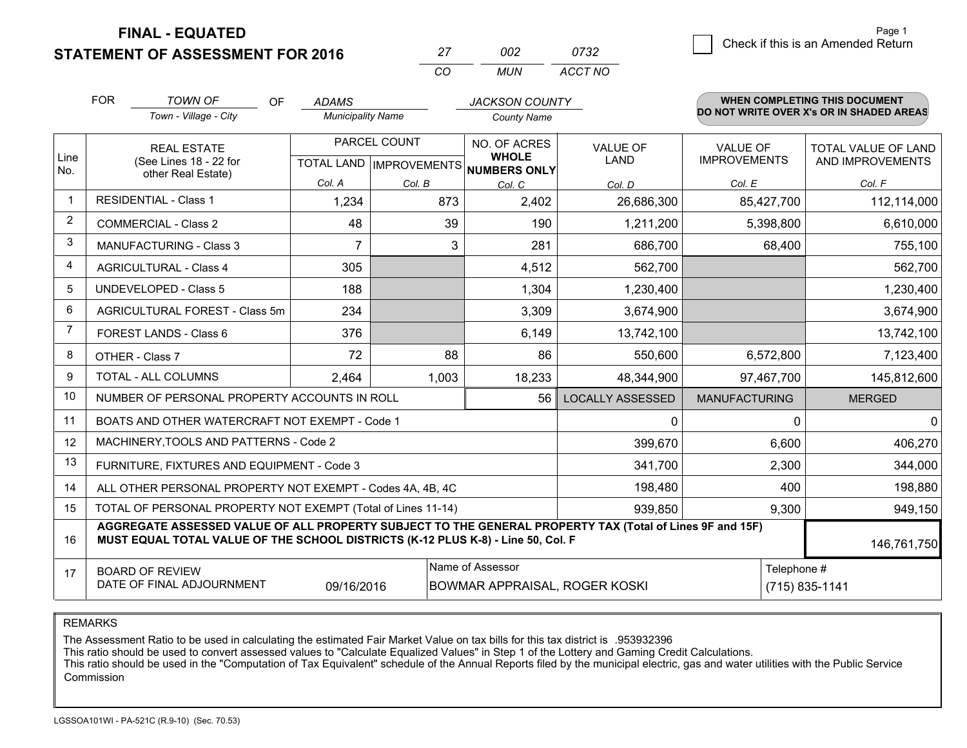**FINAL - EQUATED**

**STATEMENT OF ASSESSMENT FOR 2016** 

|          | mo    | ก732    |
|----------|-------|---------|
| $\cdots$ | MI IN | ACCT NO |

|             | <b>FOR</b>                                                                                                                                                                                   | <b>TOWN OF</b><br>OF                                         | <b>ADAMS</b>             |                                           | <b>JACKSON COUNTY</b>         |                                |                                        | <b>WHEN COMPLETING THIS DOCUMENT</b>           |
|-------------|----------------------------------------------------------------------------------------------------------------------------------------------------------------------------------------------|--------------------------------------------------------------|--------------------------|-------------------------------------------|-------------------------------|--------------------------------|----------------------------------------|------------------------------------------------|
|             |                                                                                                                                                                                              | Town - Village - City                                        | <b>Municipality Name</b> |                                           | <b>County Name</b>            |                                |                                        | DO NOT WRITE OVER X's OR IN SHADED AREAS       |
| Line        | <b>REAL ESTATE</b><br>(See Lines 18 - 22 for                                                                                                                                                 |                                                              |                          | PARCEL COUNT<br>TOTAL LAND   IMPROVEMENTS | NO. OF ACRES<br><b>WHOLE</b>  | <b>VALUE OF</b><br><b>LAND</b> | <b>VALUE OF</b><br><b>IMPROVEMENTS</b> | <b>TOTAL VALUE OF LAND</b><br>AND IMPROVEMENTS |
| No.         |                                                                                                                                                                                              | other Real Estate)                                           | Col. A                   | Col. B                                    | <b>NUMBERS ONLY</b><br>Col. C | Col. D                         | Col. E                                 | Col. F                                         |
| $\mathbf 1$ |                                                                                                                                                                                              | <b>RESIDENTIAL - Class 1</b>                                 | 1,234                    | 873                                       | 2,402                         | 26,686,300                     | 85,427,700                             | 112,114,000                                    |
| 2           |                                                                                                                                                                                              | <b>COMMERCIAL - Class 2</b>                                  | 48                       | 39                                        | 190                           | 1,211,200                      | 5,398,800                              | 6,610,000                                      |
| 3           |                                                                                                                                                                                              | <b>MANUFACTURING - Class 3</b>                               | 7                        | 3                                         | 281                           | 686,700                        | 68,400                                 | 755,100                                        |
| 4           |                                                                                                                                                                                              | <b>AGRICULTURAL - Class 4</b>                                | 305                      |                                           | 4,512                         | 562,700                        |                                        | 562,700                                        |
| 5           |                                                                                                                                                                                              | <b>UNDEVELOPED - Class 5</b>                                 | 188                      |                                           | 1,304                         | 1,230,400                      |                                        | 1,230,400                                      |
| 6           | AGRICULTURAL FOREST - Class 5m                                                                                                                                                               |                                                              | 234                      |                                           | 3,309                         | 3,674,900                      |                                        | 3,674,900                                      |
| 7           |                                                                                                                                                                                              | FOREST LANDS - Class 6                                       | 376                      |                                           | 6,149                         | 13,742,100                     |                                        | 13,742,100                                     |
| 8           |                                                                                                                                                                                              | OTHER - Class 7                                              | 72                       | 88                                        | 86                            | 550,600                        | 6,572,800                              | 7,123,400                                      |
| 9           |                                                                                                                                                                                              | TOTAL - ALL COLUMNS                                          | 2,464                    | 1,003                                     | 18,233                        | 48,344,900                     | 97,467,700                             | 145,812,600                                    |
| 10          |                                                                                                                                                                                              | NUMBER OF PERSONAL PROPERTY ACCOUNTS IN ROLL                 |                          |                                           | 56                            | <b>LOCALLY ASSESSED</b>        | <b>MANUFACTURING</b>                   | <b>MERGED</b>                                  |
| 11          |                                                                                                                                                                                              | BOATS AND OTHER WATERCRAFT NOT EXEMPT - Code 1               |                          |                                           |                               | $\mathbf{0}$                   | $\mathbf{0}$                           | $\mathbf{0}$                                   |
| 12          |                                                                                                                                                                                              | MACHINERY, TOOLS AND PATTERNS - Code 2                       |                          |                                           |                               | 399,670                        | 6,600                                  | 406,270                                        |
| 13          |                                                                                                                                                                                              | FURNITURE, FIXTURES AND EQUIPMENT - Code 3                   |                          |                                           |                               | 341,700                        | 2,300                                  | 344,000                                        |
| 14          |                                                                                                                                                                                              | ALL OTHER PERSONAL PROPERTY NOT EXEMPT - Codes 4A, 4B, 4C    |                          |                                           |                               | 198,480                        | 400                                    | 198,880                                        |
| 15          |                                                                                                                                                                                              | TOTAL OF PERSONAL PROPERTY NOT EXEMPT (Total of Lines 11-14) |                          | 939,850                                   | 9,300                         | 949,150                        |                                        |                                                |
| 16          | AGGREGATE ASSESSED VALUE OF ALL PROPERTY SUBJECT TO THE GENERAL PROPERTY TAX (Total of Lines 9F and 15F)<br>MUST EQUAL TOTAL VALUE OF THE SCHOOL DISTRICTS (K-12 PLUS K-8) - Line 50, Col. F |                                                              |                          |                                           |                               |                                | 146,761,750                            |                                                |
| 17          | Name of Assessor<br>Telephone #<br><b>BOARD OF REVIEW</b><br>DATE OF FINAL ADJOURNMENT<br>09/16/2016<br>$(715) 835 - 1141$<br>BOWMAR APPRAISAL, ROGER KOSKI                                  |                                                              |                          |                                           |                               |                                |                                        |                                                |

#### REMARKS

The Assessment Ratio to be used in calculating the estimated Fair Market Value on tax bills for this tax district is .953932396<br>This ratio should be used to convert assessed values to "Calculate Equalized Values" in Step 1 Commission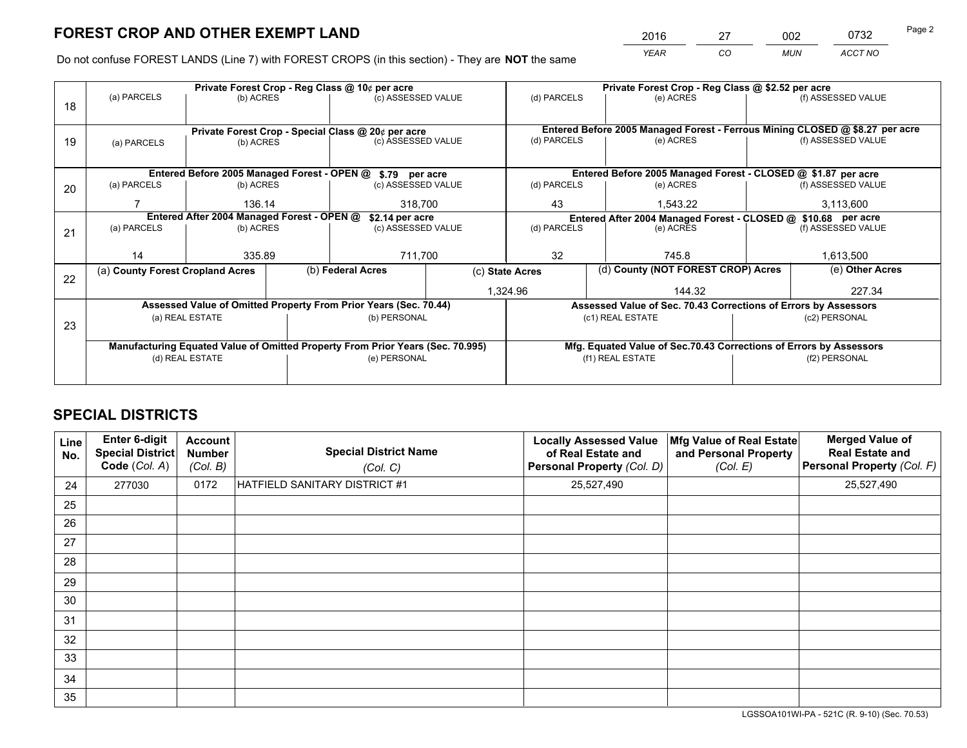*YEAR CO MUN ACCT NO* 2016 27 002 0732 Page 2

Do not confuse FOREST LANDS (Line 7) with FOREST CROPS (in this section) - They are **NOT** the same

|    |                                                               |                                             |  | Private Forest Crop - Reg Class @ 10¢ per acre                                 |                                                                              | Private Forest Crop - Reg Class @ \$2.52 per acre |                                                                    |           |                    |  |
|----|---------------------------------------------------------------|---------------------------------------------|--|--------------------------------------------------------------------------------|------------------------------------------------------------------------------|---------------------------------------------------|--------------------------------------------------------------------|-----------|--------------------|--|
| 18 | (a) PARCELS                                                   | (b) ACRES                                   |  | (c) ASSESSED VALUE                                                             |                                                                              | (d) PARCELS                                       | (e) ACRES                                                          |           | (f) ASSESSED VALUE |  |
|    |                                                               |                                             |  |                                                                                |                                                                              |                                                   |                                                                    |           |                    |  |
|    | Private Forest Crop - Special Class @ 20¢ per acre            |                                             |  |                                                                                | Entered Before 2005 Managed Forest - Ferrous Mining CLOSED @ \$8.27 per acre |                                                   |                                                                    |           |                    |  |
| 19 | (a) PARCELS                                                   | (b) ACRES                                   |  | (c) ASSESSED VALUE                                                             |                                                                              | (d) PARCELS                                       | (e) ACRES                                                          |           | (f) ASSESSED VALUE |  |
|    |                                                               |                                             |  |                                                                                |                                                                              |                                                   |                                                                    |           |                    |  |
|    |                                                               | Entered Before 2005 Managed Forest - OPEN @ |  | \$.79 per acre                                                                 |                                                                              |                                                   | Entered Before 2005 Managed Forest - CLOSED @ \$1.87 per acre      |           |                    |  |
| 20 | (a) PARCELS                                                   | (b) ACRES                                   |  | (c) ASSESSED VALUE                                                             |                                                                              | (d) PARCELS                                       | (e) ACRES                                                          |           | (f) ASSESSED VALUE |  |
|    |                                                               | 136.14                                      |  | 318,700                                                                        |                                                                              | 43                                                | 1,543.22                                                           |           | 3,113,600          |  |
|    | Entered After 2004 Managed Forest - OPEN @<br>\$2.14 per acre |                                             |  |                                                                                |                                                                              |                                                   | Entered After 2004 Managed Forest - CLOSED @ \$10.68 per acre      |           |                    |  |
| 21 | (a) PARCELS                                                   | (b) ACRES                                   |  | (c) ASSESSED VALUE                                                             | (d) PARCELS                                                                  |                                                   | (e) ACRES                                                          |           |                    |  |
|    |                                                               |                                             |  |                                                                                |                                                                              |                                                   |                                                                    |           |                    |  |
|    | 14                                                            | 335.89                                      |  | 711,700                                                                        |                                                                              | 32<br>745.8                                       |                                                                    | 1,613,500 |                    |  |
| 22 | (a) County Forest Cropland Acres                              |                                             |  | (b) Federal Acres<br>(c) State Acres                                           |                                                                              |                                                   | (d) County (NOT FOREST CROP) Acres                                 |           | (e) Other Acres    |  |
|    |                                                               |                                             |  |                                                                                | 1,324.96                                                                     |                                                   | 144.32                                                             |           |                    |  |
|    |                                                               |                                             |  | Assessed Value of Omitted Property From Prior Years (Sec. 70.44)               |                                                                              |                                                   | Assessed Value of Sec. 70.43 Corrections of Errors by Assessors    |           |                    |  |
| 23 |                                                               | (a) REAL ESTATE                             |  | (b) PERSONAL                                                                   |                                                                              |                                                   | (c1) REAL ESTATE                                                   |           | (c2) PERSONAL      |  |
|    |                                                               |                                             |  |                                                                                |                                                                              |                                                   |                                                                    |           |                    |  |
|    |                                                               |                                             |  | Manufacturing Equated Value of Omitted Property From Prior Years (Sec. 70.995) |                                                                              |                                                   | Mfg. Equated Value of Sec.70.43 Corrections of Errors by Assessors |           |                    |  |
|    |                                                               | (d) REAL ESTATE                             |  | (e) PERSONAL                                                                   |                                                                              | (f1) REAL ESTATE                                  |                                                                    |           | (f2) PERSONAL      |  |
|    |                                                               |                                             |  |                                                                                |                                                                              |                                                   |                                                                    |           |                    |  |

# **SPECIAL DISTRICTS**

| Line<br>No. | Enter 6-digit<br><b>Special District</b><br>Code (Col. A) | <b>Account</b><br><b>Number</b><br>(Col. B) | <b>Special District Name</b><br>(Col. C) | <b>Locally Assessed Value</b><br>of Real Estate and<br>Personal Property (Col. D) | Mfg Value of Real Estate<br>and Personal Property<br>(Col. E) | <b>Merged Value of</b><br><b>Real Estate and</b><br>Personal Property (Col. F) |
|-------------|-----------------------------------------------------------|---------------------------------------------|------------------------------------------|-----------------------------------------------------------------------------------|---------------------------------------------------------------|--------------------------------------------------------------------------------|
| 24          | 277030                                                    | 0172                                        | HATFIELD SANITARY DISTRICT #1            | 25,527,490                                                                        |                                                               | 25,527,490                                                                     |
| 25          |                                                           |                                             |                                          |                                                                                   |                                                               |                                                                                |
| 26          |                                                           |                                             |                                          |                                                                                   |                                                               |                                                                                |
| 27          |                                                           |                                             |                                          |                                                                                   |                                                               |                                                                                |
| 28          |                                                           |                                             |                                          |                                                                                   |                                                               |                                                                                |
| 29          |                                                           |                                             |                                          |                                                                                   |                                                               |                                                                                |
| 30          |                                                           |                                             |                                          |                                                                                   |                                                               |                                                                                |
| 31          |                                                           |                                             |                                          |                                                                                   |                                                               |                                                                                |
| 32          |                                                           |                                             |                                          |                                                                                   |                                                               |                                                                                |
| 33          |                                                           |                                             |                                          |                                                                                   |                                                               |                                                                                |
| 34          |                                                           |                                             |                                          |                                                                                   |                                                               |                                                                                |
| 35          |                                                           |                                             |                                          |                                                                                   |                                                               |                                                                                |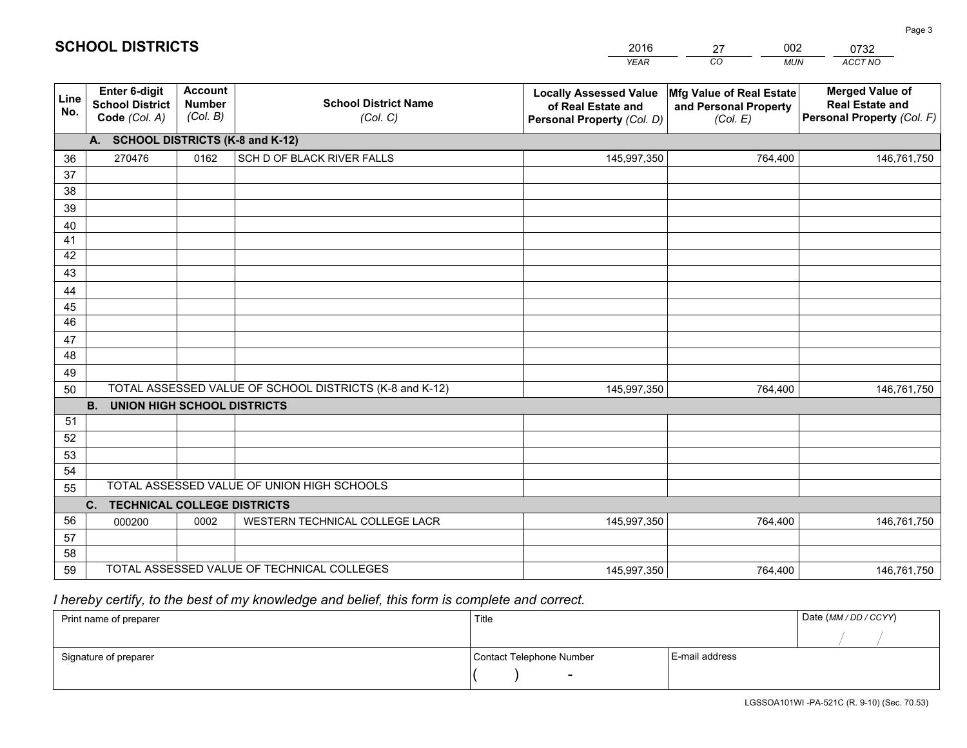|             |                                                                 |                                             |                                                         | <b>YEAR</b>                                                                       | CO<br><b>MUN</b>                                              | ACCT NO                                                                        |
|-------------|-----------------------------------------------------------------|---------------------------------------------|---------------------------------------------------------|-----------------------------------------------------------------------------------|---------------------------------------------------------------|--------------------------------------------------------------------------------|
| Line<br>No. | <b>Enter 6-digit</b><br><b>School District</b><br>Code (Col. A) | <b>Account</b><br><b>Number</b><br>(Col. B) | <b>School District Name</b><br>(Col. C)                 | <b>Locally Assessed Value</b><br>of Real Estate and<br>Personal Property (Col. D) | Mfg Value of Real Estate<br>and Personal Property<br>(Col. E) | <b>Merged Value of</b><br><b>Real Estate and</b><br>Personal Property (Col. F) |
|             | <b>SCHOOL DISTRICTS (K-8 and K-12)</b><br>A.                    |                                             |                                                         |                                                                                   |                                                               |                                                                                |
| 36          | 270476                                                          | 0162                                        | SCH D OF BLACK RIVER FALLS                              | 145,997,350                                                                       | 764,400                                                       | 146,761,750                                                                    |
| 37          |                                                                 |                                             |                                                         |                                                                                   |                                                               |                                                                                |
| 38          |                                                                 |                                             |                                                         |                                                                                   |                                                               |                                                                                |
| 39          |                                                                 |                                             |                                                         |                                                                                   |                                                               |                                                                                |
| 40          |                                                                 |                                             |                                                         |                                                                                   |                                                               |                                                                                |
| 41          |                                                                 |                                             |                                                         |                                                                                   |                                                               |                                                                                |
| 42          |                                                                 |                                             |                                                         |                                                                                   |                                                               |                                                                                |
| 43          |                                                                 |                                             |                                                         |                                                                                   |                                                               |                                                                                |
| 44<br>45    |                                                                 |                                             |                                                         |                                                                                   |                                                               |                                                                                |
| 46          |                                                                 |                                             |                                                         |                                                                                   |                                                               |                                                                                |
| 47          |                                                                 |                                             |                                                         |                                                                                   |                                                               |                                                                                |
| 48          |                                                                 |                                             |                                                         |                                                                                   |                                                               |                                                                                |
| 49          |                                                                 |                                             |                                                         |                                                                                   |                                                               |                                                                                |
| 50          |                                                                 |                                             | TOTAL ASSESSED VALUE OF SCHOOL DISTRICTS (K-8 and K-12) | 145,997,350                                                                       | 764,400                                                       | 146,761,750                                                                    |
|             | <b>B.</b><br><b>UNION HIGH SCHOOL DISTRICTS</b>                 |                                             |                                                         |                                                                                   |                                                               |                                                                                |
| 51          |                                                                 |                                             |                                                         |                                                                                   |                                                               |                                                                                |
| 52          |                                                                 |                                             |                                                         |                                                                                   |                                                               |                                                                                |
| 53          |                                                                 |                                             |                                                         |                                                                                   |                                                               |                                                                                |
| 54          |                                                                 |                                             |                                                         |                                                                                   |                                                               |                                                                                |
| 55          |                                                                 |                                             | TOTAL ASSESSED VALUE OF UNION HIGH SCHOOLS              |                                                                                   |                                                               |                                                                                |
|             | C.<br><b>TECHNICAL COLLEGE DISTRICTS</b>                        |                                             |                                                         |                                                                                   |                                                               |                                                                                |
| 56          | 000200                                                          | 0002                                        | WESTERN TECHNICAL COLLEGE LACR                          | 145,997,350                                                                       | 764,400                                                       | 146,761,750                                                                    |
| 57          |                                                                 |                                             |                                                         |                                                                                   |                                                               |                                                                                |
| 58          |                                                                 |                                             | TOTAL ASSESSED VALUE OF TECHNICAL COLLEGES              |                                                                                   |                                                               |                                                                                |
| 59          |                                                                 |                                             |                                                         | 145,997,350                                                                       | 764,400                                                       | 146,761,750                                                                    |

27

002

 *I hereby certify, to the best of my knowledge and belief, this form is complete and correct.*

**SCHOOL DISTRICTS**

| Print name of preparer | Title                    |                | Date (MM / DD / CCYY) |
|------------------------|--------------------------|----------------|-----------------------|
|                        |                          |                |                       |
| Signature of preparer  | Contact Telephone Number | E-mail address |                       |
|                        | $\sim$                   |                |                       |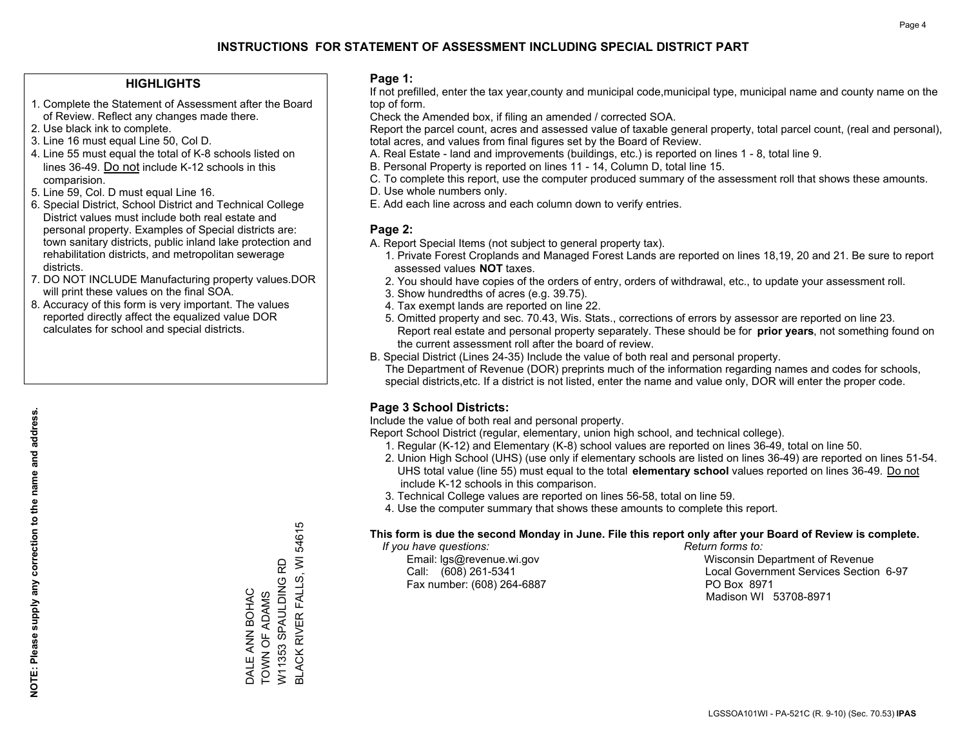#### **HIGHLIGHTS**

- 1. Complete the Statement of Assessment after the Board of Review. Reflect any changes made there.
- 2. Use black ink to complete.
- 3. Line 16 must equal Line 50, Col D.
- 4. Line 55 must equal the total of K-8 schools listed on lines 36-49. Do not include K-12 schools in this comparision.
- 5. Line 59, Col. D must equal Line 16.
- 6. Special District, School District and Technical College District values must include both real estate and personal property. Examples of Special districts are: town sanitary districts, public inland lake protection and rehabilitation districts, and metropolitan sewerage districts.
- 7. DO NOT INCLUDE Manufacturing property values.DOR will print these values on the final SOA.

DALE ANN BOHAC TOWN OF ADAMS W11353 SPAULDING RD

DALE ANN BOHAC<br>TOWN OF ADAMS

BLACK RIVER FALLS, WI 54615

**BLACK RIVER FALLS, WI 54615** 

W11353 SPAULDING RD

 8. Accuracy of this form is very important. The values reported directly affect the equalized value DOR calculates for school and special districts.

#### **Page 1:**

 If not prefilled, enter the tax year,county and municipal code,municipal type, municipal name and county name on the top of form.

Check the Amended box, if filing an amended / corrected SOA.

 Report the parcel count, acres and assessed value of taxable general property, total parcel count, (real and personal), total acres, and values from final figures set by the Board of Review.

- A. Real Estate land and improvements (buildings, etc.) is reported on lines 1 8, total line 9.
- B. Personal Property is reported on lines 11 14, Column D, total line 15.
- C. To complete this report, use the computer produced summary of the assessment roll that shows these amounts.
- D. Use whole numbers only.
- E. Add each line across and each column down to verify entries.

#### **Page 2:**

- A. Report Special Items (not subject to general property tax).
- 1. Private Forest Croplands and Managed Forest Lands are reported on lines 18,19, 20 and 21. Be sure to report assessed values **NOT** taxes.
- 2. You should have copies of the orders of entry, orders of withdrawal, etc., to update your assessment roll.
	- 3. Show hundredths of acres (e.g. 39.75).
- 4. Tax exempt lands are reported on line 22.
- 5. Omitted property and sec. 70.43, Wis. Stats., corrections of errors by assessor are reported on line 23. Report real estate and personal property separately. These should be for **prior years**, not something found on the current assessment roll after the board of review.
- B. Special District (Lines 24-35) Include the value of both real and personal property.
- The Department of Revenue (DOR) preprints much of the information regarding names and codes for schools, special districts,etc. If a district is not listed, enter the name and value only, DOR will enter the proper code.

## **Page 3 School Districts:**

Include the value of both real and personal property.

Report School District (regular, elementary, union high school, and technical college).

- 1. Regular (K-12) and Elementary (K-8) school values are reported on lines 36-49, total on line 50.
- 2. Union High School (UHS) (use only if elementary schools are listed on lines 36-49) are reported on lines 51-54. UHS total value (line 55) must equal to the total **elementary school** values reported on lines 36-49. Do notinclude K-12 schools in this comparison.
- 3. Technical College values are reported on lines 56-58, total on line 59.
- 4. Use the computer summary that shows these amounts to complete this report.

#### **This form is due the second Monday in June. File this report only after your Board of Review is complete.**

 *If you have questions: Return forms to:*

Fax number: (608) 264-6887 PO Box 8971

 Email: lgs@revenue.wi.gov Wisconsin Department of Revenue Call: (608) 261-5341 Local Government Services Section 6-97Madison WI 53708-8971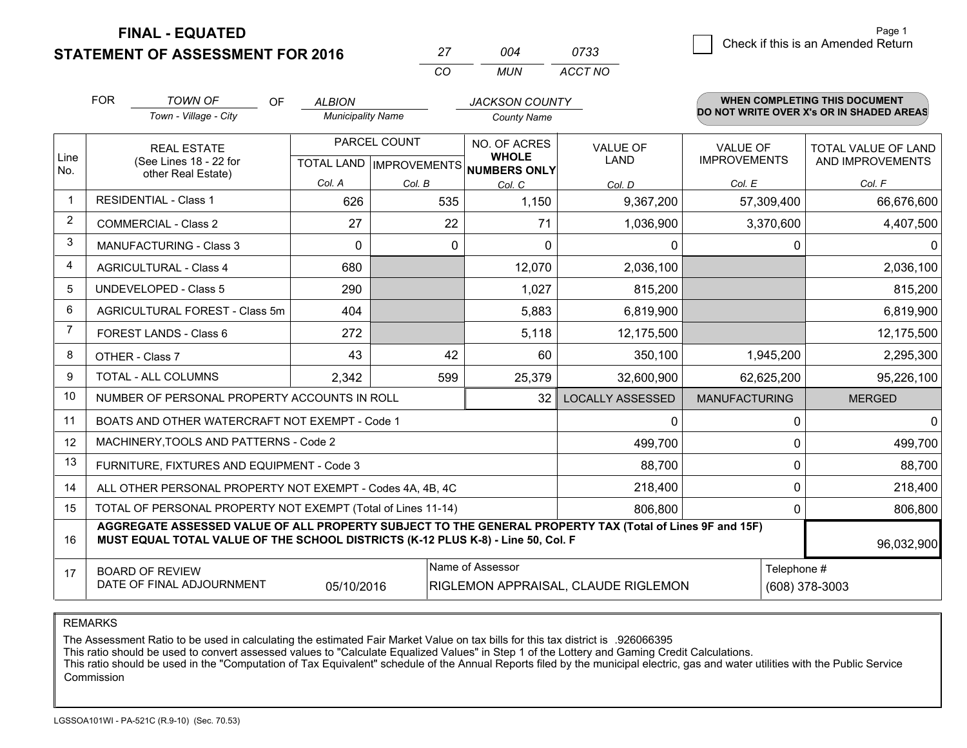**FINAL - EQUATED**

**STATEMENT OF ASSESSMENT FOR 2016** 

|          | ∩∩⊿ | 0733    |
|----------|-----|---------|
| $\cdots$ | MUN | ACCT NO |

|                | <b>FOR</b>                                                                                                                                  | <b>TOWN OF</b><br><b>OF</b>                                                                                                                                                                  | <b>ALBION</b>            |              | <b>JACKSON COUNTY</b>                                                    |                                |                                        | WHEN COMPLETING THIS DOCUMENT                  |
|----------------|---------------------------------------------------------------------------------------------------------------------------------------------|----------------------------------------------------------------------------------------------------------------------------------------------------------------------------------------------|--------------------------|--------------|--------------------------------------------------------------------------|--------------------------------|----------------------------------------|------------------------------------------------|
|                |                                                                                                                                             | Town - Village - City                                                                                                                                                                        | <b>Municipality Name</b> |              | <b>County Name</b>                                                       |                                |                                        | DO NOT WRITE OVER X's OR IN SHADED AREAS       |
| Line<br>No.    |                                                                                                                                             | <b>REAL ESTATE</b><br>(See Lines 18 - 22 for                                                                                                                                                 |                          | PARCEL COUNT | NO. OF ACRES<br><b>WHOLE</b><br>TOTAL LAND   IMPROVEMENTS   NUMBERS ONLY | <b>VALUE OF</b><br><b>LAND</b> | <b>VALUE OF</b><br><b>IMPROVEMENTS</b> | <b>TOTAL VALUE OF LAND</b><br>AND IMPROVEMENTS |
|                |                                                                                                                                             | other Real Estate)                                                                                                                                                                           | Col. A                   | Col. B       | Col. C                                                                   | Col. D                         | Col. E                                 | Col. F                                         |
| $\mathbf 1$    |                                                                                                                                             | <b>RESIDENTIAL - Class 1</b>                                                                                                                                                                 | 626                      | 535          | 1,150                                                                    | 9,367,200                      | 57,309,400                             | 66,676,600                                     |
| 2              |                                                                                                                                             | <b>COMMERCIAL - Class 2</b>                                                                                                                                                                  | 27                       | 22           | 71                                                                       | 1,036,900                      | 3,370,600                              | 4,407,500                                      |
| 3              |                                                                                                                                             | <b>MANUFACTURING - Class 3</b>                                                                                                                                                               | $\Omega$                 | $\Omega$     | $\Omega$                                                                 | 0                              |                                        | $\Omega$<br>$\mathbf{0}$                       |
| 4              |                                                                                                                                             | <b>AGRICULTURAL - Class 4</b>                                                                                                                                                                | 680                      |              | 12,070                                                                   | 2,036,100                      |                                        | 2,036,100                                      |
| 5              |                                                                                                                                             | <b>UNDEVELOPED - Class 5</b>                                                                                                                                                                 | 290                      |              | 1,027                                                                    | 815,200                        |                                        | 815,200                                        |
| 6              |                                                                                                                                             | AGRICULTURAL FOREST - Class 5m                                                                                                                                                               | 404                      |              | 5,883                                                                    | 6,819,900                      |                                        | 6,819,900                                      |
| $\overline{7}$ |                                                                                                                                             | FOREST LANDS - Class 6                                                                                                                                                                       | 272                      |              | 5,118                                                                    | 12,175,500                     |                                        | 12,175,500                                     |
| 8              |                                                                                                                                             | OTHER - Class 7                                                                                                                                                                              | 43                       | 42           | 60                                                                       | 350,100                        | 1,945,200                              | 2,295,300                                      |
| 9              |                                                                                                                                             | TOTAL - ALL COLUMNS                                                                                                                                                                          | 2,342                    | 599          | 25,379                                                                   | 32,600,900                     | 62,625,200                             | 95,226,100                                     |
| 10             |                                                                                                                                             | NUMBER OF PERSONAL PROPERTY ACCOUNTS IN ROLL                                                                                                                                                 |                          |              | 32                                                                       | <b>LOCALLY ASSESSED</b>        | <b>MANUFACTURING</b>                   | <b>MERGED</b>                                  |
| 11             |                                                                                                                                             | BOATS AND OTHER WATERCRAFT NOT EXEMPT - Code 1                                                                                                                                               |                          |              |                                                                          | 0                              |                                        | $\mathbf{0}$<br>$\Omega$                       |
| 12             |                                                                                                                                             | MACHINERY, TOOLS AND PATTERNS - Code 2                                                                                                                                                       |                          |              |                                                                          | 499,700                        |                                        | 499,700<br>$\Omega$                            |
| 13             |                                                                                                                                             | FURNITURE, FIXTURES AND EQUIPMENT - Code 3                                                                                                                                                   |                          |              |                                                                          | 88,700                         |                                        | 88,700<br>0                                    |
| 14             |                                                                                                                                             | ALL OTHER PERSONAL PROPERTY NOT EXEMPT - Codes 4A, 4B, 4C                                                                                                                                    |                          |              |                                                                          | 218,400                        |                                        | 0<br>218,400                                   |
| 15             | TOTAL OF PERSONAL PROPERTY NOT EXEMPT (Total of Lines 11-14)                                                                                |                                                                                                                                                                                              |                          |              |                                                                          |                                |                                        | 806,800<br>0                                   |
| 16             |                                                                                                                                             | AGGREGATE ASSESSED VALUE OF ALL PROPERTY SUBJECT TO THE GENERAL PROPERTY TAX (Total of Lines 9F and 15F)<br>MUST EQUAL TOTAL VALUE OF THE SCHOOL DISTRICTS (K-12 PLUS K-8) - Line 50, Col. F |                          |              |                                                                          |                                |                                        | 96,032,900                                     |
| 17             | Name of Assessor<br>Telephone #<br><b>BOARD OF REVIEW</b><br>DATE OF FINAL ADJOURNMENT<br>05/10/2016<br>RIGLEMON APPRAISAL, CLAUDE RIGLEMON |                                                                                                                                                                                              |                          |              |                                                                          |                                | (608) 378-3003                         |                                                |

REMARKS

The Assessment Ratio to be used in calculating the estimated Fair Market Value on tax bills for this tax district is .926066395<br>This ratio should be used to convert assessed values to "Calculate Equalized Values" in Step 1 Commission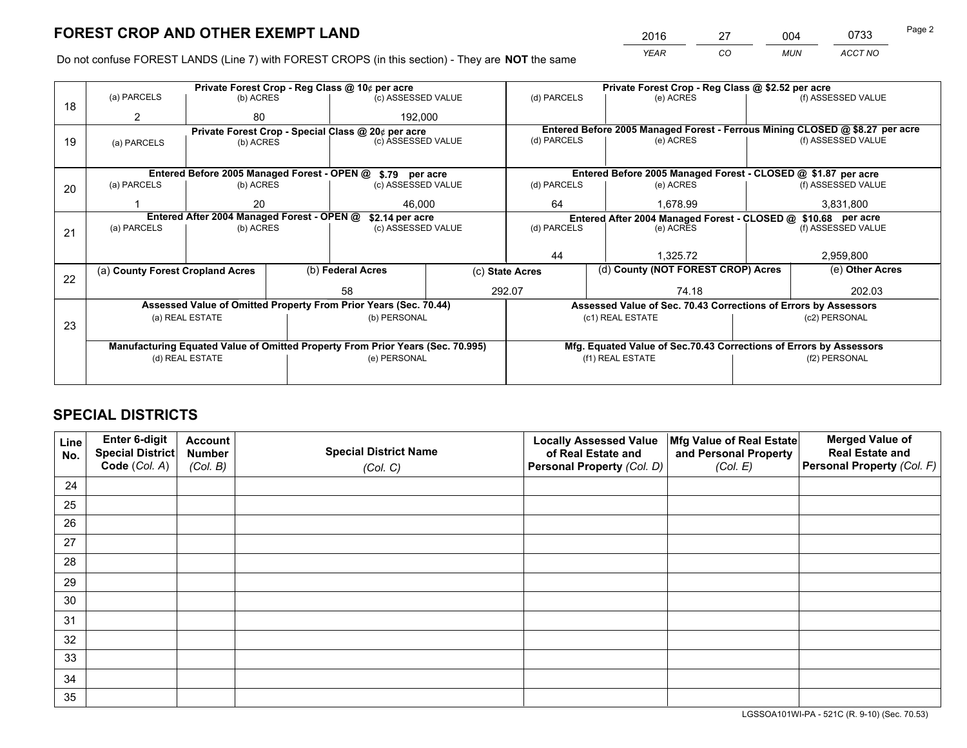*YEAR CO MUN ACCT NO* 2016 27 004 0733 Page 2

Do not confuse FOREST LANDS (Line 7) with FOREST CROPS (in this section) - They are **NOT** the same

|    |                                                               |                                             |  | Private Forest Crop - Reg Class @ 10¢ per acre                                 |                                                                              | Private Forest Crop - Reg Class @ \$2.52 per acre             |                                                                    |  |                    |  |
|----|---------------------------------------------------------------|---------------------------------------------|--|--------------------------------------------------------------------------------|------------------------------------------------------------------------------|---------------------------------------------------------------|--------------------------------------------------------------------|--|--------------------|--|
| 18 | (a) PARCELS                                                   | (b) ACRES                                   |  | (c) ASSESSED VALUE                                                             |                                                                              | (d) PARCELS                                                   | (e) ACRES                                                          |  | (f) ASSESSED VALUE |  |
|    | 2                                                             | 80                                          |  | 192,000                                                                        |                                                                              |                                                               |                                                                    |  |                    |  |
|    | Private Forest Crop - Special Class @ 20¢ per acre            |                                             |  |                                                                                | Entered Before 2005 Managed Forest - Ferrous Mining CLOSED @ \$8.27 per acre |                                                               |                                                                    |  |                    |  |
| 19 | (a) PARCELS                                                   | (b) ACRES                                   |  | (c) ASSESSED VALUE                                                             |                                                                              | (d) PARCELS                                                   | (e) ACRES                                                          |  | (f) ASSESSED VALUE |  |
|    |                                                               |                                             |  |                                                                                |                                                                              |                                                               |                                                                    |  |                    |  |
|    |                                                               | Entered Before 2005 Managed Forest - OPEN @ |  | \$.79 per acre                                                                 |                                                                              |                                                               | Entered Before 2005 Managed Forest - CLOSED @ \$1.87 per acre      |  |                    |  |
| 20 | (a) PARCELS                                                   | (b) ACRES                                   |  | (c) ASSESSED VALUE                                                             |                                                                              | (d) PARCELS                                                   | (e) ACRES                                                          |  | (f) ASSESSED VALUE |  |
|    |                                                               | 20                                          |  | 46,000                                                                         | 64                                                                           |                                                               | 1,678.99                                                           |  | 3,831,800          |  |
|    | Entered After 2004 Managed Forest - OPEN @<br>\$2.14 per acre |                                             |  |                                                                                |                                                                              | Entered After 2004 Managed Forest - CLOSED @ \$10.68 per acre |                                                                    |  |                    |  |
| 21 | (a) PARCELS                                                   | (b) ACRES                                   |  | (c) ASSESSED VALUE                                                             |                                                                              | (d) PARCELS<br>(e) ACRES                                      |                                                                    |  | (f) ASSESSED VALUE |  |
|    |                                                               |                                             |  |                                                                                |                                                                              |                                                               |                                                                    |  |                    |  |
|    |                                                               |                                             |  |                                                                                |                                                                              | 44                                                            | 1.325.72                                                           |  | 2,959,800          |  |
|    | (a) County Forest Cropland Acres                              |                                             |  | (b) Federal Acres                                                              |                                                                              | (c) State Acres                                               | (d) County (NOT FOREST CROP) Acres                                 |  | (e) Other Acres    |  |
| 22 |                                                               |                                             |  | 58                                                                             |                                                                              | 292.07                                                        | 74.18                                                              |  | 202.03             |  |
|    |                                                               |                                             |  |                                                                                |                                                                              |                                                               |                                                                    |  |                    |  |
|    |                                                               |                                             |  | Assessed Value of Omitted Property From Prior Years (Sec. 70.44)               |                                                                              |                                                               | Assessed Value of Sec. 70.43 Corrections of Errors by Assessors    |  |                    |  |
| 23 |                                                               | (a) REAL ESTATE                             |  | (b) PERSONAL                                                                   |                                                                              |                                                               | (c1) REAL ESTATE                                                   |  | (c2) PERSONAL      |  |
|    |                                                               |                                             |  |                                                                                |                                                                              |                                                               |                                                                    |  |                    |  |
|    |                                                               |                                             |  | Manufacturing Equated Value of Omitted Property From Prior Years (Sec. 70.995) |                                                                              |                                                               | Mfg. Equated Value of Sec.70.43 Corrections of Errors by Assessors |  |                    |  |
|    | (e) PERSONAL<br>(d) REAL ESTATE                               |                                             |  |                                                                                | (f1) REAL ESTATE                                                             |                                                               | (f2) PERSONAL                                                      |  |                    |  |
|    |                                                               |                                             |  |                                                                                |                                                                              |                                                               |                                                                    |  |                    |  |

# **SPECIAL DISTRICTS**

| Line<br>No. | Enter 6-digit<br>Special District<br>Code (Col. A) | <b>Account</b><br><b>Number</b> | <b>Special District Name</b> | <b>Locally Assessed Value</b><br>of Real Estate and | Mfg Value of Real Estate<br>and Personal Property | <b>Merged Value of</b><br><b>Real Estate and</b><br>Personal Property (Col. F) |
|-------------|----------------------------------------------------|---------------------------------|------------------------------|-----------------------------------------------------|---------------------------------------------------|--------------------------------------------------------------------------------|
|             |                                                    | (Col. B)                        | (Col. C)                     | Personal Property (Col. D)                          | (Col. E)                                          |                                                                                |
| 24          |                                                    |                                 |                              |                                                     |                                                   |                                                                                |
| 25          |                                                    |                                 |                              |                                                     |                                                   |                                                                                |
| 26          |                                                    |                                 |                              |                                                     |                                                   |                                                                                |
| 27          |                                                    |                                 |                              |                                                     |                                                   |                                                                                |
| 28          |                                                    |                                 |                              |                                                     |                                                   |                                                                                |
| 29          |                                                    |                                 |                              |                                                     |                                                   |                                                                                |
| 30          |                                                    |                                 |                              |                                                     |                                                   |                                                                                |
| 31          |                                                    |                                 |                              |                                                     |                                                   |                                                                                |
| 32          |                                                    |                                 |                              |                                                     |                                                   |                                                                                |
| 33          |                                                    |                                 |                              |                                                     |                                                   |                                                                                |
| 34          |                                                    |                                 |                              |                                                     |                                                   |                                                                                |
| 35          |                                                    |                                 |                              |                                                     |                                                   |                                                                                |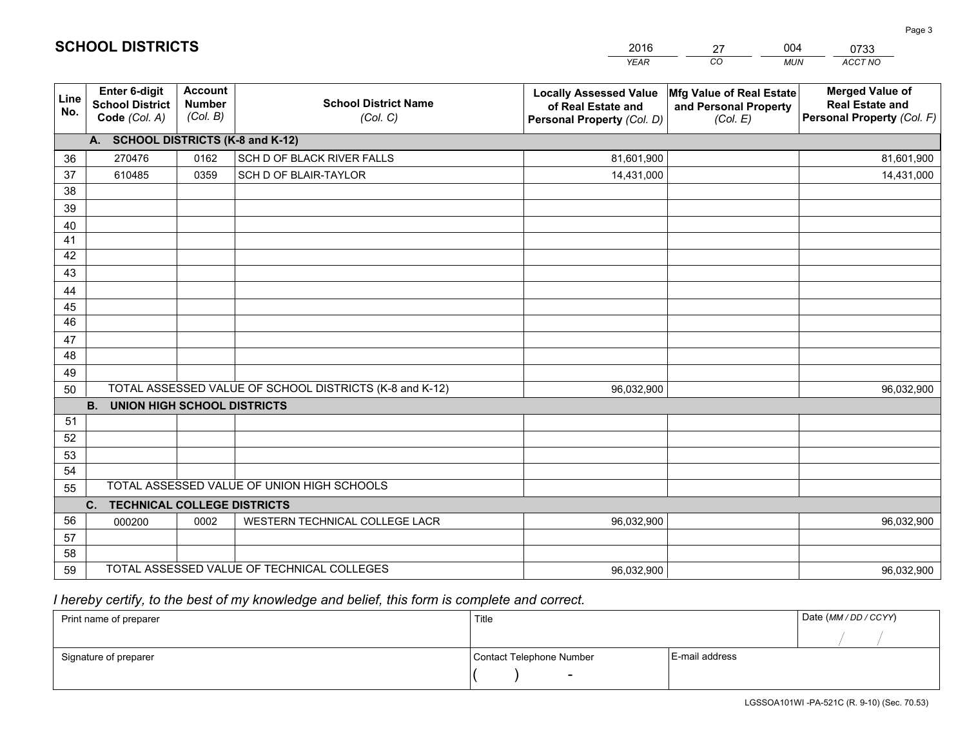|             |                                                          |                                             |                                                         | <b>YEAR</b>                                                                       | CO<br><b>MUN</b>                                              | ACCT NO                                                                        |
|-------------|----------------------------------------------------------|---------------------------------------------|---------------------------------------------------------|-----------------------------------------------------------------------------------|---------------------------------------------------------------|--------------------------------------------------------------------------------|
| Line<br>No. | Enter 6-digit<br><b>School District</b><br>Code (Col. A) | <b>Account</b><br><b>Number</b><br>(Col. B) | <b>School District Name</b><br>(Col. C)                 | <b>Locally Assessed Value</b><br>of Real Estate and<br>Personal Property (Col. D) | Mfg Value of Real Estate<br>and Personal Property<br>(Col. E) | <b>Merged Value of</b><br><b>Real Estate and</b><br>Personal Property (Col. F) |
|             | A. SCHOOL DISTRICTS (K-8 and K-12)                       |                                             |                                                         |                                                                                   |                                                               |                                                                                |
| 36          | 270476                                                   | 0162                                        | SCH D OF BLACK RIVER FALLS                              | 81,601,900                                                                        |                                                               | 81,601,900                                                                     |
| 37          | 610485                                                   | 0359                                        | SCH D OF BLAIR-TAYLOR                                   | 14,431,000                                                                        |                                                               | 14,431,000                                                                     |
| 38          |                                                          |                                             |                                                         |                                                                                   |                                                               |                                                                                |
| 39          |                                                          |                                             |                                                         |                                                                                   |                                                               |                                                                                |
| 40          |                                                          |                                             |                                                         |                                                                                   |                                                               |                                                                                |
| 41          |                                                          |                                             |                                                         |                                                                                   |                                                               |                                                                                |
| 42          |                                                          |                                             |                                                         |                                                                                   |                                                               |                                                                                |
| 43          |                                                          |                                             |                                                         |                                                                                   |                                                               |                                                                                |
| 44          |                                                          |                                             |                                                         |                                                                                   |                                                               |                                                                                |
| 45<br>46    |                                                          |                                             |                                                         |                                                                                   |                                                               |                                                                                |
|             |                                                          |                                             |                                                         |                                                                                   |                                                               |                                                                                |
| 47<br>48    |                                                          |                                             |                                                         |                                                                                   |                                                               |                                                                                |
| 49          |                                                          |                                             |                                                         |                                                                                   |                                                               |                                                                                |
| 50          |                                                          |                                             | TOTAL ASSESSED VALUE OF SCHOOL DISTRICTS (K-8 and K-12) | 96,032,900                                                                        |                                                               | 96,032,900                                                                     |
|             | <b>B.</b><br><b>UNION HIGH SCHOOL DISTRICTS</b>          |                                             |                                                         |                                                                                   |                                                               |                                                                                |
| 51          |                                                          |                                             |                                                         |                                                                                   |                                                               |                                                                                |
| 52          |                                                          |                                             |                                                         |                                                                                   |                                                               |                                                                                |
| 53          |                                                          |                                             |                                                         |                                                                                   |                                                               |                                                                                |
| 54          |                                                          |                                             |                                                         |                                                                                   |                                                               |                                                                                |
| 55          |                                                          |                                             | TOTAL ASSESSED VALUE OF UNION HIGH SCHOOLS              |                                                                                   |                                                               |                                                                                |
|             | C.<br><b>TECHNICAL COLLEGE DISTRICTS</b>                 |                                             |                                                         |                                                                                   |                                                               |                                                                                |
| 56          | 000200                                                   | 0002                                        | WESTERN TECHNICAL COLLEGE LACR                          | 96,032,900                                                                        |                                                               | 96,032,900                                                                     |
| 57          |                                                          |                                             |                                                         |                                                                                   |                                                               |                                                                                |
| 58          |                                                          |                                             |                                                         |                                                                                   |                                                               |                                                                                |
| 59          |                                                          |                                             | TOTAL ASSESSED VALUE OF TECHNICAL COLLEGES              | 96,032,900                                                                        |                                                               | 96,032,900                                                                     |

27

004

 *I hereby certify, to the best of my knowledge and belief, this form is complete and correct.*

**SCHOOL DISTRICTS**

| Print name of preparer | Title                    |                | Date (MM / DD / CCYY) |
|------------------------|--------------------------|----------------|-----------------------|
|                        |                          |                |                       |
| Signature of preparer  | Contact Telephone Number | E-mail address |                       |
|                        | $\sim$                   |                |                       |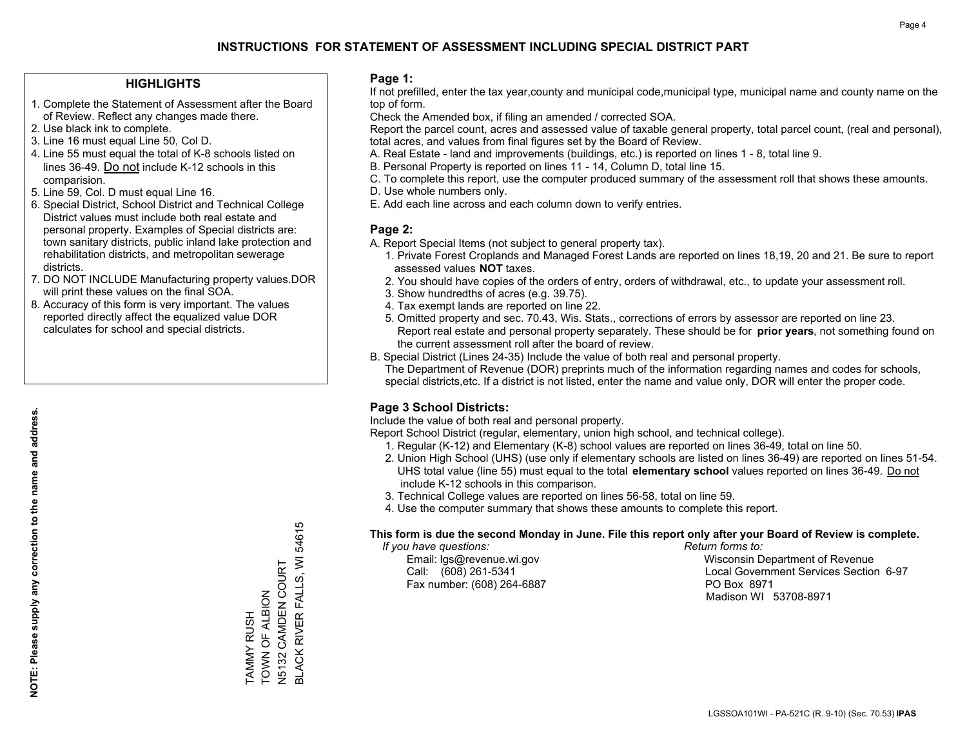#### **HIGHLIGHTS**

- 1. Complete the Statement of Assessment after the Board of Review. Reflect any changes made there.
- 2. Use black ink to complete.
- 3. Line 16 must equal Line 50, Col D.
- 4. Line 55 must equal the total of K-8 schools listed on lines 36-49. Do not include K-12 schools in this comparision.
- 5. Line 59, Col. D must equal Line 16.
- 6. Special District, School District and Technical College District values must include both real estate and personal property. Examples of Special districts are: town sanitary districts, public inland lake protection and rehabilitation districts, and metropolitan sewerage districts.
- 7. DO NOT INCLUDE Manufacturing property values.DOR will print these values on the final SOA.

TAMMY RUSH TOWN OF ALBION N5132 CAMDEN COURT

TAMMY RUSH<br>TOWN OF ALBION<br>N5132 CAMDEN COURT

BLACK RIVER FALLS, WI 54615

BLACK RIVER FALLS, WI 54615

 8. Accuracy of this form is very important. The values reported directly affect the equalized value DOR calculates for school and special districts.

#### **Page 1:**

 If not prefilled, enter the tax year,county and municipal code,municipal type, municipal name and county name on the top of form.

Check the Amended box, if filing an amended / corrected SOA.

 Report the parcel count, acres and assessed value of taxable general property, total parcel count, (real and personal), total acres, and values from final figures set by the Board of Review.

- A. Real Estate land and improvements (buildings, etc.) is reported on lines 1 8, total line 9.
- B. Personal Property is reported on lines 11 14, Column D, total line 15.
- C. To complete this report, use the computer produced summary of the assessment roll that shows these amounts.
- D. Use whole numbers only.
- E. Add each line across and each column down to verify entries.

#### **Page 2:**

- A. Report Special Items (not subject to general property tax).
- 1. Private Forest Croplands and Managed Forest Lands are reported on lines 18,19, 20 and 21. Be sure to report assessed values **NOT** taxes.
- 2. You should have copies of the orders of entry, orders of withdrawal, etc., to update your assessment roll.
	- 3. Show hundredths of acres (e.g. 39.75).
- 4. Tax exempt lands are reported on line 22.
- 5. Omitted property and sec. 70.43, Wis. Stats., corrections of errors by assessor are reported on line 23. Report real estate and personal property separately. These should be for **prior years**, not something found on the current assessment roll after the board of review.
- B. Special District (Lines 24-35) Include the value of both real and personal property.
- The Department of Revenue (DOR) preprints much of the information regarding names and codes for schools, special districts,etc. If a district is not listed, enter the name and value only, DOR will enter the proper code.

## **Page 3 School Districts:**

Include the value of both real and personal property.

Report School District (regular, elementary, union high school, and technical college).

- 1. Regular (K-12) and Elementary (K-8) school values are reported on lines 36-49, total on line 50.
- 2. Union High School (UHS) (use only if elementary schools are listed on lines 36-49) are reported on lines 51-54. UHS total value (line 55) must equal to the total **elementary school** values reported on lines 36-49. Do notinclude K-12 schools in this comparison.
- 3. Technical College values are reported on lines 56-58, total on line 59.
- 4. Use the computer summary that shows these amounts to complete this report.

#### **This form is due the second Monday in June. File this report only after your Board of Review is complete.**

 *If you have questions: Return forms to:*

Fax number: (608) 264-6887 PO Box 8971

 Email: lgs@revenue.wi.gov Wisconsin Department of Revenue Call: (608) 261-5341 Local Government Services Section 6-97Madison WI 53708-8971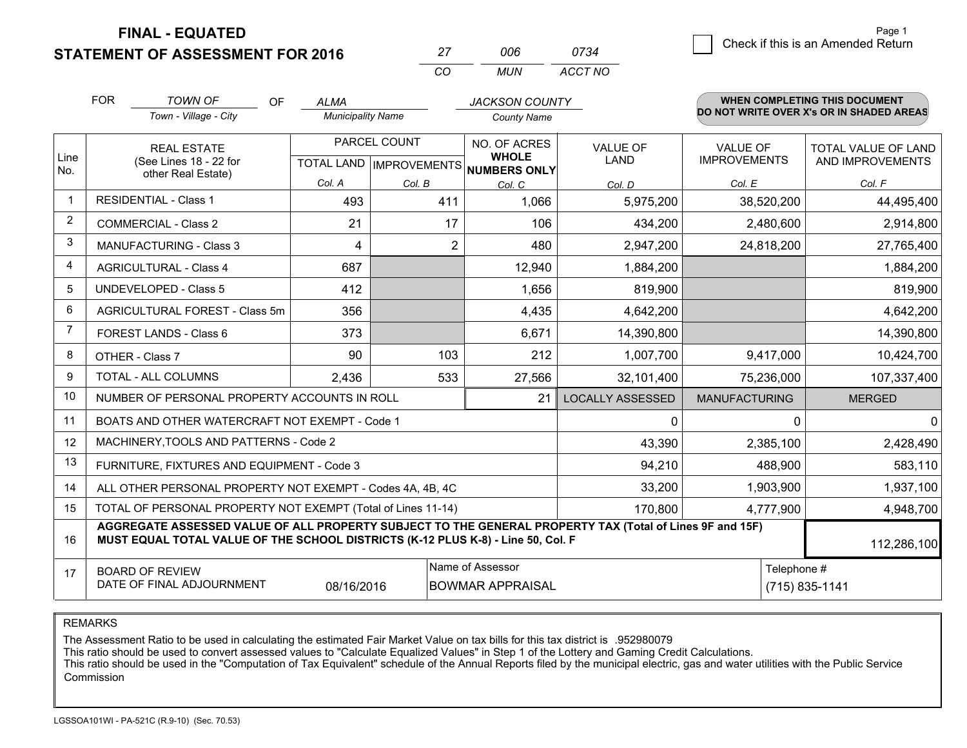**FINAL - EQUATED**

**STATEMENT OF ASSESSMENT FOR 2016** 

| 27  | NUE | 0734    |
|-----|-----|---------|
| rn. | MUN | ACCT NO |

|                | <b>FOR</b>                                                              | <b>TOWN OF</b><br>OF                                                                                                                                                                         | <b>ALMA</b>                                                                                    |                | <b>JACKSON COUNTY</b>                                                |                         |                                        | <b>WHEN COMPLETING THIS DOCUMENT</b>           |
|----------------|-------------------------------------------------------------------------|----------------------------------------------------------------------------------------------------------------------------------------------------------------------------------------------|------------------------------------------------------------------------------------------------|----------------|----------------------------------------------------------------------|-------------------------|----------------------------------------|------------------------------------------------|
|                |                                                                         | Town - Village - City                                                                                                                                                                        | <b>Municipality Name</b>                                                                       |                | <b>County Name</b>                                                   |                         |                                        | DO NOT WRITE OVER X's OR IN SHADED AREAS       |
| Line           |                                                                         | <b>REAL ESTATE</b><br>(See Lines 18 - 22 for                                                                                                                                                 |                                                                                                | PARCEL COUNT   | NO. OF ACRES<br><b>WHOLE</b><br>TOTAL LAND IMPROVEMENTS NUMBERS ONLY | VALUE OF<br>LAND        | <b>VALUE OF</b><br><b>IMPROVEMENTS</b> | <b>TOTAL VALUE OF LAND</b><br>AND IMPROVEMENTS |
| No.            |                                                                         | other Real Estate)                                                                                                                                                                           | Col. A                                                                                         | Col. B         | Col. C                                                               | Col. D                  | Col. E                                 | Col. F                                         |
|                |                                                                         | <b>RESIDENTIAL - Class 1</b>                                                                                                                                                                 | 493                                                                                            | 411            | 1,066                                                                | 5,975,200               | 38,520,200                             | 44,495,400                                     |
| $\overline{2}$ |                                                                         | <b>COMMERCIAL - Class 2</b>                                                                                                                                                                  | 21                                                                                             | 17             | 106                                                                  | 434,200                 | 2,480,600                              | 2,914,800                                      |
| 3              |                                                                         | <b>MANUFACTURING - Class 3</b>                                                                                                                                                               | 4                                                                                              | $\overline{2}$ | 480                                                                  | 2,947,200               | 24,818,200                             | 27,765,400                                     |
| 4              |                                                                         | <b>AGRICULTURAL - Class 4</b>                                                                                                                                                                | 687                                                                                            |                | 12,940                                                               | 1,884,200               |                                        | 1,884,200                                      |
| 5              |                                                                         | <b>UNDEVELOPED - Class 5</b>                                                                                                                                                                 | 412                                                                                            |                | 1,656                                                                | 819,900                 |                                        | 819,900                                        |
| 6              | AGRICULTURAL FOREST - Class 5m                                          |                                                                                                                                                                                              | 356                                                                                            |                | 4,435                                                                | 4,642,200               |                                        | 4,642,200                                      |
| $\overline{7}$ |                                                                         | FOREST LANDS - Class 6                                                                                                                                                                       | 373                                                                                            |                | 6,671                                                                | 14,390,800              |                                        | 14,390,800                                     |
| 8              |                                                                         | OTHER - Class 7                                                                                                                                                                              | 90                                                                                             | 103            | 212                                                                  | 1,007,700               | 9,417,000                              | 10,424,700                                     |
| 9              |                                                                         | TOTAL - ALL COLUMNS                                                                                                                                                                          | 2,436                                                                                          | 533            | 27,566                                                               | 32,101,400              | 75,236,000                             | 107,337,400                                    |
| 10             |                                                                         | NUMBER OF PERSONAL PROPERTY ACCOUNTS IN ROLL                                                                                                                                                 |                                                                                                |                | 21                                                                   | <b>LOCALLY ASSESSED</b> | <b>MANUFACTURING</b>                   | <b>MERGED</b>                                  |
| 11             |                                                                         | BOATS AND OTHER WATERCRAFT NOT EXEMPT - Code 1                                                                                                                                               |                                                                                                |                |                                                                      | $\mathbf 0$             | 0                                      | $\Omega$                                       |
| 12             |                                                                         | MACHINERY, TOOLS AND PATTERNS - Code 2                                                                                                                                                       |                                                                                                |                |                                                                      | 43,390                  | 2,385,100                              | 2,428,490                                      |
| 13             |                                                                         | FURNITURE, FIXTURES AND EQUIPMENT - Code 3                                                                                                                                                   |                                                                                                |                |                                                                      | 94,210                  | 488,900                                | 583,110                                        |
| 14             |                                                                         | ALL OTHER PERSONAL PROPERTY NOT EXEMPT - Codes 4A, 4B, 4C                                                                                                                                    |                                                                                                |                |                                                                      | 33,200                  | 1,903,900                              | 1,937,100                                      |
| 15             | TOTAL OF PERSONAL PROPERTY NOT EXEMPT (Total of Lines 11-14)<br>170,800 |                                                                                                                                                                                              |                                                                                                |                |                                                                      |                         | 4,777,900                              | 4,948,700                                      |
| 16             |                                                                         | AGGREGATE ASSESSED VALUE OF ALL PROPERTY SUBJECT TO THE GENERAL PROPERTY TAX (Total of Lines 9F and 15F)<br>MUST EQUAL TOTAL VALUE OF THE SCHOOL DISTRICTS (K-12 PLUS K-8) - Line 50, Col. F |                                                                                                |                |                                                                      |                         |                                        | 112,286,100                                    |
| 17             |                                                                         | <b>BOARD OF REVIEW</b><br>DATE OF FINAL ADJOURNMENT                                                                                                                                          | Name of Assessor<br>Telephone #<br>08/16/2016<br><b>BOWMAR APPRAISAL</b><br>$(715) 835 - 1141$ |                |                                                                      |                         |                                        |                                                |

REMARKS

The Assessment Ratio to be used in calculating the estimated Fair Market Value on tax bills for this tax district is .952980079<br>This ratio should be used to convert assessed values to "Calculate Equalized Values" in Step 1 Commission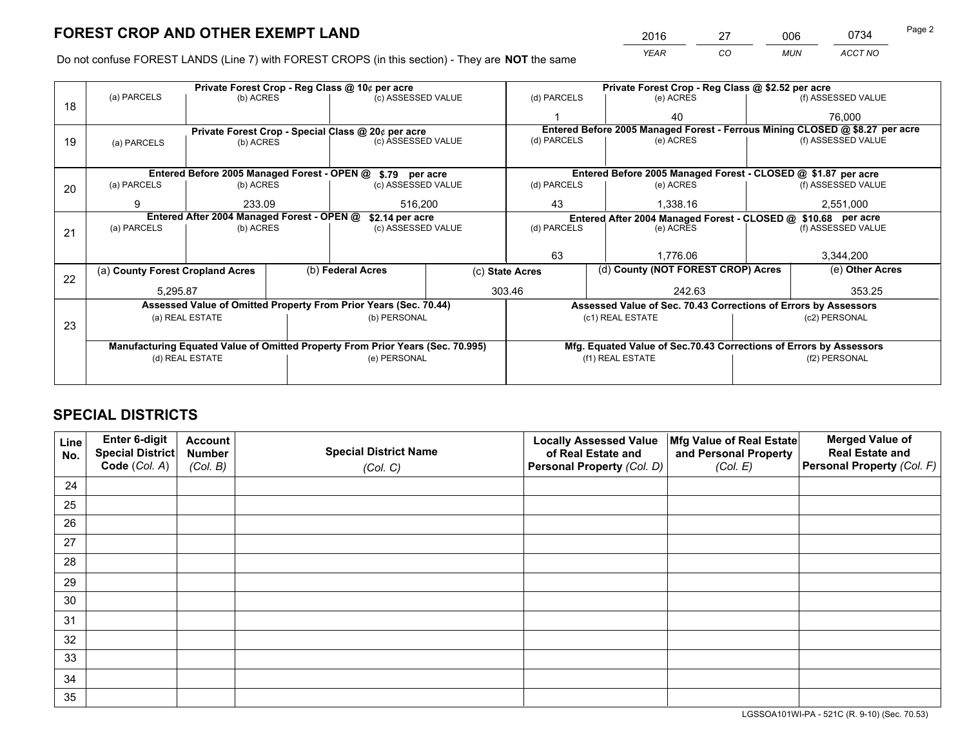*YEAR CO MUN ACCT NO* 2016 27 006 0734

Do not confuse FOREST LANDS (Line 7) with FOREST CROPS (in this section) - They are **NOT** the same

|    |                                            |                 |  | Private Forest Crop - Reg Class @ 10¢ per acre                                 |  |                          | Private Forest Crop - Reg Class @ \$2.52 per acre                            |                                                                    |  |                    |
|----|--------------------------------------------|-----------------|--|--------------------------------------------------------------------------------|--|--------------------------|------------------------------------------------------------------------------|--------------------------------------------------------------------|--|--------------------|
| 18 | (a) PARCELS                                | (b) ACRES       |  | (c) ASSESSED VALUE                                                             |  | (d) PARCELS              |                                                                              | (e) ACRES                                                          |  | (f) ASSESSED VALUE |
|    |                                            |                 |  |                                                                                |  |                          |                                                                              | 40                                                                 |  | 76,000             |
|    |                                            |                 |  | Private Forest Crop - Special Class @ 20¢ per acre                             |  |                          | Entered Before 2005 Managed Forest - Ferrous Mining CLOSED @ \$8.27 per acre |                                                                    |  |                    |
| 19 | (a) PARCELS                                | (b) ACRES       |  | (c) ASSESSED VALUE                                                             |  | (d) PARCELS              |                                                                              | (e) ACRES                                                          |  | (f) ASSESSED VALUE |
|    |                                            |                 |  |                                                                                |  |                          |                                                                              |                                                                    |  |                    |
|    |                                            |                 |  | Entered Before 2005 Managed Forest - OPEN @ \$.79 per acre                     |  |                          |                                                                              | Entered Before 2005 Managed Forest - CLOSED @ \$1.87 per acre      |  |                    |
| 20 | (a) PARCELS                                | (b) ACRES       |  | (c) ASSESSED VALUE                                                             |  | (d) PARCELS              |                                                                              | (e) ACRES                                                          |  | (f) ASSESSED VALUE |
|    | 9                                          | 233.09          |  | 516,200                                                                        |  | 43                       |                                                                              | 1,338.16                                                           |  | 2,551,000          |
|    | Entered After 2004 Managed Forest - OPEN @ |                 |  | \$2.14 per acre                                                                |  |                          | Entered After 2004 Managed Forest - CLOSED @ \$10.68 per acre                |                                                                    |  |                    |
| 21 | (a) PARCELS                                | (b) ACRES       |  | (c) ASSESSED VALUE                                                             |  | (d) PARCELS<br>(e) ACRES |                                                                              | (f) ASSESSED VALUE                                                 |  |                    |
|    |                                            |                 |  |                                                                                |  |                          |                                                                              |                                                                    |  |                    |
|    |                                            |                 |  |                                                                                |  | 63                       |                                                                              | 1,776.06                                                           |  | 3,344,200          |
| 22 | (a) County Forest Cropland Acres           |                 |  | (b) Federal Acres                                                              |  | (c) State Acres          |                                                                              | (d) County (NOT FOREST CROP) Acres                                 |  | (e) Other Acres    |
|    | 5,295.87                                   |                 |  |                                                                                |  | 303.46                   |                                                                              | 242.63                                                             |  | 353.25             |
|    |                                            |                 |  | Assessed Value of Omitted Property From Prior Years (Sec. 70.44)               |  |                          |                                                                              | Assessed Value of Sec. 70.43 Corrections of Errors by Assessors    |  |                    |
| 23 |                                            | (a) REAL ESTATE |  | (b) PERSONAL                                                                   |  |                          | (c1) REAL ESTATE                                                             |                                                                    |  | (c2) PERSONAL      |
|    |                                            |                 |  |                                                                                |  |                          |                                                                              |                                                                    |  |                    |
|    |                                            |                 |  | Manufacturing Equated Value of Omitted Property From Prior Years (Sec. 70.995) |  |                          |                                                                              | Mfg. Equated Value of Sec.70.43 Corrections of Errors by Assessors |  |                    |
|    |                                            | (d) REAL ESTATE |  | (e) PERSONAL                                                                   |  |                          | (f1) REAL ESTATE                                                             |                                                                    |  | (f2) PERSONAL      |
|    |                                            |                 |  |                                                                                |  |                          |                                                                              |                                                                    |  |                    |

# **SPECIAL DISTRICTS**

| Line<br>No. | Enter 6-digit<br>Special District<br>Code (Col. A) | <b>Account</b><br><b>Number</b> | <b>Special District Name</b> | <b>Locally Assessed Value</b><br>of Real Estate and | Mfg Value of Real Estate<br>and Personal Property | <b>Merged Value of</b><br><b>Real Estate and</b><br>Personal Property (Col. F) |
|-------------|----------------------------------------------------|---------------------------------|------------------------------|-----------------------------------------------------|---------------------------------------------------|--------------------------------------------------------------------------------|
|             |                                                    | (Col. B)                        | (Col. C)                     | Personal Property (Col. D)                          | (Col. E)                                          |                                                                                |
| 24          |                                                    |                                 |                              |                                                     |                                                   |                                                                                |
| 25          |                                                    |                                 |                              |                                                     |                                                   |                                                                                |
| 26          |                                                    |                                 |                              |                                                     |                                                   |                                                                                |
| 27          |                                                    |                                 |                              |                                                     |                                                   |                                                                                |
| 28          |                                                    |                                 |                              |                                                     |                                                   |                                                                                |
| 29          |                                                    |                                 |                              |                                                     |                                                   |                                                                                |
| 30          |                                                    |                                 |                              |                                                     |                                                   |                                                                                |
| 31          |                                                    |                                 |                              |                                                     |                                                   |                                                                                |
| 32          |                                                    |                                 |                              |                                                     |                                                   |                                                                                |
| 33          |                                                    |                                 |                              |                                                     |                                                   |                                                                                |
| 34          |                                                    |                                 |                              |                                                     |                                                   |                                                                                |
| 35          |                                                    |                                 |                              |                                                     |                                                   |                                                                                |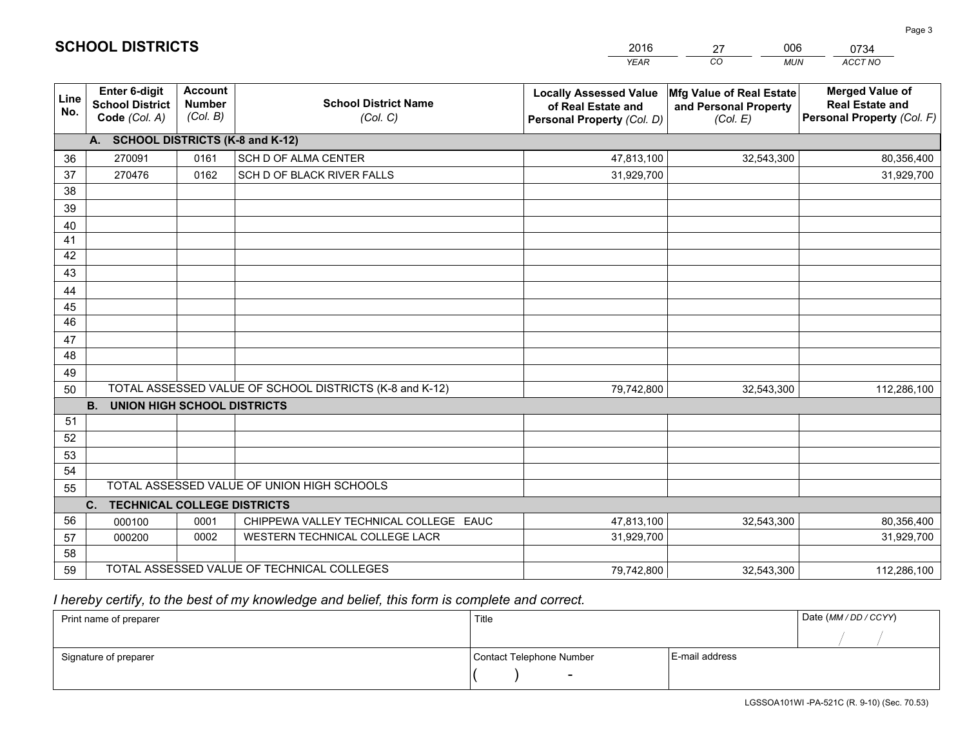|                       |                                                                 |                                             |                                                         | <b>YEAR</b>                                                                       | CO<br><b>MUN</b>                                              | ACCT NO                                                                        |
|-----------------------|-----------------------------------------------------------------|---------------------------------------------|---------------------------------------------------------|-----------------------------------------------------------------------------------|---------------------------------------------------------------|--------------------------------------------------------------------------------|
| Line<br>No.           | <b>Enter 6-digit</b><br><b>School District</b><br>Code (Col. A) | <b>Account</b><br><b>Number</b><br>(Col. B) | <b>School District Name</b><br>(Col. C)                 | <b>Locally Assessed Value</b><br>of Real Estate and<br>Personal Property (Col. D) | Mfg Value of Real Estate<br>and Personal Property<br>(Col. E) | <b>Merged Value of</b><br><b>Real Estate and</b><br>Personal Property (Col. F) |
|                       | A. SCHOOL DISTRICTS (K-8 and K-12)                              |                                             |                                                         |                                                                                   |                                                               |                                                                                |
| 36                    | 270091                                                          | 0161                                        | SCH D OF ALMA CENTER                                    | 47,813,100                                                                        | 32,543,300                                                    | 80,356,400                                                                     |
| 37                    | 270476                                                          | 0162                                        | SCH D OF BLACK RIVER FALLS                              | 31,929,700                                                                        |                                                               | 31,929,700                                                                     |
| 38                    |                                                                 |                                             |                                                         |                                                                                   |                                                               |                                                                                |
| 39                    |                                                                 |                                             |                                                         |                                                                                   |                                                               |                                                                                |
| 40                    |                                                                 |                                             |                                                         |                                                                                   |                                                               |                                                                                |
| 41                    |                                                                 |                                             |                                                         |                                                                                   |                                                               |                                                                                |
| 42                    |                                                                 |                                             |                                                         |                                                                                   |                                                               |                                                                                |
| 43                    |                                                                 |                                             |                                                         |                                                                                   |                                                               |                                                                                |
| 44                    |                                                                 |                                             |                                                         |                                                                                   |                                                               |                                                                                |
| 45<br>$\overline{46}$ |                                                                 |                                             |                                                         |                                                                                   |                                                               |                                                                                |
| 47                    |                                                                 |                                             |                                                         |                                                                                   |                                                               |                                                                                |
| 48                    |                                                                 |                                             |                                                         |                                                                                   |                                                               |                                                                                |
| 49                    |                                                                 |                                             |                                                         |                                                                                   |                                                               |                                                                                |
| 50                    |                                                                 |                                             | TOTAL ASSESSED VALUE OF SCHOOL DISTRICTS (K-8 and K-12) | 79,742,800                                                                        | 32,543,300                                                    | 112,286,100                                                                    |
|                       | <b>B.</b><br>UNION HIGH SCHOOL DISTRICTS                        |                                             |                                                         |                                                                                   |                                                               |                                                                                |
| 51                    |                                                                 |                                             |                                                         |                                                                                   |                                                               |                                                                                |
| 52                    |                                                                 |                                             |                                                         |                                                                                   |                                                               |                                                                                |
| 53                    |                                                                 |                                             |                                                         |                                                                                   |                                                               |                                                                                |
| 54                    |                                                                 |                                             |                                                         |                                                                                   |                                                               |                                                                                |
| 55                    |                                                                 |                                             | TOTAL ASSESSED VALUE OF UNION HIGH SCHOOLS              |                                                                                   |                                                               |                                                                                |
|                       | C.<br><b>TECHNICAL COLLEGE DISTRICTS</b>                        |                                             |                                                         |                                                                                   |                                                               |                                                                                |
| 56                    | 000100                                                          | 0001                                        | CHIPPEWA VALLEY TECHNICAL COLLEGE EAUC                  | 47,813,100                                                                        | 32,543,300                                                    | 80,356,400                                                                     |
| 57                    | 000200                                                          | 0002                                        | WESTERN TECHNICAL COLLEGE LACR                          | 31,929,700                                                                        |                                                               | 31,929,700                                                                     |
| 58                    |                                                                 |                                             |                                                         |                                                                                   |                                                               |                                                                                |
| 59                    |                                                                 |                                             | TOTAL ASSESSED VALUE OF TECHNICAL COLLEGES              | 79,742,800                                                                        | 32,543,300                                                    | 112,286,100                                                                    |

27

006

# *I hereby certify, to the best of my knowledge and belief, this form is complete and correct.*

**SCHOOL DISTRICTS**

| Print name of preparer | Title                    |                | Date (MM / DD / CCYY) |
|------------------------|--------------------------|----------------|-----------------------|
|                        |                          |                |                       |
| Signature of preparer  | Contact Telephone Number | E-mail address |                       |
|                        | $\sim$                   |                |                       |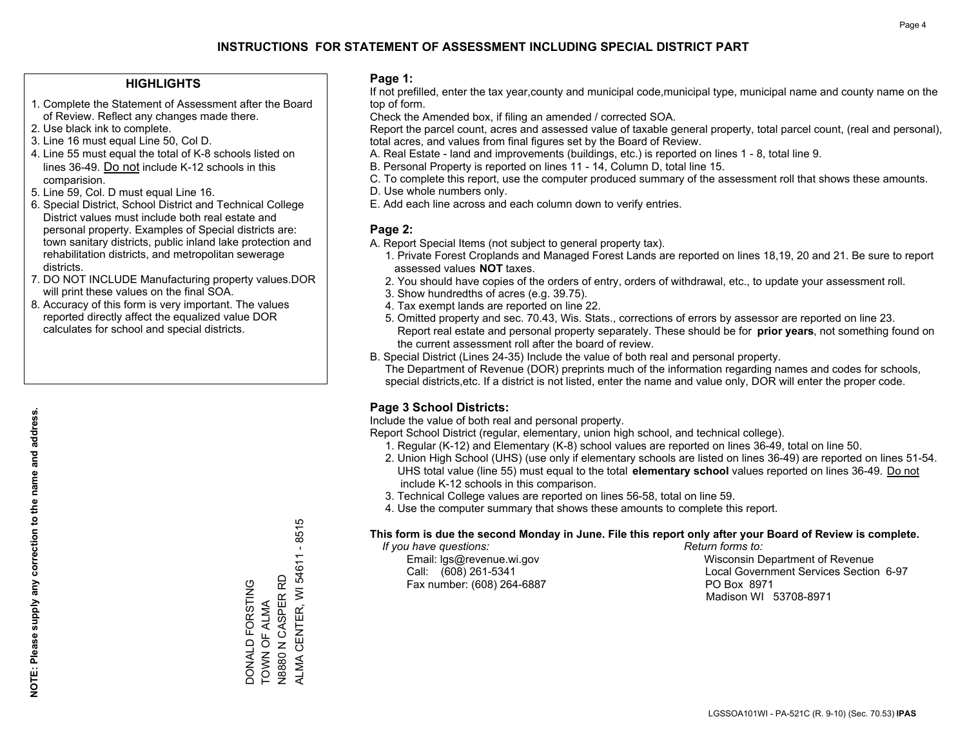#### **HIGHLIGHTS**

- 1. Complete the Statement of Assessment after the Board of Review. Reflect any changes made there.
- 2. Use black ink to complete.
- 3. Line 16 must equal Line 50, Col D.
- 4. Line 55 must equal the total of K-8 schools listed on lines 36-49. Do not include K-12 schools in this comparision.
- 5. Line 59, Col. D must equal Line 16.
- 6. Special District, School District and Technical College District values must include both real estate and personal property. Examples of Special districts are: town sanitary districts, public inland lake protection and rehabilitation districts, and metropolitan sewerage districts.
- 7. DO NOT INCLUDE Manufacturing property values.DOR will print these values on the final SOA.

DONALD FORSTING TOWN OF ALMA N8880 N CASPER RD

DONALD FORSTING

TOWN OF ALMA<br>N8880 N CASPER RD

ALMA CENTER, WI 54611 - 8515

ALMA CENTER, WI 54611

 $-8515$ 

 8. Accuracy of this form is very important. The values reported directly affect the equalized value DOR calculates for school and special districts.

#### **Page 1:**

 If not prefilled, enter the tax year,county and municipal code,municipal type, municipal name and county name on the top of form.

Check the Amended box, if filing an amended / corrected SOA.

 Report the parcel count, acres and assessed value of taxable general property, total parcel count, (real and personal), total acres, and values from final figures set by the Board of Review.

- A. Real Estate land and improvements (buildings, etc.) is reported on lines 1 8, total line 9.
- B. Personal Property is reported on lines 11 14, Column D, total line 15.
- C. To complete this report, use the computer produced summary of the assessment roll that shows these amounts.
- D. Use whole numbers only.
- E. Add each line across and each column down to verify entries.

#### **Page 2:**

- A. Report Special Items (not subject to general property tax).
- 1. Private Forest Croplands and Managed Forest Lands are reported on lines 18,19, 20 and 21. Be sure to report assessed values **NOT** taxes.
- 2. You should have copies of the orders of entry, orders of withdrawal, etc., to update your assessment roll.
	- 3. Show hundredths of acres (e.g. 39.75).
- 4. Tax exempt lands are reported on line 22.
- 5. Omitted property and sec. 70.43, Wis. Stats., corrections of errors by assessor are reported on line 23. Report real estate and personal property separately. These should be for **prior years**, not something found on the current assessment roll after the board of review.
- B. Special District (Lines 24-35) Include the value of both real and personal property.
- The Department of Revenue (DOR) preprints much of the information regarding names and codes for schools, special districts,etc. If a district is not listed, enter the name and value only, DOR will enter the proper code.

## **Page 3 School Districts:**

Include the value of both real and personal property.

Report School District (regular, elementary, union high school, and technical college).

- 1. Regular (K-12) and Elementary (K-8) school values are reported on lines 36-49, total on line 50.
- 2. Union High School (UHS) (use only if elementary schools are listed on lines 36-49) are reported on lines 51-54. UHS total value (line 55) must equal to the total **elementary school** values reported on lines 36-49. Do notinclude K-12 schools in this comparison.
- 3. Technical College values are reported on lines 56-58, total on line 59.
- 4. Use the computer summary that shows these amounts to complete this report.

#### **This form is due the second Monday in June. File this report only after your Board of Review is complete.**

 *If you have questions: Return forms to:*

Fax number: (608) 264-6887 PO Box 8971

 Email: lgs@revenue.wi.gov Wisconsin Department of Revenue Call: (608) 261-5341 Local Government Services Section 6-97Madison WI 53708-8971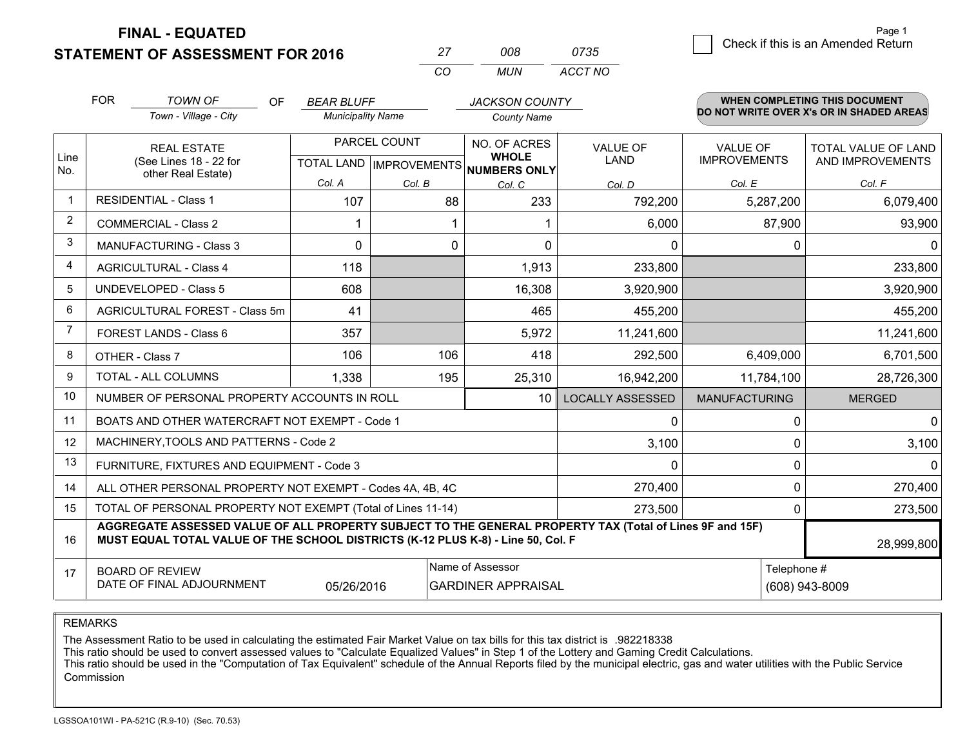**STATEMENT OF ASSESSMENT FOR 2016 FINAL - EQUATED**

<u> 1989 - Johann Stoff, deutscher Stoffen und der Stoffen und der Stoffen und der Stoffen und der Stoffen und de</u>

| 27 | nnr | 0735    |
|----|-----|---------|
| cо | MUN | ACCT NO |

|                | <b>FOR</b>                                                                                                                        | <b>TOWN OF</b><br><b>OF</b>                                                                                                                                                                  | <b>BEAR BLUFF</b>        |                                                | <b>JACKSON COUNTY</b>                               |                                |                                        | <b>WHEN COMPLETING THIS DOCUMENT</b>     |
|----------------|-----------------------------------------------------------------------------------------------------------------------------------|----------------------------------------------------------------------------------------------------------------------------------------------------------------------------------------------|--------------------------|------------------------------------------------|-----------------------------------------------------|--------------------------------|----------------------------------------|------------------------------------------|
|                |                                                                                                                                   | Town - Village - City                                                                                                                                                                        | <b>Municipality Name</b> |                                                | <b>County Name</b>                                  |                                |                                        | DO NOT WRITE OVER X's OR IN SHADED AREAS |
| Line           |                                                                                                                                   | <b>REAL ESTATE</b><br>(See Lines 18 - 22 for                                                                                                                                                 |                          | PARCEL COUNT<br><b>TOTAL LAND IMPROVEMENTS</b> | NO. OF ACRES<br><b>WHOLE</b><br><b>NUMBERS ONLY</b> | <b>VALUE OF</b><br><b>LAND</b> | <b>VALUE OF</b><br><b>IMPROVEMENTS</b> | TOTAL VALUE OF LAND<br>AND IMPROVEMENTS  |
| No.            |                                                                                                                                   | other Real Estate)                                                                                                                                                                           | Col. A                   | Col. B                                         | Col. C                                              | Col. D                         | Col. E                                 | Col. F                                   |
| $\mathbf{1}$   |                                                                                                                                   | <b>RESIDENTIAL - Class 1</b>                                                                                                                                                                 | 107                      | 88                                             | 233                                                 | 792,200                        | 5,287,200                              | 6,079,400                                |
| 2              |                                                                                                                                   | <b>COMMERCIAL - Class 2</b>                                                                                                                                                                  |                          |                                                |                                                     | 6,000                          | 87,900                                 | 93,900                                   |
| 3              |                                                                                                                                   | MANUFACTURING - Class 3                                                                                                                                                                      | $\Omega$                 | 0                                              | $\Omega$                                            | 0                              | $\Omega$                               |                                          |
| 4              |                                                                                                                                   | <b>AGRICULTURAL - Class 4</b>                                                                                                                                                                | 118                      |                                                | 1,913                                               | 233,800                        |                                        | 233,800                                  |
| 5              |                                                                                                                                   | <b>UNDEVELOPED - Class 5</b>                                                                                                                                                                 | 608                      |                                                | 16,308                                              | 3,920,900                      |                                        | 3,920,900                                |
| 6              |                                                                                                                                   | AGRICULTURAL FOREST - Class 5m                                                                                                                                                               | 41                       |                                                | 465                                                 | 455,200                        |                                        | 455,200                                  |
| $\overline{7}$ |                                                                                                                                   | FOREST LANDS - Class 6                                                                                                                                                                       | 357                      |                                                | 5,972                                               | 11,241,600                     |                                        | 11,241,600                               |
| 8              |                                                                                                                                   | OTHER - Class 7                                                                                                                                                                              | 106                      | 106                                            | 418                                                 | 292,500                        | 6,409,000                              | 6,701,500                                |
| 9              |                                                                                                                                   | TOTAL - ALL COLUMNS                                                                                                                                                                          | 1,338                    | 195                                            | 25,310                                              | 16,942,200                     | 11,784,100                             | 28,726,300                               |
| 10             |                                                                                                                                   | NUMBER OF PERSONAL PROPERTY ACCOUNTS IN ROLL                                                                                                                                                 |                          |                                                | 10                                                  | <b>LOCALLY ASSESSED</b>        | <b>MANUFACTURING</b>                   | <b>MERGED</b>                            |
| 11             |                                                                                                                                   | BOATS AND OTHER WATERCRAFT NOT EXEMPT - Code 1                                                                                                                                               |                          |                                                |                                                     | 0                              | 0                                      | 0                                        |
| 12             |                                                                                                                                   | MACHINERY, TOOLS AND PATTERNS - Code 2                                                                                                                                                       |                          |                                                |                                                     | 3,100                          | 0                                      | 3,100                                    |
| 13             |                                                                                                                                   | FURNITURE, FIXTURES AND EQUIPMENT - Code 3                                                                                                                                                   |                          |                                                |                                                     | $\mathbf 0$                    | $\mathbf{0}$                           |                                          |
| 14             |                                                                                                                                   | ALL OTHER PERSONAL PROPERTY NOT EXEMPT - Codes 4A, 4B, 4C                                                                                                                                    |                          |                                                |                                                     | 270,400                        | $\mathbf 0$                            | 270,400                                  |
| 15             | TOTAL OF PERSONAL PROPERTY NOT EXEMPT (Total of Lines 11-14)<br>273,500                                                           |                                                                                                                                                                                              |                          |                                                |                                                     | 0                              | 273,500                                |                                          |
| 16             |                                                                                                                                   | AGGREGATE ASSESSED VALUE OF ALL PROPERTY SUBJECT TO THE GENERAL PROPERTY TAX (Total of Lines 9F and 15F)<br>MUST EQUAL TOTAL VALUE OF THE SCHOOL DISTRICTS (K-12 PLUS K-8) - Line 50, Col. F |                          |                                                |                                                     |                                |                                        | 28,999,800                               |
| 17             | Name of Assessor<br>Telephone #<br><b>BOARD OF REVIEW</b><br>DATE OF FINAL ADJOURNMENT<br>05/26/2016<br><b>GARDINER APPRAISAL</b> |                                                                                                                                                                                              |                          |                                                |                                                     |                                | (608) 943-8009                         |                                          |

REMARKS

The Assessment Ratio to be used in calculating the estimated Fair Market Value on tax bills for this tax district is .982218338

This ratio should be used to convert assessed values to "Calculate Equalized Values" in Step 1 of the Lottery and Gaming Credit Calculations.<br>This ratio should be used in the "Computation of Tax Equivalent" schedule of the Commission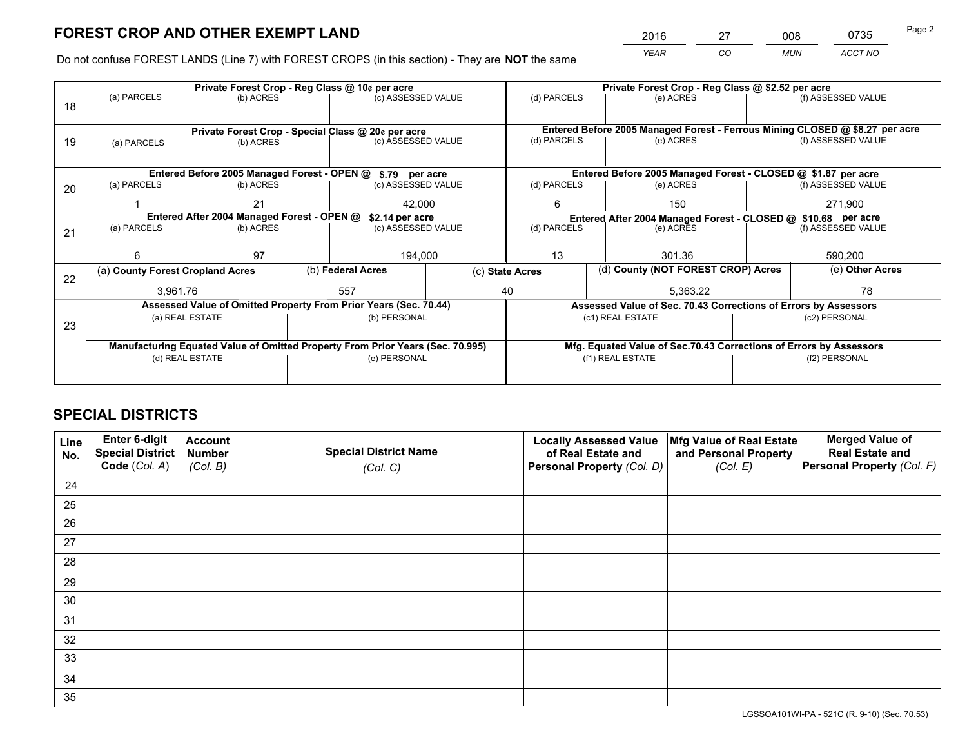*YEAR CO MUN ACCT NO* 2016 27 008 0735

Do not confuse FOREST LANDS (Line 7) with FOREST CROPS (in this section) - They are **NOT** the same

|    |                                                                                |                 |  | Private Forest Crop - Reg Class @ 10¢ per acre                   |                                                               |                                                                              | Private Forest Crop - Reg Class @ \$2.52 per acre               |                    |                    |
|----|--------------------------------------------------------------------------------|-----------------|--|------------------------------------------------------------------|---------------------------------------------------------------|------------------------------------------------------------------------------|-----------------------------------------------------------------|--------------------|--------------------|
| 18 | (a) PARCELS                                                                    | (b) ACRES       |  | (c) ASSESSED VALUE                                               |                                                               | (d) PARCELS                                                                  | (e) ACRES                                                       |                    | (f) ASSESSED VALUE |
|    |                                                                                |                 |  |                                                                  |                                                               |                                                                              |                                                                 |                    |                    |
|    |                                                                                |                 |  | Private Forest Crop - Special Class @ 20¢ per acre               |                                                               | Entered Before 2005 Managed Forest - Ferrous Mining CLOSED @ \$8.27 per acre |                                                                 |                    |                    |
| 19 | (a) PARCELS                                                                    | (b) ACRES       |  | (c) ASSESSED VALUE                                               |                                                               | (d) PARCELS                                                                  | (e) ACRES                                                       |                    | (f) ASSESSED VALUE |
|    |                                                                                |                 |  |                                                                  |                                                               |                                                                              |                                                                 |                    |                    |
|    |                                                                                |                 |  | Entered Before 2005 Managed Forest - OPEN @ \$.79 per acre       |                                                               |                                                                              | Entered Before 2005 Managed Forest - CLOSED @ \$1.87 per acre   |                    |                    |
| 20 | (a) PARCELS                                                                    | (b) ACRES       |  | (c) ASSESSED VALUE                                               |                                                               | (d) PARCELS                                                                  | (e) ACRES                                                       |                    | (f) ASSESSED VALUE |
|    |                                                                                | 21              |  | 42.000                                                           |                                                               | 6                                                                            | 150                                                             |                    | 271,900            |
|    | Entered After 2004 Managed Forest - OPEN @                                     |                 |  | \$2.14 per acre                                                  | Entered After 2004 Managed Forest - CLOSED @ \$10.68 per acre |                                                                              |                                                                 |                    |                    |
| 21 | (a) PARCELS                                                                    | (b) ACRES       |  | (c) ASSESSED VALUE                                               |                                                               | (d) PARCELS<br>(e) ACRES                                                     |                                                                 | (f) ASSESSED VALUE |                    |
|    |                                                                                |                 |  |                                                                  |                                                               |                                                                              |                                                                 |                    |                    |
|    | 6                                                                              | 97              |  | 194,000                                                          |                                                               | 13                                                                           | 301.36                                                          |                    | 590,200            |
| 22 | (a) County Forest Cropland Acres                                               |                 |  | (b) Federal Acres                                                |                                                               | (c) State Acres                                                              | (d) County (NOT FOREST CROP) Acres                              |                    | (e) Other Acres    |
|    | 3.961.76                                                                       |                 |  | 557                                                              |                                                               | 40<br>5.363.22                                                               |                                                                 |                    | 78                 |
|    |                                                                                |                 |  | Assessed Value of Omitted Property From Prior Years (Sec. 70.44) |                                                               |                                                                              | Assessed Value of Sec. 70.43 Corrections of Errors by Assessors |                    |                    |
| 23 |                                                                                | (a) REAL ESTATE |  | (b) PERSONAL                                                     |                                                               |                                                                              | (c1) REAL ESTATE                                                |                    | (c2) PERSONAL      |
|    |                                                                                |                 |  |                                                                  |                                                               |                                                                              |                                                                 |                    |                    |
|    | Manufacturing Equated Value of Omitted Property From Prior Years (Sec. 70.995) |                 |  |                                                                  |                                                               | Mfg. Equated Value of Sec.70.43 Corrections of Errors by Assessors           |                                                                 |                    |                    |
|    |                                                                                | (d) REAL ESTATE |  | (e) PERSONAL                                                     |                                                               |                                                                              | (f1) REAL ESTATE                                                | (f2) PERSONAL      |                    |
|    |                                                                                |                 |  |                                                                  |                                                               |                                                                              |                                                                 |                    |                    |

# **SPECIAL DISTRICTS**

| Line<br>No. | Enter 6-digit<br>Special District<br>Code (Col. A) | <b>Account</b><br><b>Number</b> | <b>Special District Name</b> | <b>Locally Assessed Value</b><br>of Real Estate and | Mfg Value of Real Estate<br>and Personal Property | <b>Merged Value of</b><br><b>Real Estate and</b><br>Personal Property (Col. F) |
|-------------|----------------------------------------------------|---------------------------------|------------------------------|-----------------------------------------------------|---------------------------------------------------|--------------------------------------------------------------------------------|
|             |                                                    | (Col. B)                        | (Col. C)                     | Personal Property (Col. D)                          | (Col. E)                                          |                                                                                |
| 24          |                                                    |                                 |                              |                                                     |                                                   |                                                                                |
| 25          |                                                    |                                 |                              |                                                     |                                                   |                                                                                |
| 26          |                                                    |                                 |                              |                                                     |                                                   |                                                                                |
| 27          |                                                    |                                 |                              |                                                     |                                                   |                                                                                |
| 28          |                                                    |                                 |                              |                                                     |                                                   |                                                                                |
| 29          |                                                    |                                 |                              |                                                     |                                                   |                                                                                |
| 30          |                                                    |                                 |                              |                                                     |                                                   |                                                                                |
| 31          |                                                    |                                 |                              |                                                     |                                                   |                                                                                |
| 32          |                                                    |                                 |                              |                                                     |                                                   |                                                                                |
| 33          |                                                    |                                 |                              |                                                     |                                                   |                                                                                |
| 34          |                                                    |                                 |                              |                                                     |                                                   |                                                                                |
| 35          |                                                    |                                 |                              |                                                     |                                                   |                                                                                |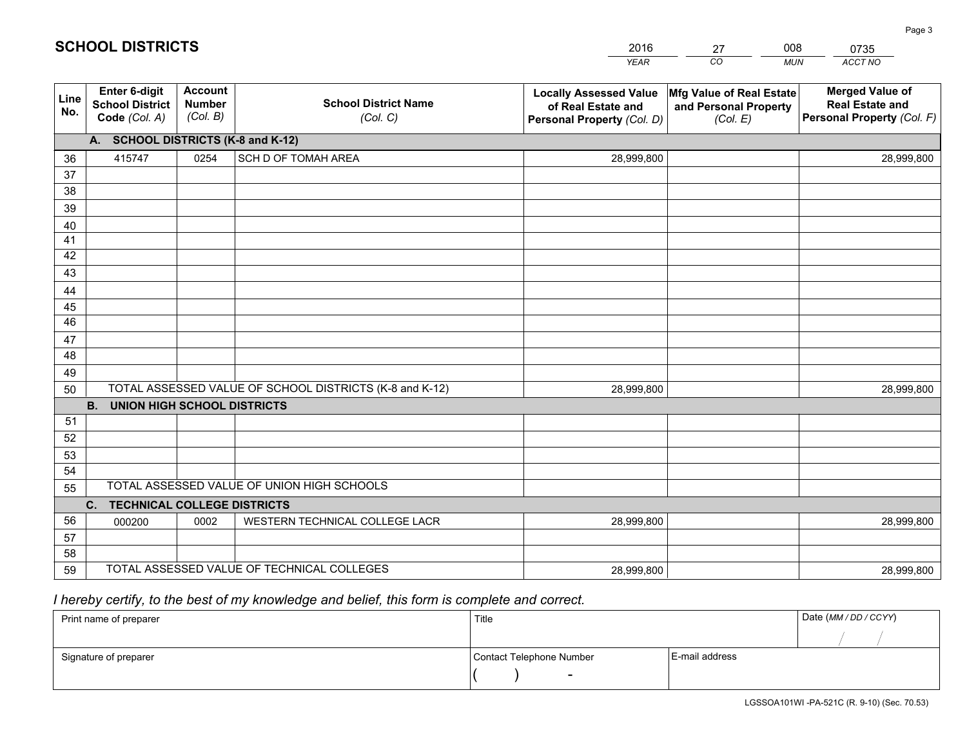| <b>Account</b><br>Enter 6-digit<br>Line<br><b>Number</b><br><b>School District</b><br>No.<br>(Col. B)<br>Code (Col. A)                                                                             |
|----------------------------------------------------------------------------------------------------------------------------------------------------------------------------------------------------|
| A. SCHOOL DISTRICTS (K-8 and K-12)                                                                                                                                                                 |
| 0254<br>415747<br>36                                                                                                                                                                               |
| 37                                                                                                                                                                                                 |
| 38                                                                                                                                                                                                 |
| 39                                                                                                                                                                                                 |
|                                                                                                                                                                                                    |
|                                                                                                                                                                                                    |
|                                                                                                                                                                                                    |
|                                                                                                                                                                                                    |
|                                                                                                                                                                                                    |
|                                                                                                                                                                                                    |
| 47                                                                                                                                                                                                 |
| 48                                                                                                                                                                                                 |
| 49                                                                                                                                                                                                 |
| TOTAL ASSESSED VALUE OF SCHOOL DISTRICTS (K-8 and K-12)<br>50                                                                                                                                      |
| <b>B.</b><br><b>UNION HIGH SCHOOL DISTRICTS</b>                                                                                                                                                    |
| 51                                                                                                                                                                                                 |
|                                                                                                                                                                                                    |
|                                                                                                                                                                                                    |
|                                                                                                                                                                                                    |
|                                                                                                                                                                                                    |
|                                                                                                                                                                                                    |
|                                                                                                                                                                                                    |
|                                                                                                                                                                                                    |
| TOTAL ASSESSED VALUE OF TECHNICAL COLLEGES                                                                                                                                                         |
| 40<br>41<br>42<br>43<br>44<br>45<br>46<br>52<br>53<br>54<br>TOTAL ASSESSED VALUE OF UNION HIGH SCHOOLS<br>55<br>C.<br><b>TECHNICAL COLLEGE DISTRICTS</b><br>56<br>0002<br>000200<br>57<br>58<br>59 |

27

008

 *I hereby certify, to the best of my knowledge and belief, this form is complete and correct.*

**SCHOOL DISTRICTS**

| Print name of preparer | Title                    |                | Date (MM / DD / CCYY) |
|------------------------|--------------------------|----------------|-----------------------|
|                        |                          |                |                       |
| Signature of preparer  | Contact Telephone Number | E-mail address |                       |
|                        | $\overline{\phantom{a}}$ |                |                       |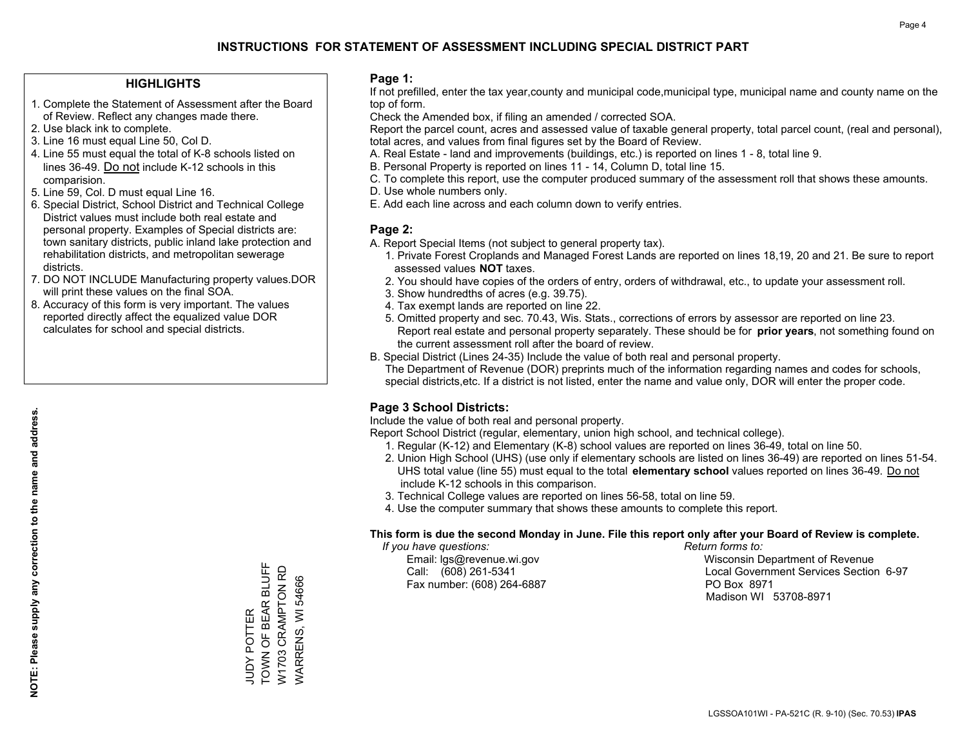#### **HIGHLIGHTS**

- 1. Complete the Statement of Assessment after the Board of Review. Reflect any changes made there.
- 2. Use black ink to complete.
- 3. Line 16 must equal Line 50, Col D.
- 4. Line 55 must equal the total of K-8 schools listed on lines 36-49. Do not include K-12 schools in this comparision.
- 5. Line 59, Col. D must equal Line 16.
- 6. Special District, School District and Technical College District values must include both real estate and personal property. Examples of Special districts are: town sanitary districts, public inland lake protection and rehabilitation districts, and metropolitan sewerage districts.
- 7. DO NOT INCLUDE Manufacturing property values.DOR will print these values on the final SOA.
- 8. Accuracy of this form is very important. The values reported directly affect the equalized value DOR calculates for school and special districts.

#### **Page 1:**

 If not prefilled, enter the tax year,county and municipal code,municipal type, municipal name and county name on the top of form.

Check the Amended box, if filing an amended / corrected SOA.

 Report the parcel count, acres and assessed value of taxable general property, total parcel count, (real and personal), total acres, and values from final figures set by the Board of Review.

- A. Real Estate land and improvements (buildings, etc.) is reported on lines 1 8, total line 9.
- B. Personal Property is reported on lines 11 14, Column D, total line 15.
- C. To complete this report, use the computer produced summary of the assessment roll that shows these amounts.
- D. Use whole numbers only.
- E. Add each line across and each column down to verify entries.

#### **Page 2:**

- A. Report Special Items (not subject to general property tax).
- 1. Private Forest Croplands and Managed Forest Lands are reported on lines 18,19, 20 and 21. Be sure to report assessed values **NOT** taxes.
- 2. You should have copies of the orders of entry, orders of withdrawal, etc., to update your assessment roll.
	- 3. Show hundredths of acres (e.g. 39.75).
- 4. Tax exempt lands are reported on line 22.
- 5. Omitted property and sec. 70.43, Wis. Stats., corrections of errors by assessor are reported on line 23. Report real estate and personal property separately. These should be for **prior years**, not something found on the current assessment roll after the board of review.
- B. Special District (Lines 24-35) Include the value of both real and personal property.
- The Department of Revenue (DOR) preprints much of the information regarding names and codes for schools, special districts,etc. If a district is not listed, enter the name and value only, DOR will enter the proper code.

## **Page 3 School Districts:**

Include the value of both real and personal property.

Report School District (regular, elementary, union high school, and technical college).

- 1. Regular (K-12) and Elementary (K-8) school values are reported on lines 36-49, total on line 50.
- 2. Union High School (UHS) (use only if elementary schools are listed on lines 36-49) are reported on lines 51-54. UHS total value (line 55) must equal to the total **elementary school** values reported on lines 36-49. Do notinclude K-12 schools in this comparison.
- 3. Technical College values are reported on lines 56-58, total on line 59.
- 4. Use the computer summary that shows these amounts to complete this report.

#### **This form is due the second Monday in June. File this report only after your Board of Review is complete.**

 *If you have questions: Return forms to:*

Fax number: (608) 264-6887 PO Box 8971

 Email: lgs@revenue.wi.gov Wisconsin Department of Revenue Call: (608) 261-5341 Local Government Services Section 6-97Madison WI 53708-8971

TOWN OF BEAR BLUFF TOWN OF BEAR BLUFF W1703 CRAMPTON RD W1703 CRAMPTON RD **JUDY POTTER** JUDY POTTER

WARRENS, WI 54666

WARRENS, WI 54666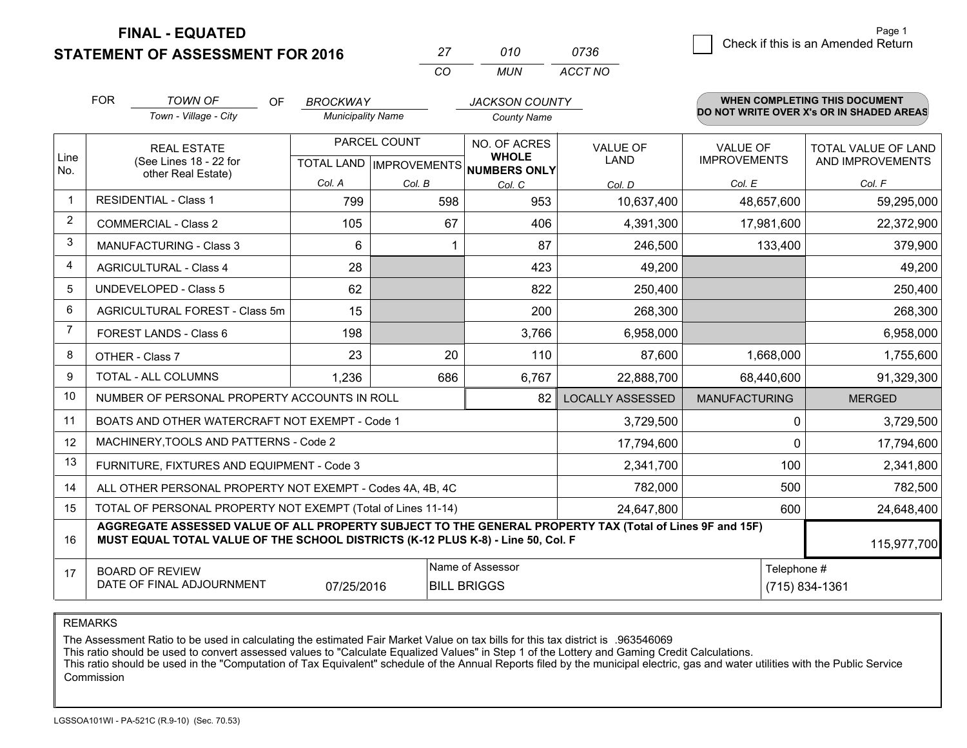**STATEMENT OF ASSESSMENT FOR 2016 FINAL - EQUATED**

| 27  | 010 | 0736    |
|-----|-----|---------|
| CO. | MUN | ACCT NO |

|                | <b>FOR</b>                                                                                                                                   | <b>TOWN OF</b><br><b>OF</b>                                                                                                                                                                  | <b>BROCKWAY</b>                           |        | <b>JACKSON COUNTY</b>                        |                                |                                        | <b>WHEN COMPLETING THIS DOCUMENT</b>     |
|----------------|----------------------------------------------------------------------------------------------------------------------------------------------|----------------------------------------------------------------------------------------------------------------------------------------------------------------------------------------------|-------------------------------------------|--------|----------------------------------------------|--------------------------------|----------------------------------------|------------------------------------------|
|                |                                                                                                                                              | Town - Village - City                                                                                                                                                                        | <b>Municipality Name</b>                  |        | <b>County Name</b>                           |                                |                                        | DO NOT WRITE OVER X's OR IN SHADED AREAS |
| Line<br>No.    |                                                                                                                                              | <b>REAL ESTATE</b><br>(See Lines 18 - 22 for                                                                                                                                                 | PARCEL COUNT<br>TOTAL LAND   IMPROVEMENTS |        | NO. OF ACRES<br><b>WHOLE</b><br>NUMBERS ONLY | <b>VALUE OF</b><br><b>LAND</b> | <b>VALUE OF</b><br><b>IMPROVEMENTS</b> | TOTAL VALUE OF LAND<br>AND IMPROVEMENTS  |
|                |                                                                                                                                              | other Real Estate)                                                                                                                                                                           | Col. A                                    | Col. B | Col. C                                       | Col. D                         | Col. E                                 | Col. F                                   |
| $\mathbf{1}$   |                                                                                                                                              | <b>RESIDENTIAL - Class 1</b>                                                                                                                                                                 | 799                                       | 598    | 953                                          | 10,637,400                     | 48,657,600                             | 59,295,000                               |
| $\overline{2}$ |                                                                                                                                              | <b>COMMERCIAL - Class 2</b>                                                                                                                                                                  | 105                                       | 67     | 406                                          | 4,391,300                      | 17,981,600                             | 22,372,900                               |
| 3              |                                                                                                                                              | <b>MANUFACTURING - Class 3</b>                                                                                                                                                               | 6                                         |        | 87                                           | 246,500                        | 133,400                                | 379,900                                  |
| $\overline{4}$ |                                                                                                                                              | <b>AGRICULTURAL - Class 4</b>                                                                                                                                                                | 28                                        |        | 423                                          | 49,200                         |                                        | 49,200                                   |
| 5              |                                                                                                                                              | <b>UNDEVELOPED - Class 5</b>                                                                                                                                                                 | 62                                        |        | 822                                          | 250,400                        |                                        | 250,400                                  |
| 6              |                                                                                                                                              | AGRICULTURAL FOREST - Class 5m                                                                                                                                                               | 15                                        |        | 200                                          | 268,300                        |                                        | 268,300                                  |
| 7              |                                                                                                                                              | FOREST LANDS - Class 6                                                                                                                                                                       | 198                                       |        | 3,766                                        | 6,958,000                      |                                        | 6,958,000                                |
| 8              |                                                                                                                                              | OTHER - Class 7                                                                                                                                                                              | 23                                        | 20     | 110                                          | 87,600                         | 1,668,000                              | 1,755,600                                |
| 9              |                                                                                                                                              | TOTAL - ALL COLUMNS                                                                                                                                                                          | 1,236                                     | 686    | 6,767                                        | 22,888,700                     | 68,440,600                             | 91,329,300                               |
| 10             |                                                                                                                                              | NUMBER OF PERSONAL PROPERTY ACCOUNTS IN ROLL                                                                                                                                                 |                                           |        | 82                                           | <b>LOCALLY ASSESSED</b>        | <b>MANUFACTURING</b>                   | <b>MERGED</b>                            |
| 11             |                                                                                                                                              | BOATS AND OTHER WATERCRAFT NOT EXEMPT - Code 1                                                                                                                                               |                                           |        |                                              | 3,729,500                      |                                        | 3,729,500<br>$\Omega$                    |
| 12             |                                                                                                                                              | MACHINERY, TOOLS AND PATTERNS - Code 2                                                                                                                                                       |                                           |        |                                              | 17,794,600                     |                                        | $\Omega$<br>17,794,600                   |
| 13             |                                                                                                                                              | FURNITURE, FIXTURES AND EQUIPMENT - Code 3                                                                                                                                                   |                                           |        |                                              | 2,341,700                      |                                        | 100<br>2,341,800                         |
| 14             |                                                                                                                                              | ALL OTHER PERSONAL PROPERTY NOT EXEMPT - Codes 4A, 4B, 4C                                                                                                                                    |                                           |        |                                              | 782,000                        |                                        | 500<br>782,500                           |
| 15             |                                                                                                                                              | TOTAL OF PERSONAL PROPERTY NOT EXEMPT (Total of Lines 11-14)                                                                                                                                 |                                           |        |                                              | 24,647,800                     |                                        | 600<br>24,648,400                        |
| 16             |                                                                                                                                              | AGGREGATE ASSESSED VALUE OF ALL PROPERTY SUBJECT TO THE GENERAL PROPERTY TAX (Total of Lines 9F and 15F)<br>MUST EQUAL TOTAL VALUE OF THE SCHOOL DISTRICTS (K-12 PLUS K-8) - Line 50, Col. F |                                           |        |                                              |                                |                                        | 115,977,700                              |
| 17             | Name of Assessor<br>Telephone #<br><b>BOARD OF REVIEW</b><br>DATE OF FINAL ADJOURNMENT<br>(715) 834-1361<br>07/25/2016<br><b>BILL BRIGGS</b> |                                                                                                                                                                                              |                                           |        |                                              |                                |                                        |                                          |

REMARKS

The Assessment Ratio to be used in calculating the estimated Fair Market Value on tax bills for this tax district is .963546069<br>This ratio should be used to convert assessed values to "Calculate Equalized Values" in Step 1 Commission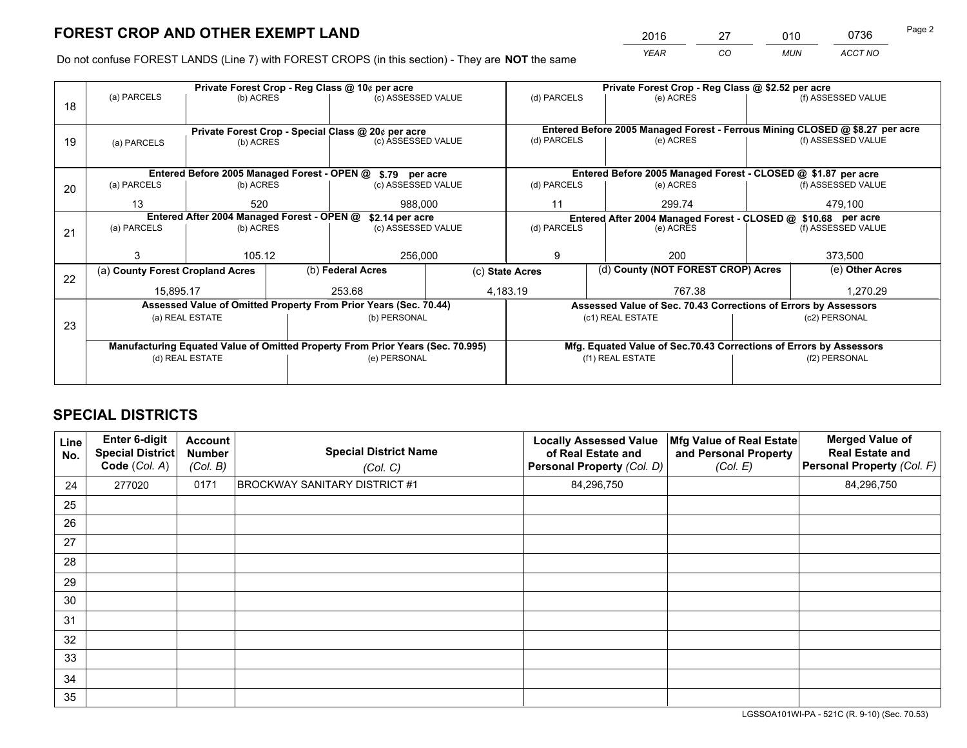*YEAR CO MUN ACCT NO* <sup>2016</sup> <sup>27</sup> <sup>010</sup> <sup>0736</sup>

Do not confuse FOREST LANDS (Line 7) with FOREST CROPS (in this section) - They are **NOT** the same

|    |                                                                                |                 | Private Forest Crop - Reg Class @ 10¢ per acre |                                                                  | Private Forest Crop - Reg Class @ \$2.52 per acre |                    |  |                                                                    |                                                                              |                    |  |
|----|--------------------------------------------------------------------------------|-----------------|------------------------------------------------|------------------------------------------------------------------|---------------------------------------------------|--------------------|--|--------------------------------------------------------------------|------------------------------------------------------------------------------|--------------------|--|
| 18 | (a) PARCELS                                                                    | (b) ACRES       |                                                | (c) ASSESSED VALUE                                               |                                                   | (d) PARCELS        |  | (e) ACRES                                                          |                                                                              | (f) ASSESSED VALUE |  |
|    |                                                                                |                 |                                                |                                                                  |                                                   |                    |  |                                                                    |                                                                              |                    |  |
|    | Private Forest Crop - Special Class @ 20¢ per acre                             |                 |                                                |                                                                  |                                                   |                    |  |                                                                    | Entered Before 2005 Managed Forest - Ferrous Mining CLOSED @ \$8.27 per acre |                    |  |
| 19 | (c) ASSESSED VALUE<br>(b) ACRES<br>(a) PARCELS                                 |                 |                                                | (d) PARCELS                                                      |                                                   | (e) ACRES          |  | (f) ASSESSED VALUE                                                 |                                                                              |                    |  |
|    |                                                                                |                 |                                                |                                                                  |                                                   |                    |  |                                                                    |                                                                              |                    |  |
|    |                                                                                |                 |                                                | Entered Before 2005 Managed Forest - OPEN @ \$.79 per acre       |                                                   |                    |  | Entered Before 2005 Managed Forest - CLOSED @ \$1.87 per acre      |                                                                              |                    |  |
| 20 | (a) PARCELS                                                                    | (b) ACRES       |                                                | (c) ASSESSED VALUE                                               |                                                   | (d) PARCELS        |  | (e) ACRES                                                          |                                                                              | (f) ASSESSED VALUE |  |
|    | 13                                                                             | 520             |                                                |                                                                  | 988,000<br>11                                     |                    |  | 299.74                                                             |                                                                              | 479.100            |  |
|    | Entered After 2004 Managed Forest - OPEN @<br>\$2.14 per acre                  |                 |                                                |                                                                  |                                                   |                    |  | Entered After 2004 Managed Forest - CLOSED @ \$10.68 per acre      |                                                                              |                    |  |
| 21 | (a) PARCELS                                                                    | (b) ACRES       |                                                | (c) ASSESSED VALUE                                               |                                                   | (d) PARCELS        |  | (e) ACRES                                                          |                                                                              | (f) ASSESSED VALUE |  |
|    |                                                                                |                 |                                                |                                                                  |                                                   |                    |  |                                                                    |                                                                              |                    |  |
|    | 3                                                                              | 105.12          |                                                | 256,000                                                          |                                                   | 9                  |  | 200                                                                |                                                                              | 373,500            |  |
| 22 | (a) County Forest Cropland Acres                                               |                 |                                                | (b) Federal Acres                                                | (c) State Acres                                   |                    |  | (d) County (NOT FOREST CROP) Acres                                 |                                                                              | (e) Other Acres    |  |
|    | 15,895.17                                                                      |                 |                                                | 253.68                                                           |                                                   | 4,183.19<br>767.38 |  |                                                                    |                                                                              | 1,270.29           |  |
|    |                                                                                |                 |                                                | Assessed Value of Omitted Property From Prior Years (Sec. 70.44) |                                                   |                    |  | Assessed Value of Sec. 70.43 Corrections of Errors by Assessors    |                                                                              |                    |  |
| 23 |                                                                                | (a) REAL ESTATE |                                                | (b) PERSONAL                                                     |                                                   |                    |  | (c1) REAL ESTATE                                                   |                                                                              | (c2) PERSONAL      |  |
|    |                                                                                |                 |                                                |                                                                  |                                                   |                    |  |                                                                    |                                                                              |                    |  |
|    | Manufacturing Equated Value of Omitted Property From Prior Years (Sec. 70.995) |                 |                                                |                                                                  |                                                   |                    |  | Mfg. Equated Value of Sec.70.43 Corrections of Errors by Assessors |                                                                              |                    |  |
|    |                                                                                | (d) REAL ESTATE |                                                | (e) PERSONAL                                                     |                                                   | (f1) REAL ESTATE   |  |                                                                    | (f2) PERSONAL                                                                |                    |  |
|    |                                                                                |                 |                                                |                                                                  |                                                   |                    |  |                                                                    |                                                                              |                    |  |

# **SPECIAL DISTRICTS**

| Line<br>No. | Enter 6-digit<br><b>Special District</b><br>Code (Col. A) | <b>Account</b><br><b>Number</b><br>(Col. B) | <b>Special District Name</b><br>(Col. C) | <b>Locally Assessed Value</b><br>of Real Estate and<br>Personal Property (Col. D) | Mfg Value of Real Estate<br>and Personal Property<br>(Col. E) | <b>Merged Value of</b><br><b>Real Estate and</b><br>Personal Property (Col. F) |
|-------------|-----------------------------------------------------------|---------------------------------------------|------------------------------------------|-----------------------------------------------------------------------------------|---------------------------------------------------------------|--------------------------------------------------------------------------------|
| 24          | 277020                                                    | 0171                                        | <b>BROCKWAY SANITARY DISTRICT #1</b>     | 84,296,750                                                                        |                                                               | 84,296,750                                                                     |
| 25          |                                                           |                                             |                                          |                                                                                   |                                                               |                                                                                |
| 26          |                                                           |                                             |                                          |                                                                                   |                                                               |                                                                                |
| 27          |                                                           |                                             |                                          |                                                                                   |                                                               |                                                                                |
| 28          |                                                           |                                             |                                          |                                                                                   |                                                               |                                                                                |
| 29          |                                                           |                                             |                                          |                                                                                   |                                                               |                                                                                |
| 30          |                                                           |                                             |                                          |                                                                                   |                                                               |                                                                                |
| 31          |                                                           |                                             |                                          |                                                                                   |                                                               |                                                                                |
| 32          |                                                           |                                             |                                          |                                                                                   |                                                               |                                                                                |
| 33          |                                                           |                                             |                                          |                                                                                   |                                                               |                                                                                |
| 34          |                                                           |                                             |                                          |                                                                                   |                                                               |                                                                                |
| 35          |                                                           |                                             |                                          |                                                                                   |                                                               |                                                                                |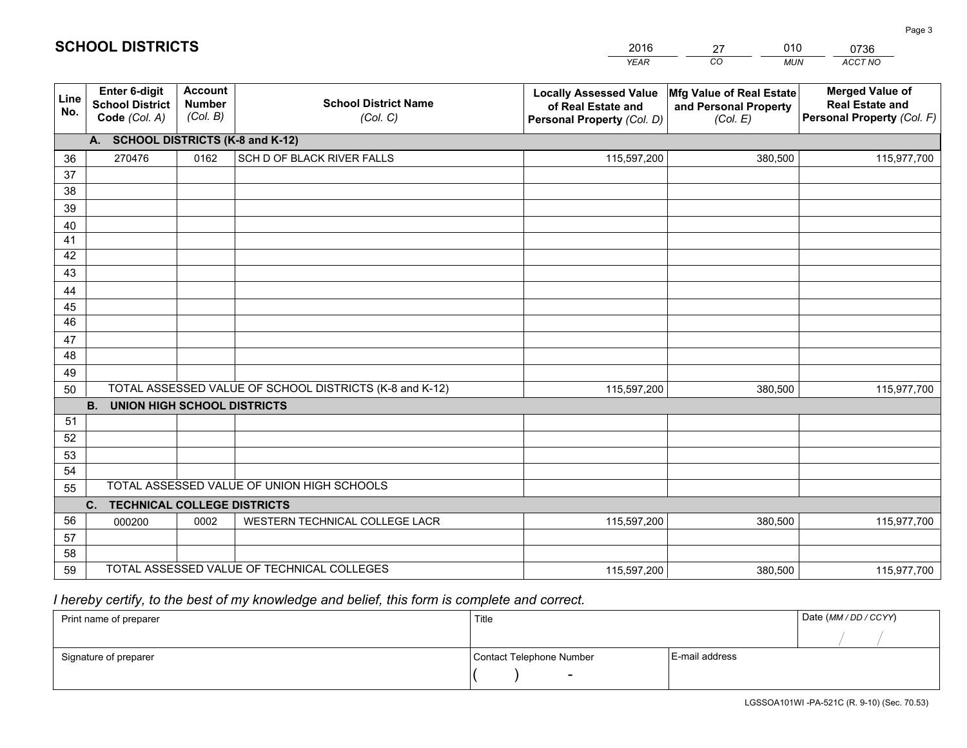|             |                                                          |                                             |                                                         | <b>YEAR</b>                                                                       | CO<br><b>MUN</b>                                              | ACCT NO                                                                        |
|-------------|----------------------------------------------------------|---------------------------------------------|---------------------------------------------------------|-----------------------------------------------------------------------------------|---------------------------------------------------------------|--------------------------------------------------------------------------------|
| Line<br>No. | Enter 6-digit<br><b>School District</b><br>Code (Col. A) | <b>Account</b><br><b>Number</b><br>(Col. B) | <b>School District Name</b><br>(Col. C)                 | <b>Locally Assessed Value</b><br>of Real Estate and<br>Personal Property (Col. D) | Mfg Value of Real Estate<br>and Personal Property<br>(Col. E) | <b>Merged Value of</b><br><b>Real Estate and</b><br>Personal Property (Col. F) |
|             | A. SCHOOL DISTRICTS (K-8 and K-12)                       |                                             |                                                         |                                                                                   |                                                               |                                                                                |
| 36          | 270476                                                   | 0162                                        | SCH D OF BLACK RIVER FALLS                              | 115,597,200                                                                       | 380,500                                                       | 115,977,700                                                                    |
| 37          |                                                          |                                             |                                                         |                                                                                   |                                                               |                                                                                |
| 38          |                                                          |                                             |                                                         |                                                                                   |                                                               |                                                                                |
| 39          |                                                          |                                             |                                                         |                                                                                   |                                                               |                                                                                |
| 40          |                                                          |                                             |                                                         |                                                                                   |                                                               |                                                                                |
| 41<br>42    |                                                          |                                             |                                                         |                                                                                   |                                                               |                                                                                |
| 43          |                                                          |                                             |                                                         |                                                                                   |                                                               |                                                                                |
| 44          |                                                          |                                             |                                                         |                                                                                   |                                                               |                                                                                |
| 45          |                                                          |                                             |                                                         |                                                                                   |                                                               |                                                                                |
| 46          |                                                          |                                             |                                                         |                                                                                   |                                                               |                                                                                |
| 47          |                                                          |                                             |                                                         |                                                                                   |                                                               |                                                                                |
| 48          |                                                          |                                             |                                                         |                                                                                   |                                                               |                                                                                |
| 49          |                                                          |                                             |                                                         |                                                                                   |                                                               |                                                                                |
| 50          |                                                          |                                             | TOTAL ASSESSED VALUE OF SCHOOL DISTRICTS (K-8 and K-12) | 115,597,200                                                                       | 380,500                                                       | 115,977,700                                                                    |
|             | <b>B.</b><br><b>UNION HIGH SCHOOL DISTRICTS</b>          |                                             |                                                         |                                                                                   |                                                               |                                                                                |
| 51          |                                                          |                                             |                                                         |                                                                                   |                                                               |                                                                                |
| 52          |                                                          |                                             |                                                         |                                                                                   |                                                               |                                                                                |
| 53<br>54    |                                                          |                                             |                                                         |                                                                                   |                                                               |                                                                                |
| 55          |                                                          |                                             | TOTAL ASSESSED VALUE OF UNION HIGH SCHOOLS              |                                                                                   |                                                               |                                                                                |
|             | C.<br><b>TECHNICAL COLLEGE DISTRICTS</b>                 |                                             |                                                         |                                                                                   |                                                               |                                                                                |
| 56          | 000200                                                   | 0002                                        | WESTERN TECHNICAL COLLEGE LACR                          | 115,597,200                                                                       | 380,500                                                       | 115,977,700                                                                    |
| 57          |                                                          |                                             |                                                         |                                                                                   |                                                               |                                                                                |
| 58          |                                                          |                                             |                                                         |                                                                                   |                                                               |                                                                                |
| 59          |                                                          |                                             | TOTAL ASSESSED VALUE OF TECHNICAL COLLEGES              | 115,597,200                                                                       | 380,500                                                       | 115,977,700                                                                    |

# *I hereby certify, to the best of my knowledge and belief, this form is complete and correct.*

| Print name of preparer | Title                    |                | Date (MM / DD / CCYY) |
|------------------------|--------------------------|----------------|-----------------------|
|                        |                          |                |                       |
| Signature of preparer  | Contact Telephone Number | E-mail address |                       |
|                        | $\overline{\phantom{0}}$ |                |                       |

# **SCHOOL DISTRICTS**

201627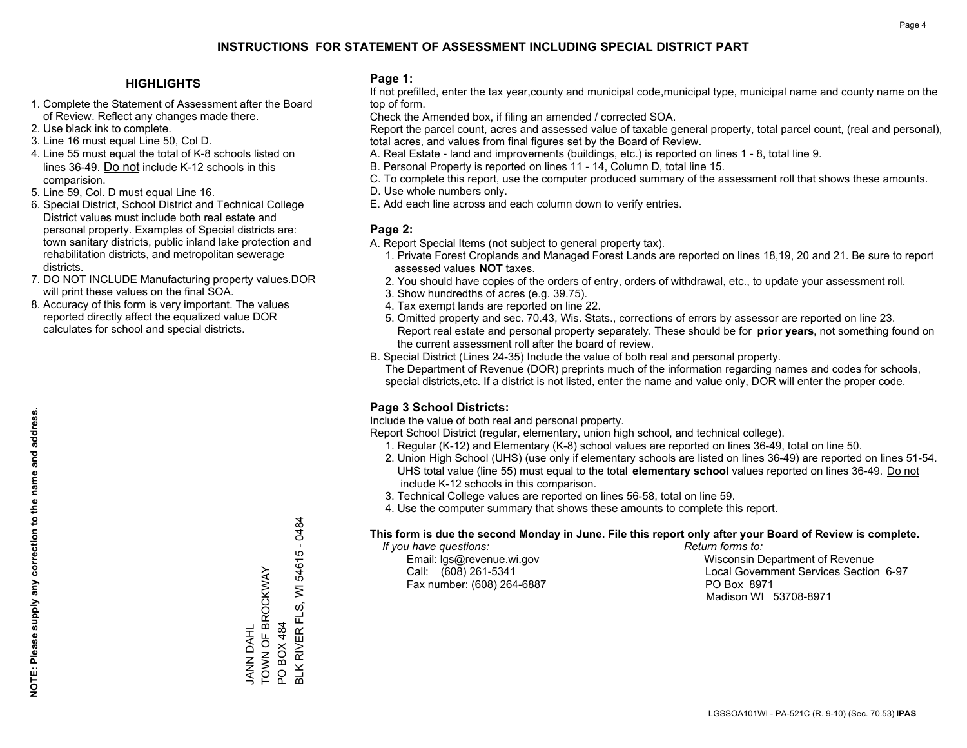#### **HIGHLIGHTS**

- 1. Complete the Statement of Assessment after the Board of Review. Reflect any changes made there.
- 2. Use black ink to complete.
- 3. Line 16 must equal Line 50, Col D.
- 4. Line 55 must equal the total of K-8 schools listed on lines 36-49. Do not include K-12 schools in this comparision.
- 5. Line 59, Col. D must equal Line 16.
- 6. Special District, School District and Technical College District values must include both real estate and personal property. Examples of Special districts are: town sanitary districts, public inland lake protection and rehabilitation districts, and metropolitan sewerage districts.
- 7. DO NOT INCLUDE Manufacturing property values.DOR will print these values on the final SOA.
- 8. Accuracy of this form is very important. The values reported directly affect the equalized value DOR calculates for school and special districts.

#### **Page 1:**

 If not prefilled, enter the tax year,county and municipal code,municipal type, municipal name and county name on the top of form.

Check the Amended box, if filing an amended / corrected SOA.

 Report the parcel count, acres and assessed value of taxable general property, total parcel count, (real and personal), total acres, and values from final figures set by the Board of Review.

- A. Real Estate land and improvements (buildings, etc.) is reported on lines 1 8, total line 9.
- B. Personal Property is reported on lines 11 14, Column D, total line 15.
- C. To complete this report, use the computer produced summary of the assessment roll that shows these amounts.
- D. Use whole numbers only.
- E. Add each line across and each column down to verify entries.

#### **Page 2:**

- A. Report Special Items (not subject to general property tax).
- 1. Private Forest Croplands and Managed Forest Lands are reported on lines 18,19, 20 and 21. Be sure to report assessed values **NOT** taxes.
- 2. You should have copies of the orders of entry, orders of withdrawal, etc., to update your assessment roll.
	- 3. Show hundredths of acres (e.g. 39.75).
- 4. Tax exempt lands are reported on line 22.
- 5. Omitted property and sec. 70.43, Wis. Stats., corrections of errors by assessor are reported on line 23. Report real estate and personal property separately. These should be for **prior years**, not something found on the current assessment roll after the board of review.
- B. Special District (Lines 24-35) Include the value of both real and personal property.
- The Department of Revenue (DOR) preprints much of the information regarding names and codes for schools, special districts,etc. If a district is not listed, enter the name and value only, DOR will enter the proper code.

## **Page 3 School Districts:**

Include the value of both real and personal property.

Report School District (regular, elementary, union high school, and technical college).

- 1. Regular (K-12) and Elementary (K-8) school values are reported on lines 36-49, total on line 50.
- 2. Union High School (UHS) (use only if elementary schools are listed on lines 36-49) are reported on lines 51-54. UHS total value (line 55) must equal to the total **elementary school** values reported on lines 36-49. Do notinclude K-12 schools in this comparison.
- 3. Technical College values are reported on lines 56-58, total on line 59.
- 4. Use the computer summary that shows these amounts to complete this report.

#### **This form is due the second Monday in June. File this report only after your Board of Review is complete.**

 *If you have questions: Return forms to:*

Fax number: (608) 264-6887 PO Box 8971

 Email: lgs@revenue.wi.gov Wisconsin Department of Revenue Call: (608) 261-5341 Local Government Services Section 6-97Madison WI 53708-8971

 $-0484$ BLK RIVER FLS, WI 54615 - 0484 54615 TOWN OF BROCKWAY TOWN OF BROCKWAY  $\overline{\overline{z}}$ **BLK RIVER FLS,** PO BOX 484 JANN DAHL PO BOX 484 JANN DAHL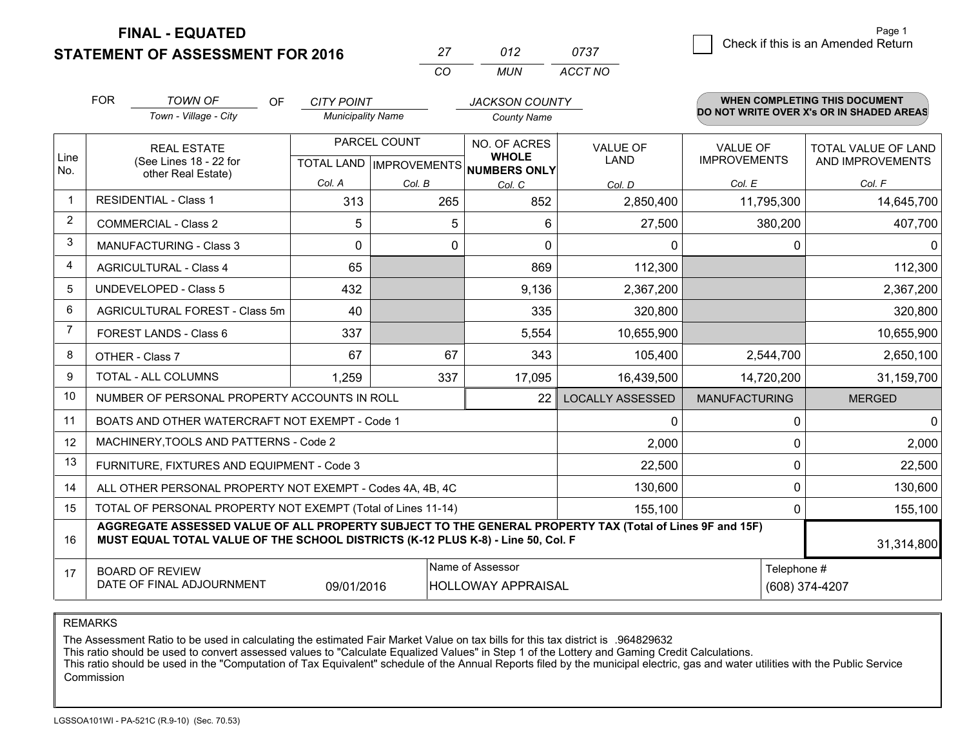**FINAL - EQUATED**

**STATEMENT OF ASSESSMENT FOR 2016** 

|          | ก12 | 0737    |
|----------|-----|---------|
| $\cdots$ | MUN | ACCT NO |

|      | <b>FOR</b>                                                                                                                                                                                   | <b>TOWN OF</b><br><b>OF</b>                                  | <b>CITY POINT</b>        |              | <b>JACKSON COUNTY</b>                                                |                                |                                        | <b>WHEN COMPLETING THIS DOCUMENT</b>           |
|------|----------------------------------------------------------------------------------------------------------------------------------------------------------------------------------------------|--------------------------------------------------------------|--------------------------|--------------|----------------------------------------------------------------------|--------------------------------|----------------------------------------|------------------------------------------------|
|      |                                                                                                                                                                                              | Town - Village - City                                        | <b>Municipality Name</b> |              | <b>County Name</b>                                                   |                                |                                        | DO NOT WRITE OVER X's OR IN SHADED AREAS       |
| Line |                                                                                                                                                                                              | <b>REAL ESTATE</b><br>(See Lines 18 - 22 for                 |                          | PARCEL COUNT | NO. OF ACRES<br><b>WHOLE</b><br>TOTAL LAND IMPROVEMENTS NUMBERS ONLY | <b>VALUE OF</b><br><b>LAND</b> | <b>VALUE OF</b><br><b>IMPROVEMENTS</b> | <b>TOTAL VALUE OF LAND</b><br>AND IMPROVEMENTS |
| No.  |                                                                                                                                                                                              | other Real Estate)                                           | Col. A                   | Col. B       | Col. C                                                               | Col. D                         | Col. E                                 | Col. F                                         |
|      |                                                                                                                                                                                              | <b>RESIDENTIAL - Class 1</b>                                 | 313                      | 265          | 852                                                                  | 2,850,400                      | 11,795,300                             | 14,645,700                                     |
| 2    |                                                                                                                                                                                              | <b>COMMERCIAL - Class 2</b>                                  | 5                        | 5            | 6                                                                    | 27,500                         | 380,200                                | 407,700                                        |
| 3    |                                                                                                                                                                                              | MANUFACTURING - Class 3                                      | $\Omega$                 | 0            | $\Omega$                                                             | 0                              |                                        | $\mathbf{0}$<br>0                              |
| 4    |                                                                                                                                                                                              | <b>AGRICULTURAL - Class 4</b>                                | 65                       |              | 869                                                                  | 112,300                        |                                        | 112,300                                        |
| 5    |                                                                                                                                                                                              | <b>UNDEVELOPED - Class 5</b>                                 | 432                      |              | 9,136                                                                | 2,367,200                      |                                        | 2,367,200                                      |
| 6    |                                                                                                                                                                                              | AGRICULTURAL FOREST - Class 5m                               | 40                       |              | 335                                                                  | 320,800                        |                                        | 320,800                                        |
|      |                                                                                                                                                                                              | FOREST LANDS - Class 6                                       | 337                      |              | 5,554                                                                | 10,655,900                     |                                        | 10,655,900                                     |
| 8    |                                                                                                                                                                                              | OTHER - Class 7                                              | 67                       | 67           | 343                                                                  | 105,400                        | 2,544,700                              | 2,650,100                                      |
| 9    |                                                                                                                                                                                              | TOTAL - ALL COLUMNS                                          | 1,259                    | 337          | 17,095                                                               | 16,439,500                     | 14,720,200                             | 31,159,700                                     |
| 10   |                                                                                                                                                                                              | NUMBER OF PERSONAL PROPERTY ACCOUNTS IN ROLL                 |                          |              | 22                                                                   | <b>LOCALLY ASSESSED</b>        | <b>MANUFACTURING</b>                   | <b>MERGED</b>                                  |
| 11   |                                                                                                                                                                                              | BOATS AND OTHER WATERCRAFT NOT EXEMPT - Code 1               |                          |              |                                                                      | 0                              |                                        | $\Omega$<br>$\mathbf{0}$                       |
| 12   |                                                                                                                                                                                              | MACHINERY, TOOLS AND PATTERNS - Code 2                       |                          |              |                                                                      | 2,000                          |                                        | 2,000<br>$\Omega$                              |
| 13   |                                                                                                                                                                                              | FURNITURE, FIXTURES AND EQUIPMENT - Code 3                   |                          |              |                                                                      | 22,500                         |                                        | $\Omega$<br>22,500                             |
| 14   |                                                                                                                                                                                              | ALL OTHER PERSONAL PROPERTY NOT EXEMPT - Codes 4A, 4B, 4C    |                          |              |                                                                      | 130,600                        |                                        | $\mathbf{0}$<br>130,600                        |
| 15   |                                                                                                                                                                                              | TOTAL OF PERSONAL PROPERTY NOT EXEMPT (Total of Lines 11-14) |                          |              |                                                                      | 155,100                        |                                        | 155,100<br>$\Omega$                            |
| 16   | AGGREGATE ASSESSED VALUE OF ALL PROPERTY SUBJECT TO THE GENERAL PROPERTY TAX (Total of Lines 9F and 15F)<br>MUST EQUAL TOTAL VALUE OF THE SCHOOL DISTRICTS (K-12 PLUS K-8) - Line 50, Col. F |                                                              |                          |              |                                                                      |                                | 31,314,800                             |                                                |
| 17   |                                                                                                                                                                                              | <b>BOARD OF REVIEW</b>                                       |                          |              | Name of Assessor                                                     |                                |                                        | Telephone #                                    |
|      | DATE OF FINAL ADJOURNMENT<br>09/01/2016<br><b>HOLLOWAY APPRAISAL</b><br>(608) 374-4207                                                                                                       |                                                              |                          |              |                                                                      |                                |                                        |                                                |

REMARKS

The Assessment Ratio to be used in calculating the estimated Fair Market Value on tax bills for this tax district is .964829632<br>This ratio should be used to convert assessed values to "Calculate Equalized Values" in Step 1 Commission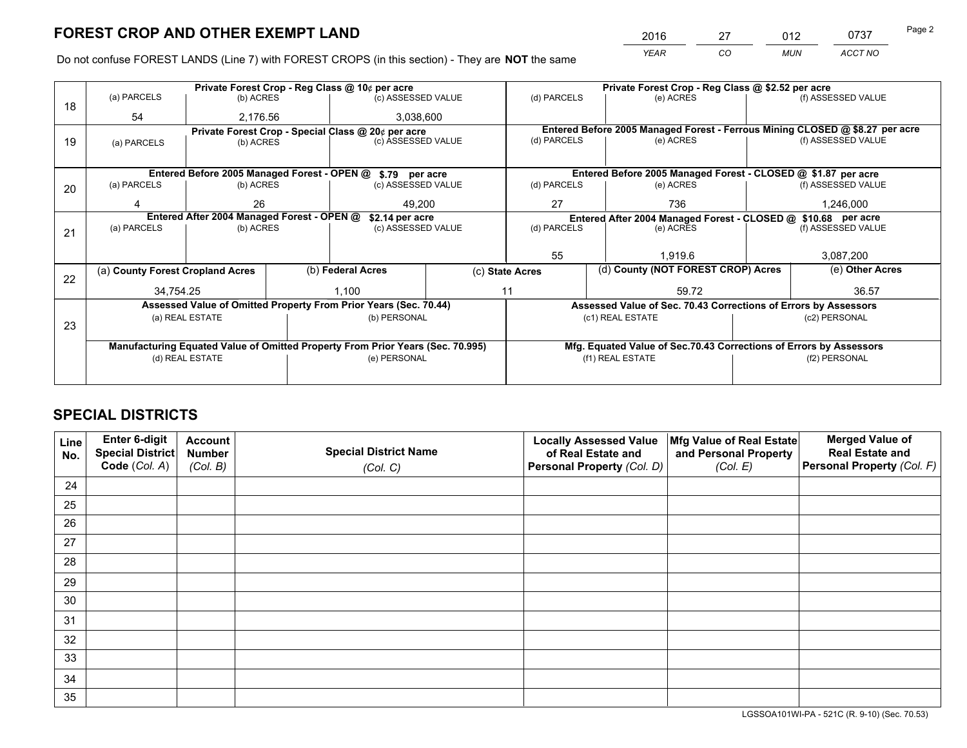*YEAR CO MUN ACCT NO* 2016 27 012 0737

Do not confuse FOREST LANDS (Line 7) with FOREST CROPS (in this section) - They are **NOT** the same

|    |                                                               |                 |  | Private Forest Crop - Reg Class @ 10¢ per acre                                 |                                   | Private Forest Crop - Reg Class @ \$2.52 per acre                            |       |                                                                    |               |                    |  |
|----|---------------------------------------------------------------|-----------------|--|--------------------------------------------------------------------------------|-----------------------------------|------------------------------------------------------------------------------|-------|--------------------------------------------------------------------|---------------|--------------------|--|
| 18 | (a) PARCELS                                                   | (b) ACRES       |  | (c) ASSESSED VALUE                                                             |                                   | (d) PARCELS                                                                  |       | (e) ACRES                                                          |               | (f) ASSESSED VALUE |  |
|    | 54                                                            | 2,176.56        |  | 3,038,600                                                                      |                                   |                                                                              |       |                                                                    |               |                    |  |
|    | Private Forest Crop - Special Class @ 20¢ per acre            |                 |  |                                                                                |                                   | Entered Before 2005 Managed Forest - Ferrous Mining CLOSED @ \$8.27 per acre |       |                                                                    |               |                    |  |
| 19 | (a) PARCELS                                                   | (b) ACRES       |  | (c) ASSESSED VALUE                                                             |                                   | (d) PARCELS                                                                  |       | (e) ACRES                                                          |               | (f) ASSESSED VALUE |  |
|    |                                                               |                 |  |                                                                                |                                   |                                                                              |       |                                                                    |               |                    |  |
|    |                                                               |                 |  | Entered Before 2005 Managed Forest - OPEN @ \$.79 per acre                     |                                   |                                                                              |       | Entered Before 2005 Managed Forest - CLOSED @ \$1.87 per acre      |               |                    |  |
| 20 | (a) PARCELS                                                   | (b) ACRES       |  | (c) ASSESSED VALUE                                                             |                                   | (d) PARCELS                                                                  |       | (e) ACRES                                                          |               | (f) ASSESSED VALUE |  |
|    |                                                               | 26              |  | 49.200                                                                         |                                   | 27                                                                           |       | 736                                                                |               | 1,246,000          |  |
|    | Entered After 2004 Managed Forest - OPEN @<br>\$2.14 per acre |                 |  |                                                                                |                                   | Entered After 2004 Managed Forest - CLOSED @ \$10.68 per acre                |       |                                                                    |               |                    |  |
| 21 | (a) PARCELS                                                   | (b) ACRES       |  |                                                                                | (d) PARCELS<br>(c) ASSESSED VALUE |                                                                              |       | (e) ACRES                                                          |               | (f) ASSESSED VALUE |  |
|    |                                                               |                 |  |                                                                                |                                   |                                                                              |       |                                                                    |               |                    |  |
|    |                                                               |                 |  |                                                                                |                                   | 55<br>1.919.6                                                                |       | 3,087,200                                                          |               |                    |  |
| 22 | (a) County Forest Cropland Acres                              |                 |  | (b) Federal Acres                                                              | (c) State Acres                   |                                                                              |       | (d) County (NOT FOREST CROP) Acres                                 |               | (e) Other Acres    |  |
|    | 34,754.25                                                     |                 |  | 1,100<br>11                                                                    |                                   |                                                                              | 59.72 |                                                                    | 36.57         |                    |  |
|    |                                                               |                 |  | Assessed Value of Omitted Property From Prior Years (Sec. 70.44)               |                                   |                                                                              |       | Assessed Value of Sec. 70.43 Corrections of Errors by Assessors    |               |                    |  |
|    |                                                               | (a) REAL ESTATE |  | (b) PERSONAL                                                                   |                                   |                                                                              |       | (c1) REAL ESTATE                                                   |               | (c2) PERSONAL      |  |
| 23 |                                                               |                 |  |                                                                                |                                   |                                                                              |       |                                                                    |               |                    |  |
|    |                                                               |                 |  | Manufacturing Equated Value of Omitted Property From Prior Years (Sec. 70.995) |                                   |                                                                              |       | Mfg. Equated Value of Sec.70.43 Corrections of Errors by Assessors |               |                    |  |
|    |                                                               | (d) REAL ESTATE |  | (e) PERSONAL                                                                   |                                   | (f1) REAL ESTATE                                                             |       |                                                                    | (f2) PERSONAL |                    |  |
|    |                                                               |                 |  |                                                                                |                                   |                                                                              |       |                                                                    |               |                    |  |

# **SPECIAL DISTRICTS**

| Line<br>No. | Enter 6-digit<br>Special District<br>Code (Col. A) | <b>Account</b><br><b>Number</b> | <b>Special District Name</b> | <b>Locally Assessed Value</b><br>of Real Estate and | Mfg Value of Real Estate<br>and Personal Property | <b>Merged Value of</b><br><b>Real Estate and</b><br>Personal Property (Col. F) |
|-------------|----------------------------------------------------|---------------------------------|------------------------------|-----------------------------------------------------|---------------------------------------------------|--------------------------------------------------------------------------------|
|             |                                                    | (Col. B)                        | (Col. C)                     | Personal Property (Col. D)                          | (Col. E)                                          |                                                                                |
| 24          |                                                    |                                 |                              |                                                     |                                                   |                                                                                |
| 25          |                                                    |                                 |                              |                                                     |                                                   |                                                                                |
| 26          |                                                    |                                 |                              |                                                     |                                                   |                                                                                |
| 27          |                                                    |                                 |                              |                                                     |                                                   |                                                                                |
| 28          |                                                    |                                 |                              |                                                     |                                                   |                                                                                |
| 29          |                                                    |                                 |                              |                                                     |                                                   |                                                                                |
| 30          |                                                    |                                 |                              |                                                     |                                                   |                                                                                |
| 31          |                                                    |                                 |                              |                                                     |                                                   |                                                                                |
| 32          |                                                    |                                 |                              |                                                     |                                                   |                                                                                |
| 33          |                                                    |                                 |                              |                                                     |                                                   |                                                                                |
| 34          |                                                    |                                 |                              |                                                     |                                                   |                                                                                |
| 35          |                                                    |                                 |                              |                                                     |                                                   |                                                                                |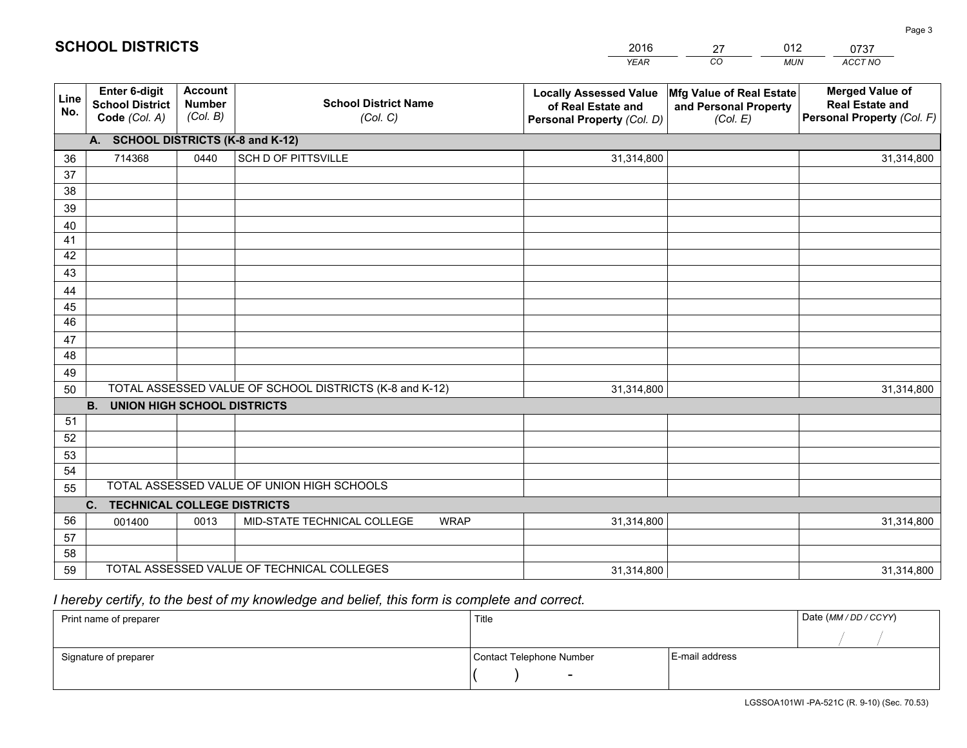|             |                                                          |                                             |                                                         | <b>YEAR</b>                                                                       | CO<br><b>MUN</b>                                              | ACCT NO                                                                        |
|-------------|----------------------------------------------------------|---------------------------------------------|---------------------------------------------------------|-----------------------------------------------------------------------------------|---------------------------------------------------------------|--------------------------------------------------------------------------------|
| Line<br>No. | Enter 6-digit<br><b>School District</b><br>Code (Col. A) | <b>Account</b><br><b>Number</b><br>(Col. B) | <b>School District Name</b><br>(Col. C)                 | <b>Locally Assessed Value</b><br>of Real Estate and<br>Personal Property (Col. D) | Mfg Value of Real Estate<br>and Personal Property<br>(Col. E) | <b>Merged Value of</b><br><b>Real Estate and</b><br>Personal Property (Col. F) |
|             | A. SCHOOL DISTRICTS (K-8 and K-12)                       |                                             |                                                         |                                                                                   |                                                               |                                                                                |
| 36          | 714368                                                   | 0440                                        | <b>SCH D OF PITTSVILLE</b>                              | 31,314,800                                                                        |                                                               | 31,314,800                                                                     |
| 37          |                                                          |                                             |                                                         |                                                                                   |                                                               |                                                                                |
| 38          |                                                          |                                             |                                                         |                                                                                   |                                                               |                                                                                |
| 39          |                                                          |                                             |                                                         |                                                                                   |                                                               |                                                                                |
| 40          |                                                          |                                             |                                                         |                                                                                   |                                                               |                                                                                |
| 41          |                                                          |                                             |                                                         |                                                                                   |                                                               |                                                                                |
| 42          |                                                          |                                             |                                                         |                                                                                   |                                                               |                                                                                |
| 43          |                                                          |                                             |                                                         |                                                                                   |                                                               |                                                                                |
| 44<br>45    |                                                          |                                             |                                                         |                                                                                   |                                                               |                                                                                |
| 46          |                                                          |                                             |                                                         |                                                                                   |                                                               |                                                                                |
| 47          |                                                          |                                             |                                                         |                                                                                   |                                                               |                                                                                |
| 48          |                                                          |                                             |                                                         |                                                                                   |                                                               |                                                                                |
| 49          |                                                          |                                             |                                                         |                                                                                   |                                                               |                                                                                |
| 50          |                                                          |                                             | TOTAL ASSESSED VALUE OF SCHOOL DISTRICTS (K-8 and K-12) | 31,314,800                                                                        |                                                               | 31,314,800                                                                     |
|             | <b>B.</b><br><b>UNION HIGH SCHOOL DISTRICTS</b>          |                                             |                                                         |                                                                                   |                                                               |                                                                                |
| 51          |                                                          |                                             |                                                         |                                                                                   |                                                               |                                                                                |
| 52          |                                                          |                                             |                                                         |                                                                                   |                                                               |                                                                                |
| 53          |                                                          |                                             |                                                         |                                                                                   |                                                               |                                                                                |
| 54          |                                                          |                                             |                                                         |                                                                                   |                                                               |                                                                                |
| 55          |                                                          |                                             | TOTAL ASSESSED VALUE OF UNION HIGH SCHOOLS              |                                                                                   |                                                               |                                                                                |
|             | C.<br><b>TECHNICAL COLLEGE DISTRICTS</b>                 |                                             |                                                         |                                                                                   |                                                               |                                                                                |
| 56          | 001400                                                   | 0013                                        | MID-STATE TECHNICAL COLLEGE<br><b>WRAP</b>              | 31,314,800                                                                        |                                                               | 31,314,800                                                                     |
| 57          |                                                          |                                             |                                                         |                                                                                   |                                                               |                                                                                |
| 58          |                                                          |                                             | TOTAL ASSESSED VALUE OF TECHNICAL COLLEGES              |                                                                                   |                                                               |                                                                                |
| 59          |                                                          |                                             |                                                         | 31,314,800                                                                        |                                                               | 31,314,800                                                                     |

27

012

 *I hereby certify, to the best of my knowledge and belief, this form is complete and correct.*

**SCHOOL DISTRICTS**

| Print name of preparer | Title                    |                | Date (MM / DD / CCYY) |
|------------------------|--------------------------|----------------|-----------------------|
|                        |                          |                |                       |
| Signature of preparer  | Contact Telephone Number | E-mail address |                       |
|                        |                          |                |                       |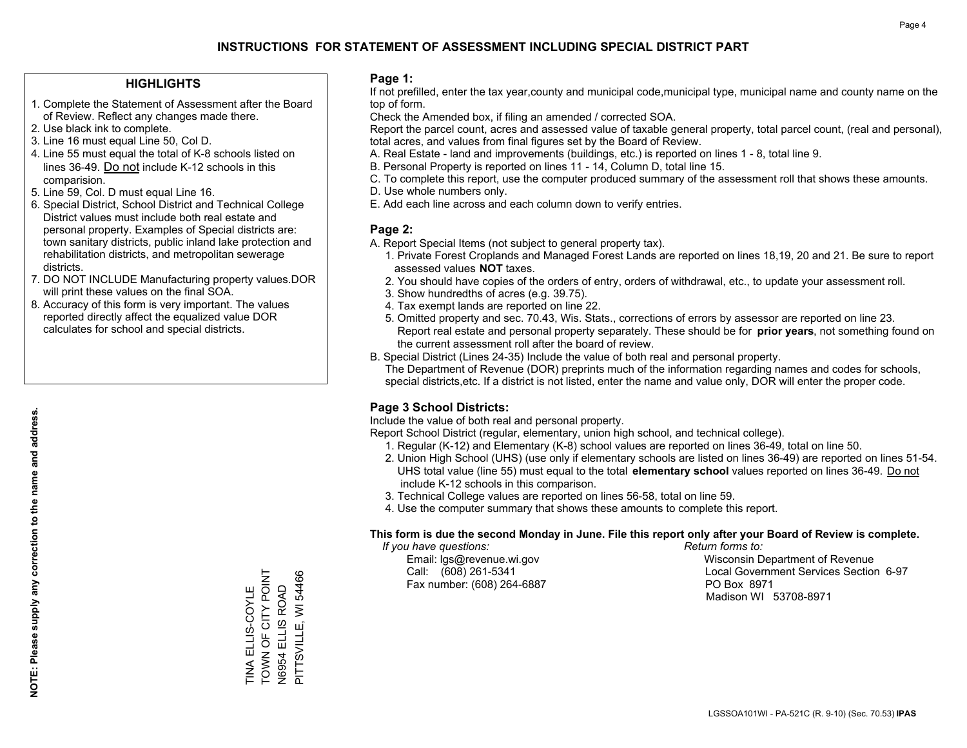#### **HIGHLIGHTS**

- 1. Complete the Statement of Assessment after the Board of Review. Reflect any changes made there.
- 2. Use black ink to complete.
- 3. Line 16 must equal Line 50, Col D.
- 4. Line 55 must equal the total of K-8 schools listed on lines 36-49. Do not include K-12 schools in this comparision.
- 5. Line 59, Col. D must equal Line 16.
- 6. Special District, School District and Technical College District values must include both real estate and personal property. Examples of Special districts are: town sanitary districts, public inland lake protection and rehabilitation districts, and metropolitan sewerage districts.
- 7. DO NOT INCLUDE Manufacturing property values.DOR will print these values on the final SOA.
- 8. Accuracy of this form is very important. The values reported directly affect the equalized value DOR calculates for school and special districts.

#### **Page 1:**

 If not prefilled, enter the tax year,county and municipal code,municipal type, municipal name and county name on the top of form.

Check the Amended box, if filing an amended / corrected SOA.

 Report the parcel count, acres and assessed value of taxable general property, total parcel count, (real and personal), total acres, and values from final figures set by the Board of Review.

- A. Real Estate land and improvements (buildings, etc.) is reported on lines 1 8, total line 9.
- B. Personal Property is reported on lines 11 14, Column D, total line 15.
- C. To complete this report, use the computer produced summary of the assessment roll that shows these amounts.
- D. Use whole numbers only.
- E. Add each line across and each column down to verify entries.

#### **Page 2:**

- A. Report Special Items (not subject to general property tax).
- 1. Private Forest Croplands and Managed Forest Lands are reported on lines 18,19, 20 and 21. Be sure to report assessed values **NOT** taxes.
- 2. You should have copies of the orders of entry, orders of withdrawal, etc., to update your assessment roll.
	- 3. Show hundredths of acres (e.g. 39.75).
- 4. Tax exempt lands are reported on line 22.
- 5. Omitted property and sec. 70.43, Wis. Stats., corrections of errors by assessor are reported on line 23. Report real estate and personal property separately. These should be for **prior years**, not something found on the current assessment roll after the board of review.
- B. Special District (Lines 24-35) Include the value of both real and personal property.

 The Department of Revenue (DOR) preprints much of the information regarding names and codes for schools, special districts,etc. If a district is not listed, enter the name and value only, DOR will enter the proper code.

## **Page 3 School Districts:**

Include the value of both real and personal property.

Report School District (regular, elementary, union high school, and technical college).

- 1. Regular (K-12) and Elementary (K-8) school values are reported on lines 36-49, total on line 50.
- 2. Union High School (UHS) (use only if elementary schools are listed on lines 36-49) are reported on lines 51-54. UHS total value (line 55) must equal to the total **elementary school** values reported on lines 36-49. Do notinclude K-12 schools in this comparison.
- 3. Technical College values are reported on lines 56-58, total on line 59.
- 4. Use the computer summary that shows these amounts to complete this report.

#### **This form is due the second Monday in June. File this report only after your Board of Review is complete.**

 *If you have questions: Return forms to:*

Fax number: (608) 264-6887 PO Box 8971

 Email: lgs@revenue.wi.gov Wisconsin Department of Revenue Call: (608) 261-5341 Local Government Services Section 6-97Madison WI 53708-8971

TOWN OF CITY POINT TINA ELLIS-COYLE<br>TOWN OF CITY POINT N6954 ELLIS ROAD<br>PITTSVILLE, WI 54466 PITTSVILLE, WI 54466 N6954 ELLIS ROAD TINA ELLIS-COYLE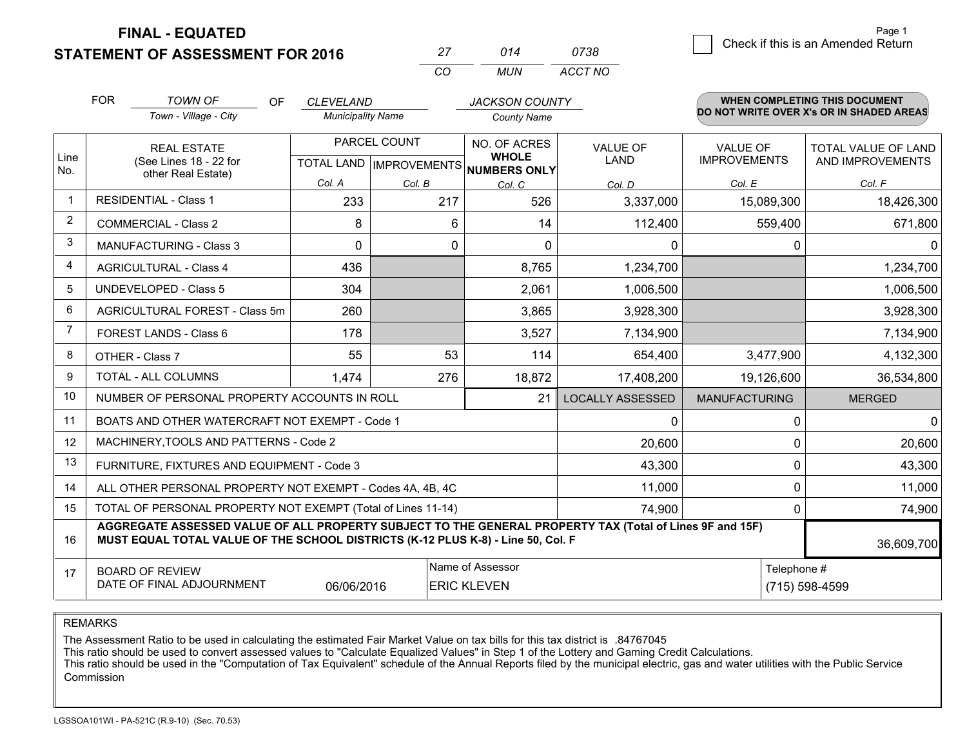**FINAL - EQUATED**

**STATEMENT OF ASSESSMENT FOR 2016** 

| כי       | 014 | 0738    |
|----------|-----|---------|
| $\cdots$ | MUN | ACCT NO |

|                | <b>FOR</b>                                                                                                                                                                                   | <b>TOWN OF</b><br><b>OF</b>                                        | CLEVELAND                |                                           | <b>JACKSON COUNTY</b>                                                   |                                |                                 | <b>WHEN COMPLETING THIS DOCUMENT</b>     |
|----------------|----------------------------------------------------------------------------------------------------------------------------------------------------------------------------------------------|--------------------------------------------------------------------|--------------------------|-------------------------------------------|-------------------------------------------------------------------------|--------------------------------|---------------------------------|------------------------------------------|
|                |                                                                                                                                                                                              | Town - Village - City                                              | <b>Municipality Name</b> |                                           | <b>County Name</b>                                                      |                                |                                 | DO NOT WRITE OVER X's OR IN SHADED AREAS |
| Line<br>No.    |                                                                                                                                                                                              | <b>REAL ESTATE</b><br>(See Lines 18 - 22 for<br>other Real Estate) |                          | PARCEL COUNT<br>TOTAL LAND   IMPROVEMENTS | NO. OF ACRES<br><b>WHOLE</b><br>NUMBERS ONLY                            | <b>VALUE OF</b><br><b>LAND</b> | VALUE OF<br><b>IMPROVEMENTS</b> | TOTAL VALUE OF LAND<br>AND IMPROVEMENTS  |
|                |                                                                                                                                                                                              |                                                                    | Col. A                   | Col. B                                    | Col. C                                                                  | Col. D                         | Col. E                          | Col. F                                   |
|                |                                                                                                                                                                                              | <b>RESIDENTIAL - Class 1</b>                                       | 233                      | 217                                       | 526                                                                     | 3,337,000                      | 15,089,300                      | 18,426,300                               |
| $\overline{2}$ |                                                                                                                                                                                              | <b>COMMERCIAL - Class 2</b>                                        | 8                        | 6                                         | 14                                                                      | 112,400                        | 559,400                         | 671,800                                  |
| 3              |                                                                                                                                                                                              | <b>MANUFACTURING - Class 3</b>                                     | $\Omega$                 | 0                                         | $\mathbf{0}$                                                            | $\mathbf 0$                    | 0                               | $\Omega$                                 |
| 4              |                                                                                                                                                                                              | <b>AGRICULTURAL - Class 4</b>                                      | 436                      |                                           | 8,765                                                                   | 1,234,700                      |                                 | 1,234,700                                |
| 5              |                                                                                                                                                                                              | <b>UNDEVELOPED - Class 5</b>                                       | 304                      |                                           | 2,061                                                                   | 1,006,500                      |                                 | 1,006,500                                |
| 6              |                                                                                                                                                                                              | AGRICULTURAL FOREST - Class 5m                                     | 260                      |                                           | 3,865                                                                   | 3,928,300                      |                                 | 3,928,300                                |
|                |                                                                                                                                                                                              | FOREST LANDS - Class 6                                             | 178                      |                                           | 3,527                                                                   | 7,134,900                      |                                 | 7,134,900                                |
| 8              |                                                                                                                                                                                              | OTHER - Class 7                                                    | 55                       | 53                                        | 114                                                                     | 654,400                        | 3,477,900                       | 4,132,300                                |
| 9              |                                                                                                                                                                                              | TOTAL - ALL COLUMNS                                                | 1,474                    | 276                                       | 18,872                                                                  | 17,408,200                     | 19,126,600                      | 36,534,800                               |
| 10             |                                                                                                                                                                                              | NUMBER OF PERSONAL PROPERTY ACCOUNTS IN ROLL                       |                          |                                           | 21                                                                      | <b>LOCALLY ASSESSED</b>        | <b>MANUFACTURING</b>            | <b>MERGED</b>                            |
| 11             |                                                                                                                                                                                              | BOATS AND OTHER WATERCRAFT NOT EXEMPT - Code 1                     |                          |                                           |                                                                         | $\mathbf 0$                    | 0                               | $\Omega$                                 |
| 12             |                                                                                                                                                                                              | MACHINERY, TOOLS AND PATTERNS - Code 2                             |                          |                                           |                                                                         | 20,600                         | 0                               | 20,600                                   |
| 13             |                                                                                                                                                                                              | FURNITURE, FIXTURES AND EQUIPMENT - Code 3                         |                          |                                           |                                                                         | 43,300                         | 0                               | 43,300                                   |
| 14             |                                                                                                                                                                                              | ALL OTHER PERSONAL PROPERTY NOT EXEMPT - Codes 4A, 4B, 4C          |                          |                                           |                                                                         | 11,000                         | 0                               | 11,000                                   |
| 15             |                                                                                                                                                                                              | TOTAL OF PERSONAL PROPERTY NOT EXEMPT (Total of Lines 11-14)       |                          |                                           |                                                                         | 74,900                         | 0                               | 74,900                                   |
| 16             | AGGREGATE ASSESSED VALUE OF ALL PROPERTY SUBJECT TO THE GENERAL PROPERTY TAX (Total of Lines 9F and 15F)<br>MUST EQUAL TOTAL VALUE OF THE SCHOOL DISTRICTS (K-12 PLUS K-8) - Line 50, Col. F |                                                                    |                          |                                           |                                                                         |                                | 36,609,700                      |                                          |
| 17             |                                                                                                                                                                                              | <b>BOARD OF REVIEW</b><br>DATE OF FINAL ADJOURNMENT                | 06/06/2016               |                                           | Name of Assessor<br>Telephone #<br>(715) 598-4599<br><b>ERIC KLEVEN</b> |                                |                                 |                                          |

REMARKS

The Assessment Ratio to be used in calculating the estimated Fair Market Value on tax bills for this tax district is .84767045<br>This ratio should be used to convert assessed values to "Calculate Equalized Values" in Step 1 Commission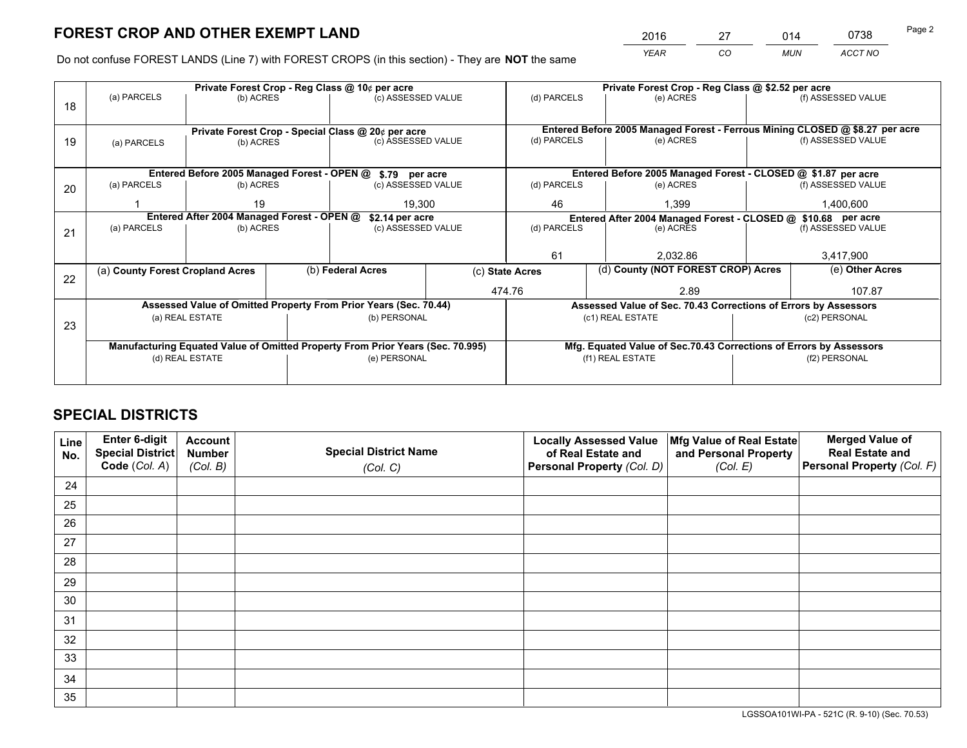*YEAR CO MUN ACCT NO* <sup>2016</sup> <sup>27</sup> <sup>014</sup> <sup>0738</sup>

Do not confuse FOREST LANDS (Line 7) with FOREST CROPS (in this section) - They are **NOT** the same

|    |                                                               |                                 | Private Forest Crop - Reg Class @ 10¢ per acre |                                                                                | Private Forest Crop - Reg Class @ \$2.52 per acre |                  |                                                               |                                                                              |                    |                    |
|----|---------------------------------------------------------------|---------------------------------|------------------------------------------------|--------------------------------------------------------------------------------|---------------------------------------------------|------------------|---------------------------------------------------------------|------------------------------------------------------------------------------|--------------------|--------------------|
| 18 | (a) PARCELS                                                   | (b) ACRES                       |                                                |                                                                                | (c) ASSESSED VALUE<br>(d) PARCELS                 |                  |                                                               | (e) ACRES                                                                    |                    | (f) ASSESSED VALUE |
|    |                                                               |                                 |                                                |                                                                                |                                                   |                  |                                                               |                                                                              |                    |                    |
|    | Private Forest Crop - Special Class @ 20¢ per acre            |                                 |                                                |                                                                                |                                                   |                  |                                                               | Entered Before 2005 Managed Forest - Ferrous Mining CLOSED @ \$8.27 per acre |                    |                    |
| 19 | (a) PARCELS                                                   | (c) ASSESSED VALUE<br>(b) ACRES |                                                |                                                                                | (d) PARCELS                                       |                  | (e) ACRES                                                     |                                                                              | (f) ASSESSED VALUE |                    |
|    |                                                               |                                 |                                                |                                                                                |                                                   |                  |                                                               |                                                                              |                    |                    |
|    |                                                               |                                 |                                                | Entered Before 2005 Managed Forest - OPEN @ \$.79 per acre                     |                                                   |                  |                                                               | Entered Before 2005 Managed Forest - CLOSED @ \$1.87 per acre                |                    |                    |
| 20 | (a) PARCELS                                                   | (b) ACRES                       |                                                | (c) ASSESSED VALUE                                                             |                                                   | (d) PARCELS      |                                                               | (e) ACRES                                                                    |                    | (f) ASSESSED VALUE |
|    |                                                               | 19                              |                                                | 19.300                                                                         |                                                   | 46               |                                                               | 1.399                                                                        | 1,400,600          |                    |
|    | Entered After 2004 Managed Forest - OPEN @<br>\$2.14 per acre |                                 |                                                |                                                                                |                                                   |                  | Entered After 2004 Managed Forest - CLOSED @ \$10.68 per acre |                                                                              |                    |                    |
| 21 | (a) PARCELS                                                   | (b) ACRES                       |                                                | (c) ASSESSED VALUE                                                             | (d) PARCELS                                       |                  |                                                               | (e) ACRES                                                                    |                    | (f) ASSESSED VALUE |
|    |                                                               |                                 |                                                |                                                                                |                                                   |                  |                                                               |                                                                              |                    |                    |
|    |                                                               |                                 |                                                |                                                                                |                                                   | 61               |                                                               | 2.032.86                                                                     |                    | 3,417,900          |
| 22 | (a) County Forest Cropland Acres                              |                                 |                                                | (b) Federal Acres                                                              | (c) State Acres                                   |                  |                                                               | (d) County (NOT FOREST CROP) Acres                                           |                    | (e) Other Acres    |
|    |                                                               |                                 |                                                |                                                                                |                                                   | 474.76<br>2.89   |                                                               |                                                                              |                    | 107.87             |
|    |                                                               |                                 |                                                | Assessed Value of Omitted Property From Prior Years (Sec. 70.44)               |                                                   |                  |                                                               | Assessed Value of Sec. 70.43 Corrections of Errors by Assessors              |                    |                    |
| 23 |                                                               | (a) REAL ESTATE                 |                                                | (b) PERSONAL                                                                   |                                                   |                  |                                                               | (c1) REAL ESTATE                                                             |                    | (c2) PERSONAL      |
|    |                                                               |                                 |                                                |                                                                                |                                                   |                  |                                                               |                                                                              |                    |                    |
|    |                                                               |                                 |                                                | Manufacturing Equated Value of Omitted Property From Prior Years (Sec. 70.995) |                                                   |                  |                                                               | Mfg. Equated Value of Sec.70.43 Corrections of Errors by Assessors           |                    |                    |
|    |                                                               | (d) REAL ESTATE                 |                                                | (e) PERSONAL                                                                   |                                                   | (f1) REAL ESTATE |                                                               |                                                                              | (f2) PERSONAL      |                    |
|    |                                                               |                                 |                                                |                                                                                |                                                   |                  |                                                               |                                                                              |                    |                    |

# **SPECIAL DISTRICTS**

| Line<br>No. | Enter 6-digit<br>Special District<br>Code (Col. A) | <b>Account</b><br><b>Number</b> | <b>Special District Name</b> | <b>Locally Assessed Value</b><br>of Real Estate and | Mfg Value of Real Estate<br>and Personal Property | <b>Merged Value of</b><br><b>Real Estate and</b><br>Personal Property (Col. F) |
|-------------|----------------------------------------------------|---------------------------------|------------------------------|-----------------------------------------------------|---------------------------------------------------|--------------------------------------------------------------------------------|
|             |                                                    | (Col. B)                        | (Col. C)                     | Personal Property (Col. D)                          | (Col. E)                                          |                                                                                |
| 24          |                                                    |                                 |                              |                                                     |                                                   |                                                                                |
| 25          |                                                    |                                 |                              |                                                     |                                                   |                                                                                |
| 26          |                                                    |                                 |                              |                                                     |                                                   |                                                                                |
| 27          |                                                    |                                 |                              |                                                     |                                                   |                                                                                |
| 28          |                                                    |                                 |                              |                                                     |                                                   |                                                                                |
| 29          |                                                    |                                 |                              |                                                     |                                                   |                                                                                |
| 30          |                                                    |                                 |                              |                                                     |                                                   |                                                                                |
| 31          |                                                    |                                 |                              |                                                     |                                                   |                                                                                |
| 32          |                                                    |                                 |                              |                                                     |                                                   |                                                                                |
| 33          |                                                    |                                 |                              |                                                     |                                                   |                                                                                |
| 34          |                                                    |                                 |                              |                                                     |                                                   |                                                                                |
| 35          |                                                    |                                 |                              |                                                     |                                                   |                                                                                |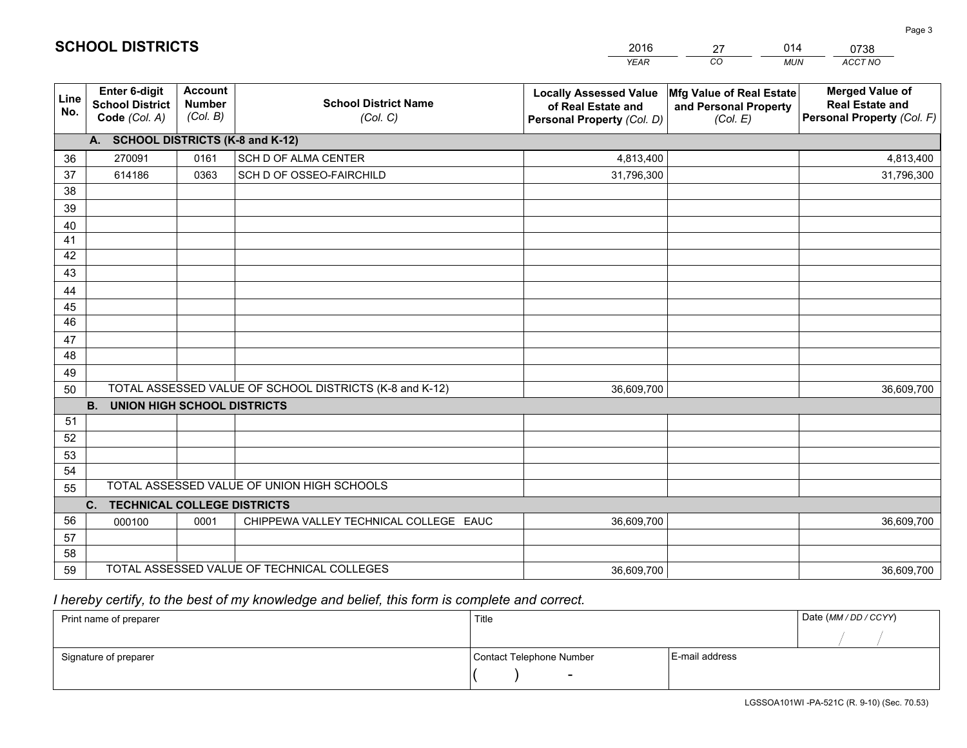|             |                                                                 |                                             |                                                         | <b>YEAR</b>                                                                       | CO<br><b>MUN</b>                                              | ACCT NO                                                                        |
|-------------|-----------------------------------------------------------------|---------------------------------------------|---------------------------------------------------------|-----------------------------------------------------------------------------------|---------------------------------------------------------------|--------------------------------------------------------------------------------|
| Line<br>No. | <b>Enter 6-digit</b><br><b>School District</b><br>Code (Col. A) | <b>Account</b><br><b>Number</b><br>(Col. B) | <b>School District Name</b><br>(Col. C)                 | <b>Locally Assessed Value</b><br>of Real Estate and<br>Personal Property (Col. D) | Mfg Value of Real Estate<br>and Personal Property<br>(Col. E) | <b>Merged Value of</b><br><b>Real Estate and</b><br>Personal Property (Col. F) |
|             | A. SCHOOL DISTRICTS (K-8 and K-12)                              |                                             |                                                         |                                                                                   |                                                               |                                                                                |
| 36          | 270091                                                          | 0161                                        | SCH D OF ALMA CENTER                                    | 4,813,400                                                                         |                                                               | 4,813,400                                                                      |
| 37          | 614186                                                          | 0363                                        | SCH D OF OSSEO-FAIRCHILD                                | 31,796,300                                                                        |                                                               | 31,796,300                                                                     |
| 38          |                                                                 |                                             |                                                         |                                                                                   |                                                               |                                                                                |
| 39          |                                                                 |                                             |                                                         |                                                                                   |                                                               |                                                                                |
| 40          |                                                                 |                                             |                                                         |                                                                                   |                                                               |                                                                                |
| 41          |                                                                 |                                             |                                                         |                                                                                   |                                                               |                                                                                |
| 42          |                                                                 |                                             |                                                         |                                                                                   |                                                               |                                                                                |
| 43          |                                                                 |                                             |                                                         |                                                                                   |                                                               |                                                                                |
| 44<br>45    |                                                                 |                                             |                                                         |                                                                                   |                                                               |                                                                                |
| 46          |                                                                 |                                             |                                                         |                                                                                   |                                                               |                                                                                |
| 47          |                                                                 |                                             |                                                         |                                                                                   |                                                               |                                                                                |
| 48          |                                                                 |                                             |                                                         |                                                                                   |                                                               |                                                                                |
| 49          |                                                                 |                                             |                                                         |                                                                                   |                                                               |                                                                                |
| 50          |                                                                 |                                             | TOTAL ASSESSED VALUE OF SCHOOL DISTRICTS (K-8 and K-12) | 36,609,700                                                                        |                                                               | 36,609,700                                                                     |
|             | <b>B.</b><br><b>UNION HIGH SCHOOL DISTRICTS</b>                 |                                             |                                                         |                                                                                   |                                                               |                                                                                |
| 51          |                                                                 |                                             |                                                         |                                                                                   |                                                               |                                                                                |
| 52          |                                                                 |                                             |                                                         |                                                                                   |                                                               |                                                                                |
| 53          |                                                                 |                                             |                                                         |                                                                                   |                                                               |                                                                                |
| 54          |                                                                 |                                             |                                                         |                                                                                   |                                                               |                                                                                |
| 55          |                                                                 |                                             | TOTAL ASSESSED VALUE OF UNION HIGH SCHOOLS              |                                                                                   |                                                               |                                                                                |
|             | <b>TECHNICAL COLLEGE DISTRICTS</b><br>C.                        |                                             |                                                         |                                                                                   |                                                               |                                                                                |
| 56          | 000100                                                          | 0001                                        | CHIPPEWA VALLEY TECHNICAL COLLEGE EAUC                  | 36,609,700                                                                        |                                                               | 36,609,700                                                                     |
| 57          |                                                                 |                                             |                                                         |                                                                                   |                                                               |                                                                                |
| 58          |                                                                 |                                             |                                                         |                                                                                   |                                                               |                                                                                |
| 59          |                                                                 |                                             | TOTAL ASSESSED VALUE OF TECHNICAL COLLEGES              | 36,609,700                                                                        |                                                               | 36,609,700                                                                     |

27

014

 *I hereby certify, to the best of my knowledge and belief, this form is complete and correct.*

**SCHOOL DISTRICTS**

| Print name of preparer | Title                    |                | Date (MM / DD / CCYY) |
|------------------------|--------------------------|----------------|-----------------------|
|                        |                          |                |                       |
| Signature of preparer  | Contact Telephone Number | E-mail address |                       |
|                        | $\sim$                   |                |                       |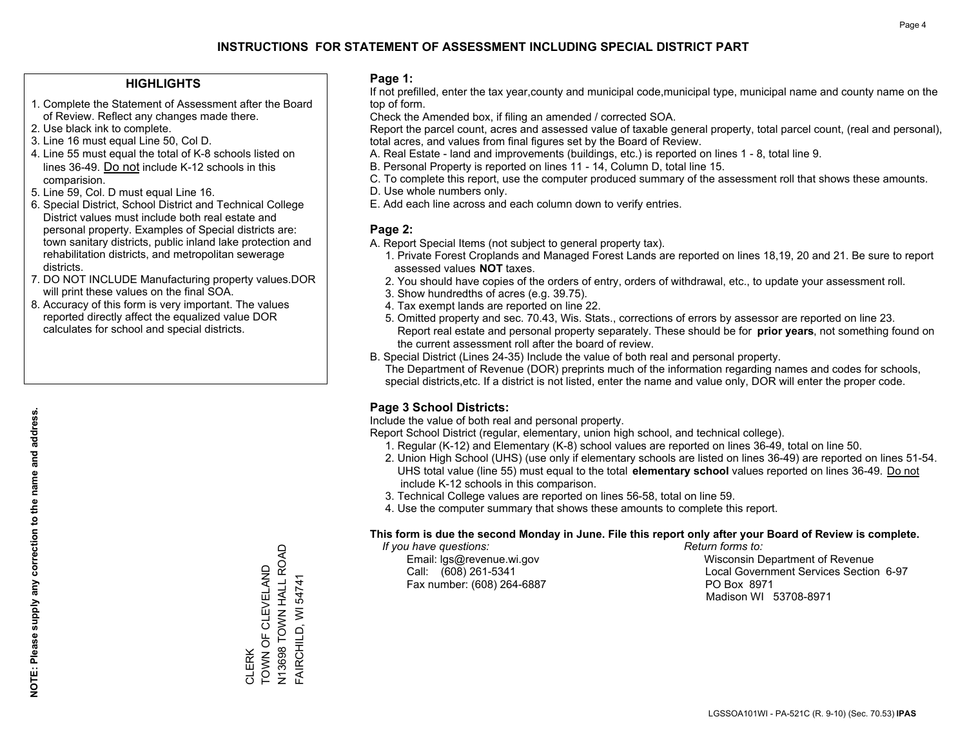#### **HIGHLIGHTS**

- 1. Complete the Statement of Assessment after the Board of Review. Reflect any changes made there.
- 2. Use black ink to complete.
- 3. Line 16 must equal Line 50, Col D.
- 4. Line 55 must equal the total of K-8 schools listed on lines 36-49. Do not include K-12 schools in this comparision.
- 5. Line 59, Col. D must equal Line 16.
- 6. Special District, School District and Technical College District values must include both real estate and personal property. Examples of Special districts are: town sanitary districts, public inland lake protection and rehabilitation districts, and metropolitan sewerage districts.
- 7. DO NOT INCLUDE Manufacturing property values.DOR will print these values on the final SOA.
- 8. Accuracy of this form is very important. The values reported directly affect the equalized value DOR calculates for school and special districts.

#### **Page 1:**

 If not prefilled, enter the tax year,county and municipal code,municipal type, municipal name and county name on the top of form.

Check the Amended box, if filing an amended / corrected SOA.

 Report the parcel count, acres and assessed value of taxable general property, total parcel count, (real and personal), total acres, and values from final figures set by the Board of Review.

- A. Real Estate land and improvements (buildings, etc.) is reported on lines 1 8, total line 9.
- B. Personal Property is reported on lines 11 14, Column D, total line 15.
- C. To complete this report, use the computer produced summary of the assessment roll that shows these amounts.
- D. Use whole numbers only.
- E. Add each line across and each column down to verify entries.

### **Page 2:**

- A. Report Special Items (not subject to general property tax).
- 1. Private Forest Croplands and Managed Forest Lands are reported on lines 18,19, 20 and 21. Be sure to report assessed values **NOT** taxes.
- 2. You should have copies of the orders of entry, orders of withdrawal, etc., to update your assessment roll.
	- 3. Show hundredths of acres (e.g. 39.75).
- 4. Tax exempt lands are reported on line 22.
- 5. Omitted property and sec. 70.43, Wis. Stats., corrections of errors by assessor are reported on line 23. Report real estate and personal property separately. These should be for **prior years**, not something found on the current assessment roll after the board of review.
- B. Special District (Lines 24-35) Include the value of both real and personal property.
- The Department of Revenue (DOR) preprints much of the information regarding names and codes for schools, special districts,etc. If a district is not listed, enter the name and value only, DOR will enter the proper code.

## **Page 3 School Districts:**

Include the value of both real and personal property.

Report School District (regular, elementary, union high school, and technical college).

- 1. Regular (K-12) and Elementary (K-8) school values are reported on lines 36-49, total on line 50.
- 2. Union High School (UHS) (use only if elementary schools are listed on lines 36-49) are reported on lines 51-54. UHS total value (line 55) must equal to the total **elementary school** values reported on lines 36-49. Do notinclude K-12 schools in this comparison.
- 3. Technical College values are reported on lines 56-58, total on line 59.
- 4. Use the computer summary that shows these amounts to complete this report.

#### **This form is due the second Monday in June. File this report only after your Board of Review is complete.**

 *If you have questions: Return forms to:*

Fax number: (608) 264-6887 PO Box 8971

 Email: lgs@revenue.wi.gov Wisconsin Department of Revenue Call: (608) 261-5341 Local Government Services Section 6-97Madison WI 53708-8971

N13698 TOWN HALL ROAD N13698 TOWN HALL ROAD **TOWN OF CLEVELAND** TOWN OF CLEVELAND FAIRCHILD, WI 54741 FAIRCHILD, WI 54741 CLERK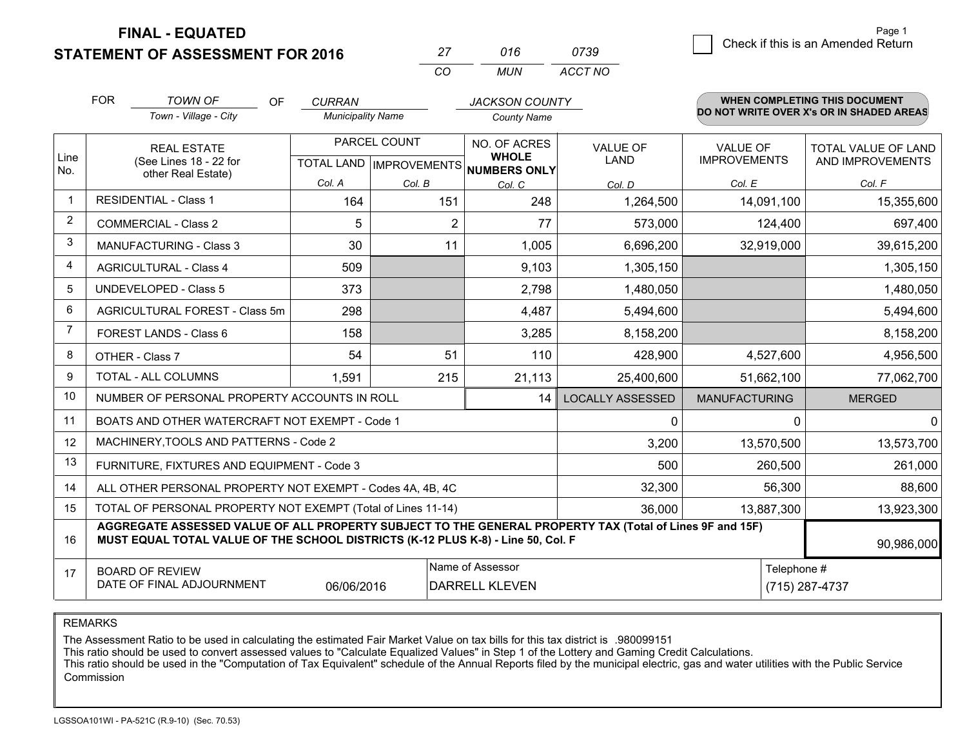**FINAL - EQUATED**

**STATEMENT OF ASSESSMENT FOR 2016** 

| , י | 016   | 0739    |
|-----|-------|---------|
| (   | MI IN | ACCT NO |

|      | <b>FOR</b>                     | <b>TOWN OF</b><br><b>OF</b>                                                                                                                                                                  | <b>CURRAN</b>            |                           | <b>JACKSON COUNTY</b>        |                                |                                        | <b>WHEN COMPLETING THIS DOCUMENT</b>     |
|------|--------------------------------|----------------------------------------------------------------------------------------------------------------------------------------------------------------------------------------------|--------------------------|---------------------------|------------------------------|--------------------------------|----------------------------------------|------------------------------------------|
|      |                                | Town - Village - City                                                                                                                                                                        | <b>Municipality Name</b> |                           | <b>County Name</b>           |                                |                                        | DO NOT WRITE OVER X's OR IN SHADED AREAS |
| Line |                                | <b>REAL ESTATE</b><br>(See Lines 18 - 22 for                                                                                                                                                 |                          | PARCEL COUNT              | NO. OF ACRES<br><b>WHOLE</b> | <b>VALUE OF</b><br><b>LAND</b> | <b>VALUE OF</b><br><b>IMPROVEMENTS</b> | TOTAL VALUE OF LAND<br>AND IMPROVEMENTS  |
| No.  |                                | other Real Estate)                                                                                                                                                                           | Col. A                   | TOTAL LAND   IMPROVEMENTS | NUMBERS ONLY                 |                                |                                        |                                          |
|      |                                | <b>RESIDENTIAL - Class 1</b>                                                                                                                                                                 | 164                      | Col. B<br>151             | Col. C<br>248                | Col. D<br>1,264,500            | Col. E<br>14,091,100                   | Col. F<br>15,355,600                     |
| 2    |                                | <b>COMMERCIAL - Class 2</b>                                                                                                                                                                  | 5                        | 2                         | 77                           | 573,000                        | 124,400                                | 697,400                                  |
| 3    |                                | <b>MANUFACTURING - Class 3</b>                                                                                                                                                               | 30                       | 11                        | 1,005                        | 6,696,200                      | 32,919,000                             | 39,615,200                               |
| 4    |                                | <b>AGRICULTURAL - Class 4</b>                                                                                                                                                                | 509                      |                           | 9,103                        | 1,305,150                      |                                        | 1,305,150                                |
| 5    |                                | <b>UNDEVELOPED - Class 5</b>                                                                                                                                                                 | 373                      |                           | 2,798                        | 1,480,050                      |                                        | 1,480,050                                |
| 6    | AGRICULTURAL FOREST - Class 5m |                                                                                                                                                                                              | 298                      |                           | 4,487                        | 5,494,600                      |                                        | 5,494,600                                |
|      |                                | FOREST LANDS - Class 6                                                                                                                                                                       | 158                      |                           | 3,285                        | 8,158,200                      |                                        | 8,158,200                                |
| 8    |                                | OTHER - Class 7                                                                                                                                                                              | 54                       | 51                        | 110                          | 428,900                        | 4,527,600                              | 4,956,500                                |
| 9    |                                | TOTAL - ALL COLUMNS                                                                                                                                                                          | 1,591                    | 215                       | 21,113                       | 25,400,600                     | 51,662,100                             | 77,062,700                               |
| 10   |                                | NUMBER OF PERSONAL PROPERTY ACCOUNTS IN ROLL                                                                                                                                                 |                          |                           | 14                           | <b>LOCALLY ASSESSED</b>        | <b>MANUFACTURING</b>                   | <b>MERGED</b>                            |
| 11   |                                | BOATS AND OTHER WATERCRAFT NOT EXEMPT - Code 1                                                                                                                                               |                          |                           |                              | 0                              | 0                                      | $\Omega$                                 |
| 12   |                                | MACHINERY, TOOLS AND PATTERNS - Code 2                                                                                                                                                       |                          |                           |                              | 3,200                          | 13,570,500                             | 13,573,700                               |
| 13   |                                | FURNITURE, FIXTURES AND EQUIPMENT - Code 3                                                                                                                                                   |                          |                           |                              | 500                            | 260,500                                | 261,000                                  |
| 14   |                                | ALL OTHER PERSONAL PROPERTY NOT EXEMPT - Codes 4A, 4B, 4C                                                                                                                                    |                          |                           |                              | 32,300                         | 56,300                                 | 88,600                                   |
| 15   |                                | TOTAL OF PERSONAL PROPERTY NOT EXEMPT (Total of Lines 11-14)                                                                                                                                 |                          |                           |                              | 36,000                         | 13,887,300                             | 13,923,300                               |
| 16   |                                | AGGREGATE ASSESSED VALUE OF ALL PROPERTY SUBJECT TO THE GENERAL PROPERTY TAX (Total of Lines 9F and 15F)<br>MUST EQUAL TOTAL VALUE OF THE SCHOOL DISTRICTS (K-12 PLUS K-8) - Line 50, Col. F |                          |                           |                              |                                |                                        | 90,986,000                               |
| 17   |                                | Name of Assessor<br>Telephone #<br><b>BOARD OF REVIEW</b><br>DATE OF FINAL ADJOURNMENT<br>06/06/2016<br><b>DARRELL KLEVEN</b><br>(715) 287-4737                                              |                          |                           |                              |                                |                                        |                                          |

REMARKS

The Assessment Ratio to be used in calculating the estimated Fair Market Value on tax bills for this tax district is .980099151<br>This ratio should be used to convert assessed values to "Calculate Equalized Values" in Step 1 Commission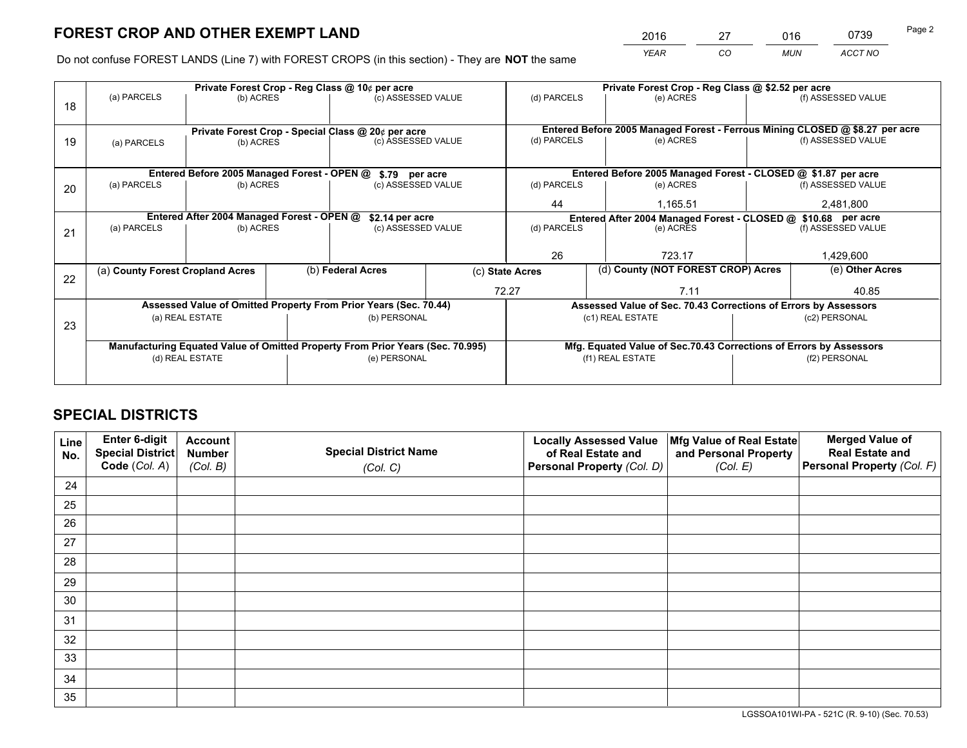*YEAR CO MUN ACCT NO* <sup>2016</sup> <sup>27</sup> <sup>016</sup> <sup>0739</sup>

Do not confuse FOREST LANDS (Line 7) with FOREST CROPS (in this section) - They are **NOT** the same

|    |                                                               |                                             |  | Private Forest Crop - Reg Class @ 10¢ per acre                                 |                                                               | Private Forest Crop - Reg Class @ \$2.52 per acre                            |                                                                    |  |                    |  |
|----|---------------------------------------------------------------|---------------------------------------------|--|--------------------------------------------------------------------------------|---------------------------------------------------------------|------------------------------------------------------------------------------|--------------------------------------------------------------------|--|--------------------|--|
| 18 | (a) PARCELS                                                   | (b) ACRES                                   |  | (c) ASSESSED VALUE                                                             |                                                               | (d) PARCELS                                                                  | (e) ACRES                                                          |  | (f) ASSESSED VALUE |  |
|    |                                                               |                                             |  |                                                                                |                                                               |                                                                              |                                                                    |  |                    |  |
|    | Private Forest Crop - Special Class @ 20¢ per acre            |                                             |  |                                                                                |                                                               | Entered Before 2005 Managed Forest - Ferrous Mining CLOSED @ \$8.27 per acre |                                                                    |  |                    |  |
| 19 | (a) PARCELS                                                   | (b) ACRES                                   |  | (c) ASSESSED VALUE                                                             |                                                               | (d) PARCELS                                                                  | (e) ACRES                                                          |  | (f) ASSESSED VALUE |  |
|    |                                                               |                                             |  |                                                                                |                                                               |                                                                              |                                                                    |  |                    |  |
|    |                                                               | Entered Before 2005 Managed Forest - OPEN @ |  | \$.79 per acre                                                                 |                                                               |                                                                              | Entered Before 2005 Managed Forest - CLOSED @ \$1.87 per acre      |  |                    |  |
| 20 | (a) PARCELS                                                   | (b) ACRES                                   |  | (c) ASSESSED VALUE                                                             |                                                               | (d) PARCELS                                                                  | (e) ACRES                                                          |  | (f) ASSESSED VALUE |  |
|    |                                                               |                                             |  | 44                                                                             | 1,165.51                                                      |                                                                              | 2,481,800                                                          |  |                    |  |
|    | Entered After 2004 Managed Forest - OPEN @<br>\$2.14 per acre |                                             |  |                                                                                | Entered After 2004 Managed Forest - CLOSED @ \$10.68 per acre |                                                                              |                                                                    |  |                    |  |
| 21 | (a) PARCELS                                                   | (b) ACRES                                   |  | (c) ASSESSED VALUE                                                             |                                                               | (d) PARCELS<br>(e) ACRES                                                     |                                                                    |  | (f) ASSESSED VALUE |  |
|    |                                                               |                                             |  |                                                                                |                                                               |                                                                              |                                                                    |  |                    |  |
|    |                                                               |                                             |  |                                                                                |                                                               | 26                                                                           | 723.17                                                             |  |                    |  |
|    | (a) County Forest Cropland Acres                              |                                             |  | (b) Federal Acres                                                              | (c) State Acres                                               |                                                                              | (d) County (NOT FOREST CROP) Acres                                 |  | (e) Other Acres    |  |
| 22 |                                                               |                                             |  |                                                                                |                                                               | 72.27                                                                        |                                                                    |  | 40.85              |  |
|    |                                                               |                                             |  | Assessed Value of Omitted Property From Prior Years (Sec. 70.44)               |                                                               |                                                                              | Assessed Value of Sec. 70.43 Corrections of Errors by Assessors    |  |                    |  |
|    |                                                               | (a) REAL ESTATE                             |  | (b) PERSONAL                                                                   |                                                               |                                                                              | (c1) REAL ESTATE                                                   |  | (c2) PERSONAL      |  |
| 23 |                                                               |                                             |  |                                                                                |                                                               |                                                                              |                                                                    |  |                    |  |
|    |                                                               |                                             |  | Manufacturing Equated Value of Omitted Property From Prior Years (Sec. 70.995) |                                                               |                                                                              | Mfg. Equated Value of Sec.70.43 Corrections of Errors by Assessors |  |                    |  |
|    |                                                               | (d) REAL ESTATE                             |  | (e) PERSONAL                                                                   |                                                               | (f1) REAL ESTATE                                                             |                                                                    |  | (f2) PERSONAL      |  |
|    |                                                               |                                             |  |                                                                                |                                                               |                                                                              |                                                                    |  |                    |  |

# **SPECIAL DISTRICTS**

| Line<br>No. | Enter 6-digit<br><b>Special District</b> | <b>Account</b><br><b>Number</b> | <b>Special District Name</b> | <b>Locally Assessed Value</b><br>of Real Estate and | Mfg Value of Real Estate<br>and Personal Property | <b>Merged Value of</b><br><b>Real Estate and</b> |
|-------------|------------------------------------------|---------------------------------|------------------------------|-----------------------------------------------------|---------------------------------------------------|--------------------------------------------------|
|             | Code (Col. A)                            | (Col. B)                        | (Col. C)                     | Personal Property (Col. D)                          | (Col. E)                                          | Personal Property (Col. F)                       |
| 24          |                                          |                                 |                              |                                                     |                                                   |                                                  |
| 25          |                                          |                                 |                              |                                                     |                                                   |                                                  |
| 26          |                                          |                                 |                              |                                                     |                                                   |                                                  |
| 27          |                                          |                                 |                              |                                                     |                                                   |                                                  |
| 28          |                                          |                                 |                              |                                                     |                                                   |                                                  |
| 29          |                                          |                                 |                              |                                                     |                                                   |                                                  |
| 30          |                                          |                                 |                              |                                                     |                                                   |                                                  |
| 31          |                                          |                                 |                              |                                                     |                                                   |                                                  |
| 32          |                                          |                                 |                              |                                                     |                                                   |                                                  |
| 33          |                                          |                                 |                              |                                                     |                                                   |                                                  |
| 34          |                                          |                                 |                              |                                                     |                                                   |                                                  |
| 35          |                                          |                                 |                              |                                                     |                                                   |                                                  |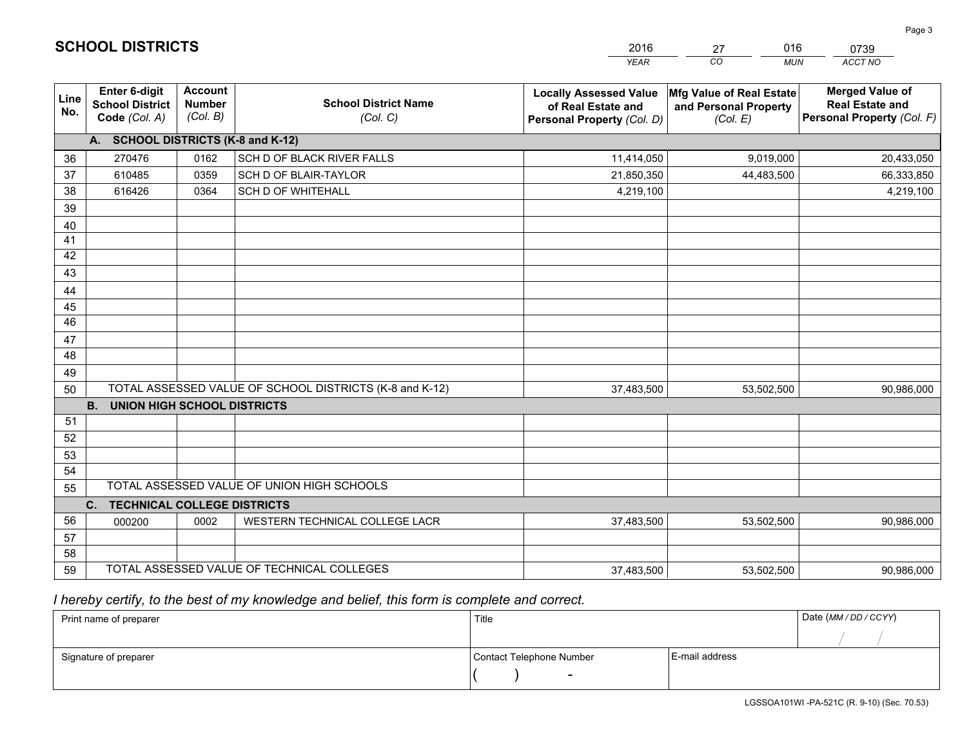|             |                                                                 |                                             |                                                         | <b>YEAR</b>                                                                       | CO.<br><b>MUN</b>                                             | ACCT NO                                                                        |
|-------------|-----------------------------------------------------------------|---------------------------------------------|---------------------------------------------------------|-----------------------------------------------------------------------------------|---------------------------------------------------------------|--------------------------------------------------------------------------------|
| Line<br>No. | <b>Enter 6-digit</b><br><b>School District</b><br>Code (Col. A) | <b>Account</b><br><b>Number</b><br>(Col. B) | <b>School District Name</b><br>(Col. C)                 | <b>Locally Assessed Value</b><br>of Real Estate and<br>Personal Property (Col. D) | Mfg Value of Real Estate<br>and Personal Property<br>(Col. E) | <b>Merged Value of</b><br><b>Real Estate and</b><br>Personal Property (Col. F) |
|             | A. SCHOOL DISTRICTS (K-8 and K-12)                              |                                             |                                                         |                                                                                   |                                                               |                                                                                |
| 36          | 270476                                                          | 0162                                        | SCH D OF BLACK RIVER FALLS                              | 11,414,050                                                                        | 9,019,000                                                     | 20,433,050                                                                     |
| 37          | 610485                                                          | 0359                                        | SCH D OF BLAIR-TAYLOR                                   | 21,850,350                                                                        | 44,483,500                                                    | 66,333,850                                                                     |
| 38          | 616426                                                          | 0364                                        | <b>SCH D OF WHITEHALL</b>                               | 4,219,100                                                                         |                                                               | 4,219,100                                                                      |
| 39          |                                                                 |                                             |                                                         |                                                                                   |                                                               |                                                                                |
| 40          |                                                                 |                                             |                                                         |                                                                                   |                                                               |                                                                                |
| 41          |                                                                 |                                             |                                                         |                                                                                   |                                                               |                                                                                |
| 42          |                                                                 |                                             |                                                         |                                                                                   |                                                               |                                                                                |
| 43          |                                                                 |                                             |                                                         |                                                                                   |                                                               |                                                                                |
| 44          |                                                                 |                                             |                                                         |                                                                                   |                                                               |                                                                                |
| 45          |                                                                 |                                             |                                                         |                                                                                   |                                                               |                                                                                |
| 46          |                                                                 |                                             |                                                         |                                                                                   |                                                               |                                                                                |
| 47          |                                                                 |                                             |                                                         |                                                                                   |                                                               |                                                                                |
| 48          |                                                                 |                                             |                                                         |                                                                                   |                                                               |                                                                                |
| 49          |                                                                 |                                             | TOTAL ASSESSED VALUE OF SCHOOL DISTRICTS (K-8 and K-12) |                                                                                   |                                                               |                                                                                |
| 50          | <b>B. UNION HIGH SCHOOL DISTRICTS</b>                           |                                             |                                                         | 37,483,500                                                                        | 53,502,500                                                    | 90,986,000                                                                     |
| 51          |                                                                 |                                             |                                                         |                                                                                   |                                                               |                                                                                |
| 52          |                                                                 |                                             |                                                         |                                                                                   |                                                               |                                                                                |
| 53          |                                                                 |                                             |                                                         |                                                                                   |                                                               |                                                                                |
| 54          |                                                                 |                                             |                                                         |                                                                                   |                                                               |                                                                                |
| 55          |                                                                 |                                             | TOTAL ASSESSED VALUE OF UNION HIGH SCHOOLS              |                                                                                   |                                                               |                                                                                |
|             | C.<br><b>TECHNICAL COLLEGE DISTRICTS</b>                        |                                             |                                                         |                                                                                   |                                                               |                                                                                |
| 56          | 000200                                                          | 0002                                        | WESTERN TECHNICAL COLLEGE LACR                          | 37,483,500                                                                        | 53,502,500                                                    | 90,986,000                                                                     |
| 57          |                                                                 |                                             |                                                         |                                                                                   |                                                               |                                                                                |
| 58          |                                                                 |                                             |                                                         |                                                                                   |                                                               |                                                                                |
| 59          |                                                                 |                                             | TOTAL ASSESSED VALUE OF TECHNICAL COLLEGES              | 37,483,500                                                                        | 53,502,500                                                    | 90,986,000                                                                     |

27

016

 *I hereby certify, to the best of my knowledge and belief, this form is complete and correct.*

**SCHOOL DISTRICTS**

| Print name of preparer | Title                    |                | Date (MM / DD / CCYY) |
|------------------------|--------------------------|----------------|-----------------------|
|                        |                          |                |                       |
| Signature of preparer  | Contact Telephone Number | E-mail address |                       |
|                        | $\sim$                   |                |                       |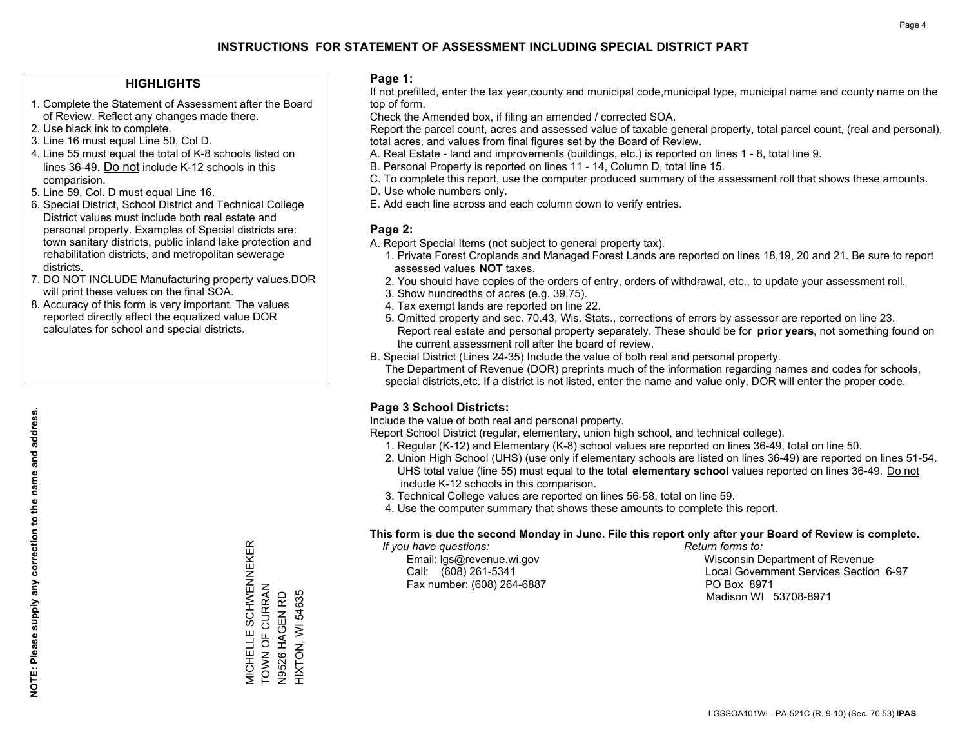#### **HIGHLIGHTS**

- 1. Complete the Statement of Assessment after the Board of Review. Reflect any changes made there.
- 2. Use black ink to complete.
- 3. Line 16 must equal Line 50, Col D.
- 4. Line 55 must equal the total of K-8 schools listed on lines 36-49. Do not include K-12 schools in this comparision.
- 5. Line 59, Col. D must equal Line 16.
- 6. Special District, School District and Technical College District values must include both real estate and personal property. Examples of Special districts are: town sanitary districts, public inland lake protection and rehabilitation districts, and metropolitan sewerage districts.
- 7. DO NOT INCLUDE Manufacturing property values.DOR will print these values on the final SOA.
- 8. Accuracy of this form is very important. The values reported directly affect the equalized value DOR calculates for school and special districts.

#### **Page 1:**

 If not prefilled, enter the tax year,county and municipal code,municipal type, municipal name and county name on the top of form.

Check the Amended box, if filing an amended / corrected SOA.

 Report the parcel count, acres and assessed value of taxable general property, total parcel count, (real and personal), total acres, and values from final figures set by the Board of Review.

- A. Real Estate land and improvements (buildings, etc.) is reported on lines 1 8, total line 9.
- B. Personal Property is reported on lines 11 14, Column D, total line 15.
- C. To complete this report, use the computer produced summary of the assessment roll that shows these amounts.
- D. Use whole numbers only.
- E. Add each line across and each column down to verify entries.

#### **Page 2:**

- A. Report Special Items (not subject to general property tax).
- 1. Private Forest Croplands and Managed Forest Lands are reported on lines 18,19, 20 and 21. Be sure to report assessed values **NOT** taxes.
- 2. You should have copies of the orders of entry, orders of withdrawal, etc., to update your assessment roll.
	- 3. Show hundredths of acres (e.g. 39.75).
- 4. Tax exempt lands are reported on line 22.
- 5. Omitted property and sec. 70.43, Wis. Stats., corrections of errors by assessor are reported on line 23. Report real estate and personal property separately. These should be for **prior years**, not something found on the current assessment roll after the board of review.
- B. Special District (Lines 24-35) Include the value of both real and personal property.
- The Department of Revenue (DOR) preprints much of the information regarding names and codes for schools, special districts,etc. If a district is not listed, enter the name and value only, DOR will enter the proper code.

## **Page 3 School Districts:**

Include the value of both real and personal property.

Report School District (regular, elementary, union high school, and technical college).

- 1. Regular (K-12) and Elementary (K-8) school values are reported on lines 36-49, total on line 50.
- 2. Union High School (UHS) (use only if elementary schools are listed on lines 36-49) are reported on lines 51-54. UHS total value (line 55) must equal to the total **elementary school** values reported on lines 36-49. Do notinclude K-12 schools in this comparison.
- 3. Technical College values are reported on lines 56-58, total on line 59.
- 4. Use the computer summary that shows these amounts to complete this report.

#### **This form is due the second Monday in June. File this report only after your Board of Review is complete.**

 *If you have questions: Return forms to:*

Fax number: (608) 264-6887 PO Box 8971

 Email: lgs@revenue.wi.gov Wisconsin Department of Revenue Call: (608) 261-5341 Local Government Services Section 6-97Madison WI 53708-8971

MICHELLE SCHWENNEKER<br>TOWN OF CURRAN<br>N9526 HAGEN RD MICHELLE SCHWENNEKER TOWN OF CURRAN HIXTON, WI 54635 N9526 HAGEN RD

HIXTON, WI 54635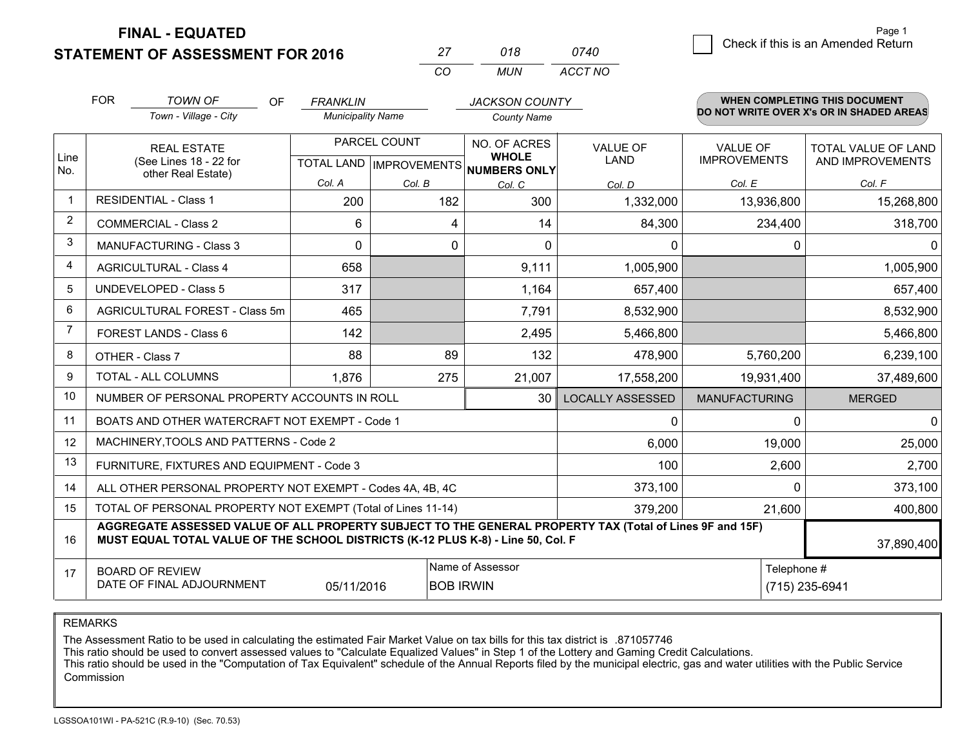**FINAL - EQUATED**

**STATEMENT OF ASSESSMENT FOR 2016** 

|          | 018 | 0740    |
|----------|-----|---------|
| $\cdots$ | MUN | ACCT NO |

|                | <b>FOR</b>                                                                                                                                                                                   | <b>TOWN OF</b><br><b>OF</b>                         | <b>FRANKLIN</b>          |                                           | <b>JACKSON COUNTY</b>                        |                               |                                        | <b>WHEN COMPLETING THIS DOCUMENT</b>     |  |
|----------------|----------------------------------------------------------------------------------------------------------------------------------------------------------------------------------------------|-----------------------------------------------------|--------------------------|-------------------------------------------|----------------------------------------------|-------------------------------|----------------------------------------|------------------------------------------|--|
|                |                                                                                                                                                                                              | Town - Village - City                               | <b>Municipality Name</b> |                                           | <b>County Name</b>                           |                               |                                        | DO NOT WRITE OVER X's OR IN SHADED AREAS |  |
| Line<br>No.    | <b>REAL ESTATE</b><br>(See Lines 18 - 22 for<br>other Real Estate)                                                                                                                           |                                                     |                          | PARCEL COUNT<br>TOTAL LAND   IMPROVEMENTS | NO. OF ACRES<br><b>WHOLE</b><br>NUMBERS ONLY | <b>VALUE OF</b><br>LAND       | <b>VALUE OF</b><br><b>IMPROVEMENTS</b> | TOTAL VALUE OF LAND<br>AND IMPROVEMENTS  |  |
|                |                                                                                                                                                                                              |                                                     | Col. A                   | Col. B                                    | Col. C                                       | Col. D                        | Col. E                                 | Col. F                                   |  |
| 1              |                                                                                                                                                                                              | <b>RESIDENTIAL - Class 1</b>                        | 200                      | 182                                       | 300                                          | 1,332,000                     | 13,936,800                             | 15,268,800                               |  |
| $\overline{2}$ |                                                                                                                                                                                              | <b>COMMERCIAL - Class 2</b>                         | 6                        | 4                                         | 14                                           | 84,300                        | 234,400                                | 318,700                                  |  |
| 3              |                                                                                                                                                                                              | <b>MANUFACTURING - Class 3</b>                      | 0                        | 0                                         | 0                                            | $\mathbf 0$                   | 0                                      | $\Omega$                                 |  |
| 4              |                                                                                                                                                                                              | <b>AGRICULTURAL - Class 4</b>                       | 658                      |                                           | 9,111                                        | 1,005,900                     |                                        | 1,005,900                                |  |
| 5              |                                                                                                                                                                                              | <b>UNDEVELOPED - Class 5</b>                        | 317                      |                                           | 1,164                                        | 657,400                       |                                        | 657,400                                  |  |
| 6              |                                                                                                                                                                                              | AGRICULTURAL FOREST - Class 5m                      | 465                      |                                           | 7,791                                        | 8,532,900                     |                                        | 8,532,900                                |  |
| 7              |                                                                                                                                                                                              | FOREST LANDS - Class 6                              | 142                      |                                           | 2,495                                        | 5,466,800                     |                                        | 5,466,800                                |  |
| 8              |                                                                                                                                                                                              | OTHER - Class 7                                     | 88                       | 89                                        | 132                                          | 478,900                       | 5,760,200                              | 6,239,100                                |  |
| 9              |                                                                                                                                                                                              | TOTAL - ALL COLUMNS                                 | 1,876                    | 275                                       | 21,007                                       | 17,558,200                    | 19,931,400                             | 37,489,600                               |  |
| 10             | NUMBER OF PERSONAL PROPERTY ACCOUNTS IN ROLL<br>30                                                                                                                                           |                                                     |                          |                                           |                                              | <b>LOCALLY ASSESSED</b>       | <b>MANUFACTURING</b>                   | <b>MERGED</b>                            |  |
| 11             | BOATS AND OTHER WATERCRAFT NOT EXEMPT - Code 1<br>0                                                                                                                                          |                                                     |                          |                                           |                                              |                               | $\Omega$                               | $\Omega$                                 |  |
| 12             | MACHINERY, TOOLS AND PATTERNS - Code 2                                                                                                                                                       |                                                     |                          |                                           |                                              | 6,000                         | 19,000                                 | 25,000                                   |  |
| 13             | FURNITURE, FIXTURES AND EQUIPMENT - Code 3                                                                                                                                                   |                                                     |                          |                                           |                                              |                               | 2,600                                  | 2,700                                    |  |
| 14             | 373,100<br>ALL OTHER PERSONAL PROPERTY NOT EXEMPT - Codes 4A, 4B, 4C                                                                                                                         |                                                     |                          |                                           |                                              |                               | 0                                      | 373,100                                  |  |
| 15             | TOTAL OF PERSONAL PROPERTY NOT EXEMPT (Total of Lines 11-14)<br>379,200                                                                                                                      |                                                     |                          |                                           |                                              |                               | 21,600                                 | 400,800                                  |  |
| 16             | AGGREGATE ASSESSED VALUE OF ALL PROPERTY SUBJECT TO THE GENERAL PROPERTY TAX (Total of Lines 9F and 15F)<br>MUST EQUAL TOTAL VALUE OF THE SCHOOL DISTRICTS (K-12 PLUS K-8) - Line 50, Col. F |                                                     |                          |                                           |                                              |                               | 37,890,400                             |                                          |  |
| 17             |                                                                                                                                                                                              | <b>BOARD OF REVIEW</b><br>DATE OF FINAL ADJOURNMENT | 05/11/2016               |                                           | Name of Assessor<br><b>BOB IRWIN</b>         | Telephone #<br>(715) 235-6941 |                                        |                                          |  |

REMARKS

The Assessment Ratio to be used in calculating the estimated Fair Market Value on tax bills for this tax district is .871057746<br>This ratio should be used to convert assessed values to "Calculate Equalized Values" in Step 1 Commission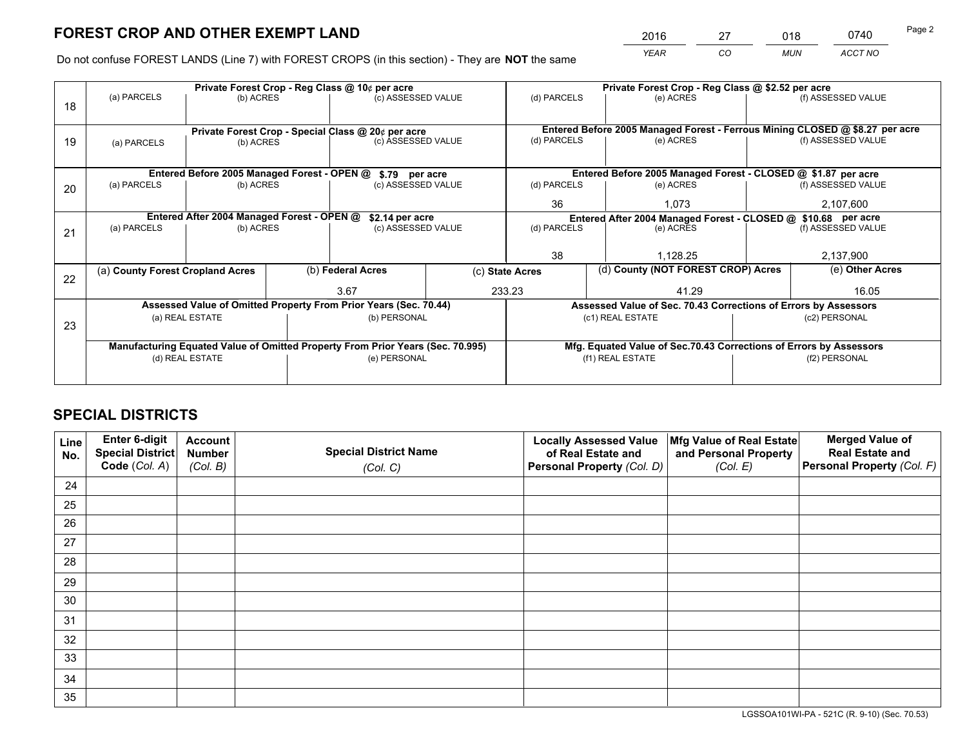*YEAR CO MUN ACCT NO* <sup>2016</sup> <sup>27</sup> <sup>018</sup> <sup>0740</sup>

Do not confuse FOREST LANDS (Line 7) with FOREST CROPS (in this section) - They are **NOT** the same

|    | Private Forest Crop - Reg Class @ 10¢ per acre                                 |                                            |  |                                                                  |                 | Private Forest Crop - Reg Class @ \$2.52 per acre                  |       |                                                               |               |                                                                              |
|----|--------------------------------------------------------------------------------|--------------------------------------------|--|------------------------------------------------------------------|-----------------|--------------------------------------------------------------------|-------|---------------------------------------------------------------|---------------|------------------------------------------------------------------------------|
| 18 | (a) PARCELS<br>(b) ACRES                                                       |                                            |  | (c) ASSESSED VALUE                                               |                 | (d) PARCELS                                                        |       | (e) ACRES                                                     |               | (f) ASSESSED VALUE                                                           |
|    |                                                                                |                                            |  |                                                                  |                 |                                                                    |       |                                                               |               |                                                                              |
|    |                                                                                |                                            |  | Private Forest Crop - Special Class @ 20¢ per acre               |                 |                                                                    |       |                                                               |               | Entered Before 2005 Managed Forest - Ferrous Mining CLOSED @ \$8.27 per acre |
| 19 | (a) PARCELS                                                                    | (b) ACRES                                  |  | (c) ASSESSED VALUE                                               |                 | (d) PARCELS                                                        |       | (e) ACRES                                                     |               | (f) ASSESSED VALUE                                                           |
|    |                                                                                |                                            |  |                                                                  |                 |                                                                    |       |                                                               |               |                                                                              |
|    |                                                                                |                                            |  | Entered Before 2005 Managed Forest - OPEN @ \$.79 per acre       |                 |                                                                    |       | Entered Before 2005 Managed Forest - CLOSED @ \$1.87 per acre |               |                                                                              |
| 20 | (a) PARCELS<br>(b) ACRES                                                       |                                            |  | (c) ASSESSED VALUE                                               |                 | (d) PARCELS                                                        |       | (e) ACRES                                                     |               | (f) ASSESSED VALUE                                                           |
|    |                                                                                |                                            |  |                                                                  |                 | 36                                                                 |       | 1.073                                                         |               | 2,107,600                                                                    |
|    |                                                                                | Entered After 2004 Managed Forest - OPEN @ |  | \$2.14 per acre                                                  |                 | Entered After 2004 Managed Forest - CLOSED @ \$10.68 per acre      |       |                                                               |               |                                                                              |
| 21 | (a) PARCELS                                                                    | (b) ACRES                                  |  | (c) ASSESSED VALUE                                               |                 | (d) PARCELS                                                        |       | (e) ACRES                                                     |               | (f) ASSESSED VALUE                                                           |
|    |                                                                                |                                            |  |                                                                  |                 |                                                                    |       |                                                               |               |                                                                              |
|    |                                                                                |                                            |  |                                                                  |                 | 38<br>1,128.25                                                     |       |                                                               | 2,137,900     |                                                                              |
| 22 | (a) County Forest Cropland Acres                                               |                                            |  | (b) Federal Acres                                                | (c) State Acres |                                                                    |       | (d) County (NOT FOREST CROP) Acres                            |               | (e) Other Acres                                                              |
|    |                                                                                |                                            |  | 233.23<br>3.67                                                   |                 |                                                                    | 41.29 |                                                               |               | 16.05                                                                        |
|    |                                                                                |                                            |  | Assessed Value of Omitted Property From Prior Years (Sec. 70.44) |                 | Assessed Value of Sec. 70.43 Corrections of Errors by Assessors    |       |                                                               |               |                                                                              |
| 23 | (a) REAL ESTATE                                                                |                                            |  | (b) PERSONAL                                                     |                 | (c1) REAL ESTATE                                                   |       |                                                               | (c2) PERSONAL |                                                                              |
|    |                                                                                |                                            |  |                                                                  |                 |                                                                    |       |                                                               |               |                                                                              |
|    | Manufacturing Equated Value of Omitted Property From Prior Years (Sec. 70.995) |                                            |  |                                                                  |                 | Mfg. Equated Value of Sec.70.43 Corrections of Errors by Assessors |       |                                                               |               |                                                                              |
|    | (d) REAL ESTATE                                                                |                                            |  | (e) PERSONAL                                                     |                 | (f1) REAL ESTATE                                                   |       | (f2) PERSONAL                                                 |               |                                                                              |
|    |                                                                                |                                            |  |                                                                  |                 |                                                                    |       |                                                               |               |                                                                              |

# **SPECIAL DISTRICTS**

| Line<br>No. | Enter 6-digit<br><b>Special District</b> | <b>Account</b><br><b>Number</b> | <b>Special District Name</b> | <b>Locally Assessed Value</b><br>of Real Estate and | Mfg Value of Real Estate<br>and Personal Property | <b>Merged Value of</b><br><b>Real Estate and</b> |
|-------------|------------------------------------------|---------------------------------|------------------------------|-----------------------------------------------------|---------------------------------------------------|--------------------------------------------------|
|             | Code (Col. A)                            | (Col. B)                        | (Col. C)                     | Personal Property (Col. D)                          | (Col. E)                                          | Personal Property (Col. F)                       |
| 24          |                                          |                                 |                              |                                                     |                                                   |                                                  |
| 25          |                                          |                                 |                              |                                                     |                                                   |                                                  |
| 26          |                                          |                                 |                              |                                                     |                                                   |                                                  |
| 27          |                                          |                                 |                              |                                                     |                                                   |                                                  |
| 28          |                                          |                                 |                              |                                                     |                                                   |                                                  |
| 29          |                                          |                                 |                              |                                                     |                                                   |                                                  |
| 30          |                                          |                                 |                              |                                                     |                                                   |                                                  |
| 31          |                                          |                                 |                              |                                                     |                                                   |                                                  |
| 32          |                                          |                                 |                              |                                                     |                                                   |                                                  |
| 33          |                                          |                                 |                              |                                                     |                                                   |                                                  |
| 34          |                                          |                                 |                              |                                                     |                                                   |                                                  |
| 35          |                                          |                                 |                              |                                                     |                                                   |                                                  |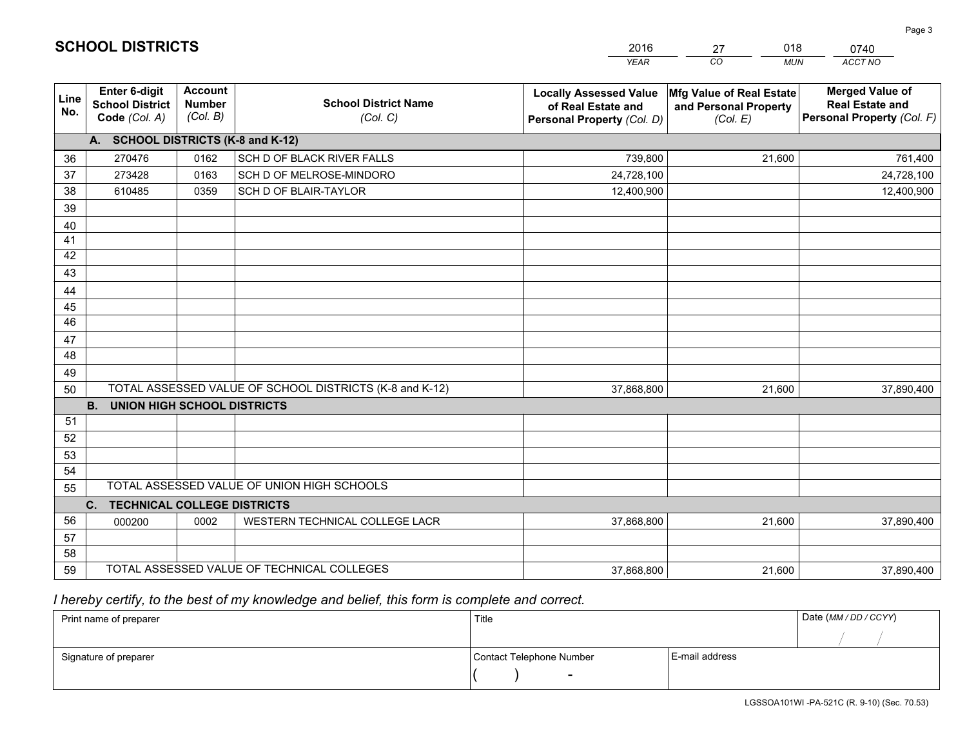|                 |                                                                 |                                             |                                                         | <b>YEAR</b>                                                                       | CO<br><b>MUN</b>                                              | ACCT NO                                                                        |  |  |  |
|-----------------|-----------------------------------------------------------------|---------------------------------------------|---------------------------------------------------------|-----------------------------------------------------------------------------------|---------------------------------------------------------------|--------------------------------------------------------------------------------|--|--|--|
| Line<br>No.     | <b>Enter 6-digit</b><br><b>School District</b><br>Code (Col. A) | <b>Account</b><br><b>Number</b><br>(Col. B) | <b>School District Name</b><br>(Col. C)                 | <b>Locally Assessed Value</b><br>of Real Estate and<br>Personal Property (Col. D) | Mfg Value of Real Estate<br>and Personal Property<br>(Col. E) | <b>Merged Value of</b><br><b>Real Estate and</b><br>Personal Property (Col. F) |  |  |  |
|                 | A. SCHOOL DISTRICTS (K-8 and K-12)                              |                                             |                                                         |                                                                                   |                                                               |                                                                                |  |  |  |
| 36              | 270476                                                          | 0162                                        | SCH D OF BLACK RIVER FALLS                              | 739,800                                                                           | 21.600                                                        | 761,400                                                                        |  |  |  |
| 37              | 273428                                                          | 0163                                        | SCH D OF MELROSE-MINDORO                                | 24,728,100                                                                        |                                                               | 24,728,100                                                                     |  |  |  |
| 38              | 610485                                                          | 0359                                        | SCH D OF BLAIR-TAYLOR                                   | 12,400,900                                                                        |                                                               | 12,400,900                                                                     |  |  |  |
| 39              |                                                                 |                                             |                                                         |                                                                                   |                                                               |                                                                                |  |  |  |
| 40              |                                                                 |                                             |                                                         |                                                                                   |                                                               |                                                                                |  |  |  |
| 41              |                                                                 |                                             |                                                         |                                                                                   |                                                               |                                                                                |  |  |  |
| 42              |                                                                 |                                             |                                                         |                                                                                   |                                                               |                                                                                |  |  |  |
| 43              |                                                                 |                                             |                                                         |                                                                                   |                                                               |                                                                                |  |  |  |
| 44              |                                                                 |                                             |                                                         |                                                                                   |                                                               |                                                                                |  |  |  |
| 45              |                                                                 |                                             |                                                         |                                                                                   |                                                               |                                                                                |  |  |  |
| $\overline{46}$ |                                                                 |                                             |                                                         |                                                                                   |                                                               |                                                                                |  |  |  |
| 47              |                                                                 |                                             |                                                         |                                                                                   |                                                               |                                                                                |  |  |  |
| 48              |                                                                 |                                             |                                                         |                                                                                   |                                                               |                                                                                |  |  |  |
| 49              |                                                                 |                                             |                                                         |                                                                                   |                                                               |                                                                                |  |  |  |
| 50              |                                                                 |                                             | TOTAL ASSESSED VALUE OF SCHOOL DISTRICTS (K-8 and K-12) | 37,868,800                                                                        | 21,600                                                        | 37,890,400                                                                     |  |  |  |
|                 | <b>B.</b><br><b>UNION HIGH SCHOOL DISTRICTS</b>                 |                                             |                                                         |                                                                                   |                                                               |                                                                                |  |  |  |
| 51<br>52        |                                                                 |                                             |                                                         |                                                                                   |                                                               |                                                                                |  |  |  |
|                 |                                                                 |                                             |                                                         |                                                                                   |                                                               |                                                                                |  |  |  |
| 53<br>54        |                                                                 |                                             |                                                         |                                                                                   |                                                               |                                                                                |  |  |  |
| 55              |                                                                 |                                             | TOTAL ASSESSED VALUE OF UNION HIGH SCHOOLS              |                                                                                   |                                                               |                                                                                |  |  |  |
|                 | C.<br><b>TECHNICAL COLLEGE DISTRICTS</b>                        |                                             |                                                         |                                                                                   |                                                               |                                                                                |  |  |  |
| 56              | 000200                                                          | 0002                                        | WESTERN TECHNICAL COLLEGE LACR                          | 37,868,800                                                                        | 21,600                                                        | 37,890,400                                                                     |  |  |  |
| 57              |                                                                 |                                             |                                                         |                                                                                   |                                                               |                                                                                |  |  |  |
| 58              |                                                                 |                                             |                                                         |                                                                                   |                                                               |                                                                                |  |  |  |
| 59              |                                                                 |                                             | TOTAL ASSESSED VALUE OF TECHNICAL COLLEGES              | 37,868,800                                                                        | 21,600                                                        | 37,890,400                                                                     |  |  |  |

27

018

 *I hereby certify, to the best of my knowledge and belief, this form is complete and correct.*

**SCHOOL DISTRICTS**

| Print name of preparer | Title                    | Date (MM / DD / CCYY) |  |
|------------------------|--------------------------|-----------------------|--|
|                        |                          |                       |  |
| Signature of preparer  | Contact Telephone Number | E-mail address        |  |
|                        | $\sim$                   |                       |  |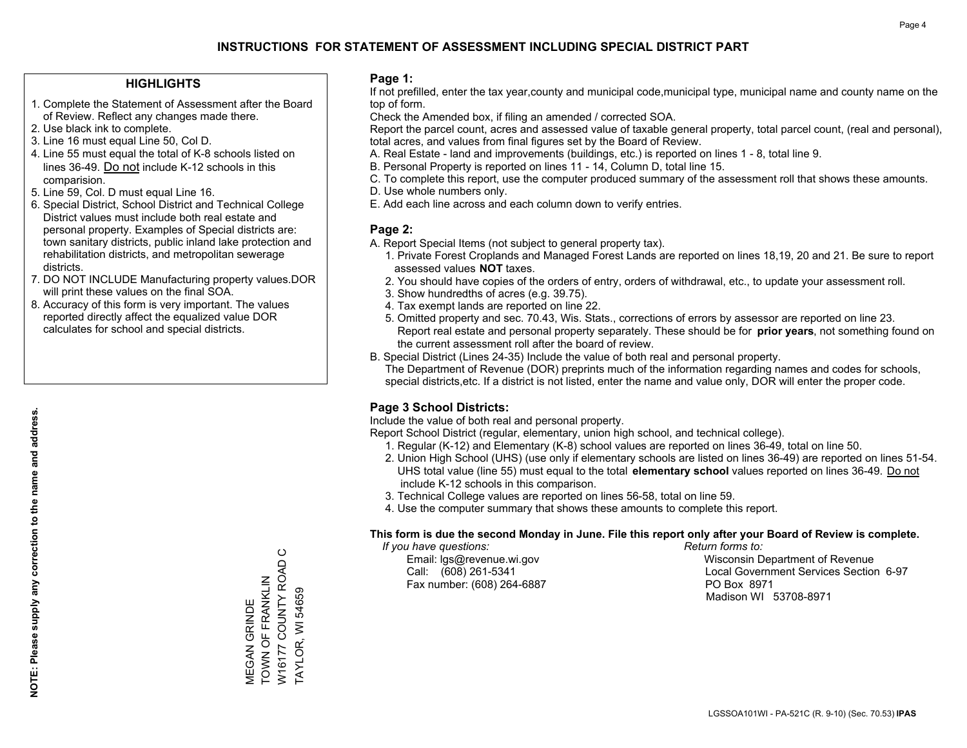#### **HIGHLIGHTS**

- 1. Complete the Statement of Assessment after the Board of Review. Reflect any changes made there.
- 2. Use black ink to complete.
- 3. Line 16 must equal Line 50, Col D.
- 4. Line 55 must equal the total of K-8 schools listed on lines 36-49. Do not include K-12 schools in this comparision.
- 5. Line 59, Col. D must equal Line 16.
- 6. Special District, School District and Technical College District values must include both real estate and personal property. Examples of Special districts are: town sanitary districts, public inland lake protection and rehabilitation districts, and metropolitan sewerage districts.
- 7. DO NOT INCLUDE Manufacturing property values.DOR will print these values on the final SOA.
- 8. Accuracy of this form is very important. The values reported directly affect the equalized value DOR calculates for school and special districts.

#### **Page 1:**

 If not prefilled, enter the tax year,county and municipal code,municipal type, municipal name and county name on the top of form.

Check the Amended box, if filing an amended / corrected SOA.

 Report the parcel count, acres and assessed value of taxable general property, total parcel count, (real and personal), total acres, and values from final figures set by the Board of Review.

- A. Real Estate land and improvements (buildings, etc.) is reported on lines 1 8, total line 9.
- B. Personal Property is reported on lines 11 14, Column D, total line 15.
- C. To complete this report, use the computer produced summary of the assessment roll that shows these amounts.
- D. Use whole numbers only.
- E. Add each line across and each column down to verify entries.

#### **Page 2:**

- A. Report Special Items (not subject to general property tax).
- 1. Private Forest Croplands and Managed Forest Lands are reported on lines 18,19, 20 and 21. Be sure to report assessed values **NOT** taxes.
- 2. You should have copies of the orders of entry, orders of withdrawal, etc., to update your assessment roll.
	- 3. Show hundredths of acres (e.g. 39.75).
- 4. Tax exempt lands are reported on line 22.
- 5. Omitted property and sec. 70.43, Wis. Stats., corrections of errors by assessor are reported on line 23. Report real estate and personal property separately. These should be for **prior years**, not something found on the current assessment roll after the board of review.
- B. Special District (Lines 24-35) Include the value of both real and personal property.
- The Department of Revenue (DOR) preprints much of the information regarding names and codes for schools, special districts,etc. If a district is not listed, enter the name and value only, DOR will enter the proper code.

## **Page 3 School Districts:**

Include the value of both real and personal property.

Report School District (regular, elementary, union high school, and technical college).

- 1. Regular (K-12) and Elementary (K-8) school values are reported on lines 36-49, total on line 50.
- 2. Union High School (UHS) (use only if elementary schools are listed on lines 36-49) are reported on lines 51-54. UHS total value (line 55) must equal to the total **elementary school** values reported on lines 36-49. Do notinclude K-12 schools in this comparison.
- 3. Technical College values are reported on lines 56-58, total on line 59.
- 4. Use the computer summary that shows these amounts to complete this report.

#### **This form is due the second Monday in June. File this report only after your Board of Review is complete.**

 *If you have questions: Return forms to:*

Fax number: (608) 264-6887 PO Box 8971

 Email: lgs@revenue.wi.gov Wisconsin Department of Revenue Call: (608) 261-5341 Local Government Services Section 6-97Madison WI 53708-8971

W16177 COUNTY ROAD C W16177 COUNTY ROAD TOWN OF FRANKLIN TOWN OF FRANKLIN TAYLOR, WI 54659 TAYLOR, WI 54659 **MEGAN GRINDE** MEGAN GRINDE

 $\circ$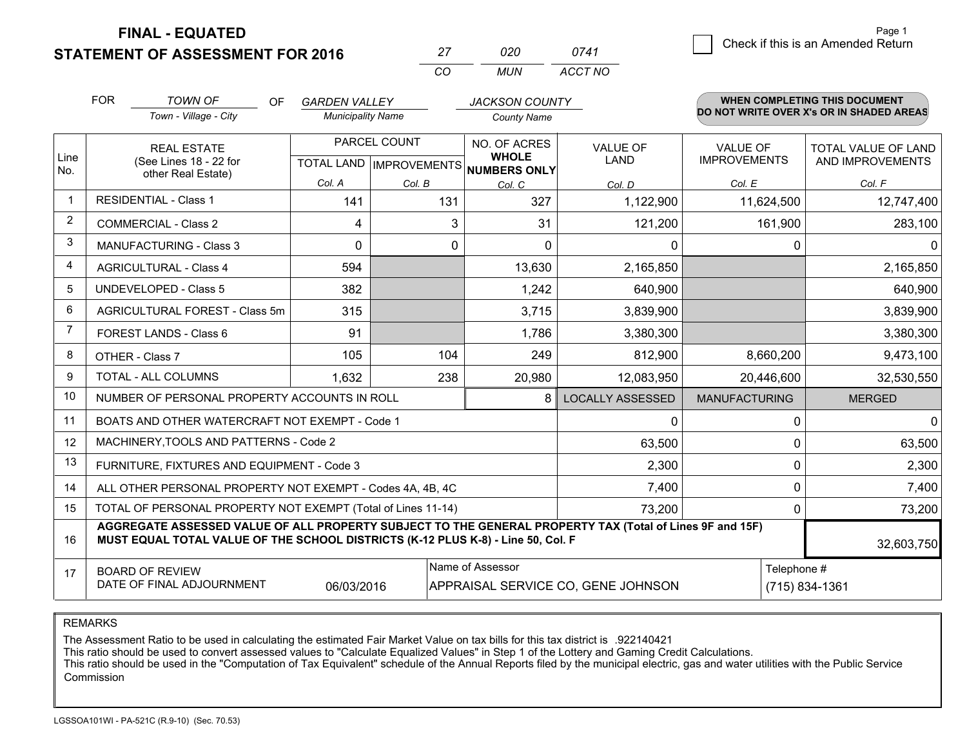**STATEMENT OF ASSESSMENT FOR 2016** 

**FINAL - EQUATED**

| 27  | 020 | 0741    |
|-----|-----|---------|
| CO. | MUN | ACCT NO |

|                | <b>FOR</b>                                                                                                                                                                                   | <b>TOWN OF</b><br>OF.<br>Town - Village - City            | <b>GARDEN VALLEY</b><br><b>Municipality Name</b>     |        | <b>JACKSON COUNTY</b><br><b>County Name</b> |                                |                                        | WHEN COMPLETING THIS DOCUMENT<br>DO NOT WRITE OVER X's OR IN SHADED AREAS |
|----------------|----------------------------------------------------------------------------------------------------------------------------------------------------------------------------------------------|-----------------------------------------------------------|------------------------------------------------------|--------|---------------------------------------------|--------------------------------|----------------------------------------|---------------------------------------------------------------------------|
| Line<br>No.    | <b>REAL ESTATE</b><br>(See Lines 18 - 22 for<br>other Real Estate)                                                                                                                           |                                                           | PARCEL COUNT<br>TOTAL LAND IMPROVEMENTS NUMBERS ONLY |        | NO. OF ACRES<br><b>WHOLE</b>                | <b>VALUE OF</b><br><b>LAND</b> | <b>VALUE OF</b><br><b>IMPROVEMENTS</b> | <b>TOTAL VALUE OF LAND</b><br>AND IMPROVEMENTS                            |
| 1              |                                                                                                                                                                                              | <b>RESIDENTIAL - Class 1</b>                              | Col. A                                               | Col. B | Col. C                                      | Col. D                         | Col. E                                 | Col. F                                                                    |
| 2              |                                                                                                                                                                                              |                                                           | 141                                                  | 131    | 327                                         | 1,122,900                      | 11,624,500                             | 12,747,400                                                                |
|                |                                                                                                                                                                                              | <b>COMMERCIAL - Class 2</b>                               | 4                                                    | 3      | 31                                          | 121,200                        | 161,900                                | 283,100                                                                   |
| 3              |                                                                                                                                                                                              | MANUFACTURING - Class 3                                   | 0                                                    | 0      | $\Omega$                                    | 0                              | 0                                      | 0                                                                         |
| 4              |                                                                                                                                                                                              | <b>AGRICULTURAL - Class 4</b>                             | 594                                                  |        | 13,630                                      | 2,165,850                      |                                        | 2,165,850                                                                 |
| 5              |                                                                                                                                                                                              | <b>UNDEVELOPED - Class 5</b>                              | 382                                                  |        | 1,242                                       | 640,900                        |                                        | 640,900                                                                   |
| 6              |                                                                                                                                                                                              | AGRICULTURAL FOREST - Class 5m                            | 315                                                  |        | 3,715                                       | 3,839,900                      |                                        | 3,839,900                                                                 |
| $\overline{7}$ |                                                                                                                                                                                              | FOREST LANDS - Class 6                                    | 91                                                   |        | 1,786                                       | 3,380,300                      |                                        | 3,380,300                                                                 |
| 8              |                                                                                                                                                                                              | OTHER - Class 7                                           | 105                                                  | 104    | 249                                         | 812,900                        | 8,660,200                              | 9,473,100                                                                 |
| 9              |                                                                                                                                                                                              | TOTAL - ALL COLUMNS                                       | 1,632                                                | 238    | 20,980                                      | 12,083,950                     | 20,446,600                             | 32,530,550                                                                |
| 10             |                                                                                                                                                                                              | NUMBER OF PERSONAL PROPERTY ACCOUNTS IN ROLL              |                                                      |        | 8                                           | <b>LOCALLY ASSESSED</b>        | <b>MANUFACTURING</b>                   | <b>MERGED</b>                                                             |
| 11             |                                                                                                                                                                                              | BOATS AND OTHER WATERCRAFT NOT EXEMPT - Code 1            |                                                      |        |                                             | 0                              | 0                                      | $\mathbf{0}$                                                              |
| 12             |                                                                                                                                                                                              | MACHINERY, TOOLS AND PATTERNS - Code 2                    |                                                      |        |                                             | 63,500                         | $\Omega$                               | 63,500                                                                    |
| 13             |                                                                                                                                                                                              | FURNITURE, FIXTURES AND EQUIPMENT - Code 3                |                                                      |        |                                             | 2,300                          | 0                                      | 2,300                                                                     |
| 14             |                                                                                                                                                                                              | ALL OTHER PERSONAL PROPERTY NOT EXEMPT - Codes 4A, 4B, 4C |                                                      |        |                                             | 7,400                          | 0                                      | 7,400                                                                     |
| 15             | TOTAL OF PERSONAL PROPERTY NOT EXEMPT (Total of Lines 11-14)<br>73,200<br>$\Omega$                                                                                                           |                                                           |                                                      |        |                                             |                                |                                        | 73,200                                                                    |
| 16             | AGGREGATE ASSESSED VALUE OF ALL PROPERTY SUBJECT TO THE GENERAL PROPERTY TAX (Total of Lines 9F and 15F)<br>MUST EQUAL TOTAL VALUE OF THE SCHOOL DISTRICTS (K-12 PLUS K-8) - Line 50, Col. F |                                                           |                                                      |        |                                             |                                | 32,603,750                             |                                                                           |
| 17             | Name of Assessor<br>Telephone #<br><b>BOARD OF REVIEW</b><br>DATE OF FINAL ADJOURNMENT<br>06/03/2016<br>APPRAISAL SERVICE CO, GENE JOHNSON<br>(715) 834-1361                                 |                                                           |                                                      |        |                                             |                                |                                        |                                                                           |

REMARKS

The Assessment Ratio to be used in calculating the estimated Fair Market Value on tax bills for this tax district is .922140421

This ratio should be used to convert assessed values to "Calculate Equalized Values" in Step 1 of the Lottery and Gaming Credit Calculations.

 This ratio should be used in the "Computation of Tax Equivalent" schedule of the Annual Reports filed by the municipal electric, gas and water utilities with the Public Service Commission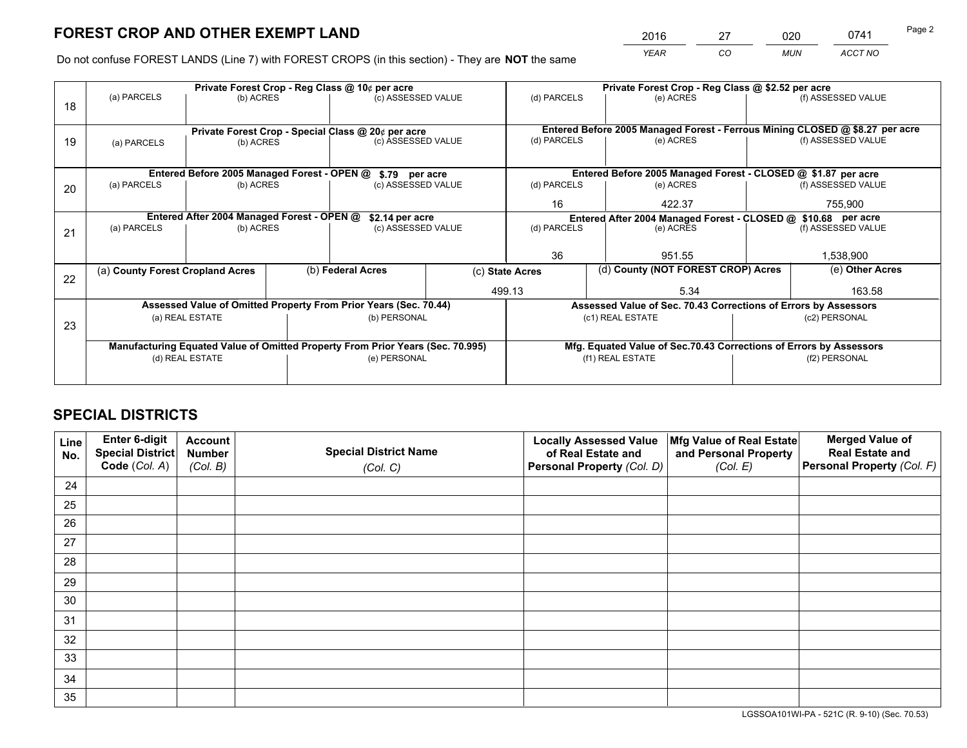*YEAR CO MUN ACCT NO* 2016 27 020 0741

Do not confuse FOREST LANDS (Line 7) with FOREST CROPS (in this section) - They are **NOT** the same

|    |                                                                                |                                             |  | Private Forest Crop - Reg Class @ 10¢ per acre                           |  | Private Forest Crop - Reg Class @ \$2.52 per acre             |                                                                                           |               |                    |
|----|--------------------------------------------------------------------------------|---------------------------------------------|--|--------------------------------------------------------------------------|--|---------------------------------------------------------------|-------------------------------------------------------------------------------------------|---------------|--------------------|
| 18 | (a) PARCELS                                                                    | (b) ACRES                                   |  | (c) ASSESSED VALUE                                                       |  | (d) PARCELS                                                   | (e) ACRES                                                                                 |               | (f) ASSESSED VALUE |
|    |                                                                                |                                             |  |                                                                          |  |                                                               |                                                                                           |               |                    |
| 19 |                                                                                |                                             |  | Private Forest Crop - Special Class @ 20¢ per acre<br>(c) ASSESSED VALUE |  | (d) PARCELS                                                   | Entered Before 2005 Managed Forest - Ferrous Mining CLOSED @ \$8.27 per acre<br>(e) ACRES |               | (f) ASSESSED VALUE |
|    | (a) PARCELS                                                                    | (b) ACRES                                   |  |                                                                          |  |                                                               |                                                                                           |               |                    |
|    |                                                                                |                                             |  |                                                                          |  |                                                               |                                                                                           |               |                    |
|    |                                                                                | Entered Before 2005 Managed Forest - OPEN @ |  | \$.79 per acre                                                           |  |                                                               | Entered Before 2005 Managed Forest - CLOSED @ \$1.87 per acre                             |               |                    |
| 20 | (a) PARCELS                                                                    | (b) ACRES                                   |  | (c) ASSESSED VALUE                                                       |  | (d) PARCELS                                                   | (e) ACRES                                                                                 |               | (f) ASSESSED VALUE |
|    |                                                                                |                                             |  |                                                                          |  | 16                                                            | 422.37                                                                                    |               | 755.900            |
|    |                                                                                |                                             |  |                                                                          |  |                                                               |                                                                                           |               |                    |
|    | Entered After 2004 Managed Forest - OPEN @                                     |                                             |  | \$2.14 per acre                                                          |  | Entered After 2004 Managed Forest - CLOSED @ \$10.68 per acre |                                                                                           |               |                    |
| 21 | (a) PARCELS                                                                    | (b) ACRES                                   |  | (c) ASSESSED VALUE                                                       |  | (d) PARCELS<br>(e) ACRES                                      |                                                                                           |               | (f) ASSESSED VALUE |
|    |                                                                                |                                             |  |                                                                          |  |                                                               |                                                                                           |               |                    |
|    |                                                                                |                                             |  |                                                                          |  | 36<br>951.55                                                  |                                                                                           | 1,538,900     |                    |
|    | (a) County Forest Cropland Acres                                               |                                             |  | (b) Federal Acres                                                        |  | (d) County (NOT FOREST CROP) Acres<br>(c) State Acres         |                                                                                           |               | (e) Other Acres    |
| 22 |                                                                                |                                             |  |                                                                          |  |                                                               |                                                                                           |               |                    |
|    |                                                                                |                                             |  |                                                                          |  | 499.13                                                        | 5.34                                                                                      |               | 163.58             |
|    |                                                                                |                                             |  | Assessed Value of Omitted Property From Prior Years (Sec. 70.44)         |  |                                                               | Assessed Value of Sec. 70.43 Corrections of Errors by Assessors                           |               |                    |
|    |                                                                                | (a) REAL ESTATE                             |  | (b) PERSONAL                                                             |  |                                                               | (c1) REAL ESTATE                                                                          |               | (c2) PERSONAL      |
| 23 |                                                                                |                                             |  |                                                                          |  |                                                               |                                                                                           |               |                    |
|    | Manufacturing Equated Value of Omitted Property From Prior Years (Sec. 70.995) |                                             |  |                                                                          |  |                                                               | Mfg. Equated Value of Sec.70.43 Corrections of Errors by Assessors                        |               |                    |
|    |                                                                                | (d) REAL ESTATE                             |  | (e) PERSONAL                                                             |  | (f1) REAL ESTATE                                              |                                                                                           | (f2) PERSONAL |                    |
|    |                                                                                |                                             |  |                                                                          |  |                                                               |                                                                                           |               |                    |
|    |                                                                                |                                             |  |                                                                          |  |                                                               |                                                                                           |               |                    |

## **SPECIAL DISTRICTS**

| Line<br>No. | Enter 6-digit<br><b>Special District</b> | <b>Account</b><br><b>Number</b> | <b>Special District Name</b> | <b>Locally Assessed Value</b><br>of Real Estate and | Mfg Value of Real Estate<br>and Personal Property | <b>Merged Value of</b><br><b>Real Estate and</b> |
|-------------|------------------------------------------|---------------------------------|------------------------------|-----------------------------------------------------|---------------------------------------------------|--------------------------------------------------|
|             | Code (Col. A)                            | (Col. B)                        | (Col. C)                     | Personal Property (Col. D)                          | (Col. E)                                          | Personal Property (Col. F)                       |
| 24          |                                          |                                 |                              |                                                     |                                                   |                                                  |
| 25          |                                          |                                 |                              |                                                     |                                                   |                                                  |
| 26          |                                          |                                 |                              |                                                     |                                                   |                                                  |
| 27          |                                          |                                 |                              |                                                     |                                                   |                                                  |
| 28          |                                          |                                 |                              |                                                     |                                                   |                                                  |
| 29          |                                          |                                 |                              |                                                     |                                                   |                                                  |
| 30          |                                          |                                 |                              |                                                     |                                                   |                                                  |
| 31          |                                          |                                 |                              |                                                     |                                                   |                                                  |
| 32          |                                          |                                 |                              |                                                     |                                                   |                                                  |
| 33          |                                          |                                 |                              |                                                     |                                                   |                                                  |
| 34          |                                          |                                 |                              |                                                     |                                                   |                                                  |
| 35          |                                          |                                 |                              |                                                     |                                                   |                                                  |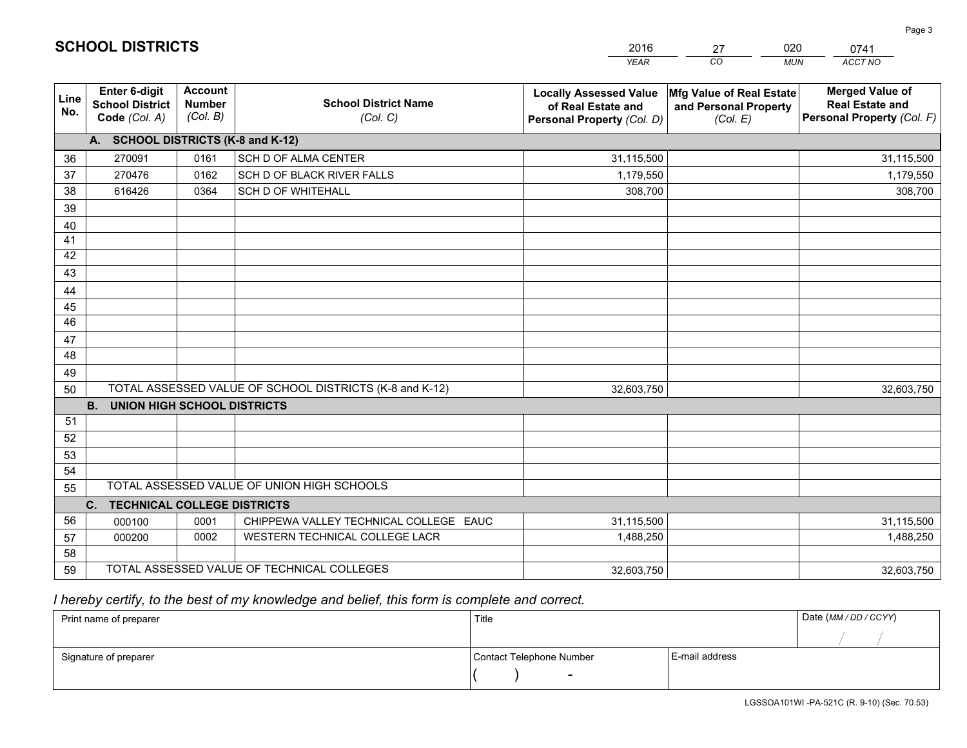|                 |                                                                 |                                             |                                                         | <b>YEAR</b>                                                                       | CO<br><b>MUN</b>                                              | ACCT NO                                                                        |
|-----------------|-----------------------------------------------------------------|---------------------------------------------|---------------------------------------------------------|-----------------------------------------------------------------------------------|---------------------------------------------------------------|--------------------------------------------------------------------------------|
| Line<br>No.     | <b>Enter 6-digit</b><br><b>School District</b><br>Code (Col. A) | <b>Account</b><br><b>Number</b><br>(Col. B) | <b>School District Name</b><br>(Col. C)                 | <b>Locally Assessed Value</b><br>of Real Estate and<br>Personal Property (Col. D) | Mfg Value of Real Estate<br>and Personal Property<br>(Col. E) | <b>Merged Value of</b><br><b>Real Estate and</b><br>Personal Property (Col. F) |
|                 | A. SCHOOL DISTRICTS (K-8 and K-12)                              |                                             |                                                         |                                                                                   |                                                               |                                                                                |
| 36              | 270091                                                          | 0161                                        | SCH D OF ALMA CENTER                                    | 31,115,500                                                                        |                                                               | 31,115,500                                                                     |
| 37              | 270476                                                          | 0162                                        | SCH D OF BLACK RIVER FALLS                              | 1,179,550                                                                         |                                                               | 1,179,550                                                                      |
| 38              | 616426                                                          | 0364                                        | <b>SCH D OF WHITEHALL</b>                               | 308,700                                                                           |                                                               | 308,700                                                                        |
| 39              |                                                                 |                                             |                                                         |                                                                                   |                                                               |                                                                                |
| 40              |                                                                 |                                             |                                                         |                                                                                   |                                                               |                                                                                |
| 41              |                                                                 |                                             |                                                         |                                                                                   |                                                               |                                                                                |
| 42              |                                                                 |                                             |                                                         |                                                                                   |                                                               |                                                                                |
| 43              |                                                                 |                                             |                                                         |                                                                                   |                                                               |                                                                                |
| 44              |                                                                 |                                             |                                                         |                                                                                   |                                                               |                                                                                |
| 45              |                                                                 |                                             |                                                         |                                                                                   |                                                               |                                                                                |
| $\overline{46}$ |                                                                 |                                             |                                                         |                                                                                   |                                                               |                                                                                |
| 47              |                                                                 |                                             |                                                         |                                                                                   |                                                               |                                                                                |
| 48              |                                                                 |                                             |                                                         |                                                                                   |                                                               |                                                                                |
| 49              |                                                                 |                                             |                                                         |                                                                                   |                                                               |                                                                                |
| 50              |                                                                 |                                             | TOTAL ASSESSED VALUE OF SCHOOL DISTRICTS (K-8 and K-12) | 32,603,750                                                                        |                                                               | 32,603,750                                                                     |
|                 | <b>B.</b><br><b>UNION HIGH SCHOOL DISTRICTS</b>                 |                                             |                                                         |                                                                                   |                                                               |                                                                                |
| 51              |                                                                 |                                             |                                                         |                                                                                   |                                                               |                                                                                |
| 52              |                                                                 |                                             |                                                         |                                                                                   |                                                               |                                                                                |
| 53              |                                                                 |                                             |                                                         |                                                                                   |                                                               |                                                                                |
| 54              |                                                                 |                                             |                                                         |                                                                                   |                                                               |                                                                                |
| 55              |                                                                 |                                             | TOTAL ASSESSED VALUE OF UNION HIGH SCHOOLS              |                                                                                   |                                                               |                                                                                |
|                 | C.<br><b>TECHNICAL COLLEGE DISTRICTS</b>                        |                                             |                                                         |                                                                                   |                                                               |                                                                                |
| 56              | 000100                                                          | 0001                                        | CHIPPEWA VALLEY TECHNICAL COLLEGE EAUC                  | 31,115,500                                                                        |                                                               | 31,115,500                                                                     |
| 57              | 000200                                                          | 0002                                        | WESTERN TECHNICAL COLLEGE LACR                          | 1,488,250                                                                         |                                                               | 1,488,250                                                                      |
| 58              |                                                                 |                                             |                                                         |                                                                                   |                                                               |                                                                                |
| 59              |                                                                 |                                             | TOTAL ASSESSED VALUE OF TECHNICAL COLLEGES              | 32,603,750                                                                        |                                                               | 32,603,750                                                                     |

# *I hereby certify, to the best of my knowledge and belief, this form is complete and correct.*

| Print name of preparer | Title                    |                | Date (MM / DD / CCYY) |
|------------------------|--------------------------|----------------|-----------------------|
|                        |                          |                |                       |
| Signature of preparer  | Contact Telephone Number | E-mail address |                       |
|                        | $\overline{\phantom{0}}$ |                |                       |

# **SCHOOL DISTRICTS**

201627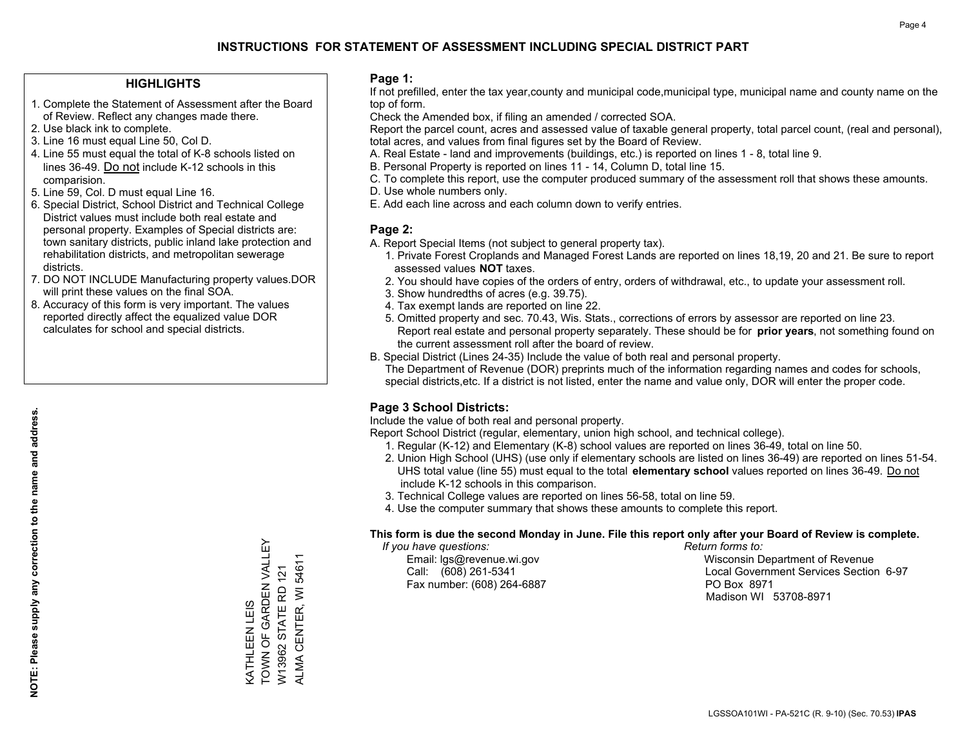### **HIGHLIGHTS**

- 1. Complete the Statement of Assessment after the Board of Review. Reflect any changes made there.
- 2. Use black ink to complete.
- 3. Line 16 must equal Line 50, Col D.
- 4. Line 55 must equal the total of K-8 schools listed on lines 36-49. Do not include K-12 schools in this comparision.
- 5. Line 59, Col. D must equal Line 16.
- 6. Special District, School District and Technical College District values must include both real estate and personal property. Examples of Special districts are: town sanitary districts, public inland lake protection and rehabilitation districts, and metropolitan sewerage districts.
- 7. DO NOT INCLUDE Manufacturing property values.DOR will print these values on the final SOA.
- 8. Accuracy of this form is very important. The values reported directly affect the equalized value DOR calculates for school and special districts.

### **Page 1:**

 If not prefilled, enter the tax year,county and municipal code,municipal type, municipal name and county name on the top of form.

Check the Amended box, if filing an amended / corrected SOA.

 Report the parcel count, acres and assessed value of taxable general property, total parcel count, (real and personal), total acres, and values from final figures set by the Board of Review.

- A. Real Estate land and improvements (buildings, etc.) is reported on lines 1 8, total line 9.
- B. Personal Property is reported on lines 11 14, Column D, total line 15.
- C. To complete this report, use the computer produced summary of the assessment roll that shows these amounts.
- D. Use whole numbers only.
- E. Add each line across and each column down to verify entries.

### **Page 2:**

- A. Report Special Items (not subject to general property tax).
- 1. Private Forest Croplands and Managed Forest Lands are reported on lines 18,19, 20 and 21. Be sure to report assessed values **NOT** taxes.
- 2. You should have copies of the orders of entry, orders of withdrawal, etc., to update your assessment roll.
	- 3. Show hundredths of acres (e.g. 39.75).
- 4. Tax exempt lands are reported on line 22.
- 5. Omitted property and sec. 70.43, Wis. Stats., corrections of errors by assessor are reported on line 23. Report real estate and personal property separately. These should be for **prior years**, not something found on the current assessment roll after the board of review.
- B. Special District (Lines 24-35) Include the value of both real and personal property.

 The Department of Revenue (DOR) preprints much of the information regarding names and codes for schools, special districts,etc. If a district is not listed, enter the name and value only, DOR will enter the proper code.

### **Page 3 School Districts:**

Include the value of both real and personal property.

Report School District (regular, elementary, union high school, and technical college).

- 1. Regular (K-12) and Elementary (K-8) school values are reported on lines 36-49, total on line 50.
- 2. Union High School (UHS) (use only if elementary schools are listed on lines 36-49) are reported on lines 51-54. UHS total value (line 55) must equal to the total **elementary school** values reported on lines 36-49. Do notinclude K-12 schools in this comparison.
- 3. Technical College values are reported on lines 56-58, total on line 59.
- 4. Use the computer summary that shows these amounts to complete this report.

### **This form is due the second Monday in June. File this report only after your Board of Review is complete.**

 *If you have questions: Return forms to:*

Fax number: (608) 264-6887 PO Box 8971

 Email: lgs@revenue.wi.gov Wisconsin Department of Revenue Call: (608) 261-5341 Local Government Services Section 6-97Madison WI 53708-8971

TOWN OF GARDEN VALLEY KATHLEEN LEIS<br>TOWN OF GARDEN VALLEY ALMA CENTER, WI 54611 ALMA CENTER, WI 54611 W13962 STATE RD 121 W13962 STATE RD 121 KATHLEEN LEIS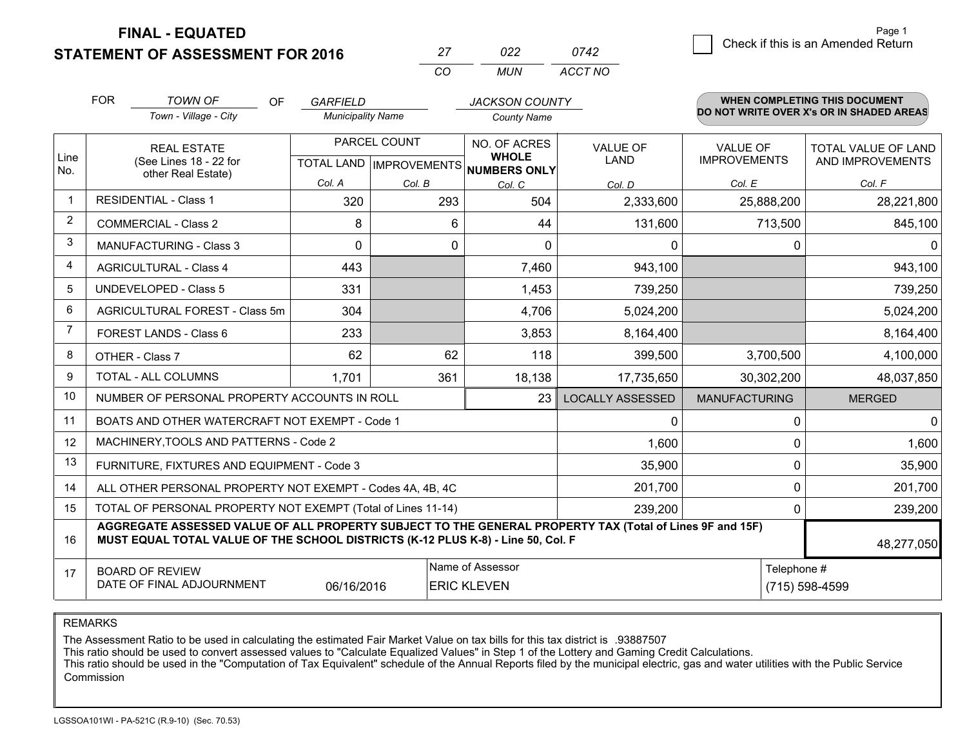**FINAL - EQUATED**

**STATEMENT OF ASSESSMENT FOR 2016** 

|          | כיכיו ז | '42     |
|----------|---------|---------|
| $\cdots$ | MI IN   | ACCT NO |

|                | <b>FOR</b>                                                                                                                                                                                   | <b>TOWN OF</b><br><b>OF</b>                                  | <b>GARFIELD</b>          |              | <b>JACKSON COUNTY</b>                  |                         |                      | WHEN COMPLETING THIS DOCUMENT            |
|----------------|----------------------------------------------------------------------------------------------------------------------------------------------------------------------------------------------|--------------------------------------------------------------|--------------------------|--------------|----------------------------------------|-------------------------|----------------------|------------------------------------------|
|                |                                                                                                                                                                                              | Town - Village - City                                        | <b>Municipality Name</b> |              | <b>County Name</b>                     |                         |                      | DO NOT WRITE OVER X's OR IN SHADED AREAS |
| Line           |                                                                                                                                                                                              | <b>REAL ESTATE</b>                                           |                          | PARCEL COUNT | NO. OF ACRES<br><b>WHOLE</b>           | <b>VALUE OF</b>         | <b>VALUE OF</b>      | <b>TOTAL VALUE OF LAND</b>               |
| No.            |                                                                                                                                                                                              | (See Lines 18 - 22 for<br>other Real Estate)                 |                          |              | TOTAL LAND IMPROVEMENTS NUMBERS ONLY   | <b>LAND</b>             | <b>IMPROVEMENTS</b>  | AND IMPROVEMENTS                         |
|                |                                                                                                                                                                                              |                                                              | Col. A                   | Col. B       | Col. C                                 | Col. D                  | Col. E               | Col. F                                   |
|                |                                                                                                                                                                                              | <b>RESIDENTIAL - Class 1</b>                                 | 320                      | 293          | 504                                    | 2,333,600               | 25,888,200           | 28,221,800                               |
| $\overline{2}$ |                                                                                                                                                                                              | <b>COMMERCIAL - Class 2</b>                                  | 8                        | 6            | 44                                     | 131,600                 | 713,500              | 845,100                                  |
| 3              |                                                                                                                                                                                              | <b>MANUFACTURING - Class 3</b>                               | $\Omega$                 | 0            | $\Omega$                               | 0                       | 0                    | $\mathbf{0}$                             |
| 4              |                                                                                                                                                                                              | <b>AGRICULTURAL - Class 4</b>                                | 443                      |              | 7,460                                  | 943,100                 |                      | 943,100                                  |
| 5              |                                                                                                                                                                                              | <b>UNDEVELOPED - Class 5</b>                                 | 331                      |              | 1,453                                  | 739,250                 |                      | 739,250                                  |
| 6              |                                                                                                                                                                                              | AGRICULTURAL FOREST - Class 5m                               | 304                      |              | 4,706                                  | 5,024,200               |                      | 5,024,200                                |
| 7              |                                                                                                                                                                                              | FOREST LANDS - Class 6                                       | 233                      |              | 3,853                                  | 8,164,400               |                      | 8,164,400                                |
| 8              |                                                                                                                                                                                              | OTHER - Class 7                                              | 62                       | 62           | 118                                    | 399,500                 | 3,700,500            | 4,100,000                                |
| 9              |                                                                                                                                                                                              | TOTAL - ALL COLUMNS                                          | 1,701                    | 361          | 18,138                                 | 17,735,650              | 30,302,200           | 48,037,850                               |
| 10             |                                                                                                                                                                                              | NUMBER OF PERSONAL PROPERTY ACCOUNTS IN ROLL                 |                          |              | 23                                     | <b>LOCALLY ASSESSED</b> | <b>MANUFACTURING</b> | <b>MERGED</b>                            |
| 11             |                                                                                                                                                                                              | BOATS AND OTHER WATERCRAFT NOT EXEMPT - Code 1               |                          |              |                                        | 0                       | 0                    | $\mathbf{0}$                             |
| 12             |                                                                                                                                                                                              | MACHINERY, TOOLS AND PATTERNS - Code 2                       |                          |              |                                        | 1,600                   | $\mathbf 0$          | 1,600                                    |
| 13             |                                                                                                                                                                                              | FURNITURE, FIXTURES AND EQUIPMENT - Code 3                   |                          |              |                                        | 35,900                  | $\mathbf 0$          | 35,900                                   |
| 14             |                                                                                                                                                                                              | ALL OTHER PERSONAL PROPERTY NOT EXEMPT - Codes 4A, 4B, 4C    |                          |              |                                        | 201,700                 | 0                    | 201,700                                  |
| 15             |                                                                                                                                                                                              | TOTAL OF PERSONAL PROPERTY NOT EXEMPT (Total of Lines 11-14) |                          | 239,200      | $\mathbf 0$                            | 239,200                 |                      |                                          |
| 16             | AGGREGATE ASSESSED VALUE OF ALL PROPERTY SUBJECT TO THE GENERAL PROPERTY TAX (Total of Lines 9F and 15F)<br>MUST EQUAL TOTAL VALUE OF THE SCHOOL DISTRICTS (K-12 PLUS K-8) - Line 50, Col. F |                                                              |                          |              |                                        |                         | 48,277,050           |                                          |
| 17             |                                                                                                                                                                                              | <b>BOARD OF REVIEW</b><br>DATE OF FINAL ADJOURNMENT          | 06/16/2016               |              | Name of Assessor<br><b>ERIC KLEVEN</b> |                         | Telephone #          | (715) 598-4599                           |

REMARKS

The Assessment Ratio to be used in calculating the estimated Fair Market Value on tax bills for this tax district is .93887507

This ratio should be used to convert assessed values to "Calculate Equalized Values" in Step 1 of the Lottery and Gaming Credit Calculations.<br>This ratio should be used in the "Computation of Tax Equivalent" schedule of the Commission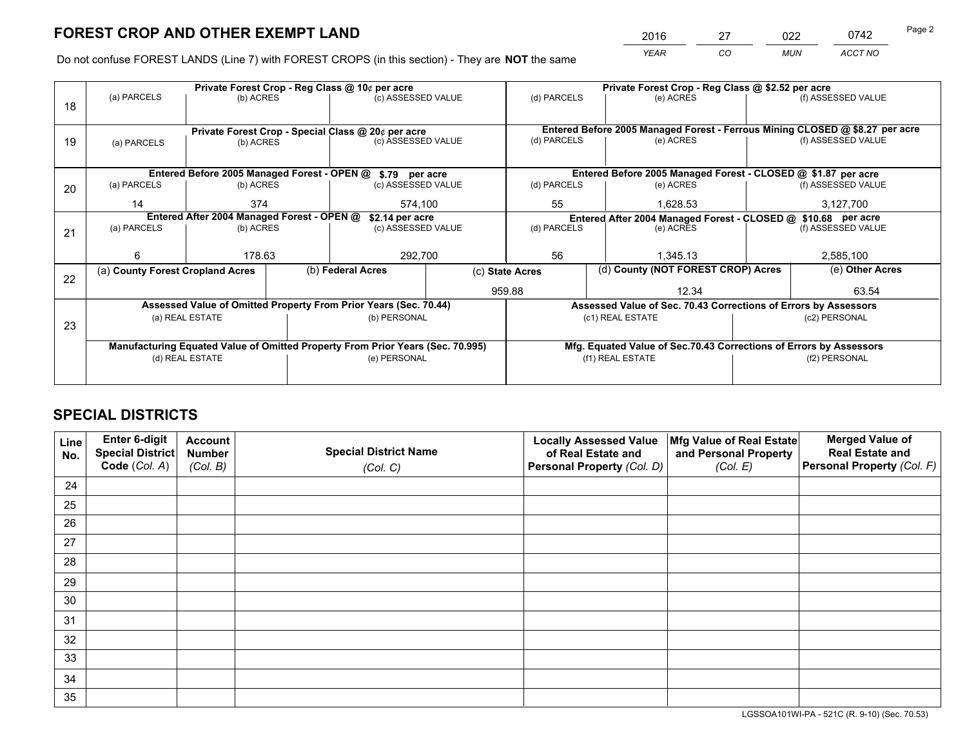*YEAR CO MUN ACCT NO* 2016 27 022 0742

Do not confuse FOREST LANDS (Line 7) with FOREST CROPS (in this section) - They are **NOT** the same

|    |                                                    |                                             |  | Private Forest Crop - Reg Class @ 10¢ per acre                                 |                                                                              | Private Forest Crop - Reg Class @ \$2.52 per acre             |                                                                    |  |                    |  |
|----|----------------------------------------------------|---------------------------------------------|--|--------------------------------------------------------------------------------|------------------------------------------------------------------------------|---------------------------------------------------------------|--------------------------------------------------------------------|--|--------------------|--|
| 18 | (a) PARCELS                                        | (b) ACRES                                   |  | (c) ASSESSED VALUE                                                             |                                                                              | (d) PARCELS                                                   | (e) ACRES                                                          |  | (f) ASSESSED VALUE |  |
|    |                                                    |                                             |  |                                                                                |                                                                              |                                                               |                                                                    |  |                    |  |
|    | Private Forest Crop - Special Class @ 20¢ per acre |                                             |  |                                                                                | Entered Before 2005 Managed Forest - Ferrous Mining CLOSED @ \$8.27 per acre |                                                               |                                                                    |  |                    |  |
| 19 | (a) PARCELS                                        | (b) ACRES                                   |  | (c) ASSESSED VALUE                                                             |                                                                              | (d) PARCELS                                                   | (e) ACRES                                                          |  | (f) ASSESSED VALUE |  |
|    |                                                    |                                             |  |                                                                                |                                                                              |                                                               |                                                                    |  |                    |  |
|    |                                                    | Entered Before 2005 Managed Forest - OPEN @ |  | \$.79 per acre                                                                 |                                                                              |                                                               | Entered Before 2005 Managed Forest - CLOSED @ \$1.87 per acre      |  |                    |  |
| 20 | (a) PARCELS                                        | (b) ACRES                                   |  | (c) ASSESSED VALUE                                                             |                                                                              | (d) PARCELS                                                   | (e) ACRES                                                          |  | (f) ASSESSED VALUE |  |
|    | 14                                                 | 374                                         |  | 574,100                                                                        |                                                                              | 55<br>1.628.53                                                |                                                                    |  | 3,127,700          |  |
|    | Entered After 2004 Managed Forest - OPEN @         |                                             |  | \$2.14 per acre                                                                |                                                                              | Entered After 2004 Managed Forest - CLOSED @ \$10.68 per acre |                                                                    |  |                    |  |
| 21 | (a) PARCELS                                        | (b) ACRES                                   |  | (c) ASSESSED VALUE                                                             | (d) PARCELS                                                                  |                                                               | (e) ACRES                                                          |  | (f) ASSESSED VALUE |  |
|    |                                                    |                                             |  |                                                                                |                                                                              |                                                               |                                                                    |  |                    |  |
|    | ี                                                  | 178.63                                      |  | 292,700                                                                        |                                                                              | 56<br>1,345.13                                                |                                                                    |  | 2,585,100          |  |
| 22 | (a) County Forest Cropland Acres                   |                                             |  | (b) Federal Acres                                                              | (c) State Acres                                                              |                                                               | (d) County (NOT FOREST CROP) Acres                                 |  | (e) Other Acres    |  |
|    |                                                    |                                             |  |                                                                                |                                                                              | 959.88                                                        | 12.34                                                              |  | 63.54              |  |
|    |                                                    |                                             |  | Assessed Value of Omitted Property From Prior Years (Sec. 70.44)               |                                                                              |                                                               | Assessed Value of Sec. 70.43 Corrections of Errors by Assessors    |  |                    |  |
| 23 |                                                    | (a) REAL ESTATE                             |  | (b) PERSONAL                                                                   |                                                                              |                                                               | (c1) REAL ESTATE                                                   |  | (c2) PERSONAL      |  |
|    |                                                    |                                             |  |                                                                                |                                                                              |                                                               |                                                                    |  |                    |  |
|    |                                                    |                                             |  | Manufacturing Equated Value of Omitted Property From Prior Years (Sec. 70.995) |                                                                              |                                                               | Mfg. Equated Value of Sec.70.43 Corrections of Errors by Assessors |  |                    |  |
|    | (d) REAL ESTATE                                    |                                             |  | (e) PERSONAL                                                                   |                                                                              | (f1) REAL ESTATE                                              |                                                                    |  | (f2) PERSONAL      |  |
|    |                                                    |                                             |  |                                                                                |                                                                              |                                                               |                                                                    |  |                    |  |

## **SPECIAL DISTRICTS**

| Line<br>No. | Enter 6-digit<br>Special District<br>Code (Col. A) | <b>Account</b><br><b>Number</b> | <b>Special District Name</b> | <b>Locally Assessed Value</b><br>of Real Estate and | Mfg Value of Real Estate<br>and Personal Property | <b>Merged Value of</b><br><b>Real Estate and</b><br>Personal Property (Col. F) |
|-------------|----------------------------------------------------|---------------------------------|------------------------------|-----------------------------------------------------|---------------------------------------------------|--------------------------------------------------------------------------------|
|             |                                                    | (Col. B)                        | (Col. C)                     | Personal Property (Col. D)                          | (Col. E)                                          |                                                                                |
| 24          |                                                    |                                 |                              |                                                     |                                                   |                                                                                |
| 25          |                                                    |                                 |                              |                                                     |                                                   |                                                                                |
| 26          |                                                    |                                 |                              |                                                     |                                                   |                                                                                |
| 27          |                                                    |                                 |                              |                                                     |                                                   |                                                                                |
| 28          |                                                    |                                 |                              |                                                     |                                                   |                                                                                |
| 29          |                                                    |                                 |                              |                                                     |                                                   |                                                                                |
| 30          |                                                    |                                 |                              |                                                     |                                                   |                                                                                |
| 31          |                                                    |                                 |                              |                                                     |                                                   |                                                                                |
| 32          |                                                    |                                 |                              |                                                     |                                                   |                                                                                |
| 33          |                                                    |                                 |                              |                                                     |                                                   |                                                                                |
| 34          |                                                    |                                 |                              |                                                     |                                                   |                                                                                |
| 35          |                                                    |                                 |                              |                                                     |                                                   |                                                                                |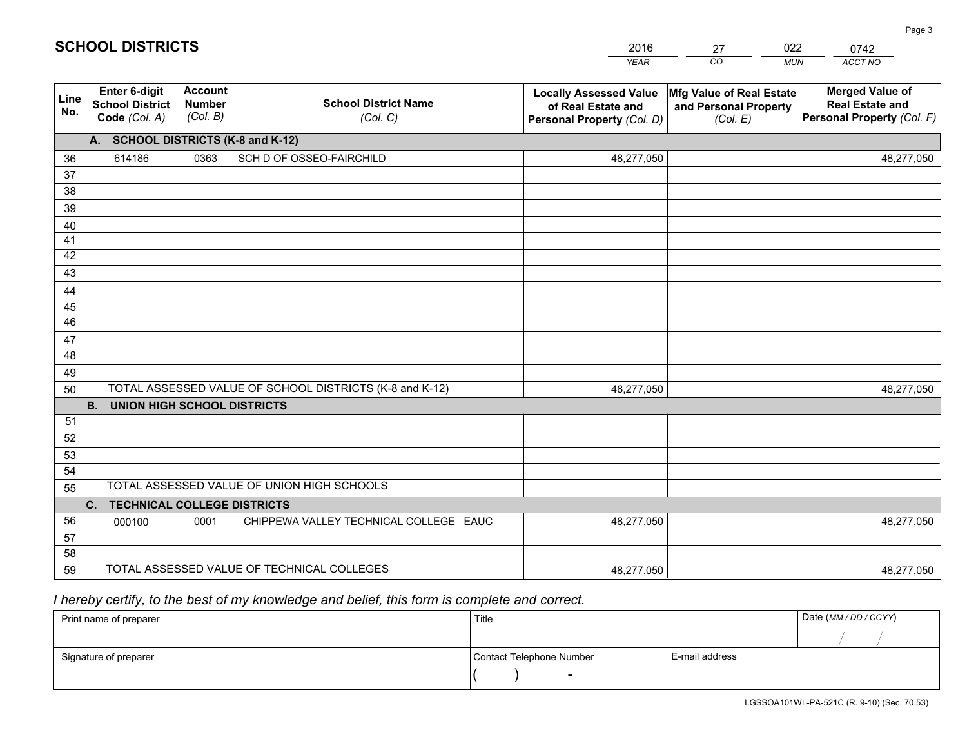|             |                                                          |                                             |                                                         | <b>YEAR</b>                                                                       | CO<br><b>MUN</b>                                              | ACCT NO                                                                        |
|-------------|----------------------------------------------------------|---------------------------------------------|---------------------------------------------------------|-----------------------------------------------------------------------------------|---------------------------------------------------------------|--------------------------------------------------------------------------------|
| Line<br>No. | Enter 6-digit<br><b>School District</b><br>Code (Col. A) | <b>Account</b><br><b>Number</b><br>(Col. B) | <b>School District Name</b><br>(Col. C)                 | <b>Locally Assessed Value</b><br>of Real Estate and<br>Personal Property (Col. D) | Mfg Value of Real Estate<br>and Personal Property<br>(Col. E) | <b>Merged Value of</b><br><b>Real Estate and</b><br>Personal Property (Col. F) |
|             | A. SCHOOL DISTRICTS (K-8 and K-12)                       |                                             |                                                         |                                                                                   |                                                               |                                                                                |
| 36          | 614186                                                   | 0363                                        | SCH D OF OSSEO-FAIRCHILD                                | 48,277,050                                                                        |                                                               | 48,277,050                                                                     |
| 37          |                                                          |                                             |                                                         |                                                                                   |                                                               |                                                                                |
| 38          |                                                          |                                             |                                                         |                                                                                   |                                                               |                                                                                |
| 39          |                                                          |                                             |                                                         |                                                                                   |                                                               |                                                                                |
| 40          |                                                          |                                             |                                                         |                                                                                   |                                                               |                                                                                |
| 41          |                                                          |                                             |                                                         |                                                                                   |                                                               |                                                                                |
| 42          |                                                          |                                             |                                                         |                                                                                   |                                                               |                                                                                |
| 43          |                                                          |                                             |                                                         |                                                                                   |                                                               |                                                                                |
| 44<br>45    |                                                          |                                             |                                                         |                                                                                   |                                                               |                                                                                |
| 46          |                                                          |                                             |                                                         |                                                                                   |                                                               |                                                                                |
| 47          |                                                          |                                             |                                                         |                                                                                   |                                                               |                                                                                |
| 48          |                                                          |                                             |                                                         |                                                                                   |                                                               |                                                                                |
| 49          |                                                          |                                             |                                                         |                                                                                   |                                                               |                                                                                |
| 50          |                                                          |                                             | TOTAL ASSESSED VALUE OF SCHOOL DISTRICTS (K-8 and K-12) | 48,277,050                                                                        |                                                               | 48,277,050                                                                     |
|             | <b>B.</b><br><b>UNION HIGH SCHOOL DISTRICTS</b>          |                                             |                                                         |                                                                                   |                                                               |                                                                                |
| 51          |                                                          |                                             |                                                         |                                                                                   |                                                               |                                                                                |
| 52          |                                                          |                                             |                                                         |                                                                                   |                                                               |                                                                                |
| 53          |                                                          |                                             |                                                         |                                                                                   |                                                               |                                                                                |
| 54          |                                                          |                                             |                                                         |                                                                                   |                                                               |                                                                                |
| 55          |                                                          |                                             | TOTAL ASSESSED VALUE OF UNION HIGH SCHOOLS              |                                                                                   |                                                               |                                                                                |
|             | C. TECHNICAL COLLEGE DISTRICTS                           |                                             |                                                         |                                                                                   |                                                               |                                                                                |
| 56          | 000100                                                   | 0001                                        | CHIPPEWA VALLEY TECHNICAL COLLEGE EAUC                  | 48,277,050                                                                        |                                                               | 48,277,050                                                                     |
| 57          |                                                          |                                             |                                                         |                                                                                   |                                                               |                                                                                |
| 58<br>59    |                                                          |                                             | TOTAL ASSESSED VALUE OF TECHNICAL COLLEGES              | 48,277,050                                                                        |                                                               | 48,277,050                                                                     |
|             |                                                          |                                             |                                                         |                                                                                   |                                                               |                                                                                |

27

022

 *I hereby certify, to the best of my knowledge and belief, this form is complete and correct.*

**SCHOOL DISTRICTS**

| Print name of preparer | Title                    |                | Date (MM / DD / CCYY) |
|------------------------|--------------------------|----------------|-----------------------|
|                        |                          |                |                       |
| Signature of preparer  | Contact Telephone Number | E-mail address |                       |
|                        |                          |                |                       |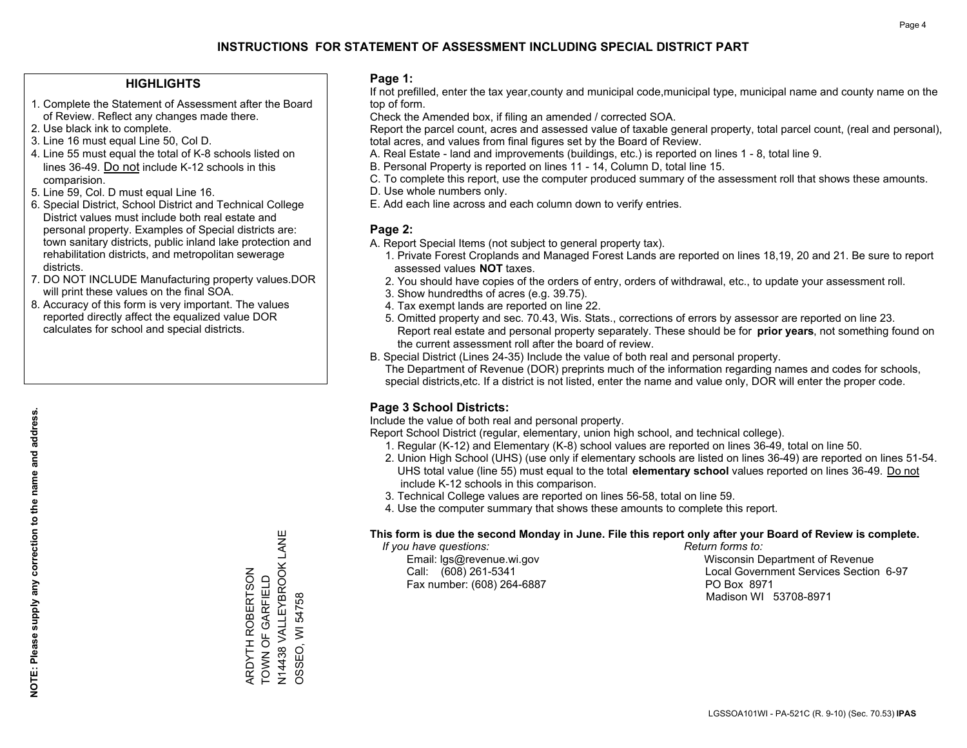### **HIGHLIGHTS**

- 1. Complete the Statement of Assessment after the Board of Review. Reflect any changes made there.
- 2. Use black ink to complete.
- 3. Line 16 must equal Line 50, Col D.
- 4. Line 55 must equal the total of K-8 schools listed on lines 36-49. Do not include K-12 schools in this comparision.
- 5. Line 59, Col. D must equal Line 16.
- 6. Special District, School District and Technical College District values must include both real estate and personal property. Examples of Special districts are: town sanitary districts, public inland lake protection and rehabilitation districts, and metropolitan sewerage districts.
- 7. DO NOT INCLUDE Manufacturing property values.DOR will print these values on the final SOA.

ARDYTH ROBERTSON TOWN OF GARFIELD

ARDYTH ROBERTSON<br>TOWN OF GARFIELD

N14438 VALLEYBROOK LANE

N14438 VALLEYBROOK LANE<br>OSSEO, WI 54758

OSSEO, WI 54758

 8. Accuracy of this form is very important. The values reported directly affect the equalized value DOR calculates for school and special districts.

### **Page 1:**

 If not prefilled, enter the tax year,county and municipal code,municipal type, municipal name and county name on the top of form.

Check the Amended box, if filing an amended / corrected SOA.

 Report the parcel count, acres and assessed value of taxable general property, total parcel count, (real and personal), total acres, and values from final figures set by the Board of Review.

- A. Real Estate land and improvements (buildings, etc.) is reported on lines 1 8, total line 9.
- B. Personal Property is reported on lines 11 14, Column D, total line 15.
- C. To complete this report, use the computer produced summary of the assessment roll that shows these amounts.
- D. Use whole numbers only.
- E. Add each line across and each column down to verify entries.

### **Page 2:**

- A. Report Special Items (not subject to general property tax).
- 1. Private Forest Croplands and Managed Forest Lands are reported on lines 18,19, 20 and 21. Be sure to report assessed values **NOT** taxes.
- 2. You should have copies of the orders of entry, orders of withdrawal, etc., to update your assessment roll.
	- 3. Show hundredths of acres (e.g. 39.75).
- 4. Tax exempt lands are reported on line 22.
- 5. Omitted property and sec. 70.43, Wis. Stats., corrections of errors by assessor are reported on line 23. Report real estate and personal property separately. These should be for **prior years**, not something found on the current assessment roll after the board of review.
- B. Special District (Lines 24-35) Include the value of both real and personal property.
- The Department of Revenue (DOR) preprints much of the information regarding names and codes for schools, special districts,etc. If a district is not listed, enter the name and value only, DOR will enter the proper code.

### **Page 3 School Districts:**

Include the value of both real and personal property.

Report School District (regular, elementary, union high school, and technical college).

- 1. Regular (K-12) and Elementary (K-8) school values are reported on lines 36-49, total on line 50.
- 2. Union High School (UHS) (use only if elementary schools are listed on lines 36-49) are reported on lines 51-54. UHS total value (line 55) must equal to the total **elementary school** values reported on lines 36-49. Do notinclude K-12 schools in this comparison.
- 3. Technical College values are reported on lines 56-58, total on line 59.
- 4. Use the computer summary that shows these amounts to complete this report.

### **This form is due the second Monday in June. File this report only after your Board of Review is complete.**

 *If you have questions: Return forms to:*

Fax number: (608) 264-6887 PO Box 8971

 Email: lgs@revenue.wi.gov Wisconsin Department of Revenue Call: (608) 261-5341 Local Government Services Section 6-97Madison WI 53708-8971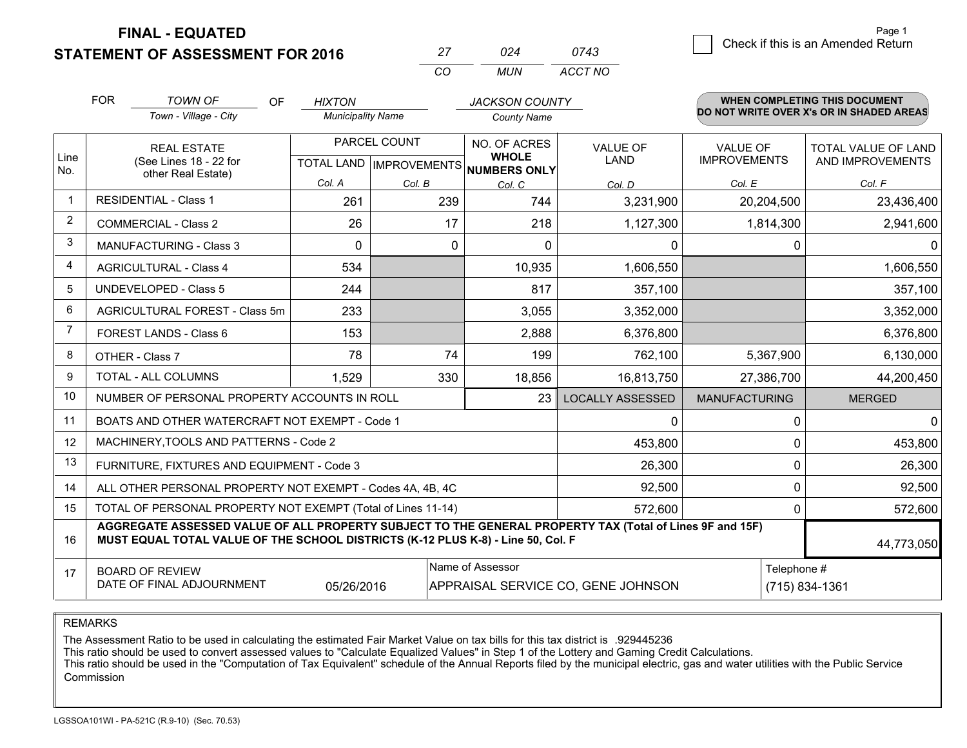**FINAL - EQUATED**

**STATEMENT OF ASSESSMENT FOR 2016** 

|          | በጋ4 | 0743    |
|----------|-----|---------|
| $\cdots$ | MUN | ACCT NO |

|             | <b>FOR</b>                                                                                                                                                   | <b>TOWN OF</b><br><b>OF</b>                                                                                                                                                                  | <b>HIXTON</b>                             |        | <b>JACKSON COUNTY</b>                               |                         |                                        | WHEN COMPLETING THIS DOCUMENT                  |
|-------------|--------------------------------------------------------------------------------------------------------------------------------------------------------------|----------------------------------------------------------------------------------------------------------------------------------------------------------------------------------------------|-------------------------------------------|--------|-----------------------------------------------------|-------------------------|----------------------------------------|------------------------------------------------|
|             |                                                                                                                                                              | Town - Village - City                                                                                                                                                                        | <b>Municipality Name</b>                  |        | <b>County Name</b>                                  |                         |                                        | DO NOT WRITE OVER X's OR IN SHADED AREAS       |
| Line<br>No. |                                                                                                                                                              | <b>REAL ESTATE</b><br>(See Lines 18 - 22 for                                                                                                                                                 | PARCEL COUNT<br>TOTAL LAND   IMPROVEMENTS |        | NO. OF ACRES<br><b>WHOLE</b><br><b>NUMBERS ONLY</b> | <b>VALUE OF</b><br>LAND | <b>VALUE OF</b><br><b>IMPROVEMENTS</b> | <b>TOTAL VALUE OF LAND</b><br>AND IMPROVEMENTS |
|             |                                                                                                                                                              | other Real Estate)                                                                                                                                                                           | Col. A                                    | Col. B | Col. C                                              | Col. D                  | Col. E                                 | Col. F                                         |
|             |                                                                                                                                                              | RESIDENTIAL - Class 1                                                                                                                                                                        | 261                                       | 239    | 744                                                 | 3,231,900               | 20,204,500                             | 23,436,400                                     |
| 2           |                                                                                                                                                              | <b>COMMERCIAL - Class 2</b>                                                                                                                                                                  | 26                                        | 17     | 218                                                 | 1,127,300               | 1,814,300                              | 2,941,600                                      |
| 3           |                                                                                                                                                              | <b>MANUFACTURING - Class 3</b>                                                                                                                                                               | $\Omega$                                  | 0      | $\Omega$                                            | 0                       | 0                                      |                                                |
| 4           |                                                                                                                                                              | <b>AGRICULTURAL - Class 4</b>                                                                                                                                                                | 534                                       |        | 10,935                                              | 1,606,550               |                                        | 1,606,550                                      |
| 5           |                                                                                                                                                              | <b>UNDEVELOPED - Class 5</b>                                                                                                                                                                 | 244                                       |        | 817                                                 | 357,100                 |                                        | 357,100                                        |
| 6           |                                                                                                                                                              | AGRICULTURAL FOREST - Class 5m                                                                                                                                                               | 233                                       |        | 3,055                                               | 3,352,000               |                                        | 3,352,000                                      |
| 7           |                                                                                                                                                              | FOREST LANDS - Class 6                                                                                                                                                                       | 153                                       |        | 2,888                                               | 6,376,800               |                                        | 6,376,800                                      |
| 8           |                                                                                                                                                              | OTHER - Class 7                                                                                                                                                                              | 78                                        | 74     | 199                                                 | 762,100                 | 5,367,900                              | 6,130,000                                      |
| 9           |                                                                                                                                                              | TOTAL - ALL COLUMNS                                                                                                                                                                          | 1,529                                     | 330    | 18,856                                              | 16,813,750              | 27,386,700                             | 44,200,450                                     |
| 10          |                                                                                                                                                              | NUMBER OF PERSONAL PROPERTY ACCOUNTS IN ROLL                                                                                                                                                 |                                           |        | 23                                                  | <b>LOCALLY ASSESSED</b> | <b>MANUFACTURING</b>                   | <b>MERGED</b>                                  |
| 11          |                                                                                                                                                              | BOATS AND OTHER WATERCRAFT NOT EXEMPT - Code 1                                                                                                                                               |                                           |        |                                                     | 0                       | 0                                      |                                                |
| 12          |                                                                                                                                                              | MACHINERY, TOOLS AND PATTERNS - Code 2                                                                                                                                                       |                                           |        |                                                     | 453,800                 | 0                                      | 453,800                                        |
| 13          |                                                                                                                                                              | FURNITURE, FIXTURES AND EQUIPMENT - Code 3                                                                                                                                                   |                                           |        |                                                     | 26,300                  | 0                                      | 26,300                                         |
| 14          |                                                                                                                                                              | ALL OTHER PERSONAL PROPERTY NOT EXEMPT - Codes 4A, 4B, 4C                                                                                                                                    |                                           |        |                                                     | 92,500                  | 0                                      | 92,500                                         |
| 15          | TOTAL OF PERSONAL PROPERTY NOT EXEMPT (Total of Lines 11-14)<br>572,600                                                                                      |                                                                                                                                                                                              |                                           |        |                                                     |                         | 0                                      | 572,600                                        |
| 16          |                                                                                                                                                              | AGGREGATE ASSESSED VALUE OF ALL PROPERTY SUBJECT TO THE GENERAL PROPERTY TAX (Total of Lines 9F and 15F)<br>MUST EQUAL TOTAL VALUE OF THE SCHOOL DISTRICTS (K-12 PLUS K-8) - Line 50, Col. F |                                           |        |                                                     |                         |                                        | 44,773,050                                     |
| 17          | Name of Assessor<br>Telephone #<br><b>BOARD OF REVIEW</b><br>DATE OF FINAL ADJOURNMENT<br>(715) 834-1361<br>05/26/2016<br>APPRAISAL SERVICE CO, GENE JOHNSON |                                                                                                                                                                                              |                                           |        |                                                     |                         |                                        |                                                |

REMARKS

The Assessment Ratio to be used in calculating the estimated Fair Market Value on tax bills for this tax district is .929445236<br>This ratio should be used to convert assessed values to "Calculate Equalized Values" in Step 1 Commission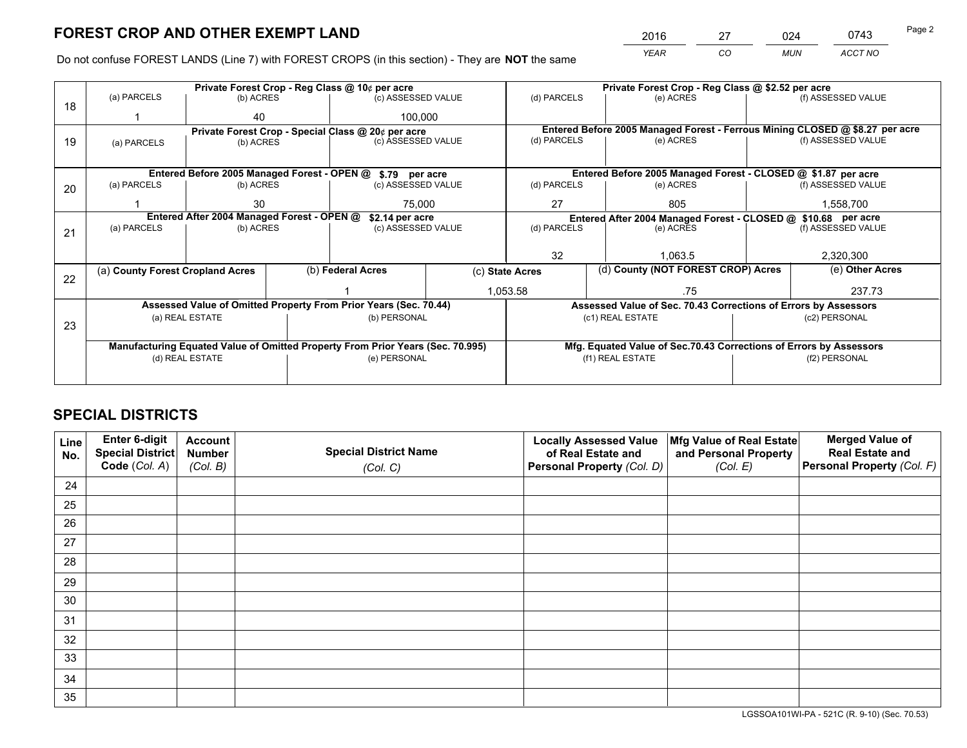*YEAR CO MUN ACCT NO* 2016 27 024 0743 Page 2

Do not confuse FOREST LANDS (Line 7) with FOREST CROPS (in this section) - They are **NOT** the same

|    |                                                                                |                 |             | Private Forest Crop - Reg Class @ 10¢ per acre                   |             | Private Forest Crop - Reg Class @ \$2.52 per acre |                                                                    |                 |                                                                              |  |
|----|--------------------------------------------------------------------------------|-----------------|-------------|------------------------------------------------------------------|-------------|---------------------------------------------------|--------------------------------------------------------------------|-----------------|------------------------------------------------------------------------------|--|
| 18 | (a) PARCELS                                                                    | (b) ACRES       |             | (c) ASSESSED VALUE                                               |             | (d) PARCELS                                       | (e) ACRES                                                          |                 | (f) ASSESSED VALUE                                                           |  |
|    |                                                                                | 40              | 100,000     |                                                                  |             |                                                   |                                                                    |                 |                                                                              |  |
|    | Private Forest Crop - Special Class @ 20¢ per acre                             |                 |             |                                                                  |             |                                                   |                                                                    |                 | Entered Before 2005 Managed Forest - Ferrous Mining CLOSED @ \$8.27 per acre |  |
| 19 | (c) ASSESSED VALUE<br>(b) ACRES<br>(a) PARCELS                                 |                 | (d) PARCELS | (e) ACRES                                                        |             | (f) ASSESSED VALUE                                |                                                                    |                 |                                                                              |  |
|    |                                                                                |                 |             |                                                                  |             |                                                   |                                                                    |                 |                                                                              |  |
|    |                                                                                |                 |             | Entered Before 2005 Managed Forest - OPEN @ \$.79 per acre       |             |                                                   | Entered Before 2005 Managed Forest - CLOSED @ \$1.87 per acre      |                 |                                                                              |  |
| 20 | (a) PARCELS                                                                    | (b) ACRES       |             | (c) ASSESSED VALUE                                               |             | (d) PARCELS                                       | (e) ACRES                                                          |                 | (f) ASSESSED VALUE                                                           |  |
|    |                                                                                | 30<br>75.000    |             |                                                                  | 27<br>805   |                                                   |                                                                    | 1,558,700       |                                                                              |  |
|    | Entered After 2004 Managed Forest - OPEN @<br>\$2.14 per acre                  |                 |             |                                                                  |             |                                                   | Entered After 2004 Managed Forest - CLOSED @ \$10.68 per acre      |                 |                                                                              |  |
| 21 | (a) PARCELS                                                                    | (b) ACRES       |             | (c) ASSESSED VALUE                                               | (d) PARCELS |                                                   | (e) ACRES                                                          |                 |                                                                              |  |
|    |                                                                                |                 |             |                                                                  |             |                                                   |                                                                    |                 |                                                                              |  |
|    |                                                                                |                 |             |                                                                  |             | 32<br>1.063.5                                     |                                                                    |                 | 2,320,300                                                                    |  |
| 22 | (a) County Forest Cropland Acres                                               |                 |             | (b) Federal Acres<br>(c) State Acres                             |             | (d) County (NOT FOREST CROP) Acres                |                                                                    | (e) Other Acres |                                                                              |  |
|    |                                                                                |                 |             | 1,053.58                                                         |             | .75                                               |                                                                    |                 |                                                                              |  |
|    |                                                                                |                 |             | Assessed Value of Omitted Property From Prior Years (Sec. 70.44) |             |                                                   | Assessed Value of Sec. 70.43 Corrections of Errors by Assessors    |                 |                                                                              |  |
| 23 |                                                                                | (a) REAL ESTATE |             | (b) PERSONAL                                                     |             |                                                   | (c1) REAL ESTATE                                                   |                 | (c2) PERSONAL                                                                |  |
|    |                                                                                |                 |             |                                                                  |             |                                                   |                                                                    |                 |                                                                              |  |
|    | Manufacturing Equated Value of Omitted Property From Prior Years (Sec. 70.995) |                 |             |                                                                  |             |                                                   | Mfg. Equated Value of Sec.70.43 Corrections of Errors by Assessors |                 |                                                                              |  |
|    | (e) PERSONAL<br>(d) REAL ESTATE                                                |                 |             | (f1) REAL ESTATE<br>(f2) PERSONAL                                |             |                                                   |                                                                    |                 |                                                                              |  |
|    |                                                                                |                 |             |                                                                  |             |                                                   |                                                                    |                 |                                                                              |  |

## **SPECIAL DISTRICTS**

| Line<br>No. | Enter 6-digit<br>Special District<br>Code (Col. A) | <b>Account</b><br><b>Number</b> | <b>Special District Name</b> | <b>Locally Assessed Value</b><br>of Real Estate and | Mfg Value of Real Estate<br>and Personal Property | <b>Merged Value of</b><br><b>Real Estate and</b><br>Personal Property (Col. F) |
|-------------|----------------------------------------------------|---------------------------------|------------------------------|-----------------------------------------------------|---------------------------------------------------|--------------------------------------------------------------------------------|
|             |                                                    | (Col. B)                        | (Col. C)                     | Personal Property (Col. D)                          | (Col. E)                                          |                                                                                |
| 24          |                                                    |                                 |                              |                                                     |                                                   |                                                                                |
| 25          |                                                    |                                 |                              |                                                     |                                                   |                                                                                |
| 26          |                                                    |                                 |                              |                                                     |                                                   |                                                                                |
| 27          |                                                    |                                 |                              |                                                     |                                                   |                                                                                |
| 28          |                                                    |                                 |                              |                                                     |                                                   |                                                                                |
| 29          |                                                    |                                 |                              |                                                     |                                                   |                                                                                |
| 30          |                                                    |                                 |                              |                                                     |                                                   |                                                                                |
| 31          |                                                    |                                 |                              |                                                     |                                                   |                                                                                |
| 32          |                                                    |                                 |                              |                                                     |                                                   |                                                                                |
| 33          |                                                    |                                 |                              |                                                     |                                                   |                                                                                |
| 34          |                                                    |                                 |                              |                                                     |                                                   |                                                                                |
| 35          |                                                    |                                 |                              |                                                     |                                                   |                                                                                |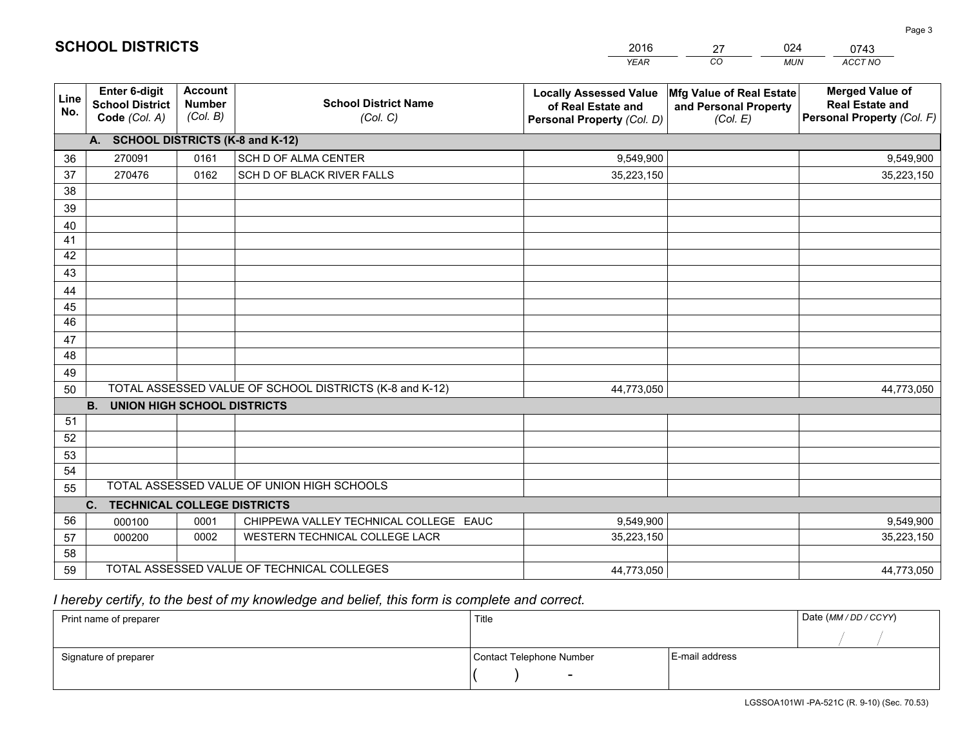|                 |                                                                 |                                             |                                                         | <b>YEAR</b>                                                                       | CO<br><b>MUN</b>                                              | ACCT NO                                                                        |
|-----------------|-----------------------------------------------------------------|---------------------------------------------|---------------------------------------------------------|-----------------------------------------------------------------------------------|---------------------------------------------------------------|--------------------------------------------------------------------------------|
| Line<br>No.     | <b>Enter 6-digit</b><br><b>School District</b><br>Code (Col. A) | <b>Account</b><br><b>Number</b><br>(Col. B) | <b>School District Name</b><br>(Col. C)                 | <b>Locally Assessed Value</b><br>of Real Estate and<br>Personal Property (Col. D) | Mfg Value of Real Estate<br>and Personal Property<br>(Col. E) | <b>Merged Value of</b><br><b>Real Estate and</b><br>Personal Property (Col. F) |
|                 | A. SCHOOL DISTRICTS (K-8 and K-12)                              |                                             |                                                         |                                                                                   |                                                               |                                                                                |
| 36              | 270091                                                          | 0161                                        | SCH D OF ALMA CENTER                                    | 9,549,900                                                                         |                                                               | 9,549,900                                                                      |
| 37              | 270476                                                          | 0162                                        | SCH D OF BLACK RIVER FALLS                              | 35,223,150                                                                        |                                                               | 35,223,150                                                                     |
| 38              |                                                                 |                                             |                                                         |                                                                                   |                                                               |                                                                                |
| 39              |                                                                 |                                             |                                                         |                                                                                   |                                                               |                                                                                |
| 40              |                                                                 |                                             |                                                         |                                                                                   |                                                               |                                                                                |
| 41              |                                                                 |                                             |                                                         |                                                                                   |                                                               |                                                                                |
| 42              |                                                                 |                                             |                                                         |                                                                                   |                                                               |                                                                                |
| 43              |                                                                 |                                             |                                                         |                                                                                   |                                                               |                                                                                |
| 44              |                                                                 |                                             |                                                         |                                                                                   |                                                               |                                                                                |
| 45              |                                                                 |                                             |                                                         |                                                                                   |                                                               |                                                                                |
| $\overline{46}$ |                                                                 |                                             |                                                         |                                                                                   |                                                               |                                                                                |
| 47              |                                                                 |                                             |                                                         |                                                                                   |                                                               |                                                                                |
| 48              |                                                                 |                                             |                                                         |                                                                                   |                                                               |                                                                                |
| 49              |                                                                 |                                             |                                                         |                                                                                   |                                                               |                                                                                |
| 50              |                                                                 |                                             | TOTAL ASSESSED VALUE OF SCHOOL DISTRICTS (K-8 and K-12) | 44,773,050                                                                        |                                                               | 44,773,050                                                                     |
|                 | <b>B.</b><br><b>UNION HIGH SCHOOL DISTRICTS</b>                 |                                             |                                                         |                                                                                   |                                                               |                                                                                |
| 51              |                                                                 |                                             |                                                         |                                                                                   |                                                               |                                                                                |
| 52              |                                                                 |                                             |                                                         |                                                                                   |                                                               |                                                                                |
| 53              |                                                                 |                                             |                                                         |                                                                                   |                                                               |                                                                                |
| 54              |                                                                 |                                             |                                                         |                                                                                   |                                                               |                                                                                |
| 55              |                                                                 |                                             | TOTAL ASSESSED VALUE OF UNION HIGH SCHOOLS              |                                                                                   |                                                               |                                                                                |
|                 | C.<br><b>TECHNICAL COLLEGE DISTRICTS</b>                        |                                             |                                                         |                                                                                   |                                                               |                                                                                |
| 56              | 000100                                                          | 0001                                        | CHIPPEWA VALLEY TECHNICAL COLLEGE EAUC                  | 9,549,900                                                                         |                                                               | 9,549,900                                                                      |
| 57              | 000200                                                          | 0002                                        | WESTERN TECHNICAL COLLEGE LACR                          | 35,223,150                                                                        |                                                               | 35,223,150                                                                     |
| 58              |                                                                 |                                             |                                                         |                                                                                   |                                                               |                                                                                |
| 59              |                                                                 |                                             | TOTAL ASSESSED VALUE OF TECHNICAL COLLEGES              | 44,773,050                                                                        |                                                               | 44,773,050                                                                     |

27

024

# *I hereby certify, to the best of my knowledge and belief, this form is complete and correct.*

**SCHOOL DISTRICTS**

| Print name of preparer | Title                    |                | Date (MM / DD / CCYY) |
|------------------------|--------------------------|----------------|-----------------------|
|                        |                          |                |                       |
| Signature of preparer  | Contact Telephone Number | E-mail address |                       |
|                        | $\overline{\phantom{0}}$ |                |                       |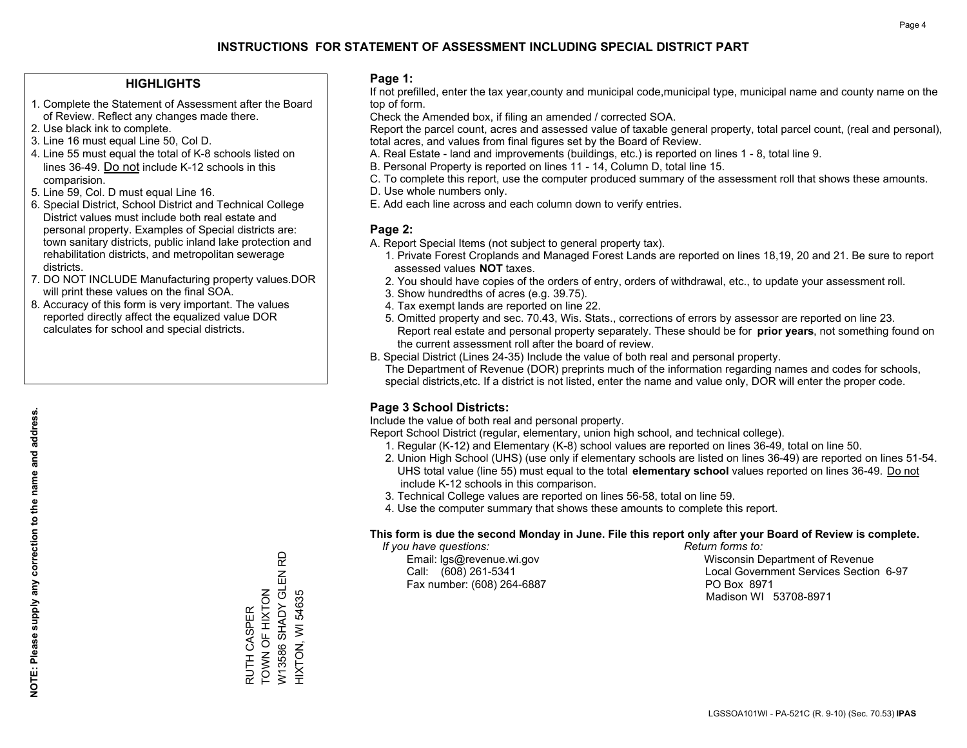### **HIGHLIGHTS**

- 1. Complete the Statement of Assessment after the Board of Review. Reflect any changes made there.
- 2. Use black ink to complete.
- 3. Line 16 must equal Line 50, Col D.
- 4. Line 55 must equal the total of K-8 schools listed on lines 36-49. Do not include K-12 schools in this comparision.
- 5. Line 59, Col. D must equal Line 16.
- 6. Special District, School District and Technical College District values must include both real estate and personal property. Examples of Special districts are: town sanitary districts, public inland lake protection and rehabilitation districts, and metropolitan sewerage districts.
- 7. DO NOT INCLUDE Manufacturing property values.DOR will print these values on the final SOA.
- 8. Accuracy of this form is very important. The values reported directly affect the equalized value DOR calculates for school and special districts.

### **Page 1:**

 If not prefilled, enter the tax year,county and municipal code,municipal type, municipal name and county name on the top of form.

Check the Amended box, if filing an amended / corrected SOA.

 Report the parcel count, acres and assessed value of taxable general property, total parcel count, (real and personal), total acres, and values from final figures set by the Board of Review.

- A. Real Estate land and improvements (buildings, etc.) is reported on lines 1 8, total line 9.
- B. Personal Property is reported on lines 11 14, Column D, total line 15.
- C. To complete this report, use the computer produced summary of the assessment roll that shows these amounts.
- D. Use whole numbers only.
- E. Add each line across and each column down to verify entries.

### **Page 2:**

- A. Report Special Items (not subject to general property tax).
- 1. Private Forest Croplands and Managed Forest Lands are reported on lines 18,19, 20 and 21. Be sure to report assessed values **NOT** taxes.
- 2. You should have copies of the orders of entry, orders of withdrawal, etc., to update your assessment roll.
	- 3. Show hundredths of acres (e.g. 39.75).
- 4. Tax exempt lands are reported on line 22.
- 5. Omitted property and sec. 70.43, Wis. Stats., corrections of errors by assessor are reported on line 23. Report real estate and personal property separately. These should be for **prior years**, not something found on the current assessment roll after the board of review.
- B. Special District (Lines 24-35) Include the value of both real and personal property.
- The Department of Revenue (DOR) preprints much of the information regarding names and codes for schools, special districts,etc. If a district is not listed, enter the name and value only, DOR will enter the proper code.

### **Page 3 School Districts:**

Include the value of both real and personal property.

Report School District (regular, elementary, union high school, and technical college).

- 1. Regular (K-12) and Elementary (K-8) school values are reported on lines 36-49, total on line 50.
- 2. Union High School (UHS) (use only if elementary schools are listed on lines 36-49) are reported on lines 51-54. UHS total value (line 55) must equal to the total **elementary school** values reported on lines 36-49. Do notinclude K-12 schools in this comparison.
- 3. Technical College values are reported on lines 56-58, total on line 59.
- 4. Use the computer summary that shows these amounts to complete this report.

### **This form is due the second Monday in June. File this report only after your Board of Review is complete.**

 *If you have questions: Return forms to:*

Fax number: (608) 264-6887 PO Box 8971

 Email: lgs@revenue.wi.gov Wisconsin Department of Revenue Call: (608) 261-5341 Local Government Services Section 6-97Madison WI 53708-8971

W13586 SHADY GLEN RD W13586 SHADY GLEN RUTH CASPER<br>TOWN OF HIXTON TOWN OF HIXTON HIXTON, WI 54635 HIXTON, WI 54635 RUTH CASPER

윤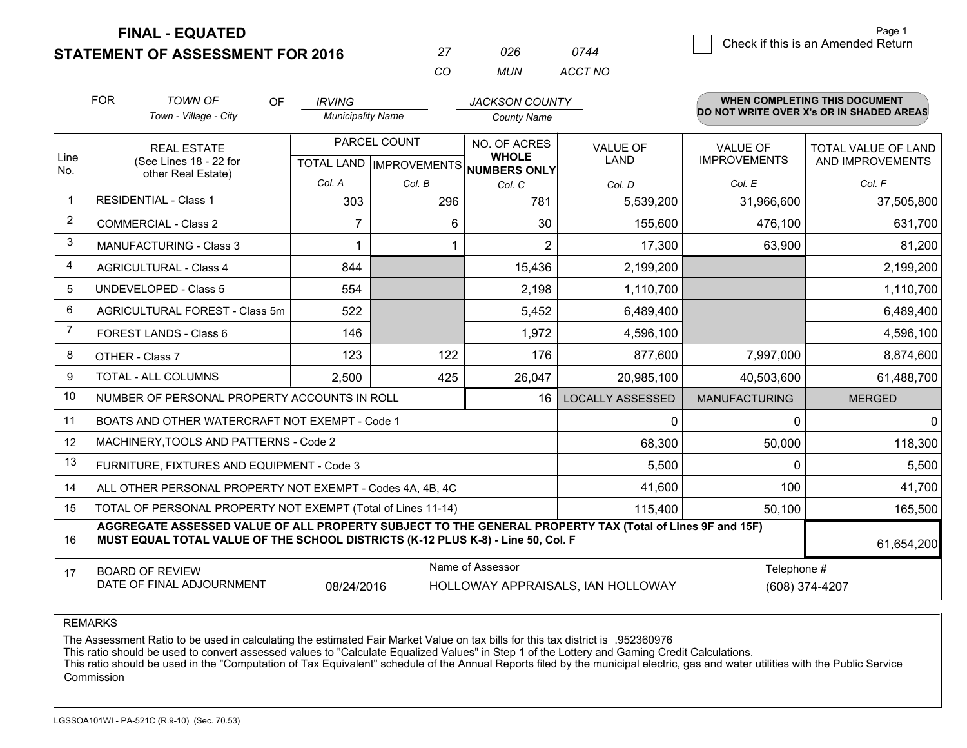**FINAL - EQUATED**

**STATEMENT OF ASSESSMENT FOR 2016** 

|          | ハツド   | 744     |
|----------|-------|---------|
| $\cdots$ | MI IN | ACCT NO |

|              | <b>FOR</b>                                                                                                                                                                                   | <b>TOWN OF</b><br><b>OF</b>                                  | <b>IRVING</b>            |                                          | <b>JACKSON COUNTY</b>        |                         |                      | <b>WHEN COMPLETING THIS DOCUMENT</b>     |
|--------------|----------------------------------------------------------------------------------------------------------------------------------------------------------------------------------------------|--------------------------------------------------------------|--------------------------|------------------------------------------|------------------------------|-------------------------|----------------------|------------------------------------------|
|              |                                                                                                                                                                                              | Town - Village - City                                        | <b>Municipality Name</b> |                                          | <b>County Name</b>           |                         |                      | DO NOT WRITE OVER X's OR IN SHADED AREAS |
| Line         |                                                                                                                                                                                              | <b>REAL ESTATE</b>                                           | PARCEL COUNT             |                                          | NO. OF ACRES<br><b>WHOLE</b> | <b>VALUE OF</b>         | <b>VALUE OF</b>      | TOTAL VALUE OF LAND                      |
| No.          | (See Lines 18 - 22 for<br>other Real Estate)                                                                                                                                                 |                                                              |                          | TOTAL LAND   IMPROVEMENTS   NUMBERS ONLY | LAND                         | <b>IMPROVEMENTS</b>     | AND IMPROVEMENTS     |                                          |
|              |                                                                                                                                                                                              |                                                              | Col. A                   | Col. B                                   | Col. C                       | Col. D                  | Col. E               | Col. F                                   |
| $\mathbf{1}$ |                                                                                                                                                                                              | <b>RESIDENTIAL - Class 1</b>                                 | 303                      | 296                                      | 781                          | 5,539,200               | 31,966,600           | 37,505,800                               |
| 2            |                                                                                                                                                                                              | <b>COMMERCIAL - Class 2</b>                                  | 7                        | 6                                        | 30                           | 155,600                 | 476,100              | 631,700                                  |
| 3            |                                                                                                                                                                                              | <b>MANUFACTURING - Class 3</b>                               |                          |                                          | $\overline{2}$               | 17,300                  | 63,900               | 81,200                                   |
| 4            |                                                                                                                                                                                              | <b>AGRICULTURAL - Class 4</b>                                | 844                      |                                          | 15,436                       | 2,199,200               |                      | 2,199,200                                |
| 5            |                                                                                                                                                                                              | <b>UNDEVELOPED - Class 5</b>                                 | 554                      |                                          | 2,198                        | 1,110,700               |                      | 1,110,700                                |
| 6            |                                                                                                                                                                                              | AGRICULTURAL FOREST - Class 5m                               | 522                      |                                          | 5,452                        | 6,489,400               |                      | 6,489,400                                |
| 7            |                                                                                                                                                                                              | FOREST LANDS - Class 6                                       | 146                      |                                          | 1,972                        | 4,596,100               |                      | 4,596,100                                |
| 8            |                                                                                                                                                                                              | OTHER - Class 7                                              | 123                      | 122                                      | 176                          | 877,600                 | 7,997,000            | 8,874,600                                |
| 9            |                                                                                                                                                                                              | TOTAL - ALL COLUMNS                                          | 2,500                    | 425                                      | 26,047                       | 20,985,100              | 40,503,600           | 61,488,700                               |
| 10           |                                                                                                                                                                                              | NUMBER OF PERSONAL PROPERTY ACCOUNTS IN ROLL                 |                          |                                          | 16                           | <b>LOCALLY ASSESSED</b> | <b>MANUFACTURING</b> | <b>MERGED</b>                            |
| 11           |                                                                                                                                                                                              | BOATS AND OTHER WATERCRAFT NOT EXEMPT - Code 1               |                          |                                          |                              | 0                       | 0                    | $\Omega$                                 |
| 12           |                                                                                                                                                                                              | MACHINERY, TOOLS AND PATTERNS - Code 2                       |                          |                                          |                              | 68,300                  | 50,000               | 118,300                                  |
| 13           |                                                                                                                                                                                              | FURNITURE, FIXTURES AND EQUIPMENT - Code 3                   |                          |                                          |                              | 5,500                   | 0                    | 5,500                                    |
| 14           |                                                                                                                                                                                              | ALL OTHER PERSONAL PROPERTY NOT EXEMPT - Codes 4A, 4B, 4C    |                          |                                          |                              | 41,600                  | 100                  | 41,700                                   |
| 15           |                                                                                                                                                                                              | TOTAL OF PERSONAL PROPERTY NOT EXEMPT (Total of Lines 11-14) |                          | 115,400                                  | 50,100                       | 165,500                 |                      |                                          |
| 16           | AGGREGATE ASSESSED VALUE OF ALL PROPERTY SUBJECT TO THE GENERAL PROPERTY TAX (Total of Lines 9F and 15F)<br>MUST EQUAL TOTAL VALUE OF THE SCHOOL DISTRICTS (K-12 PLUS K-8) - Line 50, Col. F |                                                              |                          |                                          |                              |                         | 61,654,200           |                                          |
| 17           | Name of Assessor<br><b>BOARD OF REVIEW</b><br>DATE OF FINAL ADJOURNMENT<br>08/24/2016<br>HOLLOWAY APPRAISALS, IAN HOLLOWAY                                                                   |                                                              |                          |                                          |                              |                         | Telephone #          | (608) 374-4207                           |

REMARKS

The Assessment Ratio to be used in calculating the estimated Fair Market Value on tax bills for this tax district is .952360976

This ratio should be used to convert assessed values to "Calculate Equalized Values" in Step 1 of the Lottery and Gaming Credit Calculations.<br>This ratio should be used in the "Computation of Tax Equivalent" schedule of the Commission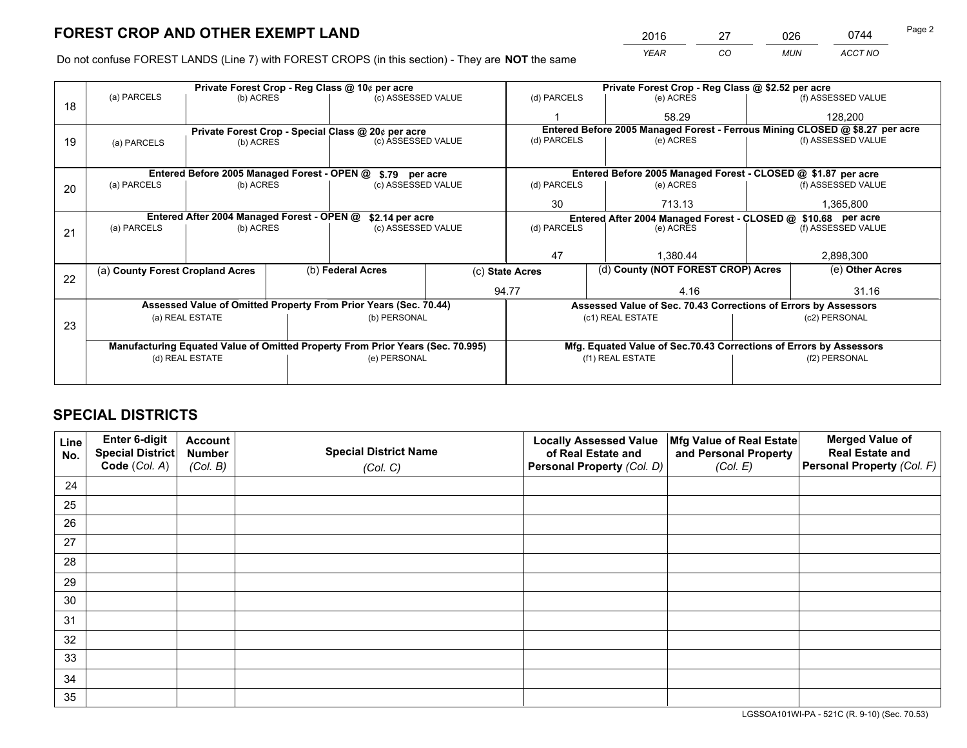*YEAR CO MUN ACCT NO* 2016 27 026 0744

Do not confuse FOREST LANDS (Line 7) with FOREST CROPS (in this section) - They are **NOT** the same

|    | Private Forest Crop - Reg Class @ 10¢ per acre                                 |                                             |  |                                                                  |       | Private Forest Crop - Reg Class @ \$2.52 per acre             |                                                                              |           |                    |  |
|----|--------------------------------------------------------------------------------|---------------------------------------------|--|------------------------------------------------------------------|-------|---------------------------------------------------------------|------------------------------------------------------------------------------|-----------|--------------------|--|
| 18 | (a) PARCELS                                                                    | (b) ACRES                                   |  | (c) ASSESSED VALUE                                               |       | (d) PARCELS                                                   | (e) ACRES                                                                    |           | (f) ASSESSED VALUE |  |
|    |                                                                                |                                             |  |                                                                  |       |                                                               | 58.29                                                                        |           | 128,200            |  |
|    |                                                                                |                                             |  | Private Forest Crop - Special Class @ 20¢ per acre               |       |                                                               | Entered Before 2005 Managed Forest - Ferrous Mining CLOSED @ \$8.27 per acre |           |                    |  |
| 19 | (a) PARCELS                                                                    | (b) ACRES                                   |  | (c) ASSESSED VALUE                                               |       | (d) PARCELS                                                   | (e) ACRES                                                                    |           | (f) ASSESSED VALUE |  |
|    |                                                                                |                                             |  |                                                                  |       |                                                               |                                                                              |           |                    |  |
|    |                                                                                | Entered Before 2005 Managed Forest - OPEN @ |  | \$.79 per acre                                                   |       |                                                               | Entered Before 2005 Managed Forest - CLOSED @ \$1.87 per acre                |           |                    |  |
| 20 | (a) PARCELS                                                                    | (b) ACRES                                   |  | (c) ASSESSED VALUE                                               |       | (d) PARCELS                                                   | (e) ACRES                                                                    |           | (f) ASSESSED VALUE |  |
|    |                                                                                |                                             |  |                                                                  | 30    | 713.13                                                        |                                                                              | 1,365,800 |                    |  |
|    | Entered After 2004 Managed Forest - OPEN @<br>\$2.14 per acre                  |                                             |  |                                                                  |       | Entered After 2004 Managed Forest - CLOSED @ \$10.68 per acre |                                                                              |           |                    |  |
| 21 | (a) PARCELS                                                                    | (b) ACRES                                   |  | (c) ASSESSED VALUE                                               |       | (d) PARCELS<br>(e) ACRES                                      |                                                                              |           | (f) ASSESSED VALUE |  |
|    |                                                                                |                                             |  |                                                                  |       |                                                               |                                                                              |           |                    |  |
|    |                                                                                |                                             |  |                                                                  |       | 47                                                            | 1,380.44                                                                     |           | 2,898,300          |  |
| 22 | (a) County Forest Cropland Acres                                               |                                             |  | (b) Federal Acres                                                |       | (c) State Acres                                               | (d) County (NOT FOREST CROP) Acres                                           |           | (e) Other Acres    |  |
|    |                                                                                |                                             |  |                                                                  | 94.77 |                                                               | 4.16                                                                         |           | 31.16              |  |
|    |                                                                                |                                             |  | Assessed Value of Omitted Property From Prior Years (Sec. 70.44) |       |                                                               | Assessed Value of Sec. 70.43 Corrections of Errors by Assessors              |           |                    |  |
|    |                                                                                | (a) REAL ESTATE                             |  | (b) PERSONAL                                                     |       |                                                               | (c1) REAL ESTATE                                                             |           | (c2) PERSONAL      |  |
| 23 |                                                                                |                                             |  |                                                                  |       |                                                               |                                                                              |           |                    |  |
|    | Manufacturing Equated Value of Omitted Property From Prior Years (Sec. 70.995) |                                             |  |                                                                  |       |                                                               | Mfg. Equated Value of Sec.70.43 Corrections of Errors by Assessors           |           |                    |  |
|    |                                                                                | (d) REAL ESTATE                             |  | (e) PERSONAL                                                     |       |                                                               | (f1) REAL ESTATE                                                             |           | (f2) PERSONAL      |  |
|    |                                                                                |                                             |  |                                                                  |       |                                                               |                                                                              |           |                    |  |

## **SPECIAL DISTRICTS**

| Line<br>No. | Enter 6-digit<br>Special District<br>Code (Col. A) | <b>Account</b><br><b>Number</b><br>(Col. B) | <b>Special District Name</b><br>(Col. C) | <b>Locally Assessed Value</b><br>of Real Estate and<br>Personal Property (Col. D) | Mfg Value of Real Estate<br>and Personal Property<br>(Col. E) | <b>Merged Value of</b><br><b>Real Estate and</b><br>Personal Property (Col. F) |
|-------------|----------------------------------------------------|---------------------------------------------|------------------------------------------|-----------------------------------------------------------------------------------|---------------------------------------------------------------|--------------------------------------------------------------------------------|
| 24          |                                                    |                                             |                                          |                                                                                   |                                                               |                                                                                |
| 25          |                                                    |                                             |                                          |                                                                                   |                                                               |                                                                                |
| 26          |                                                    |                                             |                                          |                                                                                   |                                                               |                                                                                |
| 27          |                                                    |                                             |                                          |                                                                                   |                                                               |                                                                                |
| 28          |                                                    |                                             |                                          |                                                                                   |                                                               |                                                                                |
| 29          |                                                    |                                             |                                          |                                                                                   |                                                               |                                                                                |
| 30          |                                                    |                                             |                                          |                                                                                   |                                                               |                                                                                |
| 31          |                                                    |                                             |                                          |                                                                                   |                                                               |                                                                                |
| 32          |                                                    |                                             |                                          |                                                                                   |                                                               |                                                                                |
| 33          |                                                    |                                             |                                          |                                                                                   |                                                               |                                                                                |
| 34          |                                                    |                                             |                                          |                                                                                   |                                                               |                                                                                |
| 35          |                                                    |                                             |                                          |                                                                                   |                                                               |                                                                                |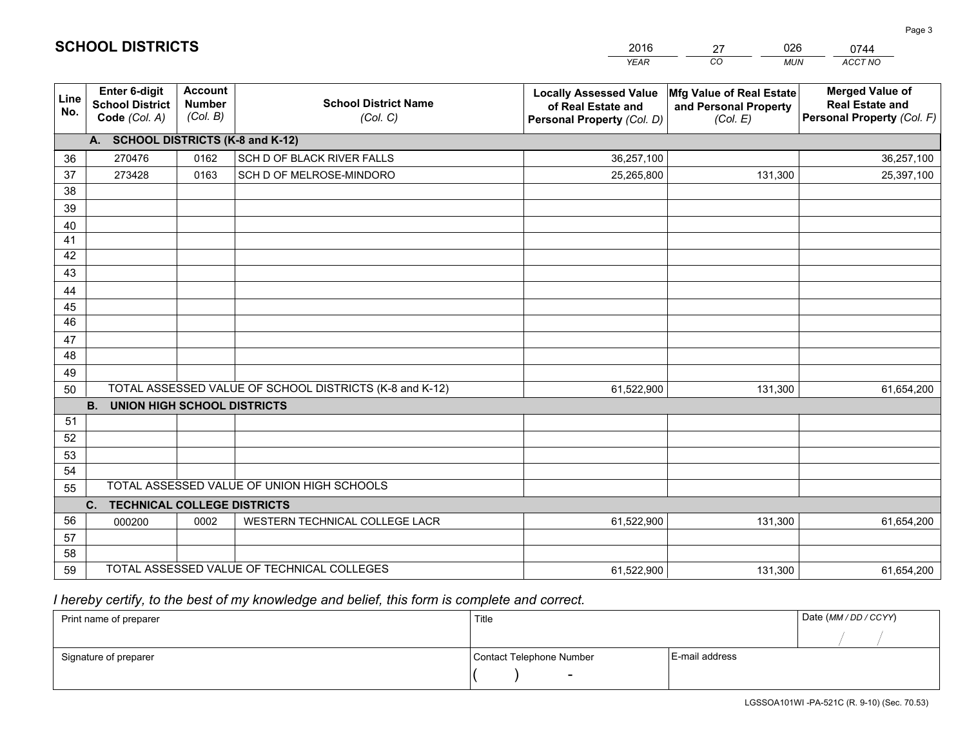|             |                                                                 |                                             |                                                         | <b>YEAR</b>                                                                       | CO<br><b>MUN</b>                                              | ACCT NO                                                                        |
|-------------|-----------------------------------------------------------------|---------------------------------------------|---------------------------------------------------------|-----------------------------------------------------------------------------------|---------------------------------------------------------------|--------------------------------------------------------------------------------|
| Line<br>No. | <b>Enter 6-digit</b><br><b>School District</b><br>Code (Col. A) | <b>Account</b><br><b>Number</b><br>(Col. B) | <b>School District Name</b><br>(Col. C)                 | <b>Locally Assessed Value</b><br>of Real Estate and<br>Personal Property (Col. D) | Mfg Value of Real Estate<br>and Personal Property<br>(Col. E) | <b>Merged Value of</b><br><b>Real Estate and</b><br>Personal Property (Col. F) |
|             | A. SCHOOL DISTRICTS (K-8 and K-12)                              |                                             |                                                         |                                                                                   |                                                               |                                                                                |
| 36          | 270476                                                          | 0162                                        | SCH D OF BLACK RIVER FALLS                              | 36,257,100                                                                        |                                                               | 36,257,100                                                                     |
| 37          | 273428                                                          | 0163                                        | SCH D OF MELROSE-MINDORO                                | 25,265,800                                                                        | 131,300                                                       | 25,397,100                                                                     |
| 38          |                                                                 |                                             |                                                         |                                                                                   |                                                               |                                                                                |
| 39          |                                                                 |                                             |                                                         |                                                                                   |                                                               |                                                                                |
| 40          |                                                                 |                                             |                                                         |                                                                                   |                                                               |                                                                                |
| 41          |                                                                 |                                             |                                                         |                                                                                   |                                                               |                                                                                |
| 42          |                                                                 |                                             |                                                         |                                                                                   |                                                               |                                                                                |
| 43          |                                                                 |                                             |                                                         |                                                                                   |                                                               |                                                                                |
| 44          |                                                                 |                                             |                                                         |                                                                                   |                                                               |                                                                                |
| 45<br>46    |                                                                 |                                             |                                                         |                                                                                   |                                                               |                                                                                |
|             |                                                                 |                                             |                                                         |                                                                                   |                                                               |                                                                                |
| 47<br>48    |                                                                 |                                             |                                                         |                                                                                   |                                                               |                                                                                |
| 49          |                                                                 |                                             |                                                         |                                                                                   |                                                               |                                                                                |
| 50          |                                                                 |                                             | TOTAL ASSESSED VALUE OF SCHOOL DISTRICTS (K-8 and K-12) | 61,522,900                                                                        | 131,300                                                       | 61,654,200                                                                     |
|             | <b>B.</b><br><b>UNION HIGH SCHOOL DISTRICTS</b>                 |                                             |                                                         |                                                                                   |                                                               |                                                                                |
| 51          |                                                                 |                                             |                                                         |                                                                                   |                                                               |                                                                                |
| 52          |                                                                 |                                             |                                                         |                                                                                   |                                                               |                                                                                |
| 53          |                                                                 |                                             |                                                         |                                                                                   |                                                               |                                                                                |
| 54          |                                                                 |                                             |                                                         |                                                                                   |                                                               |                                                                                |
| 55          |                                                                 |                                             | TOTAL ASSESSED VALUE OF UNION HIGH SCHOOLS              |                                                                                   |                                                               |                                                                                |
|             | C.<br><b>TECHNICAL COLLEGE DISTRICTS</b>                        |                                             |                                                         |                                                                                   |                                                               |                                                                                |
| 56          | 000200                                                          | 0002                                        | WESTERN TECHNICAL COLLEGE LACR                          | 61,522,900                                                                        | 131,300                                                       | 61,654,200                                                                     |
| 57          |                                                                 |                                             |                                                         |                                                                                   |                                                               |                                                                                |
| 58          |                                                                 |                                             |                                                         |                                                                                   |                                                               |                                                                                |
| 59          |                                                                 |                                             | TOTAL ASSESSED VALUE OF TECHNICAL COLLEGES              | 61,522,900                                                                        | 131,300                                                       | 61,654,200                                                                     |

27

026

# *I hereby certify, to the best of my knowledge and belief, this form is complete and correct.*

**SCHOOL DISTRICTS**

| Print name of preparer | Title                    |                | Date (MM / DD / CCYY) |
|------------------------|--------------------------|----------------|-----------------------|
|                        |                          |                |                       |
| Signature of preparer  | Contact Telephone Number | E-mail address |                       |
|                        | $\sim$                   |                |                       |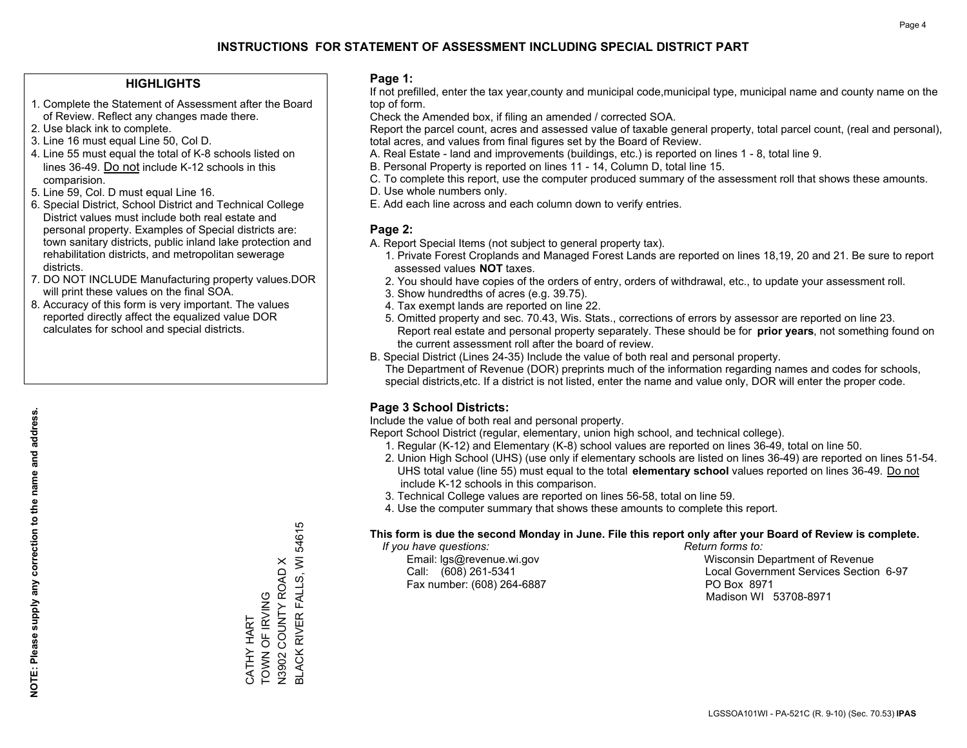### **HIGHLIGHTS**

- 1. Complete the Statement of Assessment after the Board of Review. Reflect any changes made there.
- 2. Use black ink to complete.
- 3. Line 16 must equal Line 50, Col D.
- 4. Line 55 must equal the total of K-8 schools listed on lines 36-49. Do not include K-12 schools in this comparision.
- 5. Line 59, Col. D must equal Line 16.
- 6. Special District, School District and Technical College District values must include both real estate and personal property. Examples of Special districts are: town sanitary districts, public inland lake protection and rehabilitation districts, and metropolitan sewerage districts.
- 7. DO NOT INCLUDE Manufacturing property values.DOR will print these values on the final SOA.

CATHY HART TOWN OF IRVING N3902 COUNTY ROAD X

CATHY HART<br>TOWN OF IRVING

BLACK RIVER FALLS, WI 54615

BLACK RIVER FALLS, WI 54615

N3902 COUNTY ROAD X

 8. Accuracy of this form is very important. The values reported directly affect the equalized value DOR calculates for school and special districts.

### **Page 1:**

 If not prefilled, enter the tax year,county and municipal code,municipal type, municipal name and county name on the top of form.

Check the Amended box, if filing an amended / corrected SOA.

 Report the parcel count, acres and assessed value of taxable general property, total parcel count, (real and personal), total acres, and values from final figures set by the Board of Review.

- A. Real Estate land and improvements (buildings, etc.) is reported on lines 1 8, total line 9.
- B. Personal Property is reported on lines 11 14, Column D, total line 15.
- C. To complete this report, use the computer produced summary of the assessment roll that shows these amounts.
- D. Use whole numbers only.
- E. Add each line across and each column down to verify entries.

### **Page 2:**

- A. Report Special Items (not subject to general property tax).
- 1. Private Forest Croplands and Managed Forest Lands are reported on lines 18,19, 20 and 21. Be sure to report assessed values **NOT** taxes.
- 2. You should have copies of the orders of entry, orders of withdrawal, etc., to update your assessment roll.
	- 3. Show hundredths of acres (e.g. 39.75).
- 4. Tax exempt lands are reported on line 22.
- 5. Omitted property and sec. 70.43, Wis. Stats., corrections of errors by assessor are reported on line 23. Report real estate and personal property separately. These should be for **prior years**, not something found on the current assessment roll after the board of review.
- B. Special District (Lines 24-35) Include the value of both real and personal property.

 The Department of Revenue (DOR) preprints much of the information regarding names and codes for schools, special districts,etc. If a district is not listed, enter the name and value only, DOR will enter the proper code.

### **Page 3 School Districts:**

Include the value of both real and personal property.

Report School District (regular, elementary, union high school, and technical college).

- 1. Regular (K-12) and Elementary (K-8) school values are reported on lines 36-49, total on line 50.
- 2. Union High School (UHS) (use only if elementary schools are listed on lines 36-49) are reported on lines 51-54. UHS total value (line 55) must equal to the total **elementary school** values reported on lines 36-49. Do notinclude K-12 schools in this comparison.
- 3. Technical College values are reported on lines 56-58, total on line 59.
- 4. Use the computer summary that shows these amounts to complete this report.

### **This form is due the second Monday in June. File this report only after your Board of Review is complete.**

 *If you have questions: Return forms to:*

Fax number: (608) 264-6887 PO Box 8971

 Email: lgs@revenue.wi.gov Wisconsin Department of Revenue Call: (608) 261-5341 Local Government Services Section 6-97Madison WI 53708-8971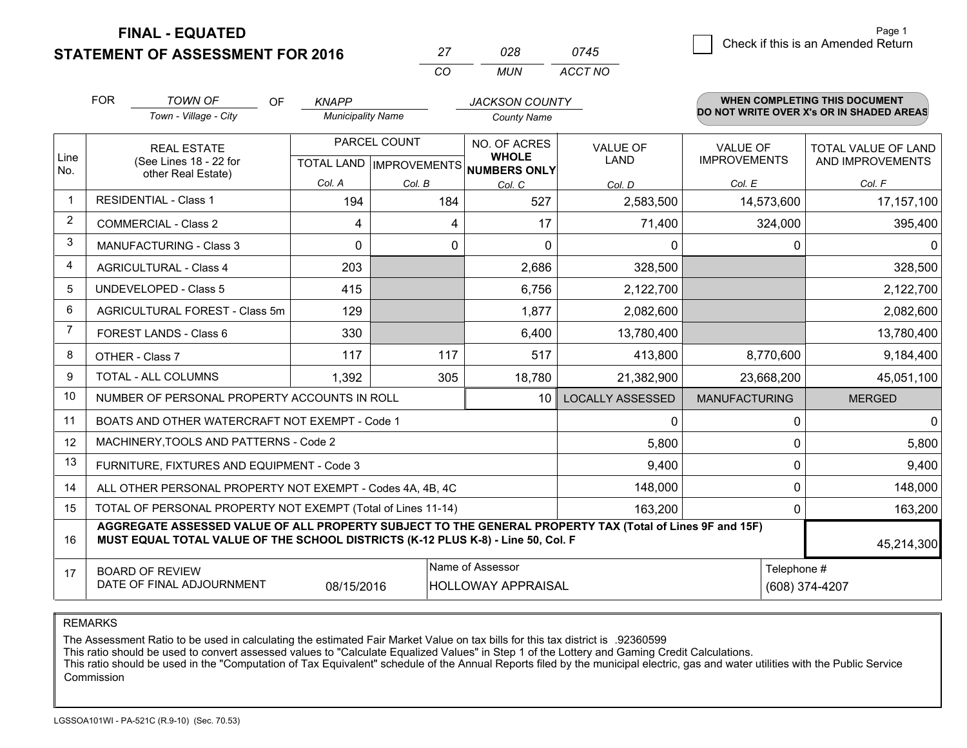**FINAL - EQUATED**

**STATEMENT OF ASSESSMENT FOR 2016** 

|          | 028. | 0745    |
|----------|------|---------|
| $\cdots$ | MUN  | ACCT NO |

|      | <b>FOR</b>                                                                                                         | <b>TOWN OF</b><br>OF.                                                                                                                                                                        | <b>KNAPP</b>             |              | <b>JACKSON COUNTY</b>                |                         |                      | WHEN COMPLETING THIS DOCUMENT            |
|------|--------------------------------------------------------------------------------------------------------------------|----------------------------------------------------------------------------------------------------------------------------------------------------------------------------------------------|--------------------------|--------------|--------------------------------------|-------------------------|----------------------|------------------------------------------|
|      |                                                                                                                    | Town - Village - City                                                                                                                                                                        | <b>Municipality Name</b> |              | <b>County Name</b>                   |                         |                      | DO NOT WRITE OVER X's OR IN SHADED AREAS |
| Line |                                                                                                                    | <b>REAL ESTATE</b>                                                                                                                                                                           |                          | PARCEL COUNT | NO. OF ACRES<br><b>WHOLE</b>         | <b>VALUE OF</b>         | <b>VALUE OF</b>      | <b>TOTAL VALUE OF LAND</b>               |
| No.  |                                                                                                                    | (See Lines 18 - 22 for<br>other Real Estate)                                                                                                                                                 |                          |              | TOTAL LAND IMPROVEMENTS NUMBERS ONLY | LAND                    | <b>IMPROVEMENTS</b>  | AND IMPROVEMENTS                         |
|      |                                                                                                                    |                                                                                                                                                                                              | Col. A                   | Col. B       | Col. C                               | Col. D                  | Col. E               | Col. F                                   |
|      |                                                                                                                    | <b>RESIDENTIAL - Class 1</b>                                                                                                                                                                 | 194                      | 184          | 527                                  | 2,583,500               | 14,573,600           | 17, 157, 100                             |
| 2    |                                                                                                                    | <b>COMMERCIAL - Class 2</b>                                                                                                                                                                  | 4                        | 4            | 17                                   | 71,400                  | 324,000              | 395,400                                  |
| 3    |                                                                                                                    | <b>MANUFACTURING - Class 3</b>                                                                                                                                                               | 0                        | $\mathbf 0$  | $\Omega$                             | 0                       | 0                    | $\mathbf{0}$                             |
| 4    |                                                                                                                    | <b>AGRICULTURAL - Class 4</b>                                                                                                                                                                | 203                      |              | 2,686                                | 328,500                 |                      | 328,500                                  |
| 5    |                                                                                                                    | <b>UNDEVELOPED - Class 5</b>                                                                                                                                                                 | 415                      |              | 6,756                                | 2,122,700               |                      | 2,122,700                                |
| 6    | AGRICULTURAL FOREST - Class 5m                                                                                     |                                                                                                                                                                                              | 129                      |              | 1,877                                | 2,082,600               |                      | 2,082,600                                |
| 7    |                                                                                                                    | FOREST LANDS - Class 6                                                                                                                                                                       | 330                      |              | 6,400                                | 13,780,400              |                      | 13,780,400                               |
| 8    |                                                                                                                    | OTHER - Class 7                                                                                                                                                                              | 117                      | 117          | 517                                  | 413,800                 | 8,770,600            | 9,184,400                                |
| 9    |                                                                                                                    | TOTAL - ALL COLUMNS                                                                                                                                                                          | 1,392                    | 305          | 18,780                               | 21,382,900              | 23,668,200           | 45,051,100                               |
| 10   |                                                                                                                    | NUMBER OF PERSONAL PROPERTY ACCOUNTS IN ROLL                                                                                                                                                 |                          |              | 10 <sup>1</sup>                      | <b>LOCALLY ASSESSED</b> | <b>MANUFACTURING</b> | <b>MERGED</b>                            |
| 11   |                                                                                                                    | BOATS AND OTHER WATERCRAFT NOT EXEMPT - Code 1                                                                                                                                               |                          |              |                                      | 0                       | 0                    | $\mathbf 0$                              |
| 12   |                                                                                                                    | MACHINERY, TOOLS AND PATTERNS - Code 2                                                                                                                                                       |                          |              |                                      | 5,800                   | 0                    | 5,800                                    |
| 13   |                                                                                                                    | FURNITURE, FIXTURES AND EQUIPMENT - Code 3                                                                                                                                                   |                          |              |                                      | 9,400                   | $\Omega$             | 9,400                                    |
| 14   |                                                                                                                    | ALL OTHER PERSONAL PROPERTY NOT EXEMPT - Codes 4A, 4B, 4C                                                                                                                                    |                          |              |                                      | 148,000                 | $\mathbf 0$          | 148,000                                  |
| 15   |                                                                                                                    | TOTAL OF PERSONAL PROPERTY NOT EXEMPT (Total of Lines 11-14)                                                                                                                                 |                          |              |                                      | 163,200                 |                      | 0<br>163,200                             |
| 16   |                                                                                                                    | AGGREGATE ASSESSED VALUE OF ALL PROPERTY SUBJECT TO THE GENERAL PROPERTY TAX (Total of Lines 9F and 15F)<br>MUST EQUAL TOTAL VALUE OF THE SCHOOL DISTRICTS (K-12 PLUS K-8) - Line 50, Col. F |                          |              |                                      |                         |                      | 45,214,300                               |
| 17   | Name of Assessor<br><b>BOARD OF REVIEW</b><br>DATE OF FINAL ADJOURNMENT<br>08/15/2016<br><b>HOLLOWAY APPRAISAL</b> |                                                                                                                                                                                              |                          |              |                                      |                         |                      | Telephone #<br>(608) 374-4207            |

REMARKS

The Assessment Ratio to be used in calculating the estimated Fair Market Value on tax bills for this tax district is .92360599

This ratio should be used to convert assessed values to "Calculate Equalized Values" in Step 1 of the Lottery and Gaming Credit Calculations.<br>This ratio should be used in the "Computation of Tax Equivalent" schedule of the Commission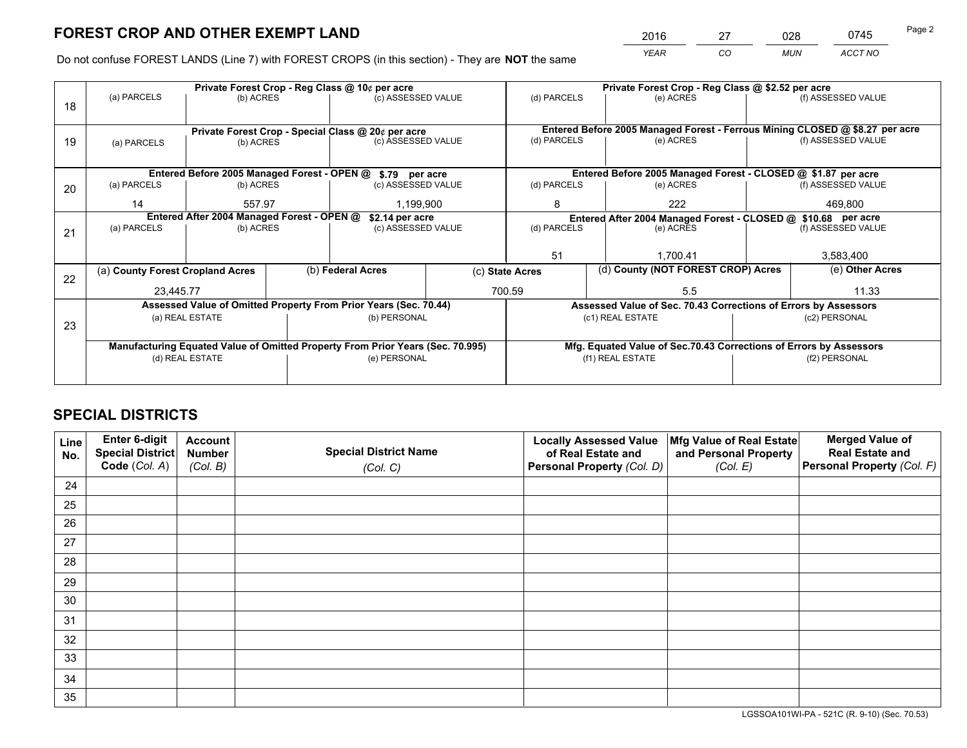*YEAR CO MUN ACCT NO* <sup>2016</sup> <sup>27</sup> <sup>028</sup> <sup>0745</sup>

Do not confuse FOREST LANDS (Line 7) with FOREST CROPS (in this section) - They are **NOT** the same

|    |                                  |                                                               |                    | Private Forest Crop - Reg Class @ 10¢ per acre                                 |                                   | Private Forest Crop - Reg Class @ \$2.52 per acre |                                                               |                                                                    |                    |                                                                              |
|----|----------------------------------|---------------------------------------------------------------|--------------------|--------------------------------------------------------------------------------|-----------------------------------|---------------------------------------------------|---------------------------------------------------------------|--------------------------------------------------------------------|--------------------|------------------------------------------------------------------------------|
| 18 | (a) PARCELS                      | (b) ACRES                                                     |                    | (c) ASSESSED VALUE                                                             |                                   | (d) PARCELS                                       |                                                               | (e) ACRES                                                          |                    | (f) ASSESSED VALUE                                                           |
|    |                                  |                                                               |                    |                                                                                |                                   |                                                   |                                                               |                                                                    |                    |                                                                              |
|    |                                  |                                                               |                    | Private Forest Crop - Special Class @ 20¢ per acre                             |                                   |                                                   |                                                               |                                                                    |                    | Entered Before 2005 Managed Forest - Ferrous Mining CLOSED @ \$8.27 per acre |
| 19 | (b) ACRES<br>(a) PARCELS         |                                                               | (c) ASSESSED VALUE |                                                                                | (d) PARCELS                       |                                                   | (e) ACRES                                                     |                                                                    | (f) ASSESSED VALUE |                                                                              |
|    |                                  |                                                               |                    |                                                                                |                                   |                                                   |                                                               |                                                                    |                    |                                                                              |
|    |                                  |                                                               |                    | Entered Before 2005 Managed Forest - OPEN @ \$.79 per acre                     |                                   |                                                   |                                                               | Entered Before 2005 Managed Forest - CLOSED @ \$1.87 per acre      |                    |                                                                              |
| 20 | (a) PARCELS                      | (b) ACRES                                                     |                    | (c) ASSESSED VALUE                                                             |                                   | (d) PARCELS                                       |                                                               | (e) ACRES                                                          |                    | (f) ASSESSED VALUE                                                           |
|    | 14                               | 557.97                                                        |                    |                                                                                | 1.199.900                         |                                                   |                                                               | 222                                                                |                    | 469.800                                                                      |
|    |                                  | Entered After 2004 Managed Forest - OPEN @<br>\$2.14 per acre |                    |                                                                                |                                   | 8                                                 | Entered After 2004 Managed Forest - CLOSED @ \$10.68 per acre |                                                                    |                    |                                                                              |
|    | (a) PARCELS                      | (b) ACRES                                                     |                    |                                                                                | (d) PARCELS<br>(c) ASSESSED VALUE |                                                   | (e) ACRES                                                     |                                                                    | (f) ASSESSED VALUE |                                                                              |
| 21 |                                  |                                                               |                    |                                                                                |                                   |                                                   |                                                               |                                                                    |                    |                                                                              |
|    |                                  |                                                               |                    |                                                                                |                                   | 51                                                |                                                               | 1.700.41                                                           |                    | 3,583,400                                                                    |
|    | (a) County Forest Cropland Acres |                                                               |                    | (b) Federal Acres                                                              | (c) State Acres                   |                                                   |                                                               | (d) County (NOT FOREST CROP) Acres                                 |                    | (e) Other Acres                                                              |
| 22 |                                  |                                                               |                    |                                                                                |                                   |                                                   |                                                               |                                                                    |                    |                                                                              |
|    | 23,445.77                        |                                                               |                    |                                                                                |                                   | 700.59                                            |                                                               | 5.5                                                                |                    | 11.33                                                                        |
|    |                                  |                                                               |                    | Assessed Value of Omitted Property From Prior Years (Sec. 70.44)               |                                   |                                                   |                                                               | Assessed Value of Sec. 70.43 Corrections of Errors by Assessors    |                    |                                                                              |
| 23 |                                  | (a) REAL ESTATE                                               |                    | (b) PERSONAL                                                                   |                                   |                                                   |                                                               | (c1) REAL ESTATE                                                   |                    | (c2) PERSONAL                                                                |
|    |                                  |                                                               |                    |                                                                                |                                   |                                                   |                                                               |                                                                    |                    |                                                                              |
|    |                                  |                                                               |                    | Manufacturing Equated Value of Omitted Property From Prior Years (Sec. 70.995) |                                   |                                                   |                                                               | Mfg. Equated Value of Sec.70.43 Corrections of Errors by Assessors |                    |                                                                              |
|    |                                  | (d) REAL ESTATE                                               |                    | (e) PERSONAL                                                                   |                                   | (f1) REAL ESTATE                                  |                                                               |                                                                    | (f2) PERSONAL      |                                                                              |
|    |                                  |                                                               |                    |                                                                                |                                   |                                                   |                                                               |                                                                    |                    |                                                                              |
|    |                                  |                                                               |                    |                                                                                |                                   |                                                   |                                                               |                                                                    |                    |                                                                              |

## **SPECIAL DISTRICTS**

| Line<br>No. | Enter 6-digit<br><b>Special District</b> | <b>Account</b><br><b>Number</b> | <b>Special District Name</b> | <b>Locally Assessed Value</b><br>of Real Estate and | Mfg Value of Real Estate<br>and Personal Property | <b>Merged Value of</b><br><b>Real Estate and</b> |
|-------------|------------------------------------------|---------------------------------|------------------------------|-----------------------------------------------------|---------------------------------------------------|--------------------------------------------------|
|             | Code (Col. A)                            | (Col. B)                        | (Col. C)                     | Personal Property (Col. D)                          | (Col. E)                                          | Personal Property (Col. F)                       |
| 24          |                                          |                                 |                              |                                                     |                                                   |                                                  |
| 25          |                                          |                                 |                              |                                                     |                                                   |                                                  |
| 26          |                                          |                                 |                              |                                                     |                                                   |                                                  |
| 27          |                                          |                                 |                              |                                                     |                                                   |                                                  |
| 28          |                                          |                                 |                              |                                                     |                                                   |                                                  |
| 29          |                                          |                                 |                              |                                                     |                                                   |                                                  |
| 30          |                                          |                                 |                              |                                                     |                                                   |                                                  |
| 31          |                                          |                                 |                              |                                                     |                                                   |                                                  |
| 32          |                                          |                                 |                              |                                                     |                                                   |                                                  |
| 33          |                                          |                                 |                              |                                                     |                                                   |                                                  |
| 34          |                                          |                                 |                              |                                                     |                                                   |                                                  |
| 35          |                                          |                                 |                              |                                                     |                                                   |                                                  |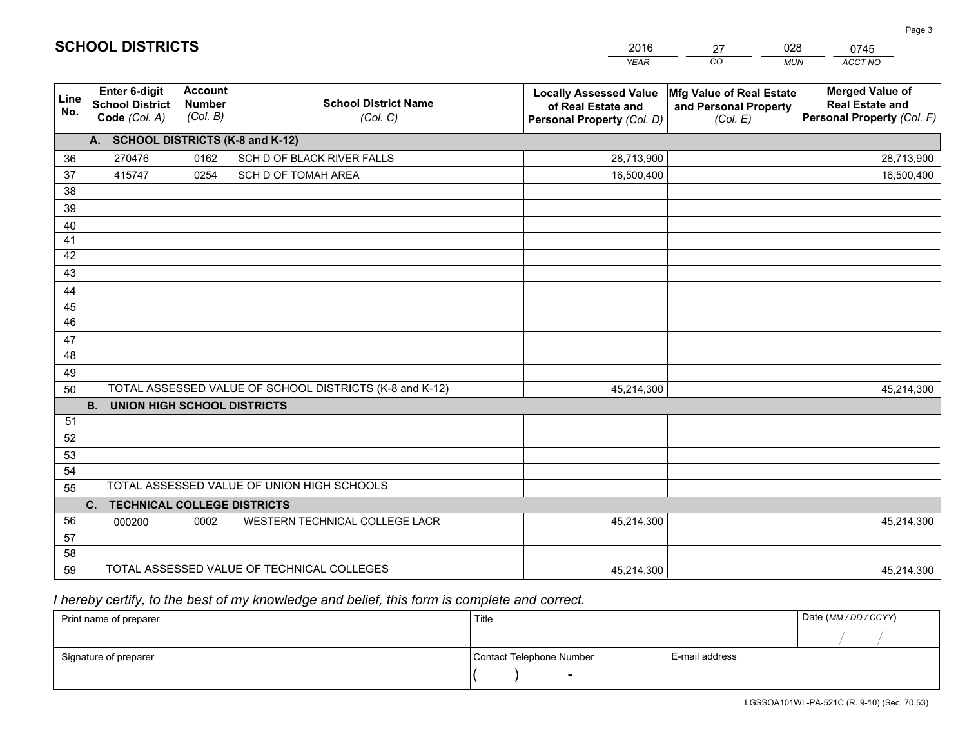|                       |                                                                 |                                             |                                                         | <b>YEAR</b>                                                                       | CO<br><b>MUN</b>                                              | ACCT NO                                                                        |  |  |  |  |  |
|-----------------------|-----------------------------------------------------------------|---------------------------------------------|---------------------------------------------------------|-----------------------------------------------------------------------------------|---------------------------------------------------------------|--------------------------------------------------------------------------------|--|--|--|--|--|
| Line<br>No.           | <b>Enter 6-digit</b><br><b>School District</b><br>Code (Col. A) | <b>Account</b><br><b>Number</b><br>(Col. B) | <b>School District Name</b><br>(Col. C)                 | <b>Locally Assessed Value</b><br>of Real Estate and<br>Personal Property (Col. D) | Mfg Value of Real Estate<br>and Personal Property<br>(Col. E) | <b>Merged Value of</b><br><b>Real Estate and</b><br>Personal Property (Col. F) |  |  |  |  |  |
|                       | A. SCHOOL DISTRICTS (K-8 and K-12)                              |                                             |                                                         |                                                                                   |                                                               |                                                                                |  |  |  |  |  |
| 36                    | 270476                                                          | 0162                                        | SCH D OF BLACK RIVER FALLS                              | 28,713,900                                                                        |                                                               | 28,713,900                                                                     |  |  |  |  |  |
| 37                    | 415747                                                          | 0254                                        | SCH D OF TOMAH AREA                                     | 16,500,400                                                                        |                                                               | 16,500,400                                                                     |  |  |  |  |  |
| 38                    |                                                                 |                                             |                                                         |                                                                                   |                                                               |                                                                                |  |  |  |  |  |
| 39                    |                                                                 |                                             |                                                         |                                                                                   |                                                               |                                                                                |  |  |  |  |  |
| 40                    |                                                                 |                                             |                                                         |                                                                                   |                                                               |                                                                                |  |  |  |  |  |
| 41                    |                                                                 |                                             |                                                         |                                                                                   |                                                               |                                                                                |  |  |  |  |  |
| 42                    |                                                                 |                                             |                                                         |                                                                                   |                                                               |                                                                                |  |  |  |  |  |
| 43                    |                                                                 |                                             |                                                         |                                                                                   |                                                               |                                                                                |  |  |  |  |  |
| 44                    |                                                                 |                                             |                                                         |                                                                                   |                                                               |                                                                                |  |  |  |  |  |
| 45<br>$\overline{46}$ |                                                                 |                                             |                                                         |                                                                                   |                                                               |                                                                                |  |  |  |  |  |
| 47                    |                                                                 |                                             |                                                         |                                                                                   |                                                               |                                                                                |  |  |  |  |  |
| 48                    |                                                                 |                                             |                                                         |                                                                                   |                                                               |                                                                                |  |  |  |  |  |
| 49                    |                                                                 |                                             |                                                         |                                                                                   |                                                               |                                                                                |  |  |  |  |  |
| 50                    |                                                                 |                                             | TOTAL ASSESSED VALUE OF SCHOOL DISTRICTS (K-8 and K-12) | 45,214,300                                                                        |                                                               | 45,214,300                                                                     |  |  |  |  |  |
|                       | <b>B.</b><br><b>UNION HIGH SCHOOL DISTRICTS</b>                 |                                             |                                                         |                                                                                   |                                                               |                                                                                |  |  |  |  |  |
| 51                    |                                                                 |                                             |                                                         |                                                                                   |                                                               |                                                                                |  |  |  |  |  |
| 52                    |                                                                 |                                             |                                                         |                                                                                   |                                                               |                                                                                |  |  |  |  |  |
| 53                    |                                                                 |                                             |                                                         |                                                                                   |                                                               |                                                                                |  |  |  |  |  |
| 54                    |                                                                 |                                             |                                                         |                                                                                   |                                                               |                                                                                |  |  |  |  |  |
| 55                    |                                                                 |                                             | TOTAL ASSESSED VALUE OF UNION HIGH SCHOOLS              |                                                                                   |                                                               |                                                                                |  |  |  |  |  |
|                       | C.<br><b>TECHNICAL COLLEGE DISTRICTS</b>                        |                                             |                                                         |                                                                                   |                                                               |                                                                                |  |  |  |  |  |
| 56                    | 000200                                                          | 0002                                        | WESTERN TECHNICAL COLLEGE LACR                          | 45,214,300                                                                        |                                                               | 45,214,300                                                                     |  |  |  |  |  |
| 57                    |                                                                 |                                             |                                                         |                                                                                   |                                                               |                                                                                |  |  |  |  |  |
| 58                    |                                                                 |                                             |                                                         |                                                                                   |                                                               |                                                                                |  |  |  |  |  |
| 59                    |                                                                 |                                             | TOTAL ASSESSED VALUE OF TECHNICAL COLLEGES              | 45,214,300                                                                        |                                                               | 45,214,300                                                                     |  |  |  |  |  |

27

028

 *I hereby certify, to the best of my knowledge and belief, this form is complete and correct.*

**SCHOOL DISTRICTS**

| Print name of preparer | Title                    |                | Date (MM/DD/CCYY) |
|------------------------|--------------------------|----------------|-------------------|
|                        |                          |                |                   |
| Signature of preparer  | Contact Telephone Number | E-mail address |                   |
|                        | $\overline{\phantom{0}}$ |                |                   |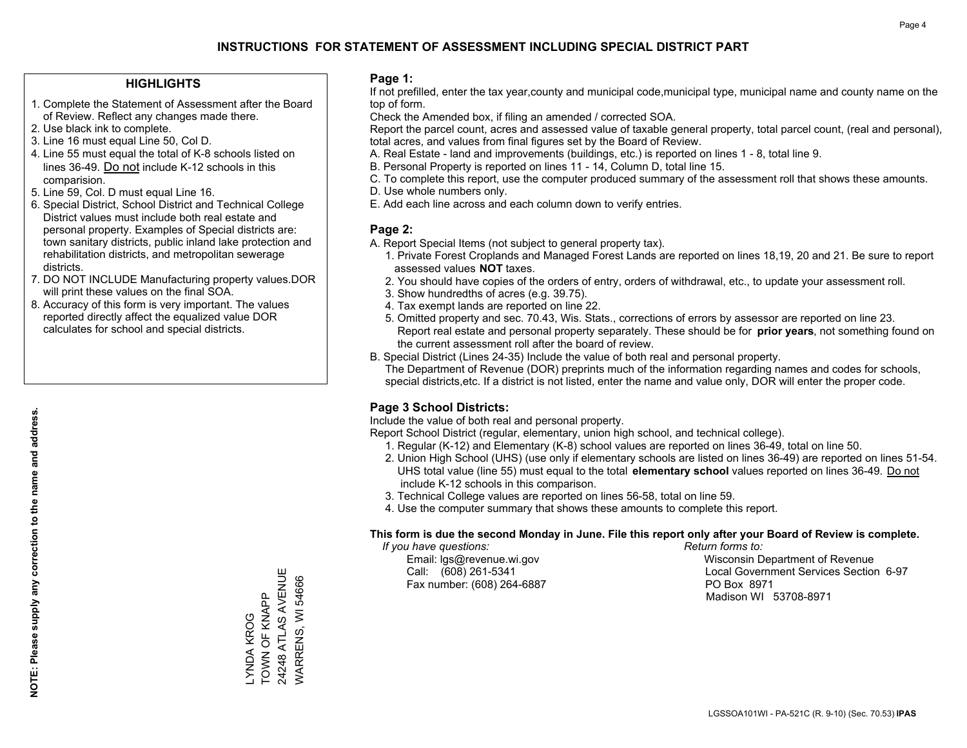### **HIGHLIGHTS**

- 1. Complete the Statement of Assessment after the Board of Review. Reflect any changes made there.
- 2. Use black ink to complete.
- 3. Line 16 must equal Line 50, Col D.
- 4. Line 55 must equal the total of K-8 schools listed on lines 36-49. Do not include K-12 schools in this comparision.
- 5. Line 59, Col. D must equal Line 16.
- 6. Special District, School District and Technical College District values must include both real estate and personal property. Examples of Special districts are: town sanitary districts, public inland lake protection and rehabilitation districts, and metropolitan sewerage districts.
- 7. DO NOT INCLUDE Manufacturing property values.DOR will print these values on the final SOA.

LYNDA KROG TOWN OF KNAPP 24248 ATLAS AVENUE WARRENS, WI 54666

\_YNDA KROG<br>TOWN OF KNAPP

24248 ATLAS AVENUE WARRENS, WI 54666

 8. Accuracy of this form is very important. The values reported directly affect the equalized value DOR calculates for school and special districts.

### **Page 1:**

 If not prefilled, enter the tax year,county and municipal code,municipal type, municipal name and county name on the top of form.

Check the Amended box, if filing an amended / corrected SOA.

 Report the parcel count, acres and assessed value of taxable general property, total parcel count, (real and personal), total acres, and values from final figures set by the Board of Review.

- A. Real Estate land and improvements (buildings, etc.) is reported on lines 1 8, total line 9.
- B. Personal Property is reported on lines 11 14, Column D, total line 15.
- C. To complete this report, use the computer produced summary of the assessment roll that shows these amounts.
- D. Use whole numbers only.
- E. Add each line across and each column down to verify entries.

### **Page 2:**

- A. Report Special Items (not subject to general property tax).
- 1. Private Forest Croplands and Managed Forest Lands are reported on lines 18,19, 20 and 21. Be sure to report assessed values **NOT** taxes.
- 2. You should have copies of the orders of entry, orders of withdrawal, etc., to update your assessment roll.
	- 3. Show hundredths of acres (e.g. 39.75).
- 4. Tax exempt lands are reported on line 22.
- 5. Omitted property and sec. 70.43, Wis. Stats., corrections of errors by assessor are reported on line 23. Report real estate and personal property separately. These should be for **prior years**, not something found on the current assessment roll after the board of review.
- B. Special District (Lines 24-35) Include the value of both real and personal property.

 The Department of Revenue (DOR) preprints much of the information regarding names and codes for schools, special districts,etc. If a district is not listed, enter the name and value only, DOR will enter the proper code.

### **Page 3 School Districts:**

Include the value of both real and personal property.

Report School District (regular, elementary, union high school, and technical college).

- 1. Regular (K-12) and Elementary (K-8) school values are reported on lines 36-49, total on line 50.
- 2. Union High School (UHS) (use only if elementary schools are listed on lines 36-49) are reported on lines 51-54. UHS total value (line 55) must equal to the total **elementary school** values reported on lines 36-49. Do notinclude K-12 schools in this comparison.
- 3. Technical College values are reported on lines 56-58, total on line 59.
- 4. Use the computer summary that shows these amounts to complete this report.

### **This form is due the second Monday in June. File this report only after your Board of Review is complete.**

 *If you have questions: Return forms to:*

Fax number: (608) 264-6887 PO Box 8971

 Email: lgs@revenue.wi.gov Wisconsin Department of Revenue Call: (608) 261-5341 Local Government Services Section 6-97Madison WI 53708-8971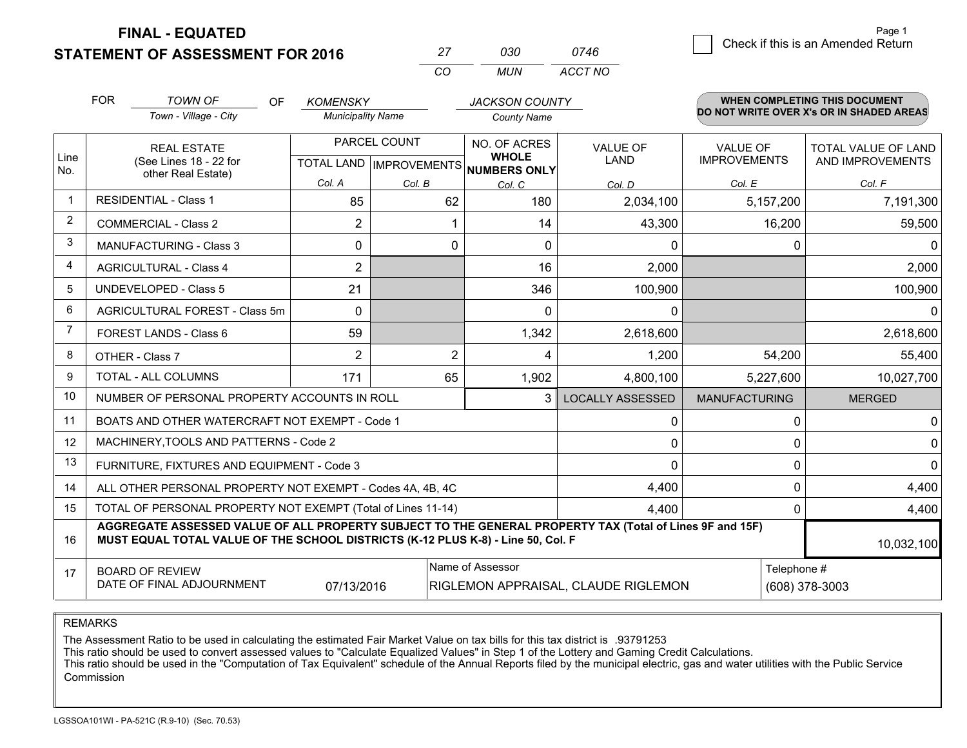**STATEMENT OF ASSESSMENT FOR 2016** 

**FINAL - EQUATED**

| 27 | 030 | 0746        | Check if this is an Amended Return |
|----|-----|-------------|------------------------------------|
|    |     | MUN ACCT NO |                                    |

|             | <b>FOR</b>                     | <b>TOWN OF</b><br>OF                                                                                                                                                                         | <b>KOMENSKY</b>          |                | <b>JACKSON COUNTY</b>                |                                     |                                        | <b>WHEN COMPLETING THIS DOCUMENT</b>           |
|-------------|--------------------------------|----------------------------------------------------------------------------------------------------------------------------------------------------------------------------------------------|--------------------------|----------------|--------------------------------------|-------------------------------------|----------------------------------------|------------------------------------------------|
|             |                                | Town - Village - City                                                                                                                                                                        | <b>Municipality Name</b> |                | <b>County Name</b>                   |                                     |                                        | DO NOT WRITE OVER X's OR IN SHADED AREAS       |
| Line        |                                | <b>REAL ESTATE</b><br>(See Lines 18 - 22 for                                                                                                                                                 | PARCEL COUNT             |                | NO. OF ACRES<br><b>WHOLE</b>         | VALUE OF<br><b>LAND</b>             | <b>VALUE OF</b><br><b>IMPROVEMENTS</b> | <b>TOTAL VALUE OF LAND</b><br>AND IMPROVEMENTS |
| No.         |                                | other Real Estate)                                                                                                                                                                           |                          |                | TOTAL LAND IMPROVEMENTS NUMBERS ONLY |                                     |                                        |                                                |
| $\mathbf 1$ |                                | <b>RESIDENTIAL - Class 1</b>                                                                                                                                                                 | Col. A                   | Col. B         | Col. C                               | Col. D                              | Col. E                                 | Col. F                                         |
| 2           |                                |                                                                                                                                                                                              | 85                       | 62             | 180                                  | 2,034,100                           | 5,157,200                              | 7,191,300                                      |
|             |                                | <b>COMMERCIAL - Class 2</b>                                                                                                                                                                  | 2                        |                | 14                                   | 43,300                              | 16,200                                 | 59,500                                         |
| 3           |                                | <b>MANUFACTURING - Class 3</b>                                                                                                                                                               | 0                        | $\mathbf 0$    | 0                                    | $\mathbf{0}$                        | $\Omega$                               | $\Omega$                                       |
| 4           |                                | <b>AGRICULTURAL - Class 4</b>                                                                                                                                                                | $\overline{2}$           |                | 16                                   | 2,000                               |                                        | 2,000                                          |
| 5           |                                | <b>UNDEVELOPED - Class 5</b>                                                                                                                                                                 | 21                       |                | 346                                  | 100,900                             |                                        | 100,900                                        |
| 6           | AGRICULTURAL FOREST - Class 5m |                                                                                                                                                                                              | $\Omega$                 |                | $\Omega$                             | 0                                   |                                        | 0                                              |
| 7           | FOREST LANDS - Class 6         |                                                                                                                                                                                              | 59                       |                | 1,342                                | 2,618,600                           |                                        | 2,618,600                                      |
| 8           |                                | OTHER - Class 7                                                                                                                                                                              | 2                        | $\overline{2}$ | 4                                    | 1,200                               | 54,200                                 | 55,400                                         |
| 9           |                                | TOTAL - ALL COLUMNS                                                                                                                                                                          | 171                      | 65             | 1,902                                | 4,800,100                           | 5,227,600                              | 10,027,700                                     |
| 10          |                                | NUMBER OF PERSONAL PROPERTY ACCOUNTS IN ROLL                                                                                                                                                 |                          |                | 3                                    | <b>LOCALLY ASSESSED</b>             | <b>MANUFACTURING</b>                   | <b>MERGED</b>                                  |
| 11          |                                | BOATS AND OTHER WATERCRAFT NOT EXEMPT - Code 1                                                                                                                                               |                          |                |                                      | 0                                   | 0                                      | 0                                              |
| 12          |                                | MACHINERY, TOOLS AND PATTERNS - Code 2                                                                                                                                                       |                          |                |                                      | $\mathbf{0}$                        | 0                                      | $\mathbf 0$                                    |
| 13          |                                | FURNITURE, FIXTURES AND EQUIPMENT - Code 3                                                                                                                                                   |                          |                |                                      | $\Omega$                            | $\Omega$                               | $\Omega$                                       |
| 14          |                                | ALL OTHER PERSONAL PROPERTY NOT EXEMPT - Codes 4A, 4B, 4C                                                                                                                                    |                          |                |                                      | 4,400                               | 0                                      | 4,400                                          |
| 15          |                                | TOTAL OF PERSONAL PROPERTY NOT EXEMPT (Total of Lines 11-14)                                                                                                                                 |                          |                |                                      | 4.400                               | $\Omega$                               | 4,400                                          |
| 16          |                                | AGGREGATE ASSESSED VALUE OF ALL PROPERTY SUBJECT TO THE GENERAL PROPERTY TAX (Total of Lines 9F and 15F)<br>MUST EQUAL TOTAL VALUE OF THE SCHOOL DISTRICTS (K-12 PLUS K-8) - Line 50, Col. F |                          |                |                                      |                                     |                                        | 10,032,100                                     |
| 17          |                                | <b>BOARD OF REVIEW</b>                                                                                                                                                                       |                          |                | Name of Assessor                     |                                     | Telephone #                            |                                                |
|             |                                | DATE OF FINAL ADJOURNMENT                                                                                                                                                                    | 07/13/2016               |                |                                      | RIGLEMON APPRAISAL, CLAUDE RIGLEMON |                                        | (608) 378-3003                                 |

*CO*

REMARKS

The Assessment Ratio to be used in calculating the estimated Fair Market Value on tax bills for this tax district is .93791253

This ratio should be used to convert assessed values to "Calculate Equalized Values" in Step 1 of the Lottery and Gaming Credit Calculations.<br>This ratio should be used in the "Computation of Tax Equivalent" schedule of the Commission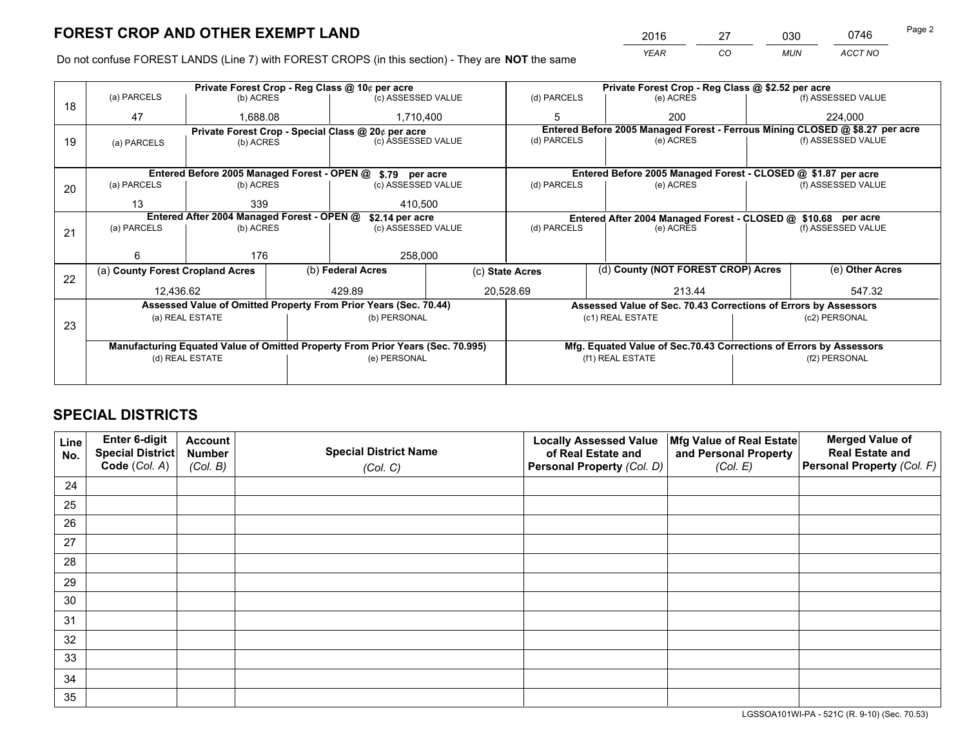*YEAR CO MUN ACCT NO* 2016 27 030 0746

Do not confuse FOREST LANDS (Line 7) with FOREST CROPS (in this section) - They are **NOT** the same

|    |                                  |                                            | Private Forest Crop - Reg Class @ 10¢ per acre |                                                                                | Private Forest Crop - Reg Class @ \$2.52 per acre |                                                                                           |                  |                                                                    |                 |                                                                              |
|----|----------------------------------|--------------------------------------------|------------------------------------------------|--------------------------------------------------------------------------------|---------------------------------------------------|-------------------------------------------------------------------------------------------|------------------|--------------------------------------------------------------------|-----------------|------------------------------------------------------------------------------|
| 18 | (a) PARCELS                      | (b) ACRES                                  |                                                | (c) ASSESSED VALUE                                                             |                                                   | (d) PARCELS                                                                               |                  | (e) ACRES                                                          |                 | (f) ASSESSED VALUE                                                           |
|    | 47                               | 1,688.08                                   |                                                | 1,710,400                                                                      |                                                   | 5                                                                                         |                  | 200                                                                |                 | 224.000                                                                      |
|    |                                  |                                            |                                                | Private Forest Crop - Special Class @ 20¢ per acre                             |                                                   |                                                                                           |                  |                                                                    |                 | Entered Before 2005 Managed Forest - Ferrous Mining CLOSED @ \$8.27 per acre |
| 19 | (a) PARCELS                      | (c) ASSESSED VALUE<br>(b) ACRES            |                                                | (d) PARCELS                                                                    |                                                   | (e) ACRES                                                                                 |                  | (f) ASSESSED VALUE                                                 |                 |                                                                              |
|    |                                  |                                            |                                                |                                                                                |                                                   |                                                                                           |                  |                                                                    |                 |                                                                              |
|    |                                  |                                            |                                                | Entered Before 2005 Managed Forest - OPEN @ \$.79 per acre                     |                                                   |                                                                                           |                  | Entered Before 2005 Managed Forest - CLOSED @ \$1.87 per acre      |                 |                                                                              |
| 20 | (a) PARCELS                      | (b) ACRES                                  |                                                | (c) ASSESSED VALUE                                                             |                                                   | (d) PARCELS                                                                               |                  | (e) ACRES                                                          |                 | (f) ASSESSED VALUE                                                           |
|    | 13                               | 339                                        |                                                | 410.500                                                                        |                                                   |                                                                                           |                  |                                                                    |                 |                                                                              |
|    |                                  | Entered After 2004 Managed Forest - OPEN @ |                                                |                                                                                |                                                   |                                                                                           |                  |                                                                    |                 |                                                                              |
|    | (a) PARCELS                      | (b) ACRES                                  |                                                | \$2.14 per acre<br>(c) ASSESSED VALUE                                          |                                                   | Entered After 2004 Managed Forest - CLOSED @ \$10.68 per acre<br>(d) PARCELS<br>(e) ACRES |                  |                                                                    |                 | (f) ASSESSED VALUE                                                           |
| 21 |                                  |                                            |                                                |                                                                                |                                                   |                                                                                           |                  |                                                                    |                 |                                                                              |
|    | 6                                | 176                                        |                                                |                                                                                |                                                   |                                                                                           |                  |                                                                    |                 |                                                                              |
|    |                                  |                                            |                                                | 258,000                                                                        |                                                   |                                                                                           |                  |                                                                    |                 |                                                                              |
| 22 | (a) County Forest Cropland Acres |                                            |                                                | (b) Federal Acres                                                              |                                                   | (d) County (NOT FOREST CROP) Acres<br>(c) State Acres                                     |                  |                                                                    | (e) Other Acres |                                                                              |
|    | 12,436.62                        |                                            |                                                | 429.89                                                                         |                                                   | 20,528.69<br>213.44                                                                       |                  |                                                                    |                 | 547.32                                                                       |
|    |                                  |                                            |                                                | Assessed Value of Omitted Property From Prior Years (Sec. 70.44)               |                                                   |                                                                                           |                  | Assessed Value of Sec. 70.43 Corrections of Errors by Assessors    |                 |                                                                              |
|    |                                  | (a) REAL ESTATE                            |                                                | (b) PERSONAL                                                                   |                                                   |                                                                                           | (c1) REAL ESTATE |                                                                    |                 | (c2) PERSONAL                                                                |
| 23 |                                  |                                            |                                                |                                                                                |                                                   |                                                                                           |                  |                                                                    |                 |                                                                              |
|    |                                  |                                            |                                                | Manufacturing Equated Value of Omitted Property From Prior Years (Sec. 70.995) |                                                   |                                                                                           |                  | Mfg. Equated Value of Sec.70.43 Corrections of Errors by Assessors |                 |                                                                              |
|    |                                  | (d) REAL ESTATE                            |                                                | (e) PERSONAL                                                                   |                                                   | (f1) REAL ESTATE                                                                          |                  |                                                                    | (f2) PERSONAL   |                                                                              |
|    |                                  |                                            |                                                |                                                                                |                                                   |                                                                                           |                  |                                                                    |                 |                                                                              |
|    |                                  |                                            |                                                |                                                                                |                                                   |                                                                                           |                  |                                                                    |                 |                                                                              |

## **SPECIAL DISTRICTS**

| Line<br>No. | Enter 6-digit<br>Special District<br>Code (Col. A) | <b>Account</b><br><b>Number</b> | <b>Special District Name</b> | <b>Locally Assessed Value</b><br>of Real Estate and | Mfg Value of Real Estate<br>and Personal Property | <b>Merged Value of</b><br><b>Real Estate and</b><br>Personal Property (Col. F) |
|-------------|----------------------------------------------------|---------------------------------|------------------------------|-----------------------------------------------------|---------------------------------------------------|--------------------------------------------------------------------------------|
|             |                                                    | (Col. B)                        | (Col. C)                     | Personal Property (Col. D)                          | (Col. E)                                          |                                                                                |
| 24          |                                                    |                                 |                              |                                                     |                                                   |                                                                                |
| 25          |                                                    |                                 |                              |                                                     |                                                   |                                                                                |
| 26          |                                                    |                                 |                              |                                                     |                                                   |                                                                                |
| 27          |                                                    |                                 |                              |                                                     |                                                   |                                                                                |
| 28          |                                                    |                                 |                              |                                                     |                                                   |                                                                                |
| 29          |                                                    |                                 |                              |                                                     |                                                   |                                                                                |
| 30          |                                                    |                                 |                              |                                                     |                                                   |                                                                                |
| 31          |                                                    |                                 |                              |                                                     |                                                   |                                                                                |
| 32          |                                                    |                                 |                              |                                                     |                                                   |                                                                                |
| 33          |                                                    |                                 |                              |                                                     |                                                   |                                                                                |
| 34          |                                                    |                                 |                              |                                                     |                                                   |                                                                                |
| 35          |                                                    |                                 |                              |                                                     |                                                   |                                                                                |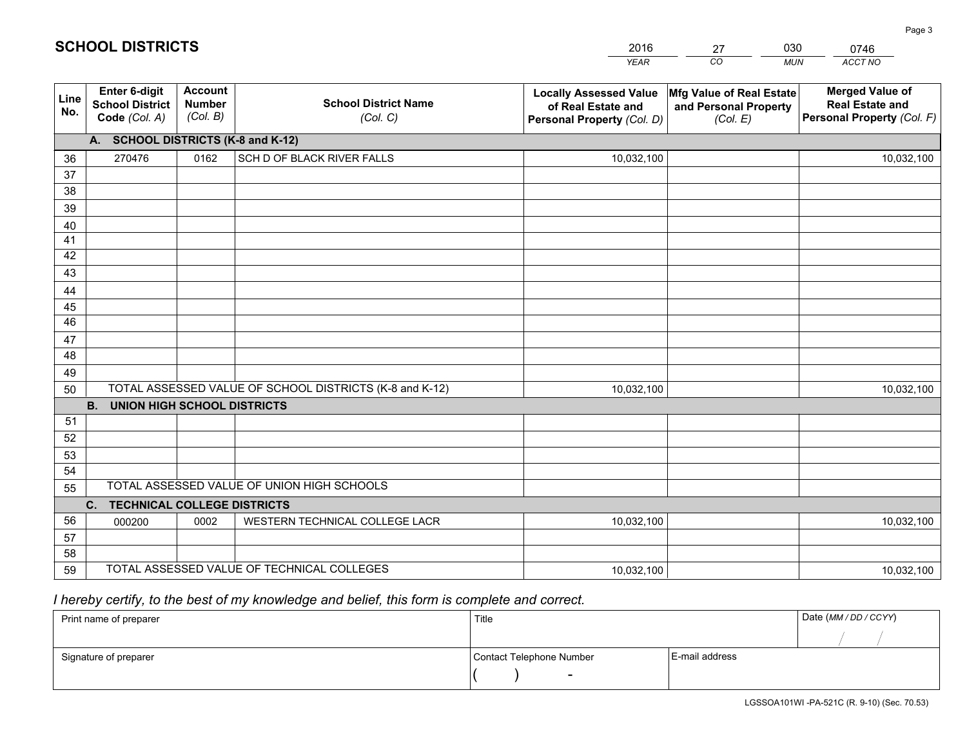|             |                                                          |                                             |                                                         | <b>YEAR</b>                                                                       | CO<br><b>MUN</b>                                              | ACCT NO                                                                        |
|-------------|----------------------------------------------------------|---------------------------------------------|---------------------------------------------------------|-----------------------------------------------------------------------------------|---------------------------------------------------------------|--------------------------------------------------------------------------------|
| Line<br>No. | Enter 6-digit<br><b>School District</b><br>Code (Col. A) | <b>Account</b><br><b>Number</b><br>(Col. B) | <b>School District Name</b><br>(Col. C)                 | <b>Locally Assessed Value</b><br>of Real Estate and<br>Personal Property (Col. D) | Mfg Value of Real Estate<br>and Personal Property<br>(Col. E) | <b>Merged Value of</b><br><b>Real Estate and</b><br>Personal Property (Col. F) |
|             | A. SCHOOL DISTRICTS (K-8 and K-12)                       |                                             |                                                         |                                                                                   |                                                               |                                                                                |
| 36          | 270476                                                   | 0162                                        | SCH D OF BLACK RIVER FALLS                              | 10,032,100                                                                        |                                                               | 10,032,100                                                                     |
| 37          |                                                          |                                             |                                                         |                                                                                   |                                                               |                                                                                |
| 38          |                                                          |                                             |                                                         |                                                                                   |                                                               |                                                                                |
| 39          |                                                          |                                             |                                                         |                                                                                   |                                                               |                                                                                |
| 40          |                                                          |                                             |                                                         |                                                                                   |                                                               |                                                                                |
| 41          |                                                          |                                             |                                                         |                                                                                   |                                                               |                                                                                |
| 42          |                                                          |                                             |                                                         |                                                                                   |                                                               |                                                                                |
| 43          |                                                          |                                             |                                                         |                                                                                   |                                                               |                                                                                |
| 44          |                                                          |                                             |                                                         |                                                                                   |                                                               |                                                                                |
| 45<br>46    |                                                          |                                             |                                                         |                                                                                   |                                                               |                                                                                |
|             |                                                          |                                             |                                                         |                                                                                   |                                                               |                                                                                |
| 47<br>48    |                                                          |                                             |                                                         |                                                                                   |                                                               |                                                                                |
| 49          |                                                          |                                             |                                                         |                                                                                   |                                                               |                                                                                |
| 50          |                                                          |                                             | TOTAL ASSESSED VALUE OF SCHOOL DISTRICTS (K-8 and K-12) | 10,032,100                                                                        |                                                               | 10,032,100                                                                     |
|             | <b>B.</b><br><b>UNION HIGH SCHOOL DISTRICTS</b>          |                                             |                                                         |                                                                                   |                                                               |                                                                                |
| 51          |                                                          |                                             |                                                         |                                                                                   |                                                               |                                                                                |
| 52          |                                                          |                                             |                                                         |                                                                                   |                                                               |                                                                                |
| 53          |                                                          |                                             |                                                         |                                                                                   |                                                               |                                                                                |
| 54          |                                                          |                                             |                                                         |                                                                                   |                                                               |                                                                                |
| 55          |                                                          |                                             | TOTAL ASSESSED VALUE OF UNION HIGH SCHOOLS              |                                                                                   |                                                               |                                                                                |
|             | C. TECHNICAL COLLEGE DISTRICTS                           |                                             |                                                         |                                                                                   |                                                               |                                                                                |
| 56          | 000200                                                   | 0002                                        | WESTERN TECHNICAL COLLEGE LACR                          | 10,032,100                                                                        |                                                               | 10,032,100                                                                     |
| 57          |                                                          |                                             |                                                         |                                                                                   |                                                               |                                                                                |
| 58          |                                                          |                                             |                                                         |                                                                                   |                                                               |                                                                                |
| 59          |                                                          |                                             | TOTAL ASSESSED VALUE OF TECHNICAL COLLEGES              | 10,032,100                                                                        |                                                               | 10,032,100                                                                     |

27

030

# *I hereby certify, to the best of my knowledge and belief, this form is complete and correct.*

**SCHOOL DISTRICTS**

| Print name of preparer | Title                    |                | Date (MM / DD / CCYY) |
|------------------------|--------------------------|----------------|-----------------------|
|                        |                          |                |                       |
| Signature of preparer  | Contact Telephone Number | E-mail address |                       |
|                        | $\sim$                   |                |                       |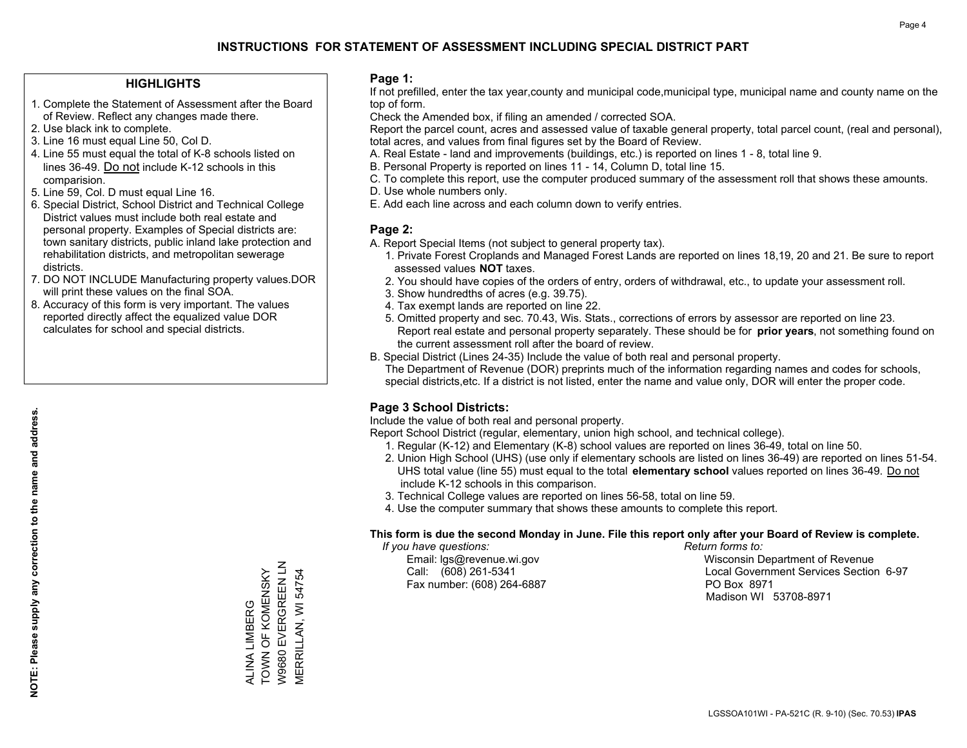### **HIGHLIGHTS**

- 1. Complete the Statement of Assessment after the Board of Review. Reflect any changes made there.
- 2. Use black ink to complete.
- 3. Line 16 must equal Line 50, Col D.
- 4. Line 55 must equal the total of K-8 schools listed on lines 36-49. Do not include K-12 schools in this comparision.
- 5. Line 59, Col. D must equal Line 16.
- 6. Special District, School District and Technical College District values must include both real estate and personal property. Examples of Special districts are: town sanitary districts, public inland lake protection and rehabilitation districts, and metropolitan sewerage districts.
- 7. DO NOT INCLUDE Manufacturing property values.DOR will print these values on the final SOA.

ALINA LIMBERG TOWN OF KOMENSKY W9680 EVERGREEN LN MERRILLAN, WI 54754

W9680 EVERGREEN LN ALINA LIMBERG<br>TOWN OF KOMENSKY

**MERRILLAN, WI 54754** 

 8. Accuracy of this form is very important. The values reported directly affect the equalized value DOR calculates for school and special districts.

### **Page 1:**

 If not prefilled, enter the tax year,county and municipal code,municipal type, municipal name and county name on the top of form.

Check the Amended box, if filing an amended / corrected SOA.

 Report the parcel count, acres and assessed value of taxable general property, total parcel count, (real and personal), total acres, and values from final figures set by the Board of Review.

- A. Real Estate land and improvements (buildings, etc.) is reported on lines 1 8, total line 9.
- B. Personal Property is reported on lines 11 14, Column D, total line 15.
- C. To complete this report, use the computer produced summary of the assessment roll that shows these amounts.
- D. Use whole numbers only.
- E. Add each line across and each column down to verify entries.

### **Page 2:**

- A. Report Special Items (not subject to general property tax).
- 1. Private Forest Croplands and Managed Forest Lands are reported on lines 18,19, 20 and 21. Be sure to report assessed values **NOT** taxes.
- 2. You should have copies of the orders of entry, orders of withdrawal, etc., to update your assessment roll.
	- 3. Show hundredths of acres (e.g. 39.75).
- 4. Tax exempt lands are reported on line 22.
- 5. Omitted property and sec. 70.43, Wis. Stats., corrections of errors by assessor are reported on line 23. Report real estate and personal property separately. These should be for **prior years**, not something found on the current assessment roll after the board of review.
- B. Special District (Lines 24-35) Include the value of both real and personal property.
- The Department of Revenue (DOR) preprints much of the information regarding names and codes for schools, special districts,etc. If a district is not listed, enter the name and value only, DOR will enter the proper code.

### **Page 3 School Districts:**

Include the value of both real and personal property.

Report School District (regular, elementary, union high school, and technical college).

- 1. Regular (K-12) and Elementary (K-8) school values are reported on lines 36-49, total on line 50.
- 2. Union High School (UHS) (use only if elementary schools are listed on lines 36-49) are reported on lines 51-54. UHS total value (line 55) must equal to the total **elementary school** values reported on lines 36-49. Do notinclude K-12 schools in this comparison.
- 3. Technical College values are reported on lines 56-58, total on line 59.
- 4. Use the computer summary that shows these amounts to complete this report.

### **This form is due the second Monday in June. File this report only after your Board of Review is complete.**

 *If you have questions: Return forms to:*

Fax number: (608) 264-6887 PO Box 8971

 Email: lgs@revenue.wi.gov Wisconsin Department of Revenue Call: (608) 261-5341 Local Government Services Section 6-97Madison WI 53708-8971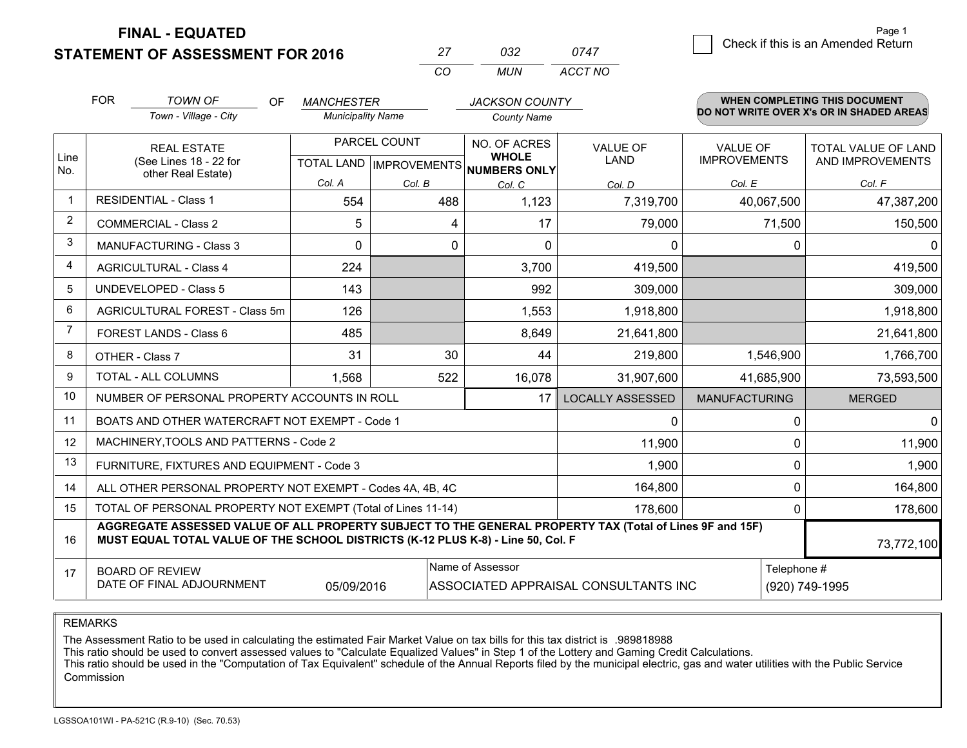**STATEMENT OF ASSESSMENT FOR 2016 FINAL - EQUATED**

| 27  | กาว | 0747    |
|-----|-----|---------|
| - വ | MUN | ACCT NO |

|              | <b>FOR</b>                                                                                        | <b>TOWN OF</b><br><b>OF</b>                                                                                                                                                                  | <b>MANCHESTER</b>        |                                                          | <b>JACKSON COUNTY</b> |                         |                      | <b>WHEN COMPLETING THIS DOCUMENT</b>     |
|--------------|---------------------------------------------------------------------------------------------------|----------------------------------------------------------------------------------------------------------------------------------------------------------------------------------------------|--------------------------|----------------------------------------------------------|-----------------------|-------------------------|----------------------|------------------------------------------|
|              |                                                                                                   | Town - Village - City                                                                                                                                                                        | <b>Municipality Name</b> |                                                          | <b>County Name</b>    |                         |                      | DO NOT WRITE OVER X's OR IN SHADED AREAS |
|              |                                                                                                   | <b>REAL ESTATE</b>                                                                                                                                                                           | PARCEL COUNT             |                                                          | NO. OF ACRES          | <b>VALUE OF</b>         | <b>VALUE OF</b>      | <b>TOTAL VALUE OF LAND</b>               |
| Line<br>No.  | (See Lines 18 - 22 for<br>other Real Estate)                                                      |                                                                                                                                                                                              |                          | <b>WHOLE</b><br>TOTAL LAND   IMPROVEMENTS   NUMBERS ONLY | <b>LAND</b>           | <b>IMPROVEMENTS</b>     | AND IMPROVEMENTS     |                                          |
|              |                                                                                                   |                                                                                                                                                                                              | Col. A                   | Col. B                                                   | Col. C                | Col. D                  | Col. E               | Col. F                                   |
| $\mathbf{1}$ |                                                                                                   | <b>RESIDENTIAL - Class 1</b>                                                                                                                                                                 | 554                      | 488                                                      | 1,123                 | 7,319,700               | 40,067,500           | 47,387,200                               |
| 2            |                                                                                                   | <b>COMMERCIAL - Class 2</b>                                                                                                                                                                  | 5                        | 4                                                        | 17                    | 79,000                  | 71,500               | 150,500                                  |
| 3            |                                                                                                   | <b>MANUFACTURING - Class 3</b>                                                                                                                                                               | 0                        | 0                                                        | $\Omega$              | 0                       | $\Omega$             | 0                                        |
| 4            |                                                                                                   | <b>AGRICULTURAL - Class 4</b>                                                                                                                                                                | 224                      |                                                          | 3,700                 | 419,500                 |                      | 419,500                                  |
| 5            |                                                                                                   | <b>UNDEVELOPED - Class 5</b>                                                                                                                                                                 | 143                      |                                                          | 992                   | 309,000                 |                      | 309,000                                  |
| 6            | AGRICULTURAL FOREST - Class 5m                                                                    |                                                                                                                                                                                              | 126                      |                                                          | 1,553                 | 1,918,800               |                      | 1,918,800                                |
| 7            |                                                                                                   | FOREST LANDS - Class 6                                                                                                                                                                       | 485                      |                                                          | 8,649                 | 21,641,800              |                      | 21,641,800                               |
| 8            |                                                                                                   | OTHER - Class 7                                                                                                                                                                              | 31                       | 30                                                       | 44                    | 219,800                 | 1,546,900            | 1,766,700                                |
| 9            |                                                                                                   | TOTAL - ALL COLUMNS                                                                                                                                                                          | 1,568                    | 522                                                      | 16,078                | 31,907,600              | 41,685,900           | 73,593,500                               |
| 10           |                                                                                                   | NUMBER OF PERSONAL PROPERTY ACCOUNTS IN ROLL                                                                                                                                                 |                          |                                                          | 17                    | <b>LOCALLY ASSESSED</b> | <b>MANUFACTURING</b> | <b>MERGED</b>                            |
| 11           |                                                                                                   | BOATS AND OTHER WATERCRAFT NOT EXEMPT - Code 1                                                                                                                                               |                          |                                                          |                       | 0                       | $\Omega$             | $\mathbf{0}$                             |
| 12           |                                                                                                   | MACHINERY, TOOLS AND PATTERNS - Code 2                                                                                                                                                       |                          |                                                          |                       | 11,900                  | $\mathbf{0}$         | 11,900                                   |
| 13           |                                                                                                   | FURNITURE, FIXTURES AND EQUIPMENT - Code 3                                                                                                                                                   |                          |                                                          |                       | 1,900                   | $\mathbf{0}$         | 1,900                                    |
| 14           |                                                                                                   | ALL OTHER PERSONAL PROPERTY NOT EXEMPT - Codes 4A, 4B, 4C                                                                                                                                    |                          |                                                          |                       | 164,800                 | $\mathbf{0}$         | 164,800                                  |
| 15           |                                                                                                   | TOTAL OF PERSONAL PROPERTY NOT EXEMPT (Total of Lines 11-14)                                                                                                                                 |                          |                                                          |                       | 178,600                 | $\Omega$             | 178,600                                  |
| 16           |                                                                                                   | AGGREGATE ASSESSED VALUE OF ALL PROPERTY SUBJECT TO THE GENERAL PROPERTY TAX (Total of Lines 9F and 15F)<br>MUST EQUAL TOTAL VALUE OF THE SCHOOL DISTRICTS (K-12 PLUS K-8) - Line 50, Col. F |                          |                                                          |                       |                         |                      | 73,772,100                               |
| 17           |                                                                                                   | <b>BOARD OF REVIEW</b>                                                                                                                                                                       |                          |                                                          | Name of Assessor      |                         | Telephone #          |                                          |
|              | DATE OF FINAL ADJOURNMENT<br>05/09/2016<br>ASSOCIATED APPRAISAL CONSULTANTS INC<br>(920) 749-1995 |                                                                                                                                                                                              |                          |                                                          |                       |                         |                      |                                          |

REMARKS

The Assessment Ratio to be used in calculating the estimated Fair Market Value on tax bills for this tax district is .989818988

This ratio should be used to convert assessed values to "Calculate Equalized Values" in Step 1 of the Lottery and Gaming Credit Calculations.

 This ratio should be used in the "Computation of Tax Equivalent" schedule of the Annual Reports filed by the municipal electric, gas and water utilities with the Public Service Commission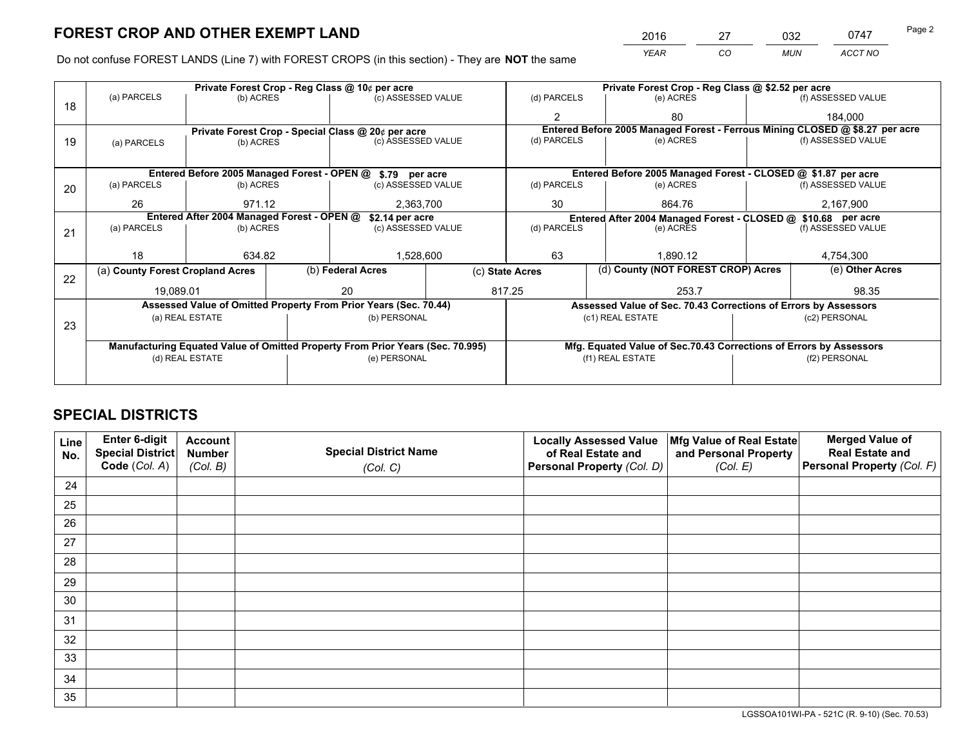*YEAR CO MUN ACCT NO* 2016 27 032 0747

Do not confuse FOREST LANDS (Line 7) with FOREST CROPS (in this section) - They are **NOT** the same

|    |                                                                                |                     |              | Private Forest Crop - Reg Class @ 10¢ per acre                   |                 | Private Forest Crop - Reg Class @ \$2.52 per acre |                                                                    |                                                                 |                    |                                                                              |
|----|--------------------------------------------------------------------------------|---------------------|--------------|------------------------------------------------------------------|-----------------|---------------------------------------------------|--------------------------------------------------------------------|-----------------------------------------------------------------|--------------------|------------------------------------------------------------------------------|
| 18 | (a) PARCELS                                                                    | (b) ACRES           |              | (c) ASSESSED VALUE                                               |                 | (d) PARCELS                                       |                                                                    | (e) ACRES                                                       |                    | (f) ASSESSED VALUE                                                           |
|    |                                                                                |                     |              |                                                                  |                 | $\mathfrak{p}$                                    |                                                                    | 80                                                              |                    | 184.000                                                                      |
|    |                                                                                |                     |              | Private Forest Crop - Special Class @ 20¢ per acre               |                 |                                                   |                                                                    |                                                                 |                    | Entered Before 2005 Managed Forest - Ferrous Mining CLOSED @ \$8.27 per acre |
| 19 | (a) PARCELS                                                                    | (b) ACRES           |              | (c) ASSESSED VALUE                                               |                 | (d) PARCELS                                       |                                                                    | (e) ACRES                                                       |                    | (f) ASSESSED VALUE                                                           |
|    |                                                                                |                     |              |                                                                  |                 |                                                   |                                                                    |                                                                 |                    |                                                                              |
|    |                                                                                |                     |              | Entered Before 2005 Managed Forest - OPEN @ \$.79 per acre       |                 |                                                   |                                                                    | Entered Before 2005 Managed Forest - CLOSED @ \$1.87 per acre   |                    |                                                                              |
| 20 | (a) PARCELS                                                                    | (b) ACRES           |              | (c) ASSESSED VALUE                                               |                 | (d) PARCELS                                       |                                                                    | (e) ACRES                                                       |                    | (f) ASSESSED VALUE                                                           |
|    | 26                                                                             | 971.12<br>2,363,700 |              | 30                                                               |                 | 864.76                                            |                                                                    | 2,167,900                                                       |                    |                                                                              |
|    | Entered After 2004 Managed Forest - OPEN @<br>\$2.14 per acre                  |                     |              |                                                                  |                 |                                                   | Entered After 2004 Managed Forest - CLOSED @ \$10.68 per acre      |                                                                 |                    |                                                                              |
| 21 | (a) PARCELS                                                                    | (b) ACRES           |              | (c) ASSESSED VALUE                                               |                 | (d) PARCELS<br>(e) ACRES                          |                                                                    |                                                                 | (f) ASSESSED VALUE |                                                                              |
|    |                                                                                |                     |              |                                                                  |                 |                                                   |                                                                    |                                                                 |                    |                                                                              |
|    | 18                                                                             | 634.82              |              | 1,528,600                                                        |                 | 63<br>1.890.12                                    |                                                                    | 4,754,300                                                       |                    |                                                                              |
| 22 | (a) County Forest Cropland Acres                                               |                     |              | (b) Federal Acres                                                | (c) State Acres |                                                   |                                                                    | (d) County (NOT FOREST CROP) Acres                              |                    | (e) Other Acres                                                              |
|    | 19,089.01                                                                      |                     |              | 20                                                               |                 | 817.25<br>253.7                                   |                                                                    |                                                                 |                    | 98.35                                                                        |
|    |                                                                                |                     |              | Assessed Value of Omitted Property From Prior Years (Sec. 70.44) |                 |                                                   |                                                                    | Assessed Value of Sec. 70.43 Corrections of Errors by Assessors |                    |                                                                              |
| 23 |                                                                                | (a) REAL ESTATE     |              | (b) PERSONAL                                                     |                 |                                                   |                                                                    | (c1) REAL ESTATE                                                |                    | (c2) PERSONAL                                                                |
|    |                                                                                |                     |              |                                                                  |                 |                                                   |                                                                    |                                                                 |                    |                                                                              |
|    | Manufacturing Equated Value of Omitted Property From Prior Years (Sec. 70.995) |                     |              |                                                                  |                 |                                                   | Mfg. Equated Value of Sec.70.43 Corrections of Errors by Assessors |                                                                 |                    |                                                                              |
|    | (d) REAL ESTATE                                                                |                     | (e) PERSONAL |                                                                  |                 |                                                   | (f1) REAL ESTATE                                                   |                                                                 | (f2) PERSONAL      |                                                                              |
|    |                                                                                |                     |              |                                                                  |                 |                                                   |                                                                    |                                                                 |                    |                                                                              |

## **SPECIAL DISTRICTS**

| Line<br>No. | Enter 6-digit<br><b>Special District</b> | <b>Account</b><br><b>Number</b> | <b>Special District Name</b> | <b>Locally Assessed Value</b><br>of Real Estate and | Mfg Value of Real Estate<br>and Personal Property | <b>Merged Value of</b><br><b>Real Estate and</b> |
|-------------|------------------------------------------|---------------------------------|------------------------------|-----------------------------------------------------|---------------------------------------------------|--------------------------------------------------|
|             | Code (Col. A)                            | (Col. B)                        | (Col. C)                     | Personal Property (Col. D)                          | (Col. E)                                          | Personal Property (Col. F)                       |
| 24          |                                          |                                 |                              |                                                     |                                                   |                                                  |
| 25          |                                          |                                 |                              |                                                     |                                                   |                                                  |
| 26          |                                          |                                 |                              |                                                     |                                                   |                                                  |
| 27          |                                          |                                 |                              |                                                     |                                                   |                                                  |
| 28          |                                          |                                 |                              |                                                     |                                                   |                                                  |
| 29          |                                          |                                 |                              |                                                     |                                                   |                                                  |
| 30          |                                          |                                 |                              |                                                     |                                                   |                                                  |
| 31          |                                          |                                 |                              |                                                     |                                                   |                                                  |
| 32          |                                          |                                 |                              |                                                     |                                                   |                                                  |
| 33          |                                          |                                 |                              |                                                     |                                                   |                                                  |
| 34          |                                          |                                 |                              |                                                     |                                                   |                                                  |
| 35          |                                          |                                 |                              |                                                     |                                                   |                                                  |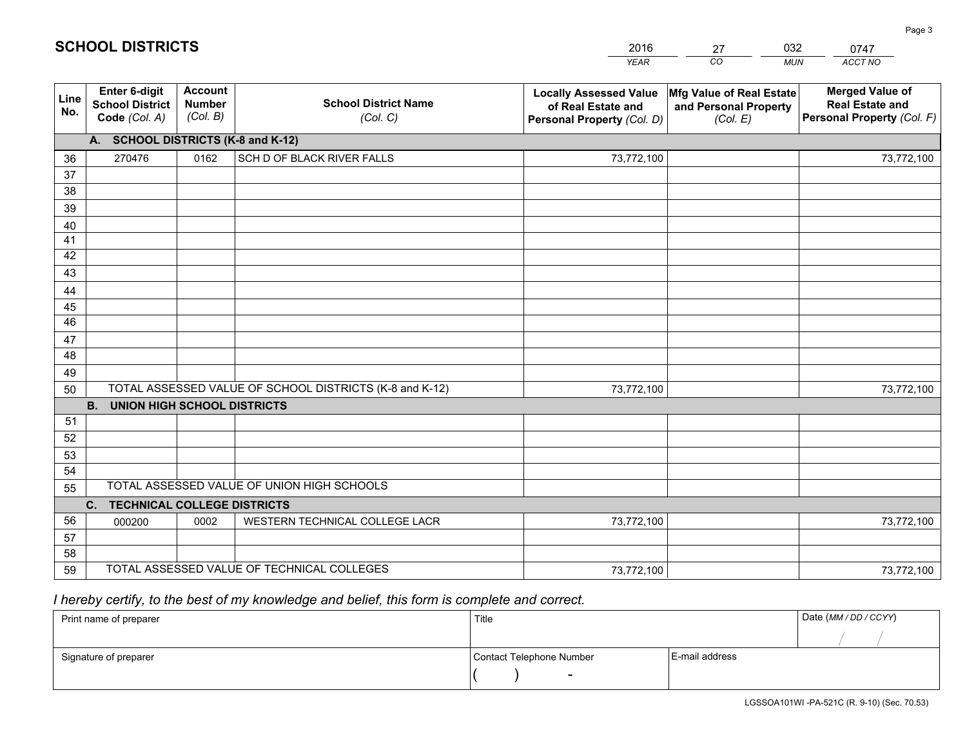|             |                                                          |                                             |                                                         | <b>YEAR</b>                                                                       | CO<br><b>MUN</b>                                              | ACCT NO                                                                        |
|-------------|----------------------------------------------------------|---------------------------------------------|---------------------------------------------------------|-----------------------------------------------------------------------------------|---------------------------------------------------------------|--------------------------------------------------------------------------------|
| Line<br>No. | Enter 6-digit<br><b>School District</b><br>Code (Col. A) | <b>Account</b><br><b>Number</b><br>(Col. B) | <b>School District Name</b><br>(Col. C)                 | <b>Locally Assessed Value</b><br>of Real Estate and<br>Personal Property (Col. D) | Mfg Value of Real Estate<br>and Personal Property<br>(Col. E) | <b>Merged Value of</b><br><b>Real Estate and</b><br>Personal Property (Col. F) |
|             | A. SCHOOL DISTRICTS (K-8 and K-12)                       |                                             |                                                         |                                                                                   |                                                               |                                                                                |
| 36          | 270476                                                   | 0162                                        | SCH D OF BLACK RIVER FALLS                              | 73,772,100                                                                        |                                                               | 73,772,100                                                                     |
| 37          |                                                          |                                             |                                                         |                                                                                   |                                                               |                                                                                |
| 38          |                                                          |                                             |                                                         |                                                                                   |                                                               |                                                                                |
| 39          |                                                          |                                             |                                                         |                                                                                   |                                                               |                                                                                |
| 40          |                                                          |                                             |                                                         |                                                                                   |                                                               |                                                                                |
| 41          |                                                          |                                             |                                                         |                                                                                   |                                                               |                                                                                |
| 42          |                                                          |                                             |                                                         |                                                                                   |                                                               |                                                                                |
| 43          |                                                          |                                             |                                                         |                                                                                   |                                                               |                                                                                |
| 44          |                                                          |                                             |                                                         |                                                                                   |                                                               |                                                                                |
| 45<br>46    |                                                          |                                             |                                                         |                                                                                   |                                                               |                                                                                |
|             |                                                          |                                             |                                                         |                                                                                   |                                                               |                                                                                |
| 47<br>48    |                                                          |                                             |                                                         |                                                                                   |                                                               |                                                                                |
| 49          |                                                          |                                             |                                                         |                                                                                   |                                                               |                                                                                |
| 50          |                                                          |                                             | TOTAL ASSESSED VALUE OF SCHOOL DISTRICTS (K-8 and K-12) | 73,772,100                                                                        |                                                               | 73,772,100                                                                     |
|             | <b>UNION HIGH SCHOOL DISTRICTS</b><br><b>B.</b>          |                                             |                                                         |                                                                                   |                                                               |                                                                                |
| 51          |                                                          |                                             |                                                         |                                                                                   |                                                               |                                                                                |
| 52          |                                                          |                                             |                                                         |                                                                                   |                                                               |                                                                                |
| 53          |                                                          |                                             |                                                         |                                                                                   |                                                               |                                                                                |
| 54          |                                                          |                                             |                                                         |                                                                                   |                                                               |                                                                                |
| 55          |                                                          |                                             | TOTAL ASSESSED VALUE OF UNION HIGH SCHOOLS              |                                                                                   |                                                               |                                                                                |
|             | C. TECHNICAL COLLEGE DISTRICTS                           |                                             |                                                         |                                                                                   |                                                               |                                                                                |
| 56          | 000200                                                   | 0002                                        | WESTERN TECHNICAL COLLEGE LACR                          | 73,772,100                                                                        |                                                               | 73,772,100                                                                     |
| 57          |                                                          |                                             |                                                         |                                                                                   |                                                               |                                                                                |
| 58          |                                                          |                                             |                                                         |                                                                                   |                                                               |                                                                                |
| 59          |                                                          |                                             | TOTAL ASSESSED VALUE OF TECHNICAL COLLEGES              | 73,772,100                                                                        |                                                               | 73,772,100                                                                     |

27

032

# *I hereby certify, to the best of my knowledge and belief, this form is complete and correct.*

**SCHOOL DISTRICTS**

| Print name of preparer | Title                    |                | Date (MM / DD / CCYY) |
|------------------------|--------------------------|----------------|-----------------------|
|                        |                          |                |                       |
| Signature of preparer  | Contact Telephone Number | E-mail address |                       |
|                        | $\overline{\phantom{0}}$ |                |                       |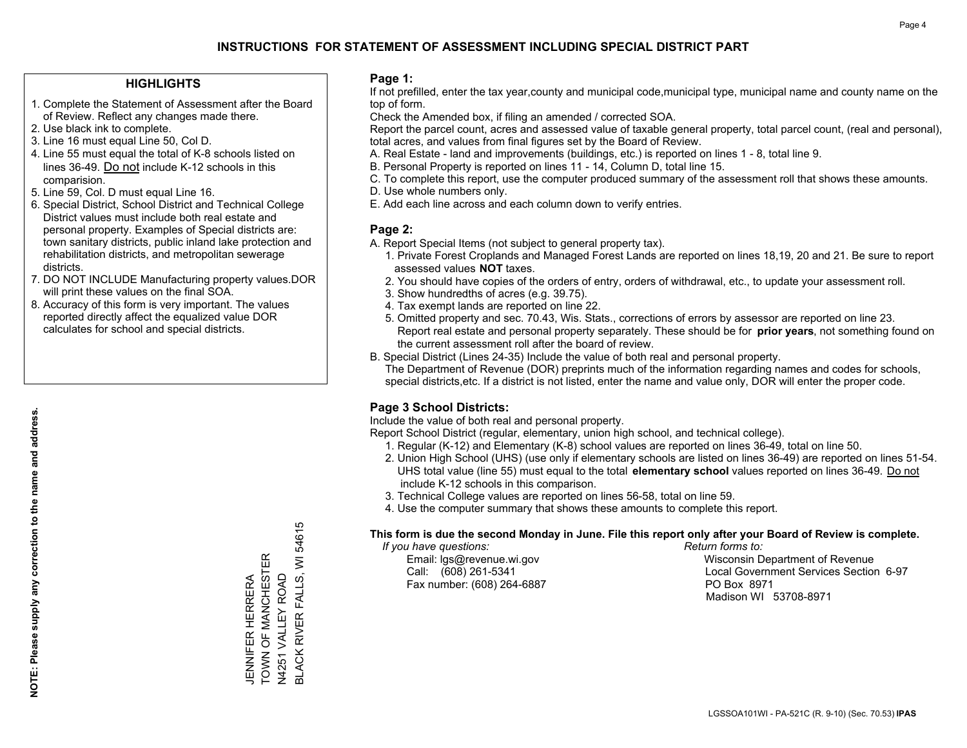### **HIGHLIGHTS**

- 1. Complete the Statement of Assessment after the Board of Review. Reflect any changes made there.
- 2. Use black ink to complete.
- 3. Line 16 must equal Line 50, Col D.
- 4. Line 55 must equal the total of K-8 schools listed on lines 36-49. Do not include K-12 schools in this comparision.
- 5. Line 59, Col. D must equal Line 16.
- 6. Special District, School District and Technical College District values must include both real estate and personal property. Examples of Special districts are: town sanitary districts, public inland lake protection and rehabilitation districts, and metropolitan sewerage districts.
- 7. DO NOT INCLUDE Manufacturing property values.DOR will print these values on the final SOA.

JENNIFER HERRERA TOWN OF MANCHESTER N4251 VALLEY ROAD

JENNIFER HERRERA<br>TOWN OF MANCHESTER V4251 VALLEY ROAD BLACK RIVER FALLS, WI 54615

**BLACK RIVER FALLS, WI 5461** 

Ю

 8. Accuracy of this form is very important. The values reported directly affect the equalized value DOR calculates for school and special districts.

### **Page 1:**

 If not prefilled, enter the tax year,county and municipal code,municipal type, municipal name and county name on the top of form.

Check the Amended box, if filing an amended / corrected SOA.

 Report the parcel count, acres and assessed value of taxable general property, total parcel count, (real and personal), total acres, and values from final figures set by the Board of Review.

- A. Real Estate land and improvements (buildings, etc.) is reported on lines 1 8, total line 9.
- B. Personal Property is reported on lines 11 14, Column D, total line 15.
- C. To complete this report, use the computer produced summary of the assessment roll that shows these amounts.
- D. Use whole numbers only.
- E. Add each line across and each column down to verify entries.

### **Page 2:**

- A. Report Special Items (not subject to general property tax).
- 1. Private Forest Croplands and Managed Forest Lands are reported on lines 18,19, 20 and 21. Be sure to report assessed values **NOT** taxes.
- 2. You should have copies of the orders of entry, orders of withdrawal, etc., to update your assessment roll.
	- 3. Show hundredths of acres (e.g. 39.75).
- 4. Tax exempt lands are reported on line 22.
- 5. Omitted property and sec. 70.43, Wis. Stats., corrections of errors by assessor are reported on line 23. Report real estate and personal property separately. These should be for **prior years**, not something found on the current assessment roll after the board of review.
- B. Special District (Lines 24-35) Include the value of both real and personal property.
- The Department of Revenue (DOR) preprints much of the information regarding names and codes for schools, special districts,etc. If a district is not listed, enter the name and value only, DOR will enter the proper code.

### **Page 3 School Districts:**

Include the value of both real and personal property.

Report School District (regular, elementary, union high school, and technical college).

- 1. Regular (K-12) and Elementary (K-8) school values are reported on lines 36-49, total on line 50.
- 2. Union High School (UHS) (use only if elementary schools are listed on lines 36-49) are reported on lines 51-54. UHS total value (line 55) must equal to the total **elementary school** values reported on lines 36-49. Do notinclude K-12 schools in this comparison.
- 3. Technical College values are reported on lines 56-58, total on line 59.
- 4. Use the computer summary that shows these amounts to complete this report.

### **This form is due the second Monday in June. File this report only after your Board of Review is complete.**

 *If you have questions: Return forms to:*

Fax number: (608) 264-6887 PO Box 8971

 Email: lgs@revenue.wi.gov Wisconsin Department of Revenue Call: (608) 261-5341 Local Government Services Section 6-97Madison WI 53708-8971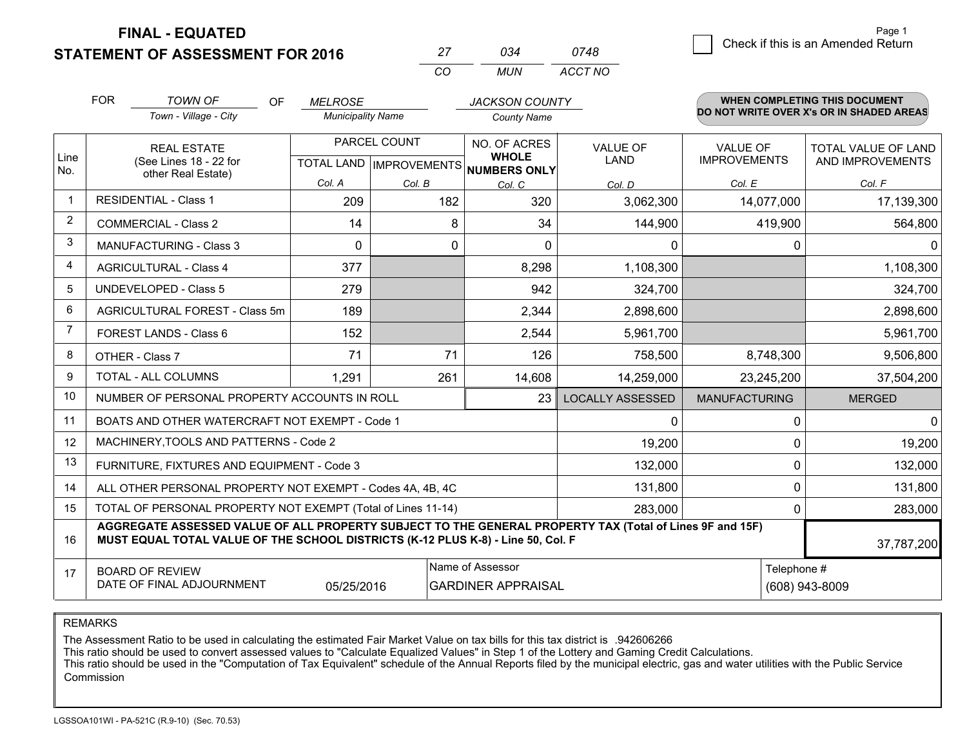**FINAL - EQUATED**

**STATEMENT OF ASSESSMENT FOR 2016** 

| 27  | ก.า4 | 0748    |
|-----|------|---------|
| CO. | MUN  | ACCT NO |

|                | <b>FOR</b>                                                                                                                                                                                   | <b>TOWN OF</b><br><b>OF</b>                                  | <b>MELROSE</b>           |             | <b>JACKSON COUNTY</b>                |                         |                      | <b>WHEN COMPLETING THIS DOCUMENT</b>     |
|----------------|----------------------------------------------------------------------------------------------------------------------------------------------------------------------------------------------|--------------------------------------------------------------|--------------------------|-------------|--------------------------------------|-------------------------|----------------------|------------------------------------------|
|                |                                                                                                                                                                                              | Town - Village - City                                        | <b>Municipality Name</b> |             | <b>County Name</b>                   |                         |                      | DO NOT WRITE OVER X's OR IN SHADED AREAS |
| Line           |                                                                                                                                                                                              | <b>REAL ESTATE</b>                                           | PARCEL COUNT             |             | NO. OF ACRES<br><b>WHOLE</b>         | <b>VALUE OF</b>         | <b>VALUE OF</b>      | <b>TOTAL VALUE OF LAND</b>               |
| No.            |                                                                                                                                                                                              | (See Lines 18 - 22 for<br>other Real Estate)                 |                          |             | TOTAL LAND IMPROVEMENTS NUMBERS ONLY | <b>LAND</b>             | <b>IMPROVEMENTS</b>  | AND IMPROVEMENTS                         |
|                |                                                                                                                                                                                              |                                                              | Col. A                   | Col. B      | Col. C                               | Col. D                  | Col. E               | Col. F                                   |
|                |                                                                                                                                                                                              | <b>RESIDENTIAL - Class 1</b>                                 | 209                      | 182         | 320                                  | 3,062,300               | 14,077,000           | 17,139,300                               |
| $\overline{2}$ |                                                                                                                                                                                              | <b>COMMERCIAL - Class 2</b>                                  | 14                       | 8           | 34                                   | 144,900                 | 419,900              | 564,800                                  |
| 3              |                                                                                                                                                                                              | <b>MANUFACTURING - Class 3</b>                               | $\Omega$                 | $\mathbf 0$ | $\Omega$                             | 0                       | $\Omega$             | $\mathbf{0}$                             |
| 4              |                                                                                                                                                                                              | <b>AGRICULTURAL - Class 4</b>                                | 377                      |             | 8,298                                | 1,108,300               |                      | 1,108,300                                |
| 5              |                                                                                                                                                                                              | <b>UNDEVELOPED - Class 5</b>                                 | 279                      |             | 942                                  | 324,700                 |                      | 324,700                                  |
| 6              |                                                                                                                                                                                              | AGRICULTURAL FOREST - Class 5m                               | 189                      |             | 2,344                                | 2,898,600               |                      | 2,898,600                                |
| 7              |                                                                                                                                                                                              | FOREST LANDS - Class 6                                       | 152                      |             | 2,544                                | 5,961,700               |                      | 5,961,700                                |
| 8              |                                                                                                                                                                                              | OTHER - Class 7                                              | 71                       | 71          | 126                                  | 758,500                 | 8,748,300            | 9,506,800                                |
| 9              |                                                                                                                                                                                              | TOTAL - ALL COLUMNS                                          | 1,291                    | 261         | 14,608                               | 14,259,000              | 23,245,200           | 37,504,200                               |
| 10             |                                                                                                                                                                                              | NUMBER OF PERSONAL PROPERTY ACCOUNTS IN ROLL                 |                          |             | 23                                   | <b>LOCALLY ASSESSED</b> | <b>MANUFACTURING</b> | <b>MERGED</b>                            |
| 11             |                                                                                                                                                                                              | BOATS AND OTHER WATERCRAFT NOT EXEMPT - Code 1               |                          |             |                                      | 0                       | $\Omega$             | 0                                        |
| 12             |                                                                                                                                                                                              | MACHINERY, TOOLS AND PATTERNS - Code 2                       |                          |             |                                      | 19,200                  | $\Omega$             | 19,200                                   |
| 13             |                                                                                                                                                                                              | FURNITURE, FIXTURES AND EQUIPMENT - Code 3                   |                          |             |                                      | 132,000                 | $\mathbf 0$          | 132,000                                  |
| 14             |                                                                                                                                                                                              | ALL OTHER PERSONAL PROPERTY NOT EXEMPT - Codes 4A, 4B, 4C    |                          |             |                                      | 131,800                 | $\mathbf 0$          | 131,800                                  |
| 15             |                                                                                                                                                                                              | TOTAL OF PERSONAL PROPERTY NOT EXEMPT (Total of Lines 11-14) |                          |             |                                      | 283,000                 | $\mathbf 0$          | 283,000                                  |
| 16             | AGGREGATE ASSESSED VALUE OF ALL PROPERTY SUBJECT TO THE GENERAL PROPERTY TAX (Total of Lines 9F and 15F)<br>MUST EQUAL TOTAL VALUE OF THE SCHOOL DISTRICTS (K-12 PLUS K-8) - Line 50, Col. F |                                                              |                          |             |                                      |                         |                      | 37,787,200                               |
| 17             | Name of Assessor<br><b>BOARD OF REVIEW</b><br>DATE OF FINAL ADJOURNMENT<br>05/25/2016<br><b>GARDINER APPRAISAL</b>                                                                           |                                                              |                          |             |                                      | Telephone #             | (608) 943-8009       |                                          |

REMARKS

The Assessment Ratio to be used in calculating the estimated Fair Market Value on tax bills for this tax district is .942606266<br>This ratio should be used to convert assessed values to "Calculate Equalized Values" in Step 1 Commission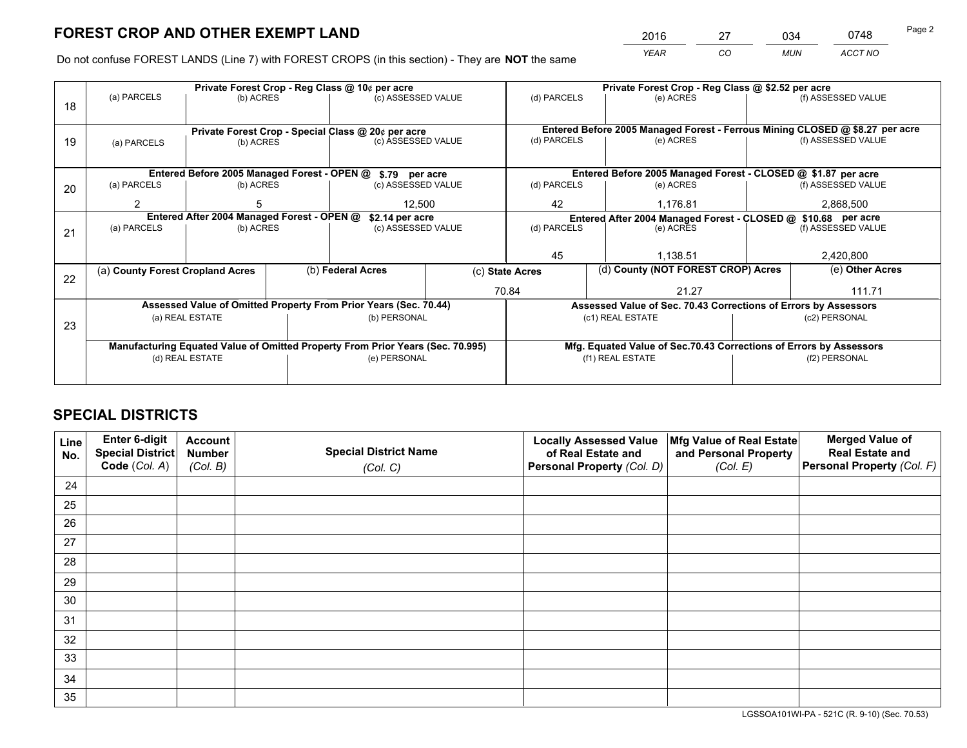*YEAR CO MUN ACCT NO* 2016 27 034 0748 Page 2

Do not confuse FOREST LANDS (Line 7) with FOREST CROPS (in this section) - They are **NOT** the same

|    |                                                                                |                 |                   | Private Forest Crop - Reg Class @ 10¢ per acre                   |              | Private Forest Crop - Reg Class @ \$2.52 per acre             |                                                                    |  |                                                                              |  |
|----|--------------------------------------------------------------------------------|-----------------|-------------------|------------------------------------------------------------------|--------------|---------------------------------------------------------------|--------------------------------------------------------------------|--|------------------------------------------------------------------------------|--|
| 18 | (a) PARCELS                                                                    | (b) ACRES       |                   | (c) ASSESSED VALUE                                               |              | (d) PARCELS                                                   | (e) ACRES                                                          |  | (f) ASSESSED VALUE                                                           |  |
|    |                                                                                |                 |                   |                                                                  |              |                                                               |                                                                    |  |                                                                              |  |
|    |                                                                                |                 |                   | Private Forest Crop - Special Class @ 20¢ per acre               |              |                                                               |                                                                    |  | Entered Before 2005 Managed Forest - Ferrous Mining CLOSED @ \$8.27 per acre |  |
| 19 | (a) PARCELS                                                                    | (b) ACRES       |                   | (c) ASSESSED VALUE                                               |              | (d) PARCELS                                                   | (e) ACRES                                                          |  | (f) ASSESSED VALUE                                                           |  |
|    |                                                                                |                 |                   |                                                                  |              |                                                               |                                                                    |  |                                                                              |  |
|    |                                                                                |                 |                   |                                                                  |              |                                                               |                                                                    |  |                                                                              |  |
|    |                                                                                |                 |                   | Entered Before 2005 Managed Forest - OPEN @ \$.79 per acre       |              |                                                               | Entered Before 2005 Managed Forest - CLOSED @ \$1.87 per acre      |  |                                                                              |  |
| 20 | (a) PARCELS                                                                    | (b) ACRES       |                   | (c) ASSESSED VALUE                                               |              | (d) PARCELS                                                   | (e) ACRES                                                          |  | (f) ASSESSED VALUE                                                           |  |
|    | $\mathfrak{p}$                                                                 |                 |                   |                                                                  | 42<br>12,500 |                                                               | 1,176.81                                                           |  | 2,868,500                                                                    |  |
|    | Entered After 2004 Managed Forest - OPEN @<br>\$2.14 per acre                  |                 |                   |                                                                  |              | Entered After 2004 Managed Forest - CLOSED @ \$10.68 per acre |                                                                    |  |                                                                              |  |
| 21 | (a) PARCELS                                                                    | (b) ACRES       |                   | (c) ASSESSED VALUE                                               |              | (d) PARCELS<br>(e) ACRES                                      |                                                                    |  | (f) ASSESSED VALUE                                                           |  |
|    |                                                                                |                 |                   |                                                                  |              |                                                               |                                                                    |  |                                                                              |  |
|    |                                                                                |                 |                   |                                                                  |              | 45                                                            | 1,138.51                                                           |  | 2,420,800                                                                    |  |
|    | (a) County Forest Cropland Acres                                               |                 | (b) Federal Acres |                                                                  |              | (c) State Acres                                               | (d) County (NOT FOREST CROP) Acres                                 |  | (e) Other Acres                                                              |  |
| 22 |                                                                                |                 |                   |                                                                  |              |                                                               |                                                                    |  |                                                                              |  |
|    |                                                                                |                 |                   |                                                                  |              | 70.84                                                         | 21.27                                                              |  | 111.71                                                                       |  |
|    |                                                                                |                 |                   | Assessed Value of Omitted Property From Prior Years (Sec. 70.44) |              |                                                               | Assessed Value of Sec. 70.43 Corrections of Errors by Assessors    |  |                                                                              |  |
| 23 |                                                                                | (a) REAL ESTATE |                   | (b) PERSONAL                                                     |              |                                                               | (c1) REAL ESTATE                                                   |  | (c2) PERSONAL                                                                |  |
|    |                                                                                |                 |                   |                                                                  |              |                                                               |                                                                    |  |                                                                              |  |
|    | Manufacturing Equated Value of Omitted Property From Prior Years (Sec. 70.995) |                 |                   |                                                                  |              |                                                               | Mfg. Equated Value of Sec.70.43 Corrections of Errors by Assessors |  |                                                                              |  |
|    |                                                                                | (d) REAL ESTATE |                   | (e) PERSONAL                                                     |              |                                                               | (f1) REAL ESTATE                                                   |  | (f2) PERSONAL                                                                |  |
|    |                                                                                |                 |                   |                                                                  |              |                                                               |                                                                    |  |                                                                              |  |
|    |                                                                                |                 |                   |                                                                  |              |                                                               |                                                                    |  |                                                                              |  |

## **SPECIAL DISTRICTS**

| Line<br>No. | Enter 6-digit<br><b>Special District</b> | <b>Account</b><br><b>Number</b> | <b>Special District Name</b> | <b>Locally Assessed Value</b><br>of Real Estate and | Mfg Value of Real Estate<br>and Personal Property | <b>Merged Value of</b><br><b>Real Estate and</b> |
|-------------|------------------------------------------|---------------------------------|------------------------------|-----------------------------------------------------|---------------------------------------------------|--------------------------------------------------|
|             | Code (Col. A)                            | (Col. B)                        | (Col. C)                     | Personal Property (Col. D)                          | (Col. E)                                          | Personal Property (Col. F)                       |
| 24          |                                          |                                 |                              |                                                     |                                                   |                                                  |
| 25          |                                          |                                 |                              |                                                     |                                                   |                                                  |
| 26          |                                          |                                 |                              |                                                     |                                                   |                                                  |
| 27          |                                          |                                 |                              |                                                     |                                                   |                                                  |
| 28          |                                          |                                 |                              |                                                     |                                                   |                                                  |
| 29          |                                          |                                 |                              |                                                     |                                                   |                                                  |
| 30          |                                          |                                 |                              |                                                     |                                                   |                                                  |
| 31          |                                          |                                 |                              |                                                     |                                                   |                                                  |
| 32          |                                          |                                 |                              |                                                     |                                                   |                                                  |
| 33          |                                          |                                 |                              |                                                     |                                                   |                                                  |
| 34          |                                          |                                 |                              |                                                     |                                                   |                                                  |
| 35          |                                          |                                 |                              |                                                     |                                                   |                                                  |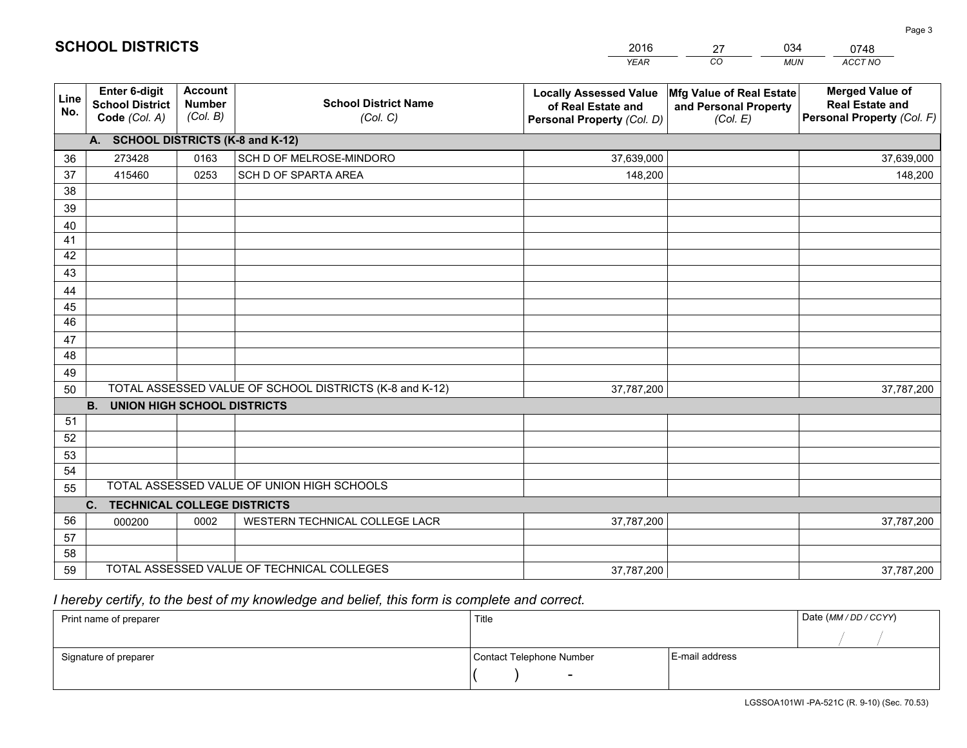|             |                                                          |                                             |                                                         | <b>YEAR</b>                                                                       | CO<br><b>MUN</b>                                              | ACCT NO                                                                        |
|-------------|----------------------------------------------------------|---------------------------------------------|---------------------------------------------------------|-----------------------------------------------------------------------------------|---------------------------------------------------------------|--------------------------------------------------------------------------------|
| Line<br>No. | Enter 6-digit<br><b>School District</b><br>Code (Col. A) | <b>Account</b><br><b>Number</b><br>(Col. B) | <b>School District Name</b><br>(Col. C)                 | <b>Locally Assessed Value</b><br>of Real Estate and<br>Personal Property (Col. D) | Mfg Value of Real Estate<br>and Personal Property<br>(Col. E) | <b>Merged Value of</b><br><b>Real Estate and</b><br>Personal Property (Col. F) |
|             | A. SCHOOL DISTRICTS (K-8 and K-12)                       |                                             |                                                         |                                                                                   |                                                               |                                                                                |
| 36          | 273428                                                   | 0163                                        | SCH D OF MELROSE-MINDORO                                | 37,639,000                                                                        |                                                               | 37,639,000                                                                     |
| 37          | 415460                                                   | 0253                                        | SCH D OF SPARTA AREA                                    | 148,200                                                                           |                                                               | 148,200                                                                        |
| 38          |                                                          |                                             |                                                         |                                                                                   |                                                               |                                                                                |
| 39          |                                                          |                                             |                                                         |                                                                                   |                                                               |                                                                                |
| 40          |                                                          |                                             |                                                         |                                                                                   |                                                               |                                                                                |
| 41          |                                                          |                                             |                                                         |                                                                                   |                                                               |                                                                                |
| 42          |                                                          |                                             |                                                         |                                                                                   |                                                               |                                                                                |
| 43          |                                                          |                                             |                                                         |                                                                                   |                                                               |                                                                                |
| 44          |                                                          |                                             |                                                         |                                                                                   |                                                               |                                                                                |
| 45          |                                                          |                                             |                                                         |                                                                                   |                                                               |                                                                                |
| 46          |                                                          |                                             |                                                         |                                                                                   |                                                               |                                                                                |
| 47          |                                                          |                                             |                                                         |                                                                                   |                                                               |                                                                                |
| 48          |                                                          |                                             |                                                         |                                                                                   |                                                               |                                                                                |
| 49          |                                                          |                                             | TOTAL ASSESSED VALUE OF SCHOOL DISTRICTS (K-8 and K-12) |                                                                                   |                                                               |                                                                                |
| 50          | <b>B.</b><br><b>UNION HIGH SCHOOL DISTRICTS</b>          |                                             |                                                         | 37,787,200                                                                        |                                                               | 37,787,200                                                                     |
| 51          |                                                          |                                             |                                                         |                                                                                   |                                                               |                                                                                |
| 52          |                                                          |                                             |                                                         |                                                                                   |                                                               |                                                                                |
| 53          |                                                          |                                             |                                                         |                                                                                   |                                                               |                                                                                |
| 54          |                                                          |                                             |                                                         |                                                                                   |                                                               |                                                                                |
| 55          |                                                          |                                             | TOTAL ASSESSED VALUE OF UNION HIGH SCHOOLS              |                                                                                   |                                                               |                                                                                |
|             | C. TECHNICAL COLLEGE DISTRICTS                           |                                             |                                                         |                                                                                   |                                                               |                                                                                |
| 56          | 000200                                                   | 0002                                        | WESTERN TECHNICAL COLLEGE LACR                          | 37,787,200                                                                        |                                                               | 37,787,200                                                                     |
| 57          |                                                          |                                             |                                                         |                                                                                   |                                                               |                                                                                |
| 58          |                                                          |                                             |                                                         |                                                                                   |                                                               |                                                                                |
| 59          |                                                          |                                             | TOTAL ASSESSED VALUE OF TECHNICAL COLLEGES              | 37,787,200                                                                        |                                                               | 37,787,200                                                                     |

27

034

# *I hereby certify, to the best of my knowledge and belief, this form is complete and correct.*

**SCHOOL DISTRICTS**

| Print name of preparer | Title                    |                | Date (MM / DD / CCYY) |
|------------------------|--------------------------|----------------|-----------------------|
|                        |                          |                |                       |
| Signature of preparer  | Contact Telephone Number | E-mail address |                       |
|                        | $\overline{\phantom{0}}$ |                |                       |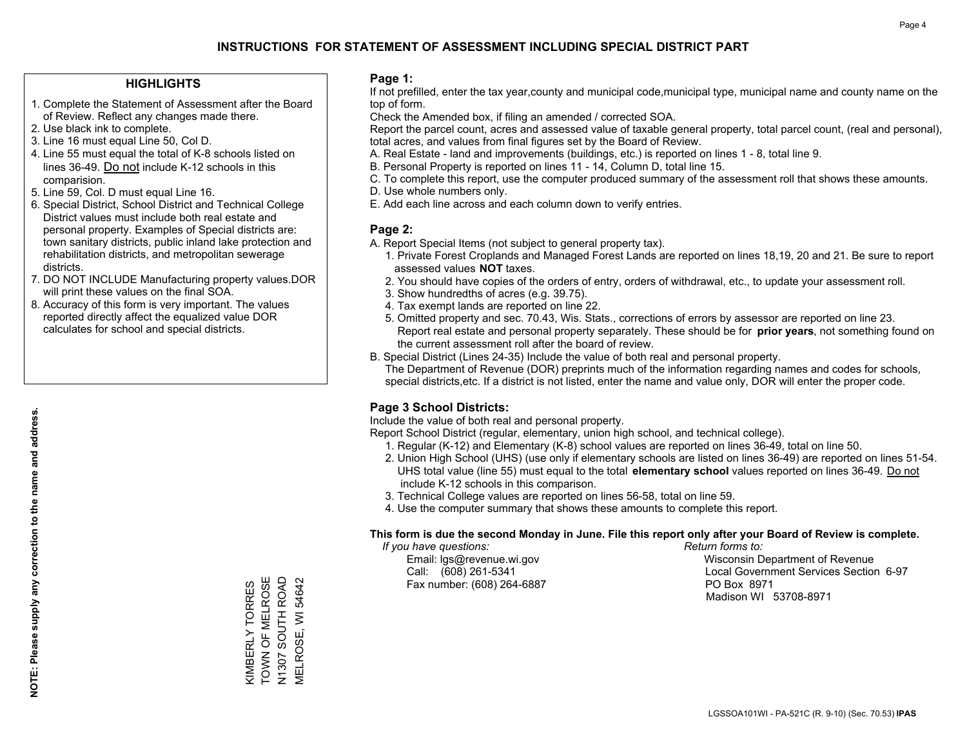### **HIGHLIGHTS**

- 1. Complete the Statement of Assessment after the Board of Review. Reflect any changes made there.
- 2. Use black ink to complete.
- 3. Line 16 must equal Line 50, Col D.
- 4. Line 55 must equal the total of K-8 schools listed on lines 36-49. Do not include K-12 schools in this comparision.
- 5. Line 59, Col. D must equal Line 16.
- 6. Special District, School District and Technical College District values must include both real estate and personal property. Examples of Special districts are: town sanitary districts, public inland lake protection and rehabilitation districts, and metropolitan sewerage districts.
- 7. DO NOT INCLUDE Manufacturing property values.DOR will print these values on the final SOA.

KIMBERLY TORRES TOWN OF MELROSE N1307 SOUTH ROAD MELROSE, WI 54642

KIMBERLY TORRES<br>TOWN OF MELROSE

N1307 SOUTH ROAD<br>MELROSE, WI 54642

 8. Accuracy of this form is very important. The values reported directly affect the equalized value DOR calculates for school and special districts.

### **Page 1:**

 If not prefilled, enter the tax year,county and municipal code,municipal type, municipal name and county name on the top of form.

Check the Amended box, if filing an amended / corrected SOA.

 Report the parcel count, acres and assessed value of taxable general property, total parcel count, (real and personal), total acres, and values from final figures set by the Board of Review.

- A. Real Estate land and improvements (buildings, etc.) is reported on lines 1 8, total line 9.
- B. Personal Property is reported on lines 11 14, Column D, total line 15.
- C. To complete this report, use the computer produced summary of the assessment roll that shows these amounts.
- D. Use whole numbers only.
- E. Add each line across and each column down to verify entries.

### **Page 2:**

- A. Report Special Items (not subject to general property tax).
- 1. Private Forest Croplands and Managed Forest Lands are reported on lines 18,19, 20 and 21. Be sure to report assessed values **NOT** taxes.
- 2. You should have copies of the orders of entry, orders of withdrawal, etc., to update your assessment roll.
	- 3. Show hundredths of acres (e.g. 39.75).
- 4. Tax exempt lands are reported on line 22.
- 5. Omitted property and sec. 70.43, Wis. Stats., corrections of errors by assessor are reported on line 23. Report real estate and personal property separately. These should be for **prior years**, not something found on the current assessment roll after the board of review.
- B. Special District (Lines 24-35) Include the value of both real and personal property.

 The Department of Revenue (DOR) preprints much of the information regarding names and codes for schools, special districts,etc. If a district is not listed, enter the name and value only, DOR will enter the proper code.

### **Page 3 School Districts:**

Include the value of both real and personal property.

Report School District (regular, elementary, union high school, and technical college).

- 1. Regular (K-12) and Elementary (K-8) school values are reported on lines 36-49, total on line 50.
- 2. Union High School (UHS) (use only if elementary schools are listed on lines 36-49) are reported on lines 51-54. UHS total value (line 55) must equal to the total **elementary school** values reported on lines 36-49. Do notinclude K-12 schools in this comparison.
- 3. Technical College values are reported on lines 56-58, total on line 59.
- 4. Use the computer summary that shows these amounts to complete this report.

### **This form is due the second Monday in June. File this report only after your Board of Review is complete.**

 *If you have questions: Return forms to:*

Fax number: (608) 264-6887 PO Box 8971

 Email: lgs@revenue.wi.gov Wisconsin Department of Revenue Call: (608) 261-5341 Local Government Services Section 6-97Madison WI 53708-8971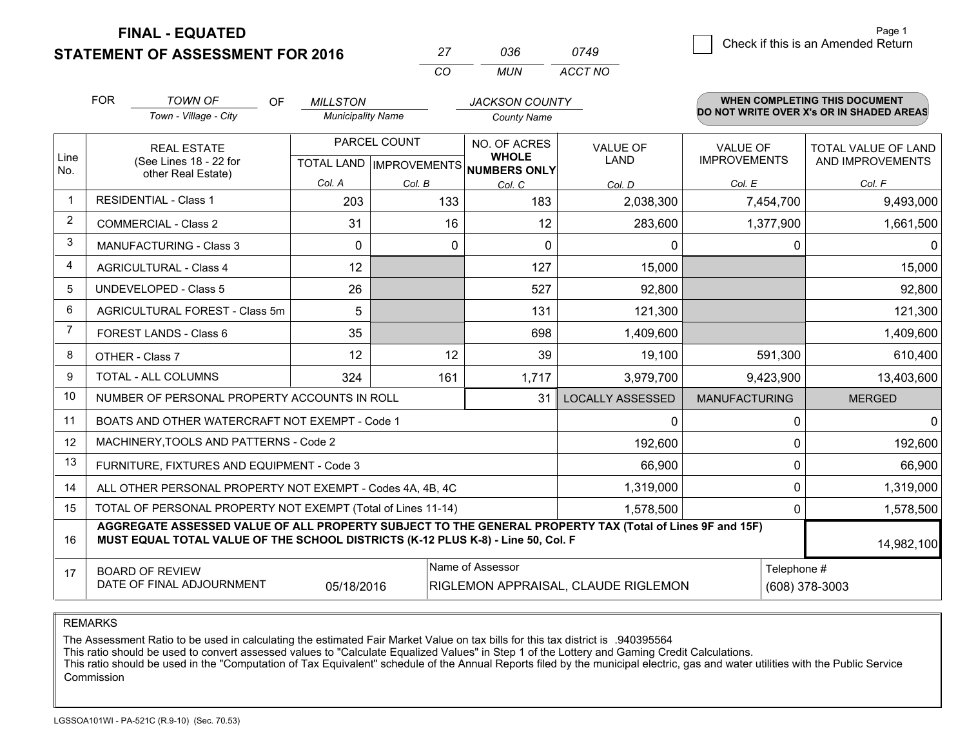**FINAL - EQUATED**

**STATEMENT OF ASSESSMENT FOR 2016** 

|          | กวรธ | 0749    |  |
|----------|------|---------|--|
| $\cdots$ | MUN  | ACCT NO |  |

|              | <b>FOR</b>                                                                | <b>TOWN OF</b><br><b>OF</b>                                                                                                                                                                  | <b>MILLSTON</b>                                                                                        |        | <b>JACKSON COUNTY</b>        |                                |                                        | <b>WHEN COMPLETING THIS DOCUMENT</b>     |
|--------------|---------------------------------------------------------------------------|----------------------------------------------------------------------------------------------------------------------------------------------------------------------------------------------|--------------------------------------------------------------------------------------------------------|--------|------------------------------|--------------------------------|----------------------------------------|------------------------------------------|
|              |                                                                           | Town - Village - City                                                                                                                                                                        | <b>Municipality Name</b>                                                                               |        | <b>County Name</b>           |                                |                                        | DO NOT WRITE OVER X's OR IN SHADED AREAS |
| Line         | <b>REAL ESTATE</b><br>(See Lines 18 - 22 for                              |                                                                                                                                                                                              | PARCEL COUNT<br>TOTAL LAND IMPROVEMENTS NUMBERS ONLY                                                   |        | NO. OF ACRES<br><b>WHOLE</b> | <b>VALUE OF</b><br><b>LAND</b> | <b>VALUE OF</b><br><b>IMPROVEMENTS</b> | TOTAL VALUE OF LAND<br>AND IMPROVEMENTS  |
| No.          |                                                                           | other Real Estate)                                                                                                                                                                           | Col. A                                                                                                 | Col. B |                              |                                | Col. E                                 | Col. F                                   |
| $\mathbf{1}$ |                                                                           | <b>RESIDENTIAL - Class 1</b>                                                                                                                                                                 | 203                                                                                                    | 133    | Col. C<br>183                | Col. D<br>2,038,300            | 7,454,700                              | 9,493,000                                |
| 2            |                                                                           | <b>COMMERCIAL - Class 2</b>                                                                                                                                                                  | 31                                                                                                     | 16     | 12                           | 283,600                        | 1,377,900                              | 1,661,500                                |
| 3            |                                                                           | <b>MANUFACTURING - Class 3</b>                                                                                                                                                               | $\Omega$                                                                                               | 0      | $\Omega$                     | 0                              |                                        | $\Omega$<br>$\mathbf{0}$                 |
| 4            |                                                                           | <b>AGRICULTURAL - Class 4</b>                                                                                                                                                                | 12                                                                                                     |        | 127                          | 15,000                         |                                        | 15,000                                   |
| 5            |                                                                           | <b>UNDEVELOPED - Class 5</b>                                                                                                                                                                 | 26                                                                                                     |        | 527                          | 92,800                         |                                        | 92,800                                   |
| 6            |                                                                           | AGRICULTURAL FOREST - Class 5m                                                                                                                                                               | 5                                                                                                      |        | 131                          | 121,300                        |                                        | 121,300                                  |
| 7            | FOREST LANDS - Class 6                                                    |                                                                                                                                                                                              | 35                                                                                                     |        | 698                          | 1,409,600                      |                                        | 1,409,600                                |
| 8            | OTHER - Class 7                                                           |                                                                                                                                                                                              | 12                                                                                                     | 12     | 39                           | 19,100                         | 591,300                                | 610,400                                  |
| 9            |                                                                           | TOTAL - ALL COLUMNS                                                                                                                                                                          | 324                                                                                                    | 161    | 1,717                        | 3,979,700                      | 9,423,900                              | 13,403,600                               |
| 10           | NUMBER OF PERSONAL PROPERTY ACCOUNTS IN ROLL                              |                                                                                                                                                                                              |                                                                                                        |        |                              | <b>LOCALLY ASSESSED</b>        | <b>MANUFACTURING</b>                   | <b>MERGED</b>                            |
| 11           |                                                                           | BOATS AND OTHER WATERCRAFT NOT EXEMPT - Code 1                                                                                                                                               |                                                                                                        |        | 0                            |                                | $\Omega$<br>$\mathbf{0}$               |                                          |
| 12           |                                                                           | MACHINERY, TOOLS AND PATTERNS - Code 2                                                                                                                                                       |                                                                                                        |        |                              | 192,600                        |                                        | 192,600<br>$\Omega$                      |
| 13           | FURNITURE, FIXTURES AND EQUIPMENT - Code 3                                |                                                                                                                                                                                              |                                                                                                        |        |                              | 66,900                         |                                        | 66,900<br>0                              |
| 14           | 1,319,000<br>ALL OTHER PERSONAL PROPERTY NOT EXEMPT - Codes 4A, 4B, 4C    |                                                                                                                                                                                              |                                                                                                        |        |                              |                                |                                        | $\Omega$<br>1,319,000                    |
| 15           | TOTAL OF PERSONAL PROPERTY NOT EXEMPT (Total of Lines 11-14)<br>1,578,500 |                                                                                                                                                                                              |                                                                                                        |        |                              |                                |                                        | 0<br>1,578,500                           |
| 16           |                                                                           | AGGREGATE ASSESSED VALUE OF ALL PROPERTY SUBJECT TO THE GENERAL PROPERTY TAX (Total of Lines 9F and 15F)<br>MUST EQUAL TOTAL VALUE OF THE SCHOOL DISTRICTS (K-12 PLUS K-8) - Line 50, Col. F |                                                                                                        |        |                              |                                |                                        | 14,982,100                               |
| 17           |                                                                           | <b>BOARD OF REVIEW</b><br>DATE OF FINAL ADJOURNMENT                                                                                                                                          | Name of Assessor<br>Telephone #<br>(608) 378-3003<br>05/18/2016<br>RIGLEMON APPRAISAL, CLAUDE RIGLEMON |        |                              |                                |                                        |                                          |

#### REMARKS

The Assessment Ratio to be used in calculating the estimated Fair Market Value on tax bills for this tax district is .940395564<br>This ratio should be used to convert assessed values to "Calculate Equalized Values" in Step 1 Commission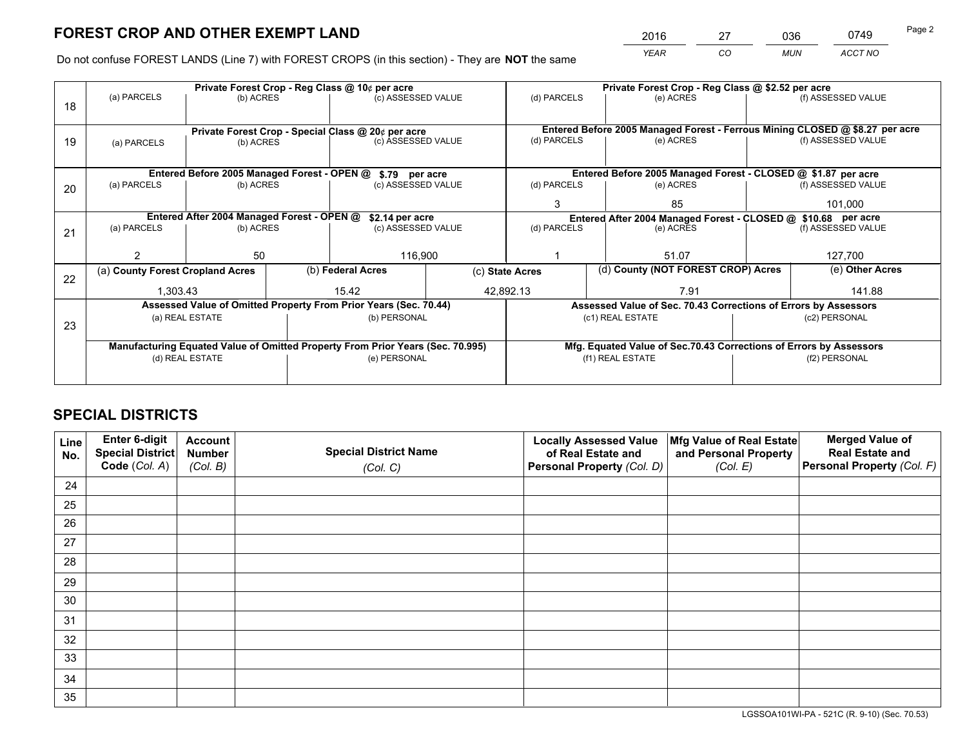*YEAR CO MUN ACCT NO* 2016 27 036 0749

Do not confuse FOREST LANDS (Line 7) with FOREST CROPS (in this section) - They are **NOT** the same

|    | Private Forest Crop - Reg Class @ 10¢ per acre                                 |                                 |                    |                                                            |                                                               | Private Forest Crop - Reg Class @ \$2.52 per acre                  |                                    |               |                    |                                                                              |
|----|--------------------------------------------------------------------------------|---------------------------------|--------------------|------------------------------------------------------------|---------------------------------------------------------------|--------------------------------------------------------------------|------------------------------------|---------------|--------------------|------------------------------------------------------------------------------|
| 18 | (a) PARCELS<br>(b) ACRES                                                       |                                 | (c) ASSESSED VALUE |                                                            | (d) PARCELS                                                   |                                                                    | (e) ACRES                          |               | (f) ASSESSED VALUE |                                                                              |
|    |                                                                                |                                 |                    |                                                            |                                                               |                                                                    |                                    |               |                    |                                                                              |
|    |                                                                                |                                 |                    | Private Forest Crop - Special Class @ 20¢ per acre         |                                                               |                                                                    |                                    |               |                    | Entered Before 2005 Managed Forest - Ferrous Mining CLOSED @ \$8.27 per acre |
| 19 | (a) PARCELS                                                                    | (b) ACRES                       |                    | (c) ASSESSED VALUE                                         |                                                               | (d) PARCELS                                                        |                                    | (e) ACRES     |                    | (f) ASSESSED VALUE                                                           |
|    |                                                                                |                                 |                    |                                                            |                                                               |                                                                    |                                    |               |                    |                                                                              |
|    |                                                                                |                                 |                    |                                                            |                                                               | Entered Before 2005 Managed Forest - CLOSED @ \$1.87 per acre      |                                    |               |                    |                                                                              |
|    |                                                                                |                                 |                    | Entered Before 2005 Managed Forest - OPEN @ \$.79 per acre |                                                               |                                                                    |                                    |               |                    |                                                                              |
| 20 | (a) PARCELS<br>(b) ACRES                                                       |                                 |                    | (c) ASSESSED VALUE                                         |                                                               | (d) PARCELS                                                        |                                    | (e) ACRES     |                    | (f) ASSESSED VALUE                                                           |
|    |                                                                                |                                 |                    |                                                            |                                                               | 3                                                                  |                                    | 85            |                    | 101,000                                                                      |
|    | Entered After 2004 Managed Forest - OPEN @<br>\$2.14 per acre                  |                                 |                    |                                                            | Entered After 2004 Managed Forest - CLOSED @ \$10.68 per acre |                                                                    |                                    |               |                    |                                                                              |
| 21 | (a) PARCELS                                                                    | (c) ASSESSED VALUE<br>(b) ACRES |                    |                                                            | (d) PARCELS                                                   |                                                                    | (e) ACRES                          |               | (f) ASSESSED VALUE |                                                                              |
|    |                                                                                |                                 |                    |                                                            |                                                               |                                                                    |                                    |               |                    |                                                                              |
|    |                                                                                | 50                              |                    | 116,900                                                    |                                                               |                                                                    |                                    | 51.07         |                    | 127,700                                                                      |
|    | (a) County Forest Cropland Acres                                               |                                 |                    | (b) Federal Acres                                          | (c) State Acres                                               |                                                                    | (d) County (NOT FOREST CROP) Acres |               | (e) Other Acres    |                                                                              |
| 22 |                                                                                |                                 |                    |                                                            |                                                               |                                                                    |                                    |               |                    |                                                                              |
|    | 1.303.43                                                                       |                                 |                    | 15.42<br>42,892.13                                         |                                                               |                                                                    |                                    | 7.91          |                    | 141.88                                                                       |
|    | Assessed Value of Omitted Property From Prior Years (Sec. 70.44)               |                                 |                    |                                                            |                                                               | Assessed Value of Sec. 70.43 Corrections of Errors by Assessors    |                                    |               |                    |                                                                              |
| 23 | (a) REAL ESTATE                                                                |                                 | (b) PERSONAL       |                                                            | (c1) REAL ESTATE                                              |                                                                    |                                    | (c2) PERSONAL |                    |                                                                              |
|    |                                                                                |                                 |                    |                                                            |                                                               |                                                                    |                                    |               |                    |                                                                              |
|    | Manufacturing Equated Value of Omitted Property From Prior Years (Sec. 70.995) |                                 |                    |                                                            |                                                               | Mfg. Equated Value of Sec.70.43 Corrections of Errors by Assessors |                                    |               |                    |                                                                              |
|    | (e) PERSONAL<br>(d) REAL ESTATE                                                |                                 |                    | (f1) REAL ESTATE                                           |                                                               | (f2) PERSONAL                                                      |                                    |               |                    |                                                                              |
|    |                                                                                |                                 |                    |                                                            |                                                               |                                                                    |                                    |               |                    |                                                                              |
|    |                                                                                |                                 |                    |                                                            |                                                               |                                                                    |                                    |               |                    |                                                                              |

## **SPECIAL DISTRICTS**

| Line<br>No. | Enter 6-digit<br><b>Special District</b> | <b>Account</b><br><b>Number</b> | <b>Special District Name</b> | <b>Locally Assessed Value</b><br>of Real Estate and | Mfg Value of Real Estate<br>and Personal Property | <b>Merged Value of</b><br><b>Real Estate and</b> |
|-------------|------------------------------------------|---------------------------------|------------------------------|-----------------------------------------------------|---------------------------------------------------|--------------------------------------------------|
|             | Code (Col. A)                            | (Col. B)                        | (Col. C)                     | Personal Property (Col. D)                          | (Col. E)                                          | Personal Property (Col. F)                       |
| 24          |                                          |                                 |                              |                                                     |                                                   |                                                  |
| 25          |                                          |                                 |                              |                                                     |                                                   |                                                  |
| 26          |                                          |                                 |                              |                                                     |                                                   |                                                  |
| 27          |                                          |                                 |                              |                                                     |                                                   |                                                  |
| 28          |                                          |                                 |                              |                                                     |                                                   |                                                  |
| 29          |                                          |                                 |                              |                                                     |                                                   |                                                  |
| 30          |                                          |                                 |                              |                                                     |                                                   |                                                  |
| 31          |                                          |                                 |                              |                                                     |                                                   |                                                  |
| 32          |                                          |                                 |                              |                                                     |                                                   |                                                  |
| 33          |                                          |                                 |                              |                                                     |                                                   |                                                  |
| 34          |                                          |                                 |                              |                                                     |                                                   |                                                  |
| 35          |                                          |                                 |                              |                                                     |                                                   |                                                  |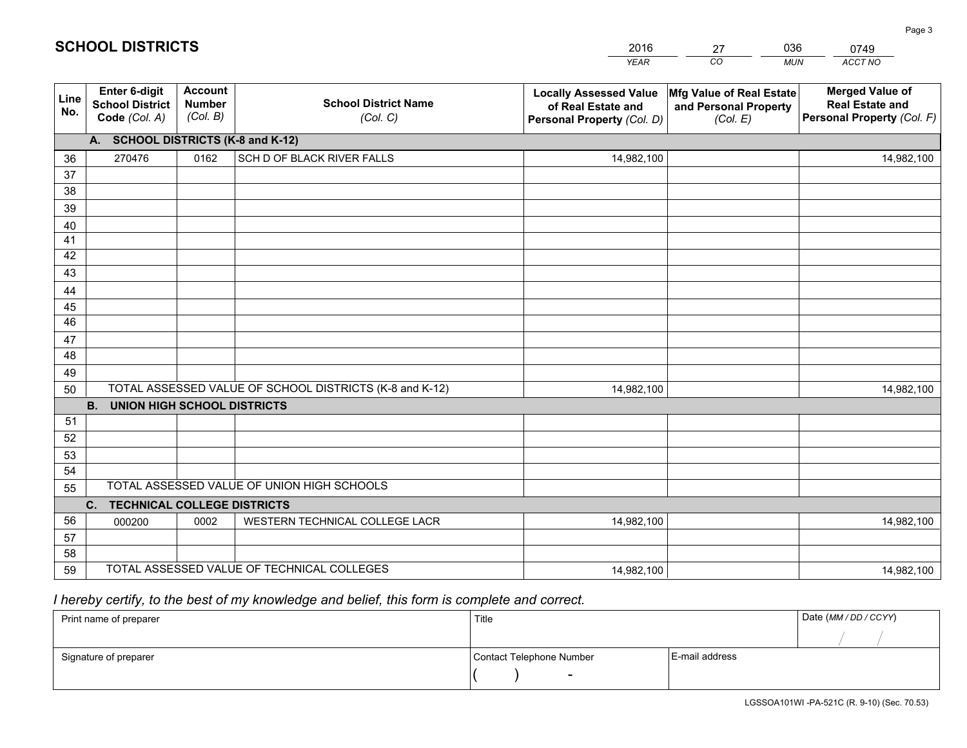|             |                                                          |                                             |                                                         | <b>YEAR</b>                                                                       | CO<br><b>MUN</b>                                              | ACCT NO                                                                        |
|-------------|----------------------------------------------------------|---------------------------------------------|---------------------------------------------------------|-----------------------------------------------------------------------------------|---------------------------------------------------------------|--------------------------------------------------------------------------------|
| Line<br>No. | Enter 6-digit<br><b>School District</b><br>Code (Col. A) | <b>Account</b><br><b>Number</b><br>(Col. B) | <b>School District Name</b><br>(Col. C)                 | <b>Locally Assessed Value</b><br>of Real Estate and<br>Personal Property (Col. D) | Mfg Value of Real Estate<br>and Personal Property<br>(Col. E) | <b>Merged Value of</b><br><b>Real Estate and</b><br>Personal Property (Col. F) |
|             | A. SCHOOL DISTRICTS (K-8 and K-12)                       |                                             |                                                         |                                                                                   |                                                               |                                                                                |
| 36          | 270476                                                   | 0162                                        | SCH D OF BLACK RIVER FALLS                              | 14,982,100                                                                        |                                                               | 14,982,100                                                                     |
| 37          |                                                          |                                             |                                                         |                                                                                   |                                                               |                                                                                |
| 38          |                                                          |                                             |                                                         |                                                                                   |                                                               |                                                                                |
| 39          |                                                          |                                             |                                                         |                                                                                   |                                                               |                                                                                |
| 40          |                                                          |                                             |                                                         |                                                                                   |                                                               |                                                                                |
| 41          |                                                          |                                             |                                                         |                                                                                   |                                                               |                                                                                |
| 42          |                                                          |                                             |                                                         |                                                                                   |                                                               |                                                                                |
| 43          |                                                          |                                             |                                                         |                                                                                   |                                                               |                                                                                |
| 44<br>45    |                                                          |                                             |                                                         |                                                                                   |                                                               |                                                                                |
| 46          |                                                          |                                             |                                                         |                                                                                   |                                                               |                                                                                |
| 47          |                                                          |                                             |                                                         |                                                                                   |                                                               |                                                                                |
| 48          |                                                          |                                             |                                                         |                                                                                   |                                                               |                                                                                |
| 49          |                                                          |                                             |                                                         |                                                                                   |                                                               |                                                                                |
| 50          |                                                          |                                             | TOTAL ASSESSED VALUE OF SCHOOL DISTRICTS (K-8 and K-12) | 14,982,100                                                                        |                                                               | 14,982,100                                                                     |
|             | <b>B.</b><br><b>UNION HIGH SCHOOL DISTRICTS</b>          |                                             |                                                         |                                                                                   |                                                               |                                                                                |
| 51          |                                                          |                                             |                                                         |                                                                                   |                                                               |                                                                                |
| 52          |                                                          |                                             |                                                         |                                                                                   |                                                               |                                                                                |
| 53          |                                                          |                                             |                                                         |                                                                                   |                                                               |                                                                                |
| 54          |                                                          |                                             |                                                         |                                                                                   |                                                               |                                                                                |
| 55          |                                                          |                                             | TOTAL ASSESSED VALUE OF UNION HIGH SCHOOLS              |                                                                                   |                                                               |                                                                                |
|             | C. TECHNICAL COLLEGE DISTRICTS                           |                                             |                                                         |                                                                                   |                                                               |                                                                                |
| 56          | 000200                                                   | 0002                                        | WESTERN TECHNICAL COLLEGE LACR                          | 14,982,100                                                                        |                                                               | 14,982,100                                                                     |
| 57          |                                                          |                                             |                                                         |                                                                                   |                                                               |                                                                                |
| 58          |                                                          |                                             | TOTAL ASSESSED VALUE OF TECHNICAL COLLEGES              |                                                                                   |                                                               |                                                                                |
| 59          |                                                          |                                             |                                                         | 14,982,100                                                                        |                                                               | 14,982,100                                                                     |

27

036

# *I hereby certify, to the best of my knowledge and belief, this form is complete and correct.*

**SCHOOL DISTRICTS**

| Print name of preparer | Title                    | Date (MM / DD / CCYY) |  |
|------------------------|--------------------------|-----------------------|--|
|                        |                          |                       |  |
| Signature of preparer  | Contact Telephone Number | E-mail address        |  |
|                        | $\sim$                   |                       |  |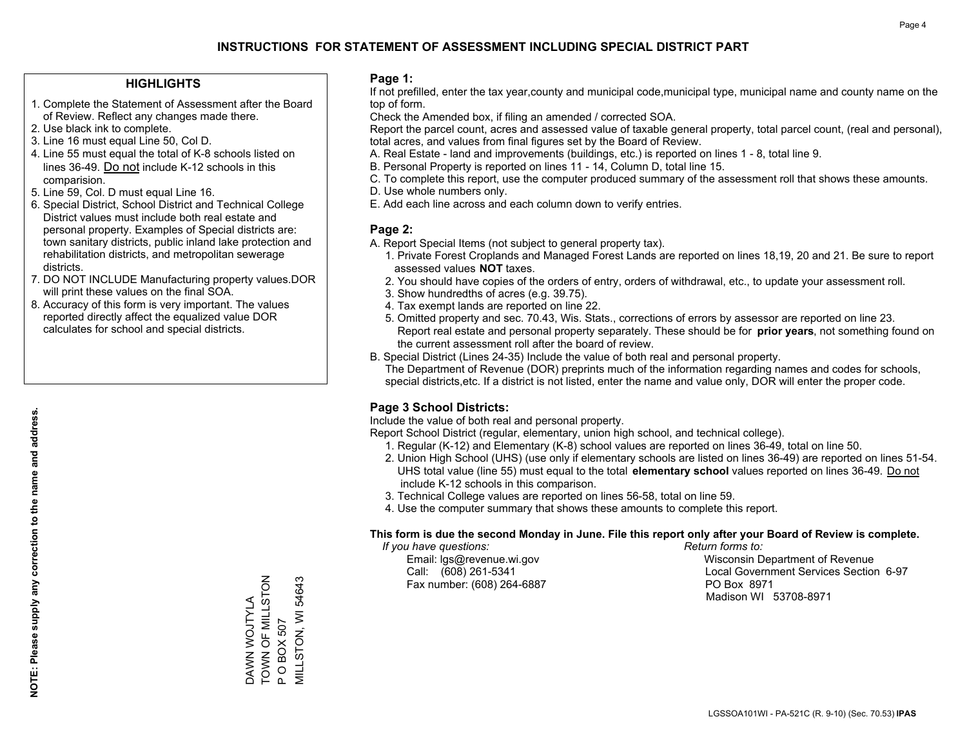### **HIGHLIGHTS**

- 1. Complete the Statement of Assessment after the Board of Review. Reflect any changes made there.
- 2. Use black ink to complete.
- 3. Line 16 must equal Line 50, Col D.
- 4. Line 55 must equal the total of K-8 schools listed on lines 36-49. Do not include K-12 schools in this comparision.
- 5. Line 59, Col. D must equal Line 16.
- 6. Special District, School District and Technical College District values must include both real estate and personal property. Examples of Special districts are: town sanitary districts, public inland lake protection and rehabilitation districts, and metropolitan sewerage districts.
- 7. DO NOT INCLUDE Manufacturing property values.DOR will print these values on the final SOA.
- 8. Accuracy of this form is very important. The values reported directly affect the equalized value DOR calculates for school and special districts.

### **Page 1:**

 If not prefilled, enter the tax year,county and municipal code,municipal type, municipal name and county name on the top of form.

Check the Amended box, if filing an amended / corrected SOA.

 Report the parcel count, acres and assessed value of taxable general property, total parcel count, (real and personal), total acres, and values from final figures set by the Board of Review.

- A. Real Estate land and improvements (buildings, etc.) is reported on lines 1 8, total line 9.
- B. Personal Property is reported on lines 11 14, Column D, total line 15.
- C. To complete this report, use the computer produced summary of the assessment roll that shows these amounts.
- D. Use whole numbers only.
- E. Add each line across and each column down to verify entries.

### **Page 2:**

- A. Report Special Items (not subject to general property tax).
- 1. Private Forest Croplands and Managed Forest Lands are reported on lines 18,19, 20 and 21. Be sure to report assessed values **NOT** taxes.
- 2. You should have copies of the orders of entry, orders of withdrawal, etc., to update your assessment roll.
	- 3. Show hundredths of acres (e.g. 39.75).
- 4. Tax exempt lands are reported on line 22.
- 5. Omitted property and sec. 70.43, Wis. Stats., corrections of errors by assessor are reported on line 23. Report real estate and personal property separately. These should be for **prior years**, not something found on the current assessment roll after the board of review.
- B. Special District (Lines 24-35) Include the value of both real and personal property.
- The Department of Revenue (DOR) preprints much of the information regarding names and codes for schools, special districts,etc. If a district is not listed, enter the name and value only, DOR will enter the proper code.

### **Page 3 School Districts:**

Include the value of both real and personal property.

Report School District (regular, elementary, union high school, and technical college).

- 1. Regular (K-12) and Elementary (K-8) school values are reported on lines 36-49, total on line 50.
- 2. Union High School (UHS) (use only if elementary schools are listed on lines 36-49) are reported on lines 51-54. UHS total value (line 55) must equal to the total **elementary school** values reported on lines 36-49. Do notinclude K-12 schools in this comparison.
- 3. Technical College values are reported on lines 56-58, total on line 59.
- 4. Use the computer summary that shows these amounts to complete this report.

### **This form is due the second Monday in June. File this report only after your Board of Review is complete.**

 *If you have questions: Return forms to:*

Fax number: (608) 264-6887 PO Box 8971

 Email: lgs@revenue.wi.gov Wisconsin Department of Revenue Call: (608) 261-5341 Local Government Services Section 6-97Madison WI 53708-8971

TOWN OF MILLSTON DAWN WOJTYLA<br>TOWN OF MILLSTON VILLSTON, WI 54643 MILLSTON, WI 54643 DAWN WOJTYLA P O BOX 507 P O BOX 507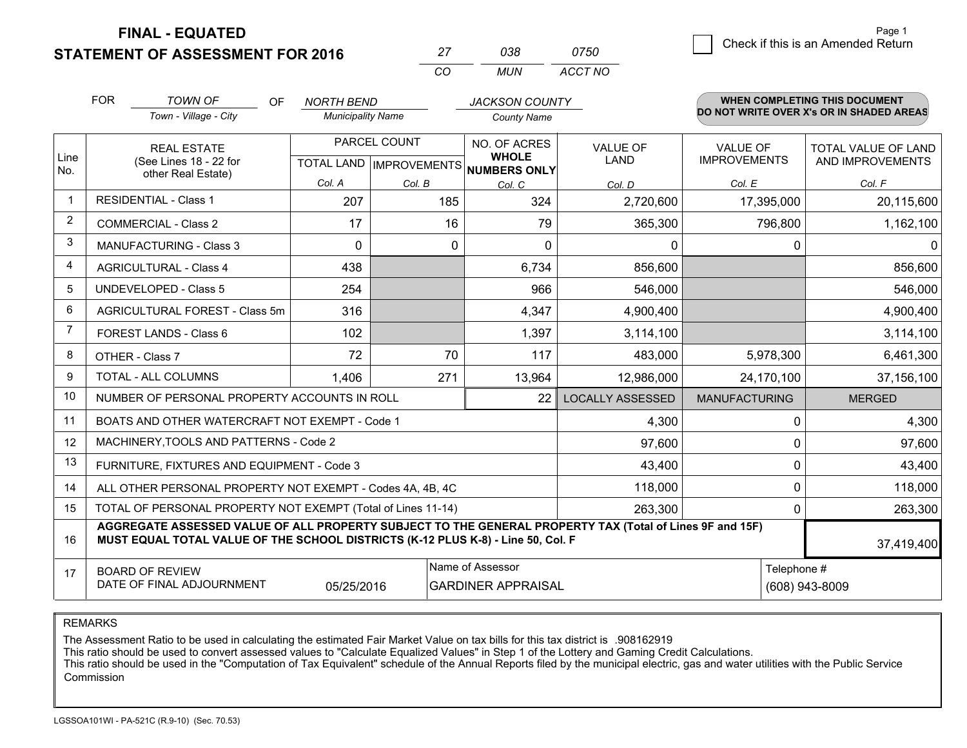**FINAL - EQUATED**

**STATEMENT OF ASSESSMENT FOR 2016** 

|          | กวล | 0750    |
|----------|-----|---------|
| $\cdots$ | MUN | ACCT NO |

|                | <b>FOR</b>                                                                                                                                                                                                 | <b>TOWN OF</b><br>OF                                               | <b>NORTH BEND</b>        |                                           | <b>JACKSON COUNTY</b>                               |                                |                                        | <b>WHEN COMPLETING THIS DOCUMENT</b>           |  |
|----------------|------------------------------------------------------------------------------------------------------------------------------------------------------------------------------------------------------------|--------------------------------------------------------------------|--------------------------|-------------------------------------------|-----------------------------------------------------|--------------------------------|----------------------------------------|------------------------------------------------|--|
|                |                                                                                                                                                                                                            | Town - Village - City                                              | <b>Municipality Name</b> |                                           | <b>County Name</b>                                  |                                |                                        | DO NOT WRITE OVER X's OR IN SHADED AREAS       |  |
| Line<br>No.    |                                                                                                                                                                                                            | <b>REAL ESTATE</b><br>(See Lines 18 - 22 for<br>other Real Estate) |                          | PARCEL COUNT<br>TOTAL LAND   IMPROVEMENTS | NO. OF ACRES<br><b>WHOLE</b><br><b>NUMBERS ONLY</b> | <b>VALUE OF</b><br><b>LAND</b> | <b>VALUE OF</b><br><b>IMPROVEMENTS</b> | <b>TOTAL VALUE OF LAND</b><br>AND IMPROVEMENTS |  |
|                |                                                                                                                                                                                                            |                                                                    | Col. A                   | Col. B                                    | Col. C                                              | Col. D                         | Col. E                                 | Col. F                                         |  |
| -1             |                                                                                                                                                                                                            | <b>RESIDENTIAL - Class 1</b>                                       | 207                      | 185                                       | 324                                                 | 2,720,600                      | 17,395,000                             | 20,115,600                                     |  |
| 2              |                                                                                                                                                                                                            | <b>COMMERCIAL - Class 2</b>                                        | 17                       | 16                                        | 79                                                  | 365,300                        | 796,800                                | 1,162,100                                      |  |
| 3              |                                                                                                                                                                                                            | <b>MANUFACTURING - Class 3</b>                                     | $\Omega$                 | 0                                         | $\Omega$                                            | 0                              | 0                                      | 0                                              |  |
| 4              |                                                                                                                                                                                                            | <b>AGRICULTURAL - Class 4</b>                                      | 438                      |                                           | 6,734                                               | 856,600                        |                                        | 856,600                                        |  |
| 5              | <b>UNDEVELOPED - Class 5</b>                                                                                                                                                                               |                                                                    | 254                      |                                           | 966                                                 | 546,000                        |                                        | 546,000                                        |  |
| 6              | AGRICULTURAL FOREST - Class 5m                                                                                                                                                                             |                                                                    | 316                      |                                           | 4,347                                               | 4,900,400                      |                                        | 4,900,400                                      |  |
| $\overline{7}$ |                                                                                                                                                                                                            | FOREST LANDS - Class 6                                             | 102                      |                                           | 1,397                                               | 3,114,100                      |                                        | 3,114,100                                      |  |
| 8              |                                                                                                                                                                                                            | OTHER - Class 7                                                    | 72                       | 70                                        | 117                                                 | 483,000                        | 5,978,300                              | 6,461,300                                      |  |
| 9              |                                                                                                                                                                                                            | TOTAL - ALL COLUMNS                                                | 1,406                    | 271                                       | 13,964                                              | 12,986,000                     | 24,170,100                             | 37,156,100                                     |  |
| 10             |                                                                                                                                                                                                            | NUMBER OF PERSONAL PROPERTY ACCOUNTS IN ROLL                       |                          |                                           | 22                                                  | <b>LOCALLY ASSESSED</b>        | <b>MANUFACTURING</b>                   | <b>MERGED</b>                                  |  |
| 11             |                                                                                                                                                                                                            | BOATS AND OTHER WATERCRAFT NOT EXEMPT - Code 1                     |                          |                                           |                                                     | 4,300                          | 0                                      | 4,300                                          |  |
| 12             |                                                                                                                                                                                                            | MACHINERY, TOOLS AND PATTERNS - Code 2                             |                          |                                           |                                                     | 97,600                         | $\Omega$                               | 97,600                                         |  |
| 13             |                                                                                                                                                                                                            | FURNITURE, FIXTURES AND EQUIPMENT - Code 3                         |                          |                                           |                                                     | 43,400                         | $\Omega$                               | 43,400                                         |  |
| 14             |                                                                                                                                                                                                            | ALL OTHER PERSONAL PROPERTY NOT EXEMPT - Codes 4A, 4B, 4C          |                          |                                           |                                                     | 118,000                        | 0                                      | 118,000                                        |  |
| 15             |                                                                                                                                                                                                            | TOTAL OF PERSONAL PROPERTY NOT EXEMPT (Total of Lines 11-14)       |                          |                                           |                                                     | 263,300                        | $\Omega$                               | 263,300                                        |  |
| 16             | AGGREGATE ASSESSED VALUE OF ALL PROPERTY SUBJECT TO THE GENERAL PROPERTY TAX (Total of Lines 9F and 15F)<br>MUST EQUAL TOTAL VALUE OF THE SCHOOL DISTRICTS (K-12 PLUS K-8) - Line 50, Col. F<br>37,419,400 |                                                                    |                          |                                           |                                                     |                                |                                        |                                                |  |
| 17             | Name of Assessor<br><b>BOARD OF REVIEW</b><br>DATE OF FINAL ADJOURNMENT<br>05/25/2016<br><b>GARDINER APPRAISAL</b>                                                                                         |                                                                    |                          |                                           |                                                     |                                |                                        | Telephone #<br>(608) 943-8009                  |  |

REMARKS

The Assessment Ratio to be used in calculating the estimated Fair Market Value on tax bills for this tax district is .908162919<br>This ratio should be used to convert assessed values to "Calculate Equalized Values" in Step 1 Commission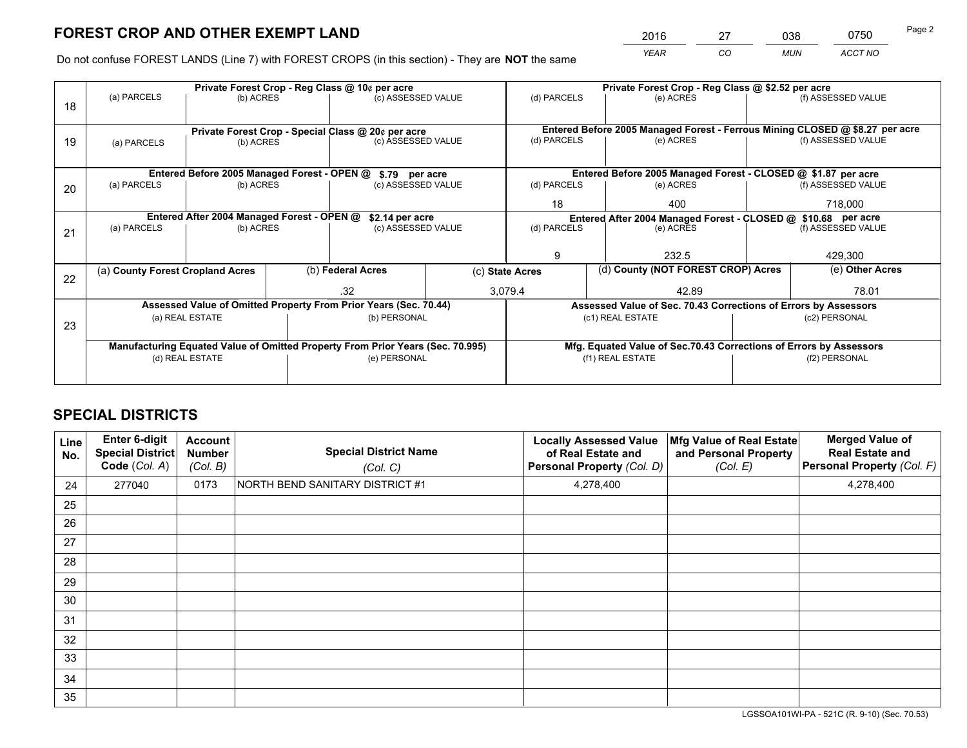*YEAR CO MUN ACCT NO* <sup>2016</sup> <sup>27</sup> <sup>038</sup> <sup>0750</sup> Page 2

Do not confuse FOREST LANDS (Line 7) with FOREST CROPS (in this section) - They are **NOT** the same

|    |                                                               |                                             |  | Private Forest Crop - Reg Class @ 10¢ per acre                                 |             |                                                                              | Private Forest Crop - Reg Class @ \$2.52 per acre                  |                    |                    |
|----|---------------------------------------------------------------|---------------------------------------------|--|--------------------------------------------------------------------------------|-------------|------------------------------------------------------------------------------|--------------------------------------------------------------------|--------------------|--------------------|
| 18 | (a) PARCELS                                                   | (b) ACRES                                   |  | (c) ASSESSED VALUE                                                             |             | (d) PARCELS                                                                  | (e) ACRES                                                          |                    | (f) ASSESSED VALUE |
|    |                                                               |                                             |  |                                                                                |             |                                                                              |                                                                    |                    |                    |
|    |                                                               |                                             |  | Private Forest Crop - Special Class @ 20¢ per acre                             |             | Entered Before 2005 Managed Forest - Ferrous Mining CLOSED @ \$8.27 per acre |                                                                    |                    |                    |
| 19 | (b) ACRES<br>(a) PARCELS                                      |                                             |  | (c) ASSESSED VALUE                                                             |             | (d) PARCELS                                                                  | (e) ACRES                                                          |                    | (f) ASSESSED VALUE |
|    |                                                               |                                             |  |                                                                                |             |                                                                              |                                                                    |                    |                    |
|    |                                                               | Entered Before 2005 Managed Forest - OPEN @ |  | \$.79 per acre                                                                 |             |                                                                              | Entered Before 2005 Managed Forest - CLOSED @ \$1.87 per acre      |                    |                    |
| 20 | (a) PARCELS                                                   | (b) ACRES<br>(c) ASSESSED VALUE             |  |                                                                                | (d) PARCELS | (e) ACRES                                                                    |                                                                    | (f) ASSESSED VALUE |                    |
|    |                                                               |                                             |  |                                                                                | 18          | 400                                                                          |                                                                    | 718,000            |                    |
|    | Entered After 2004 Managed Forest - OPEN @<br>\$2.14 per acre |                                             |  |                                                                                |             |                                                                              | Entered After 2004 Managed Forest - CLOSED @ \$10.68 per acre      |                    |                    |
| 21 | (a) PARCELS                                                   | (b) ACRES                                   |  | (c) ASSESSED VALUE                                                             |             | (d) PARCELS                                                                  | (e) ACRES                                                          |                    | (f) ASSESSED VALUE |
|    |                                                               |                                             |  |                                                                                |             |                                                                              |                                                                    |                    |                    |
|    |                                                               |                                             |  |                                                                                |             | g                                                                            | 232.5                                                              |                    | 429,300            |
| 22 | (a) County Forest Cropland Acres                              |                                             |  | (b) Federal Acres                                                              |             | (d) County (NOT FOREST CROP) Acres<br>(c) State Acres                        |                                                                    |                    | (e) Other Acres    |
|    |                                                               |                                             |  | .32                                                                            |             | 3.079.4                                                                      | 42.89                                                              |                    | 78.01              |
|    |                                                               |                                             |  | Assessed Value of Omitted Property From Prior Years (Sec. 70.44)               |             |                                                                              | Assessed Value of Sec. 70.43 Corrections of Errors by Assessors    |                    |                    |
| 23 |                                                               | (a) REAL ESTATE                             |  | (b) PERSONAL                                                                   |             |                                                                              | (c1) REAL ESTATE                                                   |                    | (c2) PERSONAL      |
|    |                                                               |                                             |  |                                                                                |             |                                                                              |                                                                    |                    |                    |
|    |                                                               |                                             |  | Manufacturing Equated Value of Omitted Property From Prior Years (Sec. 70.995) |             |                                                                              | Mfg. Equated Value of Sec.70.43 Corrections of Errors by Assessors |                    |                    |
|    |                                                               | (d) REAL ESTATE                             |  | (e) PERSONAL                                                                   |             |                                                                              | (f1) REAL ESTATE                                                   | (f2) PERSONAL      |                    |
|    |                                                               |                                             |  |                                                                                |             |                                                                              |                                                                    |                    |                    |

## **SPECIAL DISTRICTS**

| Line<br>No. | <b>Enter 6-digit</b><br><b>Special District</b><br>Code (Col. A) | <b>Account</b><br><b>Number</b><br>(Col. B) | <b>Special District Name</b><br>(Col. C) | <b>Locally Assessed Value</b><br>of Real Estate and<br>Personal Property (Col. D) | Mfg Value of Real Estate<br>and Personal Property<br>(Col. E) | <b>Merged Value of</b><br><b>Real Estate and</b><br>Personal Property (Col. F) |
|-------------|------------------------------------------------------------------|---------------------------------------------|------------------------------------------|-----------------------------------------------------------------------------------|---------------------------------------------------------------|--------------------------------------------------------------------------------|
| 24          | 277040                                                           | 0173                                        | NORTH BEND SANITARY DISTRICT #1          | 4,278,400                                                                         |                                                               | 4,278,400                                                                      |
| 25          |                                                                  |                                             |                                          |                                                                                   |                                                               |                                                                                |
| 26          |                                                                  |                                             |                                          |                                                                                   |                                                               |                                                                                |
| 27          |                                                                  |                                             |                                          |                                                                                   |                                                               |                                                                                |
| 28          |                                                                  |                                             |                                          |                                                                                   |                                                               |                                                                                |
| 29          |                                                                  |                                             |                                          |                                                                                   |                                                               |                                                                                |
| 30          |                                                                  |                                             |                                          |                                                                                   |                                                               |                                                                                |
| 31          |                                                                  |                                             |                                          |                                                                                   |                                                               |                                                                                |
| 32          |                                                                  |                                             |                                          |                                                                                   |                                                               |                                                                                |
| 33          |                                                                  |                                             |                                          |                                                                                   |                                                               |                                                                                |
| 34          |                                                                  |                                             |                                          |                                                                                   |                                                               |                                                                                |
| 35          |                                                                  |                                             |                                          |                                                                                   |                                                               |                                                                                |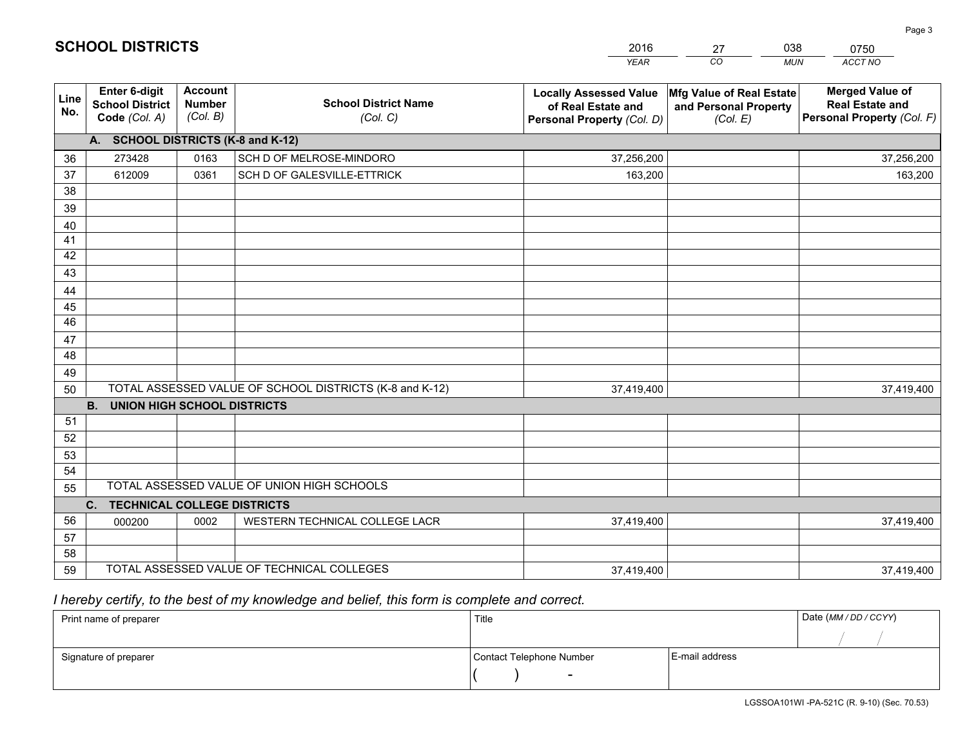|             |                                                          |                                             |                                                         | <b>YEAR</b>                                                                       | CO<br><b>MUN</b>                                              | ACCT NO                                                                        |
|-------------|----------------------------------------------------------|---------------------------------------------|---------------------------------------------------------|-----------------------------------------------------------------------------------|---------------------------------------------------------------|--------------------------------------------------------------------------------|
| Line<br>No. | Enter 6-digit<br><b>School District</b><br>Code (Col. A) | <b>Account</b><br><b>Number</b><br>(Col. B) | <b>School District Name</b><br>(Col. C)                 | <b>Locally Assessed Value</b><br>of Real Estate and<br>Personal Property (Col. D) | Mfg Value of Real Estate<br>and Personal Property<br>(Col. E) | <b>Merged Value of</b><br><b>Real Estate and</b><br>Personal Property (Col. F) |
|             | A. SCHOOL DISTRICTS (K-8 and K-12)                       |                                             |                                                         |                                                                                   |                                                               |                                                                                |
| 36          | 273428                                                   | 0163                                        | SCH D OF MELROSE-MINDORO                                | 37,256,200                                                                        |                                                               | 37,256,200                                                                     |
| 37          | 612009                                                   | 0361                                        | SCH D OF GALESVILLE-ETTRICK                             | 163,200                                                                           |                                                               | 163,200                                                                        |
| 38          |                                                          |                                             |                                                         |                                                                                   |                                                               |                                                                                |
| 39          |                                                          |                                             |                                                         |                                                                                   |                                                               |                                                                                |
| 40          |                                                          |                                             |                                                         |                                                                                   |                                                               |                                                                                |
| 41          |                                                          |                                             |                                                         |                                                                                   |                                                               |                                                                                |
| 42          |                                                          |                                             |                                                         |                                                                                   |                                                               |                                                                                |
| 43          |                                                          |                                             |                                                         |                                                                                   |                                                               |                                                                                |
| 44          |                                                          |                                             |                                                         |                                                                                   |                                                               |                                                                                |
| 45<br>46    |                                                          |                                             |                                                         |                                                                                   |                                                               |                                                                                |
|             |                                                          |                                             |                                                         |                                                                                   |                                                               |                                                                                |
| 47<br>48    |                                                          |                                             |                                                         |                                                                                   |                                                               |                                                                                |
| 49          |                                                          |                                             |                                                         |                                                                                   |                                                               |                                                                                |
| 50          |                                                          |                                             | TOTAL ASSESSED VALUE OF SCHOOL DISTRICTS (K-8 and K-12) | 37,419,400                                                                        |                                                               | 37,419,400                                                                     |
|             | <b>B.</b><br><b>UNION HIGH SCHOOL DISTRICTS</b>          |                                             |                                                         |                                                                                   |                                                               |                                                                                |
| 51          |                                                          |                                             |                                                         |                                                                                   |                                                               |                                                                                |
| 52          |                                                          |                                             |                                                         |                                                                                   |                                                               |                                                                                |
| 53          |                                                          |                                             |                                                         |                                                                                   |                                                               |                                                                                |
| 54          |                                                          |                                             |                                                         |                                                                                   |                                                               |                                                                                |
| 55          |                                                          |                                             | TOTAL ASSESSED VALUE OF UNION HIGH SCHOOLS              |                                                                                   |                                                               |                                                                                |
|             | C. TECHNICAL COLLEGE DISTRICTS                           |                                             |                                                         |                                                                                   |                                                               |                                                                                |
| 56          | 000200                                                   | 0002                                        | WESTERN TECHNICAL COLLEGE LACR                          | 37,419,400                                                                        |                                                               | 37,419,400                                                                     |
| 57          |                                                          |                                             |                                                         |                                                                                   |                                                               |                                                                                |
| 58          |                                                          |                                             |                                                         |                                                                                   |                                                               |                                                                                |
| 59          |                                                          |                                             | TOTAL ASSESSED VALUE OF TECHNICAL COLLEGES              | 37,419,400                                                                        |                                                               | 37,419,400                                                                     |

27

038

## *I hereby certify, to the best of my knowledge and belief, this form is complete and correct.*

**SCHOOL DISTRICTS**

| Print name of preparer | Title                    |                | Date (MM / DD / CCYY) |
|------------------------|--------------------------|----------------|-----------------------|
|                        |                          |                |                       |
| Signature of preparer  | Contact Telephone Number | E-mail address |                       |
|                        | $\overline{\phantom{0}}$ |                |                       |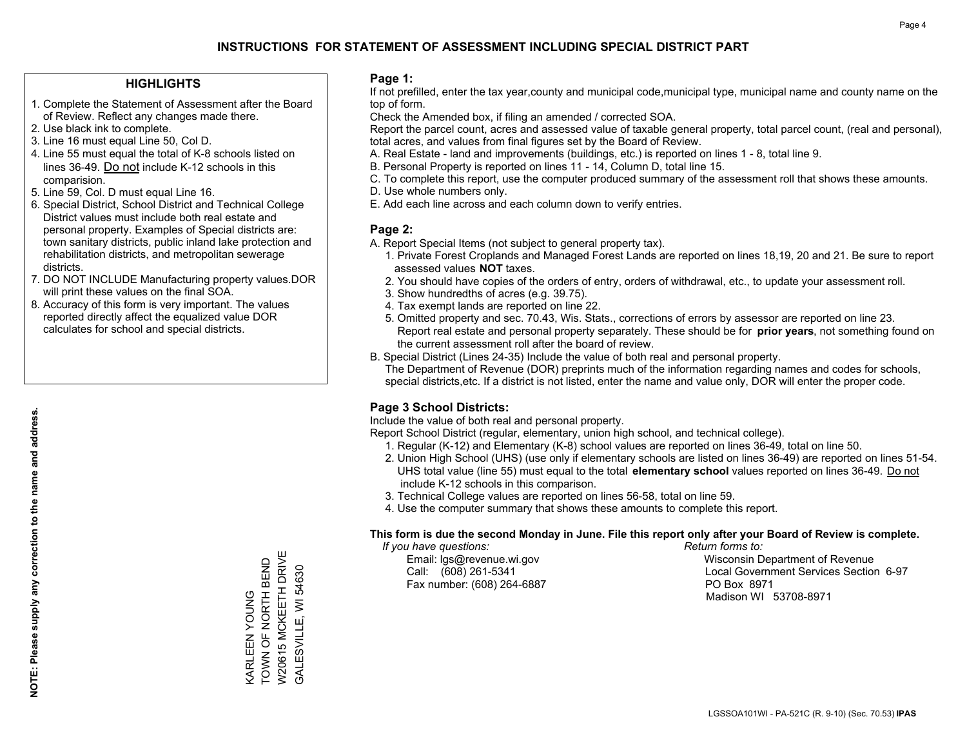### **HIGHLIGHTS**

- 1. Complete the Statement of Assessment after the Board of Review. Reflect any changes made there.
- 2. Use black ink to complete.
- 3. Line 16 must equal Line 50, Col D.
- 4. Line 55 must equal the total of K-8 schools listed on lines 36-49. Do not include K-12 schools in this comparision.
- 5. Line 59, Col. D must equal Line 16.
- 6. Special District, School District and Technical College District values must include both real estate and personal property. Examples of Special districts are: town sanitary districts, public inland lake protection and rehabilitation districts, and metropolitan sewerage districts.
- 7. DO NOT INCLUDE Manufacturing property values.DOR will print these values on the final SOA.

KARLEEN YOUNG TOWN OF NORTH BEND W20615 MCKEETH DRIVE GALESVILLE, WI 54630

W20615 MCKEETH DRIVE KARLEEN YOUNG<br>TOWN OF NORTH BEND

GALESVILLE, WI 54630

 8. Accuracy of this form is very important. The values reported directly affect the equalized value DOR calculates for school and special districts.

#### **Page 1:**

 If not prefilled, enter the tax year,county and municipal code,municipal type, municipal name and county name on the top of form.

Check the Amended box, if filing an amended / corrected SOA.

 Report the parcel count, acres and assessed value of taxable general property, total parcel count, (real and personal), total acres, and values from final figures set by the Board of Review.

- A. Real Estate land and improvements (buildings, etc.) is reported on lines 1 8, total line 9.
- B. Personal Property is reported on lines 11 14, Column D, total line 15.
- C. To complete this report, use the computer produced summary of the assessment roll that shows these amounts.
- D. Use whole numbers only.
- E. Add each line across and each column down to verify entries.

### **Page 2:**

- A. Report Special Items (not subject to general property tax).
- 1. Private Forest Croplands and Managed Forest Lands are reported on lines 18,19, 20 and 21. Be sure to report assessed values **NOT** taxes.
- 2. You should have copies of the orders of entry, orders of withdrawal, etc., to update your assessment roll.
	- 3. Show hundredths of acres (e.g. 39.75).
- 4. Tax exempt lands are reported on line 22.
- 5. Omitted property and sec. 70.43, Wis. Stats., corrections of errors by assessor are reported on line 23. Report real estate and personal property separately. These should be for **prior years**, not something found on the current assessment roll after the board of review.
- B. Special District (Lines 24-35) Include the value of both real and personal property.
- The Department of Revenue (DOR) preprints much of the information regarding names and codes for schools, special districts,etc. If a district is not listed, enter the name and value only, DOR will enter the proper code.

## **Page 3 School Districts:**

Include the value of both real and personal property.

Report School District (regular, elementary, union high school, and technical college).

- 1. Regular (K-12) and Elementary (K-8) school values are reported on lines 36-49, total on line 50.
- 2. Union High School (UHS) (use only if elementary schools are listed on lines 36-49) are reported on lines 51-54. UHS total value (line 55) must equal to the total **elementary school** values reported on lines 36-49. Do notinclude K-12 schools in this comparison.
- 3. Technical College values are reported on lines 56-58, total on line 59.
- 4. Use the computer summary that shows these amounts to complete this report.

#### **This form is due the second Monday in June. File this report only after your Board of Review is complete.**

 *If you have questions: Return forms to:*

Fax number: (608) 264-6887 PO Box 8971

 Email: lgs@revenue.wi.gov Wisconsin Department of Revenue Call: (608) 261-5341 Local Government Services Section 6-97Madison WI 53708-8971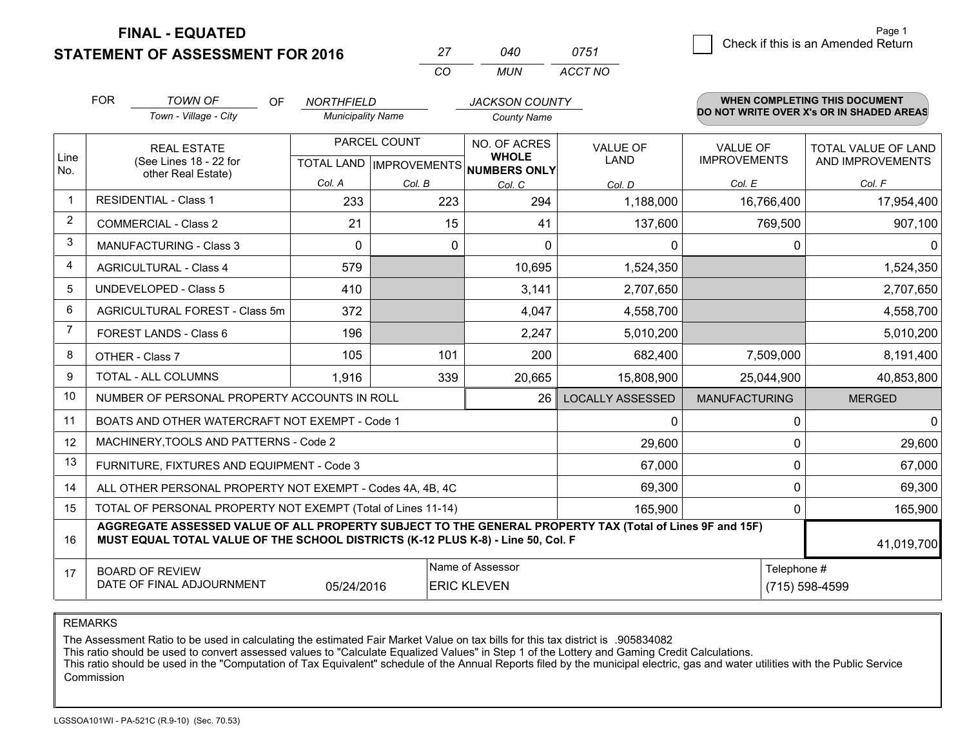**STATEMENT OF ASSESSMENT FOR 2016** 

**FINAL - EQUATED**

1 Check if this is an Amended Return Page 1

|                         | <b>FOR</b> | <b>TOWN OF</b><br>OF<br>Town - Village - City                                                                                                                                                | <b>NORTHFIELD</b><br><b>Municipality Name</b> |              | <b>JACKSON COUNTY</b>                                |                         |                      | WHEN COMPLETING THIS DOCUMENT<br>DO NOT WRITE OVER X's OR IN SHADED AREAS |
|-------------------------|------------|----------------------------------------------------------------------------------------------------------------------------------------------------------------------------------------------|-----------------------------------------------|--------------|------------------------------------------------------|-------------------------|----------------------|---------------------------------------------------------------------------|
|                         |            |                                                                                                                                                                                              |                                               |              | <b>County Name</b>                                   |                         |                      |                                                                           |
|                         |            | <b>REAL ESTATE</b>                                                                                                                                                                           |                                               | PARCEL COUNT | NO. OF ACRES                                         | <b>VALUE OF</b>         | <b>VALUE OF</b>      | TOTAL VALUE OF LAND                                                       |
| Line<br>No.             |            | (See Lines 18 - 22 for<br>other Real Estate)                                                                                                                                                 |                                               |              | <b>WHOLE</b><br>TOTAL LAND IMPROVEMENTS NUMBERS ONLY | LAND                    | <b>IMPROVEMENTS</b>  | AND IMPROVEMENTS                                                          |
|                         |            |                                                                                                                                                                                              | Col. A                                        | Col. B       | Col. C                                               | Col. D                  | Col. E               | Col. F                                                                    |
| $\mathbf{1}$            |            | <b>RESIDENTIAL - Class 1</b>                                                                                                                                                                 | 233                                           | 223          | 294                                                  | 1,188,000               | 16,766,400           | 17,954,400                                                                |
| 2                       |            | <b>COMMERCIAL - Class 2</b>                                                                                                                                                                  | 21                                            |              | 15<br>41                                             | 137,600                 | 769,500              | 907,100                                                                   |
| 3                       |            | <b>MANUFACTURING - Class 3</b>                                                                                                                                                               | $\Omega$                                      |              | 0<br>0                                               | $\Omega$                | 0                    |                                                                           |
| $\overline{\mathbf{4}}$ |            | <b>AGRICULTURAL - Class 4</b>                                                                                                                                                                | 579                                           |              | 10,695                                               | 1,524,350               |                      | 1,524,350                                                                 |
| 5                       |            | <b>UNDEVELOPED - Class 5</b>                                                                                                                                                                 | 410                                           |              | 3,141                                                | 2,707,650               |                      | 2,707,650                                                                 |
| 6                       |            | AGRICULTURAL FOREST - Class 5m                                                                                                                                                               | 372                                           |              | 4,047                                                | 4,558,700               |                      | 4,558,700                                                                 |
| $\overline{7}$          |            | FOREST LANDS - Class 6                                                                                                                                                                       | 196                                           |              | 2,247                                                | 5,010,200               |                      | 5,010,200                                                                 |
| 8                       |            | OTHER - Class 7                                                                                                                                                                              | 105                                           | 101          | 200                                                  | 682,400                 | 7,509,000            | 8,191,400                                                                 |
| 9                       |            | TOTAL - ALL COLUMNS                                                                                                                                                                          | 1,916                                         | 339          | 20,665                                               | 15,808,900              | 25,044,900           | 40,853,800                                                                |
| 10                      |            | NUMBER OF PERSONAL PROPERTY ACCOUNTS IN ROLL                                                                                                                                                 |                                               |              | 26                                                   | <b>LOCALLY ASSESSED</b> | <b>MANUFACTURING</b> | <b>MERGED</b>                                                             |
| 11                      |            | BOATS AND OTHER WATERCRAFT NOT EXEMPT - Code 1                                                                                                                                               |                                               |              |                                                      | $\Omega$                | $\Omega$             |                                                                           |
| 12                      |            | MACHINERY, TOOLS AND PATTERNS - Code 2                                                                                                                                                       |                                               |              |                                                      | 29,600                  | 0                    | 29,600                                                                    |
| 13                      |            | FURNITURE, FIXTURES AND EQUIPMENT - Code 3                                                                                                                                                   |                                               |              |                                                      | 67,000                  | 0                    | 67,000                                                                    |
| 14                      |            | ALL OTHER PERSONAL PROPERTY NOT EXEMPT - Codes 4A, 4B, 4C                                                                                                                                    |                                               |              |                                                      | 69,300                  | 0                    | 69,300                                                                    |
| 15                      |            | TOTAL OF PERSONAL PROPERTY NOT EXEMPT (Total of Lines 11-14)                                                                                                                                 |                                               |              |                                                      | 165,900                 | 0                    | 165,900                                                                   |
| 16                      |            | AGGREGATE ASSESSED VALUE OF ALL PROPERTY SUBJECT TO THE GENERAL PROPERTY TAX (Total of Lines 9F and 15F)<br>MUST EQUAL TOTAL VALUE OF THE SCHOOL DISTRICTS (K-12 PLUS K-8) - Line 50, Col. F |                                               |              |                                                      |                         |                      | 41,019,700                                                                |
| 17                      |            | <b>BOARD OF REVIEW</b>                                                                                                                                                                       |                                               |              | Name of Assessor                                     |                         | Telephone #          |                                                                           |
|                         |            | DATE OF FINAL ADJOURNMENT                                                                                                                                                                    | 05/24/2016                                    |              | <b>ERIC KLEVEN</b>                                   |                         |                      | (715) 598-4599                                                            |

*CO*

*MUN*

*ACCT NO0751*

*<sup>27</sup> <sup>040</sup>*

REMARKS

The Assessment Ratio to be used in calculating the estimated Fair Market Value on tax bills for this tax district is .905834082<br>This ratio should be used to convert assessed values to "Calculate Equalized Values" in Step 1 Commission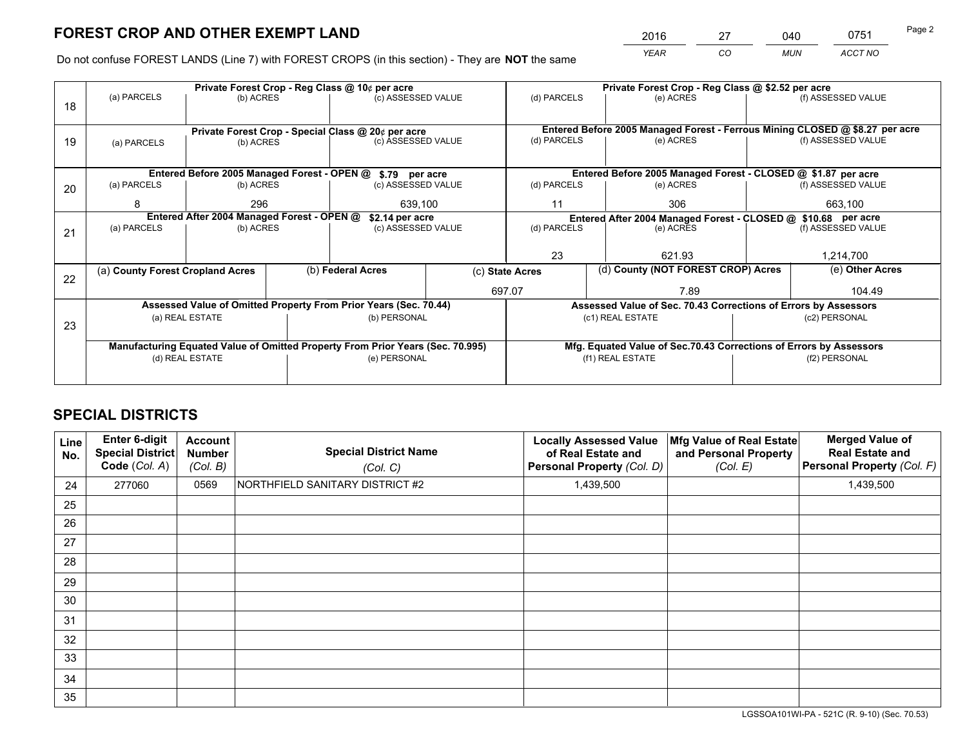*YEAR CO MUN ACCT NO* 2016 27 040 0751

Do not confuse FOREST LANDS (Line 7) with FOREST CROPS (in this section) - They are **NOT** the same

|    |                                  |                                            |                 | Private Forest Crop - Reg Class @ 10¢ per acre                                 |                                                               |                                                                                                    | Private Forest Crop - Reg Class @ \$2.52 per acre                  |                                    |                    |
|----|----------------------------------|--------------------------------------------|-----------------|--------------------------------------------------------------------------------|---------------------------------------------------------------|----------------------------------------------------------------------------------------------------|--------------------------------------------------------------------|------------------------------------|--------------------|
| 18 | (a) PARCELS                      | (b) ACRES                                  |                 | (c) ASSESSED VALUE                                                             |                                                               | (d) PARCELS                                                                                        | (e) ACRES                                                          |                                    | (f) ASSESSED VALUE |
|    |                                  |                                            |                 |                                                                                |                                                               |                                                                                                    |                                                                    |                                    |                    |
|    |                                  |                                            |                 | Private Forest Crop - Special Class @ 20¢ per acre                             |                                                               | Entered Before 2005 Managed Forest - Ferrous Mining CLOSED @ \$8.27 per acre<br>(f) ASSESSED VALUE |                                                                    |                                    |                    |
| 19 | (a) PARCELS                      | (b) ACRES                                  |                 | (c) ASSESSED VALUE                                                             |                                                               | (d) PARCELS                                                                                        | (e) ACRES                                                          |                                    |                    |
|    |                                  |                                            |                 |                                                                                |                                                               |                                                                                                    |                                                                    |                                    |                    |
|    |                                  |                                            |                 | Entered Before 2005 Managed Forest - OPEN @ \$.79 per acre                     |                                                               |                                                                                                    | Entered Before 2005 Managed Forest - CLOSED @ \$1.87 per acre      |                                    |                    |
| 20 | (a) PARCELS                      | (b) ACRES                                  |                 | (c) ASSESSED VALUE                                                             |                                                               | (d) PARCELS                                                                                        | (e) ACRES                                                          |                                    | (f) ASSESSED VALUE |
|    | 8                                | 296<br>639.100                             |                 |                                                                                | 11                                                            | 306                                                                                                |                                                                    | 663,100                            |                    |
|    |                                  | Entered After 2004 Managed Forest - OPEN @ | \$2.14 per acre |                                                                                | Entered After 2004 Managed Forest - CLOSED @ \$10.68 per acre |                                                                                                    |                                                                    |                                    |                    |
| 21 | (a) PARCELS                      | (b) ACRES                                  |                 | (c) ASSESSED VALUE                                                             | (d) PARCELS                                                   |                                                                                                    | (e) ACRES                                                          |                                    | (f) ASSESSED VALUE |
|    |                                  |                                            |                 |                                                                                |                                                               |                                                                                                    |                                                                    |                                    |                    |
|    |                                  |                                            |                 |                                                                                |                                                               | 23                                                                                                 | 621.93                                                             |                                    | 1,214,700          |
| 22 | (a) County Forest Cropland Acres |                                            |                 | (b) Federal Acres                                                              | (c) State Acres                                               |                                                                                                    |                                                                    | (d) County (NOT FOREST CROP) Acres |                    |
|    |                                  |                                            |                 |                                                                                |                                                               | 697.07                                                                                             | 7.89                                                               |                                    | 104.49             |
|    |                                  |                                            |                 | Assessed Value of Omitted Property From Prior Years (Sec. 70.44)               |                                                               |                                                                                                    | Assessed Value of Sec. 70.43 Corrections of Errors by Assessors    |                                    |                    |
| 23 |                                  | (a) REAL ESTATE                            |                 | (b) PERSONAL                                                                   |                                                               |                                                                                                    | (c1) REAL ESTATE                                                   |                                    | (c2) PERSONAL      |
|    |                                  |                                            |                 |                                                                                |                                                               |                                                                                                    |                                                                    |                                    |                    |
|    |                                  |                                            |                 | Manufacturing Equated Value of Omitted Property From Prior Years (Sec. 70.995) |                                                               |                                                                                                    | Mfg. Equated Value of Sec.70.43 Corrections of Errors by Assessors |                                    |                    |
|    | (d) REAL ESTATE                  |                                            |                 | (e) PERSONAL                                                                   |                                                               |                                                                                                    | (f1) REAL ESTATE                                                   | (f2) PERSONAL                      |                    |
|    |                                  |                                            |                 |                                                                                |                                                               |                                                                                                    |                                                                    |                                    |                    |

## **SPECIAL DISTRICTS**

| <b>Line</b><br>No. | Enter 6-digit<br><b>Special District</b><br>Code (Col. A) | <b>Account</b><br><b>Number</b><br>(Col. B) | <b>Special District Name</b><br>(Col. C) | <b>Locally Assessed Value</b><br>of Real Estate and<br>Personal Property (Col. D) | Mfg Value of Real Estate<br>and Personal Property<br>(Col. E) | <b>Merged Value of</b><br><b>Real Estate and</b><br>Personal Property (Col. F) |
|--------------------|-----------------------------------------------------------|---------------------------------------------|------------------------------------------|-----------------------------------------------------------------------------------|---------------------------------------------------------------|--------------------------------------------------------------------------------|
| 24                 | 277060                                                    | 0569                                        | NORTHFIELD SANITARY DISTRICT #2          | 1,439,500                                                                         |                                                               | 1,439,500                                                                      |
| 25                 |                                                           |                                             |                                          |                                                                                   |                                                               |                                                                                |
| 26                 |                                                           |                                             |                                          |                                                                                   |                                                               |                                                                                |
| 27                 |                                                           |                                             |                                          |                                                                                   |                                                               |                                                                                |
| 28                 |                                                           |                                             |                                          |                                                                                   |                                                               |                                                                                |
| 29                 |                                                           |                                             |                                          |                                                                                   |                                                               |                                                                                |
| 30                 |                                                           |                                             |                                          |                                                                                   |                                                               |                                                                                |
| 31                 |                                                           |                                             |                                          |                                                                                   |                                                               |                                                                                |
| 32                 |                                                           |                                             |                                          |                                                                                   |                                                               |                                                                                |
| 33                 |                                                           |                                             |                                          |                                                                                   |                                                               |                                                                                |
| 34                 |                                                           |                                             |                                          |                                                                                   |                                                               |                                                                                |
| 35                 |                                                           |                                             |                                          |                                                                                   |                                                               |                                                                                |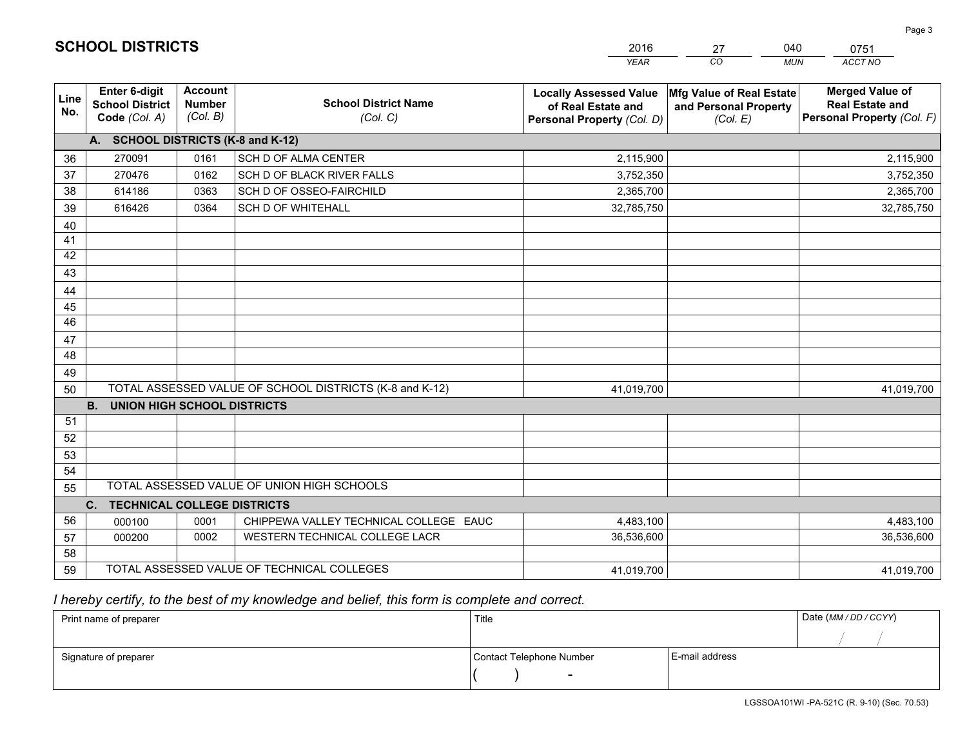|             |                                                          |                                             |                                                         | <b>YEAR</b>                                                                       | CO<br><b>MUN</b>                                              | ACCT NO                                                                        |
|-------------|----------------------------------------------------------|---------------------------------------------|---------------------------------------------------------|-----------------------------------------------------------------------------------|---------------------------------------------------------------|--------------------------------------------------------------------------------|
| Line<br>No. | Enter 6-digit<br><b>School District</b><br>Code (Col. A) | <b>Account</b><br><b>Number</b><br>(Col. B) | <b>School District Name</b><br>(Col. C)                 | <b>Locally Assessed Value</b><br>of Real Estate and<br>Personal Property (Col. D) | Mfg Value of Real Estate<br>and Personal Property<br>(Col. E) | <b>Merged Value of</b><br><b>Real Estate and</b><br>Personal Property (Col. F) |
|             | A. SCHOOL DISTRICTS (K-8 and K-12)                       |                                             |                                                         |                                                                                   |                                                               |                                                                                |
| 36          | 270091                                                   | 0161                                        | SCH D OF ALMA CENTER                                    | 2,115,900                                                                         |                                                               | 2,115,900                                                                      |
| 37          | 270476                                                   | 0162                                        | SCH D OF BLACK RIVER FALLS                              | 3,752,350                                                                         |                                                               | 3,752,350                                                                      |
| 38          | 614186                                                   | 0363                                        | SCH D OF OSSEO-FAIRCHILD                                | 2,365,700                                                                         |                                                               | 2,365,700                                                                      |
| 39          | 616426                                                   | 0364                                        | <b>SCH D OF WHITEHALL</b>                               | 32,785,750                                                                        |                                                               | 32,785,750                                                                     |
| 40          |                                                          |                                             |                                                         |                                                                                   |                                                               |                                                                                |
| 41          |                                                          |                                             |                                                         |                                                                                   |                                                               |                                                                                |
| 42          |                                                          |                                             |                                                         |                                                                                   |                                                               |                                                                                |
| 43          |                                                          |                                             |                                                         |                                                                                   |                                                               |                                                                                |
| 44          |                                                          |                                             |                                                         |                                                                                   |                                                               |                                                                                |
| 45          |                                                          |                                             |                                                         |                                                                                   |                                                               |                                                                                |
| 46          |                                                          |                                             |                                                         |                                                                                   |                                                               |                                                                                |
| 47          |                                                          |                                             |                                                         |                                                                                   |                                                               |                                                                                |
| 48          |                                                          |                                             |                                                         |                                                                                   |                                                               |                                                                                |
| 49          |                                                          |                                             |                                                         |                                                                                   |                                                               |                                                                                |
| 50          |                                                          |                                             | TOTAL ASSESSED VALUE OF SCHOOL DISTRICTS (K-8 and K-12) | 41,019,700                                                                        |                                                               | 41,019,700                                                                     |
|             | <b>B.</b><br><b>UNION HIGH SCHOOL DISTRICTS</b>          |                                             |                                                         |                                                                                   |                                                               |                                                                                |
| 51          |                                                          |                                             |                                                         |                                                                                   |                                                               |                                                                                |
| 52          |                                                          |                                             |                                                         |                                                                                   |                                                               |                                                                                |
| 53          |                                                          |                                             |                                                         |                                                                                   |                                                               |                                                                                |
| 54          |                                                          |                                             |                                                         |                                                                                   |                                                               |                                                                                |
| 55          |                                                          |                                             | TOTAL ASSESSED VALUE OF UNION HIGH SCHOOLS              |                                                                                   |                                                               |                                                                                |
|             | $C_{1}$<br><b>TECHNICAL COLLEGE DISTRICTS</b>            |                                             |                                                         |                                                                                   |                                                               |                                                                                |
| 56          | 000100                                                   | 0001                                        | CHIPPEWA VALLEY TECHNICAL COLLEGE EAUC                  | 4,483,100                                                                         |                                                               | 4,483,100                                                                      |
| 57          | 000200                                                   | 0002                                        | WESTERN TECHNICAL COLLEGE LACR                          | 36,536,600                                                                        |                                                               | 36,536,600                                                                     |
| 58          |                                                          |                                             |                                                         |                                                                                   |                                                               |                                                                                |
| 59          |                                                          |                                             | TOTAL ASSESSED VALUE OF TECHNICAL COLLEGES              | 41,019,700                                                                        |                                                               | 41,019,700                                                                     |

27

040

## *I hereby certify, to the best of my knowledge and belief, this form is complete and correct.*

**SCHOOL DISTRICTS**

| Print name of preparer | Title                    | Date (MM / DD / CCYY) |  |
|------------------------|--------------------------|-----------------------|--|
|                        |                          |                       |  |
| Signature of preparer  | Contact Telephone Number | E-mail address        |  |
|                        | $\overline{\phantom{0}}$ |                       |  |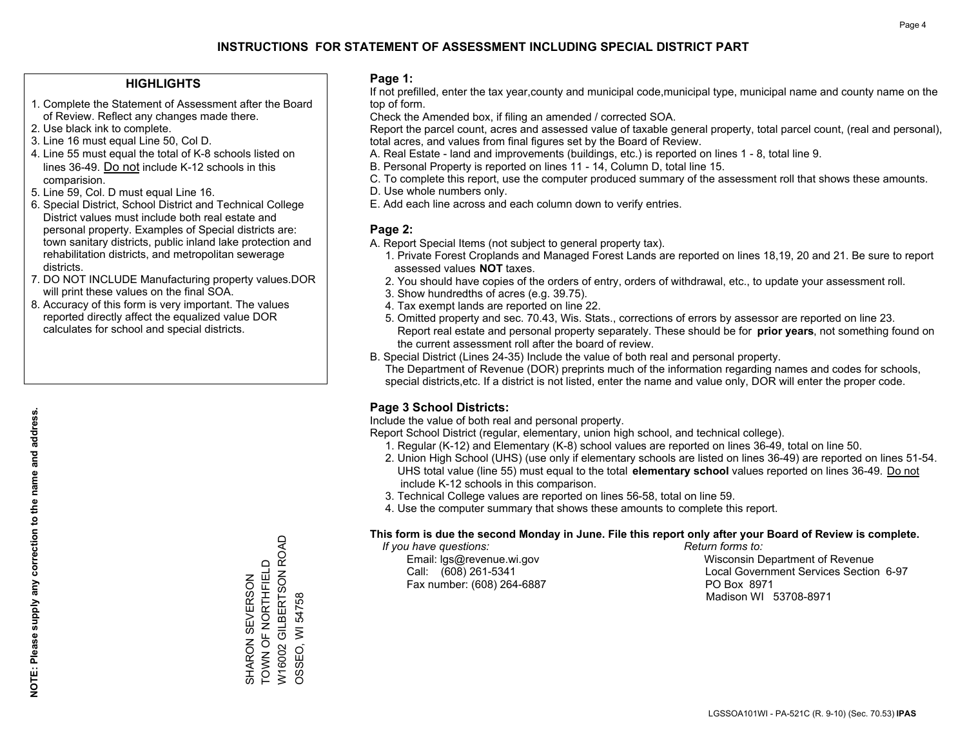### **HIGHLIGHTS**

- 1. Complete the Statement of Assessment after the Board of Review. Reflect any changes made there.
- 2. Use black ink to complete.
- 3. Line 16 must equal Line 50, Col D.
- 4. Line 55 must equal the total of K-8 schools listed on lines 36-49. Do not include K-12 schools in this comparision.
- 5. Line 59, Col. D must equal Line 16.
- 6. Special District, School District and Technical College District values must include both real estate and personal property. Examples of Special districts are: town sanitary districts, public inland lake protection and rehabilitation districts, and metropolitan sewerage districts.
- 7. DO NOT INCLUDE Manufacturing property values.DOR will print these values on the final SOA.
- 8. Accuracy of this form is very important. The values reported directly affect the equalized value DOR calculates for school and special districts.

#### **Page 1:**

 If not prefilled, enter the tax year,county and municipal code,municipal type, municipal name and county name on the top of form.

Check the Amended box, if filing an amended / corrected SOA.

 Report the parcel count, acres and assessed value of taxable general property, total parcel count, (real and personal), total acres, and values from final figures set by the Board of Review.

- A. Real Estate land and improvements (buildings, etc.) is reported on lines 1 8, total line 9.
- B. Personal Property is reported on lines 11 14, Column D, total line 15.
- C. To complete this report, use the computer produced summary of the assessment roll that shows these amounts.
- D. Use whole numbers only.
- E. Add each line across and each column down to verify entries.

#### **Page 2:**

- A. Report Special Items (not subject to general property tax).
- 1. Private Forest Croplands and Managed Forest Lands are reported on lines 18,19, 20 and 21. Be sure to report assessed values **NOT** taxes.
- 2. You should have copies of the orders of entry, orders of withdrawal, etc., to update your assessment roll.
	- 3. Show hundredths of acres (e.g. 39.75).
- 4. Tax exempt lands are reported on line 22.
- 5. Omitted property and sec. 70.43, Wis. Stats., corrections of errors by assessor are reported on line 23. Report real estate and personal property separately. These should be for **prior years**, not something found on the current assessment roll after the board of review.
- B. Special District (Lines 24-35) Include the value of both real and personal property.
- The Department of Revenue (DOR) preprints much of the information regarding names and codes for schools, special districts,etc. If a district is not listed, enter the name and value only, DOR will enter the proper code.

## **Page 3 School Districts:**

Include the value of both real and personal property.

Report School District (regular, elementary, union high school, and technical college).

- 1. Regular (K-12) and Elementary (K-8) school values are reported on lines 36-49, total on line 50.
- 2. Union High School (UHS) (use only if elementary schools are listed on lines 36-49) are reported on lines 51-54. UHS total value (line 55) must equal to the total **elementary school** values reported on lines 36-49. Do notinclude K-12 schools in this comparison.
- 3. Technical College values are reported on lines 56-58, total on line 59.
- 4. Use the computer summary that shows these amounts to complete this report.

#### **This form is due the second Monday in June. File this report only after your Board of Review is complete.**

 *If you have questions: Return forms to:*

Fax number: (608) 264-6887 PO Box 8971

 Email: lgs@revenue.wi.gov Wisconsin Department of Revenue Call: (608) 261-5341 Local Government Services Section 6-97Madison WI 53708-8971

W16002 GILBERTSON ROAD<br>OSSEO, WI 54758 W16002 GILBERTSON ROAD SHARON SEVERSON<br>TOWN OF NORTHFIELD TOWN OF NORTHFIELD SHARON SEVERSON

OSSEO, WI 54758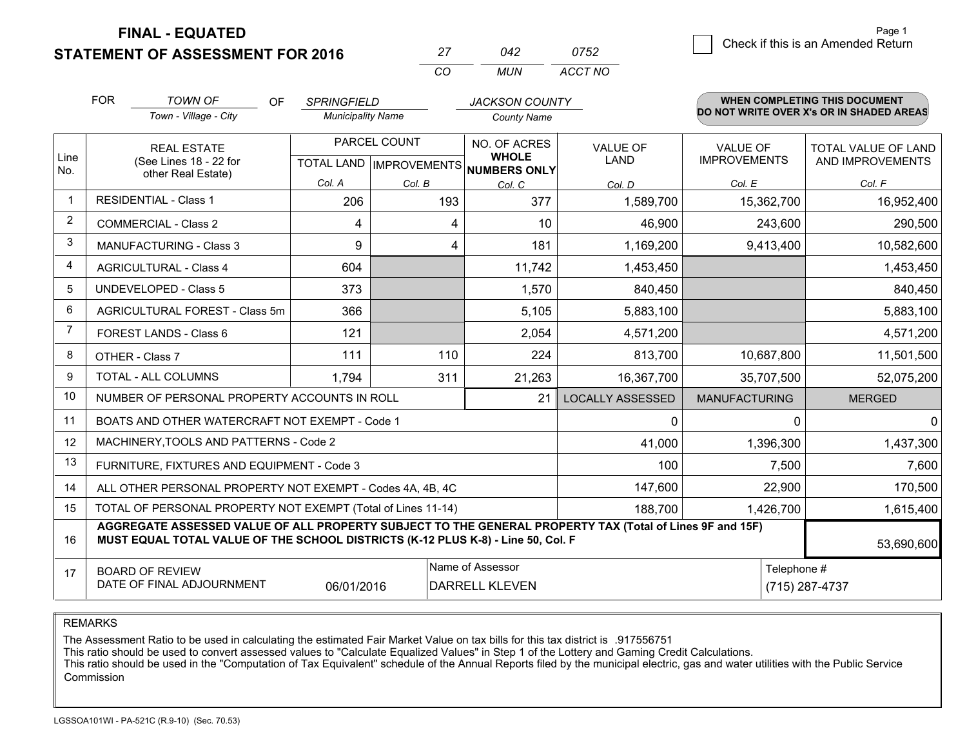**STATEMENT OF ASSESSMENT FOR 2016** 

**FINAL - EQUATED**

|                | <b>FOR</b>                                                                                                     | <b>TOWN OF</b><br>OF<br>Town - Village - City                                                                                                                                                | <b>SPRINGFIELD</b><br><b>Municipality Name</b> |              | <b>JACKSON COUNTY</b><br><b>County Name</b>                          |                                |                                        | <b>WHEN COMPLETING THIS DOCUMENT</b><br>DO NOT WRITE OVER X's OR IN SHADED AREAS |
|----------------|----------------------------------------------------------------------------------------------------------------|----------------------------------------------------------------------------------------------------------------------------------------------------------------------------------------------|------------------------------------------------|--------------|----------------------------------------------------------------------|--------------------------------|----------------------------------------|----------------------------------------------------------------------------------|
| Line           |                                                                                                                | <b>REAL ESTATE</b><br>(See Lines 18 - 22 for                                                                                                                                                 |                                                | PARCEL COUNT | NO. OF ACRES<br><b>WHOLE</b><br>TOTAL LAND IMPROVEMENTS NUMBERS ONLY | <b>VALUE OF</b><br><b>LAND</b> | <b>VALUE OF</b><br><b>IMPROVEMENTS</b> | <b>TOTAL VALUE OF LAND</b><br>AND IMPROVEMENTS                                   |
| No.            |                                                                                                                | other Real Estate)                                                                                                                                                                           | Col. A                                         | Col. B       | Col. C                                                               | Col. D                         | Col. E                                 | Col. F                                                                           |
| -1             |                                                                                                                | <b>RESIDENTIAL - Class 1</b>                                                                                                                                                                 | 206                                            | 193          | 377                                                                  | 1,589,700                      | 15,362,700                             | 16,952,400                                                                       |
| 2              |                                                                                                                | <b>COMMERCIAL - Class 2</b>                                                                                                                                                                  | 4                                              |              | 10<br>4                                                              | 46,900                         | 243,600                                | 290,500                                                                          |
| 3              |                                                                                                                | <b>MANUFACTURING - Class 3</b>                                                                                                                                                               | 9                                              |              | 181<br>4                                                             | 1,169,200                      | 9,413,400                              | 10,582,600                                                                       |
| 4              |                                                                                                                | <b>AGRICULTURAL - Class 4</b>                                                                                                                                                                | 604                                            |              | 11,742                                                               | 1,453,450                      |                                        | 1,453,450                                                                        |
| 5              |                                                                                                                | UNDEVELOPED - Class 5                                                                                                                                                                        | 373                                            |              | 1,570                                                                | 840,450                        |                                        | 840,450                                                                          |
| 6              |                                                                                                                | AGRICULTURAL FOREST - Class 5m                                                                                                                                                               | 366                                            |              | 5,105                                                                | 5,883,100                      |                                        | 5,883,100                                                                        |
| $\overline{7}$ |                                                                                                                | FOREST LANDS - Class 6                                                                                                                                                                       | 121                                            |              | 2,054                                                                | 4,571,200                      |                                        | 4,571,200                                                                        |
| 8              |                                                                                                                | OTHER - Class 7                                                                                                                                                                              | 111                                            | 110          | 224                                                                  | 813,700                        | 10,687,800                             | 11,501,500                                                                       |
| 9              |                                                                                                                | TOTAL - ALL COLUMNS                                                                                                                                                                          | 1,794                                          | 311          | 21,263                                                               | 16,367,700                     | 35,707,500                             | 52,075,200                                                                       |
| 10             |                                                                                                                | NUMBER OF PERSONAL PROPERTY ACCOUNTS IN ROLL                                                                                                                                                 |                                                |              | 21                                                                   | <b>LOCALLY ASSESSED</b>        | <b>MANUFACTURING</b>                   | <b>MERGED</b>                                                                    |
| 11             |                                                                                                                | BOATS AND OTHER WATERCRAFT NOT EXEMPT - Code 1                                                                                                                                               |                                                |              |                                                                      | $\Omega$                       | $\Omega$                               |                                                                                  |
| 12             |                                                                                                                | MACHINERY, TOOLS AND PATTERNS - Code 2                                                                                                                                                       |                                                |              |                                                                      | 41,000                         | 1,396,300                              | 1,437,300                                                                        |
| 13             |                                                                                                                | FURNITURE, FIXTURES AND EQUIPMENT - Code 3                                                                                                                                                   |                                                |              |                                                                      | 100                            | 7,500                                  | 7,600                                                                            |
| 14             |                                                                                                                | ALL OTHER PERSONAL PROPERTY NOT EXEMPT - Codes 4A, 4B, 4C                                                                                                                                    |                                                |              |                                                                      | 147,600                        | 22,900                                 | 170,500                                                                          |
| 15             |                                                                                                                | TOTAL OF PERSONAL PROPERTY NOT EXEMPT (Total of Lines 11-14)                                                                                                                                 |                                                |              |                                                                      | 188,700                        | 1,426,700                              | 1,615,400                                                                        |
| 16             |                                                                                                                | AGGREGATE ASSESSED VALUE OF ALL PROPERTY SUBJECT TO THE GENERAL PROPERTY TAX (Total of Lines 9F and 15F)<br>MUST EQUAL TOTAL VALUE OF THE SCHOOL DISTRICTS (K-12 PLUS K-8) - Line 50, Col. F |                                                |              |                                                                      |                                |                                        | 53,690,600                                                                       |
| 17             | Name of Assessor<br><b>BOARD OF REVIEW</b><br>DATE OF FINAL ADJOURNMENT<br>06/01/2016<br><b>DARRELL KLEVEN</b> |                                                                                                                                                                                              |                                                |              |                                                                      |                                |                                        | Telephone #<br>(715) 287-4737                                                    |

*CO*

*MUN*

*ACCT NO0752*

*<sup>27</sup> <sup>042</sup>*

REMARKS

The Assessment Ratio to be used in calculating the estimated Fair Market Value on tax bills for this tax district is .917556751<br>This ratio should be used to convert assessed values to "Calculate Equalized Values" in Step 1 Commission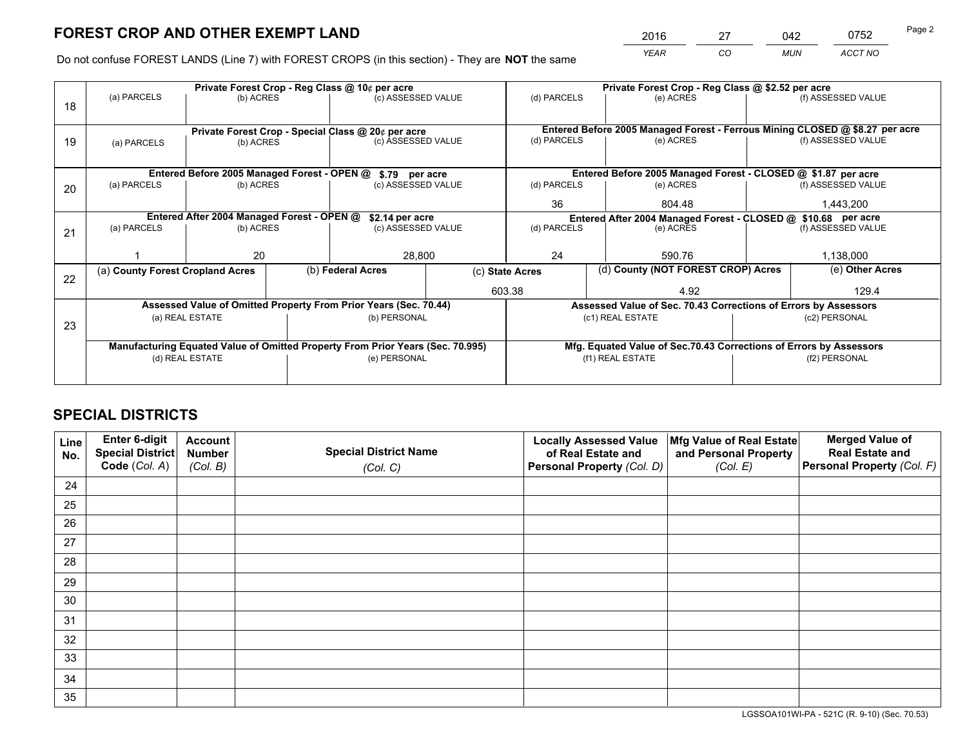*YEAR CO MUN ACCT NO* 2016 27 042 0752

Do not confuse FOREST LANDS (Line 7) with FOREST CROPS (in this section) - They are **NOT** the same

|    |                                                                                |                                             |  | Private Forest Crop - Reg Class @ 10¢ per acre                   |                    |                                                                              | Private Forest Crop - Reg Class @ \$2.52 per acre                  |               |                    |
|----|--------------------------------------------------------------------------------|---------------------------------------------|--|------------------------------------------------------------------|--------------------|------------------------------------------------------------------------------|--------------------------------------------------------------------|---------------|--------------------|
| 18 | (a) PARCELS                                                                    | (b) ACRES                                   |  | (c) ASSESSED VALUE                                               |                    | (d) PARCELS                                                                  | (e) ACRES                                                          |               | (f) ASSESSED VALUE |
|    |                                                                                |                                             |  |                                                                  |                    |                                                                              |                                                                    |               |                    |
|    |                                                                                |                                             |  | Private Forest Crop - Special Class @ 20¢ per acre               |                    | Entered Before 2005 Managed Forest - Ferrous Mining CLOSED @ \$8.27 per acre |                                                                    |               |                    |
| 19 | (a) PARCELS                                                                    | (b) ACRES                                   |  | (c) ASSESSED VALUE                                               |                    | (d) PARCELS                                                                  | (e) ACRES                                                          |               | (f) ASSESSED VALUE |
|    |                                                                                |                                             |  |                                                                  |                    |                                                                              |                                                                    |               |                    |
|    |                                                                                | Entered Before 2005 Managed Forest - OPEN @ |  | \$.79 per acre                                                   |                    |                                                                              | Entered Before 2005 Managed Forest - CLOSED @ \$1.87 per acre      |               |                    |
| 20 | (a) PARCELS                                                                    | (b) ACRES                                   |  | (c) ASSESSED VALUE                                               |                    | (d) PARCELS                                                                  | (e) ACRES                                                          |               |                    |
|    |                                                                                |                                             |  |                                                                  | 36                 | 804.48                                                                       |                                                                    | 1,443,200     |                    |
|    | Entered After 2004 Managed Forest - OPEN @<br>\$2.14 per acre                  |                                             |  |                                                                  |                    | Entered After 2004 Managed Forest - CLOSED @ \$10.68 per acre<br>(d) PARCELS |                                                                    |               |                    |
| 21 | (a) PARCELS                                                                    | (b) ACRES                                   |  |                                                                  | (c) ASSESSED VALUE |                                                                              | (e) ACRES                                                          |               | (f) ASSESSED VALUE |
|    |                                                                                |                                             |  |                                                                  |                    |                                                                              |                                                                    |               |                    |
|    |                                                                                | 20                                          |  | 28,800                                                           |                    | 24                                                                           | 590.76                                                             |               | 1,138,000          |
| 22 | (a) County Forest Cropland Acres                                               |                                             |  | (b) Federal Acres                                                | (c) State Acres    |                                                                              | (d) County (NOT FOREST CROP) Acres                                 |               | (e) Other Acres    |
|    |                                                                                |                                             |  |                                                                  | 603.38             |                                                                              | 4.92                                                               |               | 129.4              |
|    |                                                                                |                                             |  | Assessed Value of Omitted Property From Prior Years (Sec. 70.44) |                    |                                                                              | Assessed Value of Sec. 70.43 Corrections of Errors by Assessors    |               |                    |
|    |                                                                                | (a) REAL ESTATE                             |  | (b) PERSONAL                                                     |                    |                                                                              | (c1) REAL ESTATE                                                   |               | (c2) PERSONAL      |
| 23 |                                                                                |                                             |  |                                                                  |                    |                                                                              |                                                                    |               |                    |
|    | Manufacturing Equated Value of Omitted Property From Prior Years (Sec. 70.995) |                                             |  |                                                                  |                    |                                                                              | Mfg. Equated Value of Sec.70.43 Corrections of Errors by Assessors |               |                    |
|    | (d) REAL ESTATE                                                                |                                             |  | (e) PERSONAL                                                     |                    | (f1) REAL ESTATE                                                             |                                                                    | (f2) PERSONAL |                    |
|    |                                                                                |                                             |  |                                                                  |                    |                                                                              |                                                                    |               |                    |

## **SPECIAL DISTRICTS**

| Line<br>No. | Enter 6-digit<br>Special District<br>Code (Col. A) | <b>Account</b><br><b>Number</b> | <b>Special District Name</b> | <b>Locally Assessed Value</b><br>of Real Estate and | Mfg Value of Real Estate<br>and Personal Property | <b>Merged Value of</b><br><b>Real Estate and</b><br>Personal Property (Col. F) |
|-------------|----------------------------------------------------|---------------------------------|------------------------------|-----------------------------------------------------|---------------------------------------------------|--------------------------------------------------------------------------------|
|             |                                                    | (Col. B)                        | (Col. C)                     | Personal Property (Col. D)                          | (Col. E)                                          |                                                                                |
| 24          |                                                    |                                 |                              |                                                     |                                                   |                                                                                |
| 25          |                                                    |                                 |                              |                                                     |                                                   |                                                                                |
| 26          |                                                    |                                 |                              |                                                     |                                                   |                                                                                |
| 27          |                                                    |                                 |                              |                                                     |                                                   |                                                                                |
| 28          |                                                    |                                 |                              |                                                     |                                                   |                                                                                |
| 29          |                                                    |                                 |                              |                                                     |                                                   |                                                                                |
| 30          |                                                    |                                 |                              |                                                     |                                                   |                                                                                |
| 31          |                                                    |                                 |                              |                                                     |                                                   |                                                                                |
| 32          |                                                    |                                 |                              |                                                     |                                                   |                                                                                |
| 33          |                                                    |                                 |                              |                                                     |                                                   |                                                                                |
| 34          |                                                    |                                 |                              |                                                     |                                                   |                                                                                |
| 35          |                                                    |                                 |                              |                                                     |                                                   |                                                                                |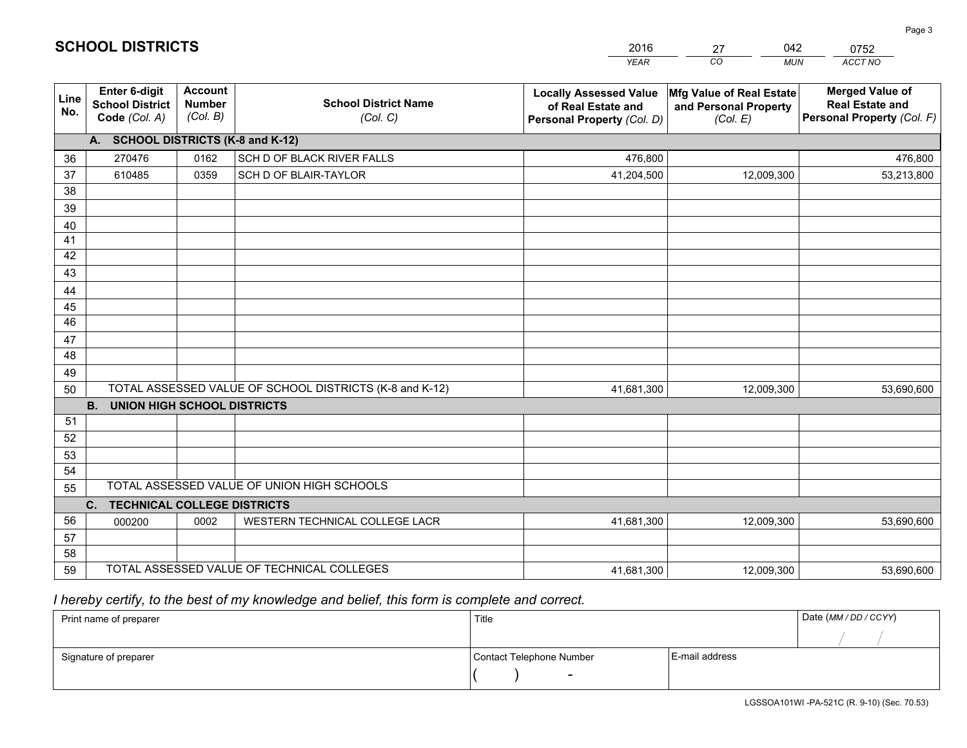|             |                                                          |                                             |                                                         | <b>YEAR</b>                                                                       | CO<br><b>MUN</b>                                              | ACCT NO                                                                        |
|-------------|----------------------------------------------------------|---------------------------------------------|---------------------------------------------------------|-----------------------------------------------------------------------------------|---------------------------------------------------------------|--------------------------------------------------------------------------------|
| Line<br>No. | Enter 6-digit<br><b>School District</b><br>Code (Col. A) | <b>Account</b><br><b>Number</b><br>(Col. B) | <b>School District Name</b><br>(Col. C)                 | <b>Locally Assessed Value</b><br>of Real Estate and<br>Personal Property (Col. D) | Mfg Value of Real Estate<br>and Personal Property<br>(Col. E) | <b>Merged Value of</b><br><b>Real Estate and</b><br>Personal Property (Col. F) |
|             | A. SCHOOL DISTRICTS (K-8 and K-12)                       |                                             |                                                         |                                                                                   |                                                               |                                                                                |
| 36          | 270476                                                   | 0162                                        | SCH D OF BLACK RIVER FALLS                              | 476,800                                                                           |                                                               | 476,800                                                                        |
| 37          | 610485                                                   | 0359                                        | SCH D OF BLAIR-TAYLOR                                   | 41,204,500                                                                        | 12,009,300                                                    | 53,213,800                                                                     |
| 38          |                                                          |                                             |                                                         |                                                                                   |                                                               |                                                                                |
| 39          |                                                          |                                             |                                                         |                                                                                   |                                                               |                                                                                |
| 40          |                                                          |                                             |                                                         |                                                                                   |                                                               |                                                                                |
| 41          |                                                          |                                             |                                                         |                                                                                   |                                                               |                                                                                |
| 42          |                                                          |                                             |                                                         |                                                                                   |                                                               |                                                                                |
| 43          |                                                          |                                             |                                                         |                                                                                   |                                                               |                                                                                |
| 44<br>45    |                                                          |                                             |                                                         |                                                                                   |                                                               |                                                                                |
| 46          |                                                          |                                             |                                                         |                                                                                   |                                                               |                                                                                |
| 47          |                                                          |                                             |                                                         |                                                                                   |                                                               |                                                                                |
| 48          |                                                          |                                             |                                                         |                                                                                   |                                                               |                                                                                |
| 49          |                                                          |                                             |                                                         |                                                                                   |                                                               |                                                                                |
| 50          |                                                          |                                             | TOTAL ASSESSED VALUE OF SCHOOL DISTRICTS (K-8 and K-12) | 41,681,300                                                                        | 12,009,300                                                    | 53,690,600                                                                     |
|             | <b>B.</b><br>UNION HIGH SCHOOL DISTRICTS                 |                                             |                                                         |                                                                                   |                                                               |                                                                                |
| 51          |                                                          |                                             |                                                         |                                                                                   |                                                               |                                                                                |
| 52          |                                                          |                                             |                                                         |                                                                                   |                                                               |                                                                                |
| 53          |                                                          |                                             |                                                         |                                                                                   |                                                               |                                                                                |
| 54          |                                                          |                                             |                                                         |                                                                                   |                                                               |                                                                                |
| 55          |                                                          |                                             | TOTAL ASSESSED VALUE OF UNION HIGH SCHOOLS              |                                                                                   |                                                               |                                                                                |
|             | C.<br><b>TECHNICAL COLLEGE DISTRICTS</b>                 |                                             |                                                         |                                                                                   |                                                               |                                                                                |
| 56          | 000200                                                   | 0002                                        | WESTERN TECHNICAL COLLEGE LACR                          | 41,681,300                                                                        | 12,009,300                                                    | 53,690,600                                                                     |
| 57          |                                                          |                                             |                                                         |                                                                                   |                                                               |                                                                                |
| 58          |                                                          |                                             | TOTAL ASSESSED VALUE OF TECHNICAL COLLEGES              |                                                                                   |                                                               |                                                                                |
| 59          |                                                          |                                             |                                                         | 41,681,300                                                                        | 12,009,300                                                    | 53,690,600                                                                     |

27

042

 *I hereby certify, to the best of my knowledge and belief, this form is complete and correct.*

**SCHOOL DISTRICTS**

| Print name of preparer | Title                    |                | Date (MM / DD / CCYY) |
|------------------------|--------------------------|----------------|-----------------------|
|                        |                          |                |                       |
| Signature of preparer  | Contact Telephone Number | E-mail address |                       |
|                        | $\sim$                   |                |                       |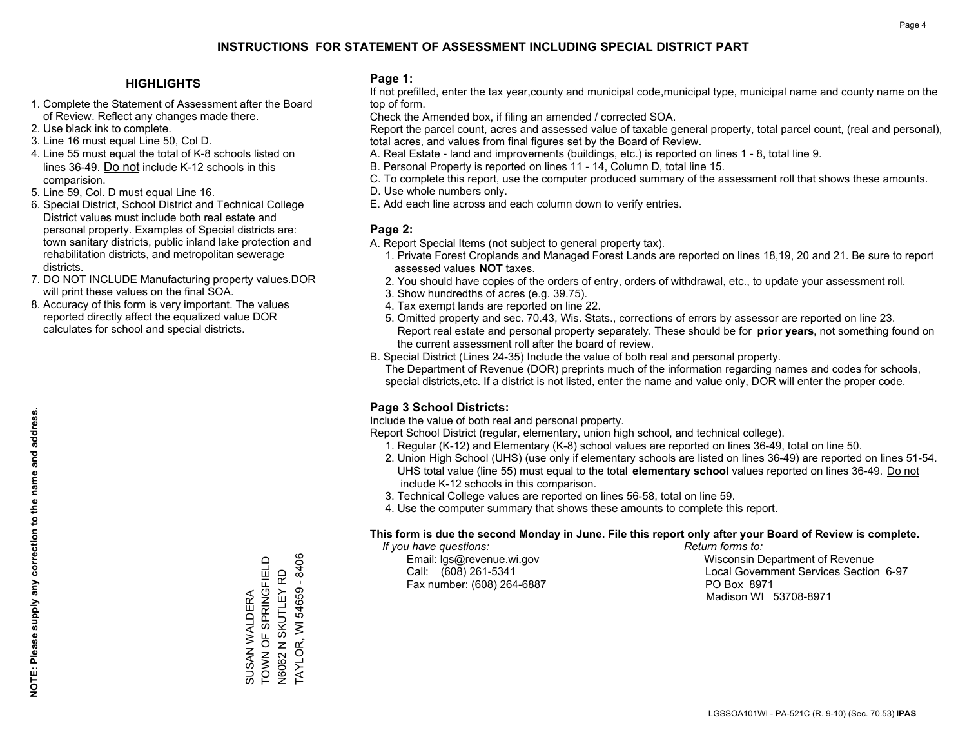### **HIGHLIGHTS**

- 1. Complete the Statement of Assessment after the Board of Review. Reflect any changes made there.
- 2. Use black ink to complete.
- 3. Line 16 must equal Line 50, Col D.
- 4. Line 55 must equal the total of K-8 schools listed on lines 36-49. Do not include K-12 schools in this comparision.
- 5. Line 59, Col. D must equal Line 16.
- 6. Special District, School District and Technical College District values must include both real estate and personal property. Examples of Special districts are: town sanitary districts, public inland lake protection and rehabilitation districts, and metropolitan sewerage districts.
- 7. DO NOT INCLUDE Manufacturing property values.DOR will print these values on the final SOA.
- 8. Accuracy of this form is very important. The values reported directly affect the equalized value DOR calculates for school and special districts.

#### **Page 1:**

 If not prefilled, enter the tax year,county and municipal code,municipal type, municipal name and county name on the top of form.

Check the Amended box, if filing an amended / corrected SOA.

 Report the parcel count, acres and assessed value of taxable general property, total parcel count, (real and personal), total acres, and values from final figures set by the Board of Review.

- A. Real Estate land and improvements (buildings, etc.) is reported on lines 1 8, total line 9.
- B. Personal Property is reported on lines 11 14, Column D, total line 15.
- C. To complete this report, use the computer produced summary of the assessment roll that shows these amounts.
- D. Use whole numbers only.
- E. Add each line across and each column down to verify entries.

## **Page 2:**

- A. Report Special Items (not subject to general property tax).
- 1. Private Forest Croplands and Managed Forest Lands are reported on lines 18,19, 20 and 21. Be sure to report assessed values **NOT** taxes.
- 2. You should have copies of the orders of entry, orders of withdrawal, etc., to update your assessment roll.
	- 3. Show hundredths of acres (e.g. 39.75).
- 4. Tax exempt lands are reported on line 22.
- 5. Omitted property and sec. 70.43, Wis. Stats., corrections of errors by assessor are reported on line 23. Report real estate and personal property separately. These should be for **prior years**, not something found on the current assessment roll after the board of review.
- B. Special District (Lines 24-35) Include the value of both real and personal property.
- The Department of Revenue (DOR) preprints much of the information regarding names and codes for schools, special districts,etc. If a district is not listed, enter the name and value only, DOR will enter the proper code.

## **Page 3 School Districts:**

Include the value of both real and personal property.

Report School District (regular, elementary, union high school, and technical college).

- 1. Regular (K-12) and Elementary (K-8) school values are reported on lines 36-49, total on line 50.
- 2. Union High School (UHS) (use only if elementary schools are listed on lines 36-49) are reported on lines 51-54. UHS total value (line 55) must equal to the total **elementary school** values reported on lines 36-49. Do notinclude K-12 schools in this comparison.
- 3. Technical College values are reported on lines 56-58, total on line 59.
- 4. Use the computer summary that shows these amounts to complete this report.

### **This form is due the second Monday in June. File this report only after your Board of Review is complete.**

 *If you have questions: Return forms to:*

Fax number: (608) 264-6887 PO Box 8971

 Email: lgs@revenue.wi.gov Wisconsin Department of Revenue Call: (608) 261-5341 Local Government Services Section 6-97Madison WI 53708-8971

**TAYLOR, WI 54659 - 8406** TOWN OF SPRINGFIELD TAYLOR, WI 54659 - 8406 SUSAN WALDERA<br>TOWN OF SPRINGFIELD N6062 N SKUTLEY RD N6062 N SKUTLEY RD SUSAN WALDERA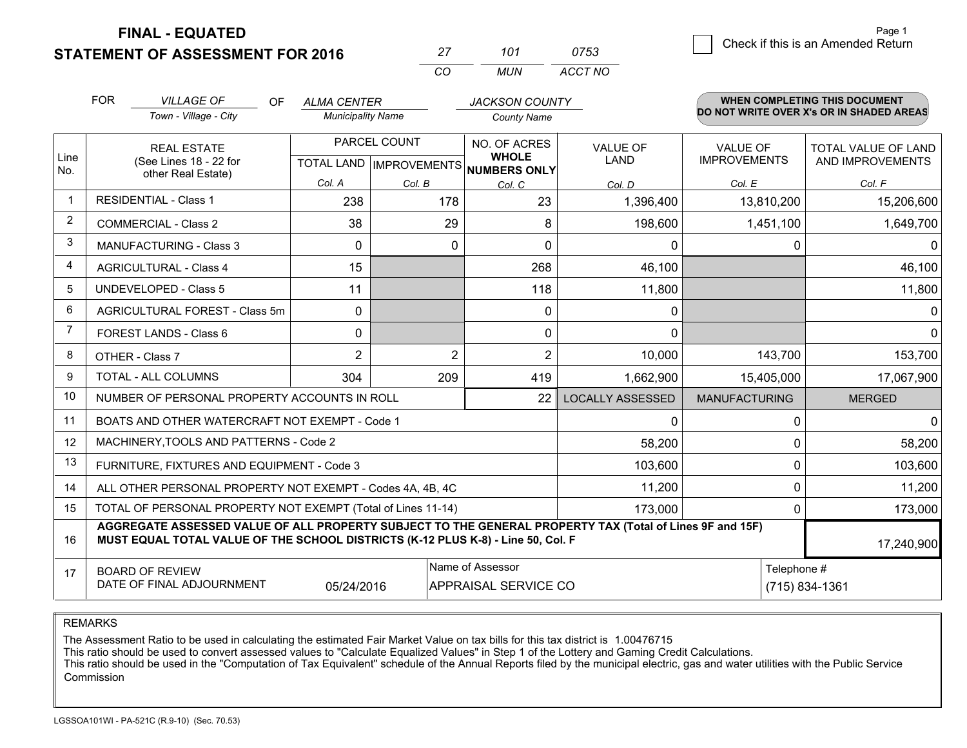**STATEMENT OF ASSESSMENT FOR 2016** 

**FINAL - EQUATED**

|                | <b>FOR</b>                                                                                                                                                                                                 | <b>VILLAGE OF</b><br>OF                                      | <b>ALMA CENTER</b>       |                | <b>JACKSON COUNTY</b>                                |                         |                      | WHEN COMPLETING THIS DOCUMENT            |  |
|----------------|------------------------------------------------------------------------------------------------------------------------------------------------------------------------------------------------------------|--------------------------------------------------------------|--------------------------|----------------|------------------------------------------------------|-------------------------|----------------------|------------------------------------------|--|
|                |                                                                                                                                                                                                            | Town - Village - City                                        | <b>Municipality Name</b> |                | <b>County Name</b>                                   |                         |                      | DO NOT WRITE OVER X's OR IN SHADED AREAS |  |
|                |                                                                                                                                                                                                            | <b>REAL ESTATE</b>                                           | PARCEL COUNT             |                | NO. OF ACRES                                         | <b>VALUE OF</b>         | <b>VALUE OF</b>      | <b>TOTAL VALUE OF LAND</b>               |  |
| Line<br>No.    |                                                                                                                                                                                                            | (See Lines 18 - 22 for<br>other Real Estate)                 |                          |                | <b>WHOLE</b><br>TOTAL LAND IMPROVEMENTS NUMBERS ONLY | <b>LAND</b>             | <b>IMPROVEMENTS</b>  | AND IMPROVEMENTS                         |  |
|                |                                                                                                                                                                                                            |                                                              | Col. A                   | Col. B         | Col. C                                               | Col. D                  | Col. E               | Col. F                                   |  |
| $\mathbf{1}$   |                                                                                                                                                                                                            | <b>RESIDENTIAL - Class 1</b>                                 | 238                      | 178            | 23                                                   | 1,396,400               | 13,810,200           | 15,206,600                               |  |
| $\overline{2}$ |                                                                                                                                                                                                            | <b>COMMERCIAL - Class 2</b>                                  | 38                       | 29             | 8                                                    | 198,600                 | 1,451,100            | 1,649,700                                |  |
| 3              |                                                                                                                                                                                                            | <b>MANUFACTURING - Class 3</b>                               | $\Omega$                 | $\Omega$       | $\Omega$                                             | $\Omega$                |                      | 0<br>$\Omega$                            |  |
| 4              |                                                                                                                                                                                                            | <b>AGRICULTURAL - Class 4</b>                                | 15                       |                | 268                                                  | 46,100                  |                      | 46,100                                   |  |
| 5              |                                                                                                                                                                                                            | <b>UNDEVELOPED - Class 5</b>                                 | 11                       |                | 118                                                  | 11,800                  |                      | 11,800                                   |  |
| 6              |                                                                                                                                                                                                            | AGRICULTURAL FOREST - Class 5m                               | $\mathbf{0}$             |                | 0                                                    | 0                       |                      | $\Omega$                                 |  |
| $\overline{7}$ |                                                                                                                                                                                                            | FOREST LANDS - Class 6                                       | $\Omega$                 |                | 0                                                    | 0                       |                      | $\Omega$                                 |  |
| 8              |                                                                                                                                                                                                            | OTHER - Class 7                                              | $\overline{2}$           | $\overline{2}$ | $\overline{2}$                                       | 10,000                  | 143,700              | 153,700                                  |  |
| 9              |                                                                                                                                                                                                            | TOTAL - ALL COLUMNS                                          | 304                      | 209            | 419                                                  | 1,662,900               | 15,405,000           | 17,067,900                               |  |
| 10             |                                                                                                                                                                                                            | NUMBER OF PERSONAL PROPERTY ACCOUNTS IN ROLL                 |                          |                | 22                                                   | <b>LOCALLY ASSESSED</b> | <b>MANUFACTURING</b> | <b>MERGED</b>                            |  |
| 11             |                                                                                                                                                                                                            | BOATS AND OTHER WATERCRAFT NOT EXEMPT - Code 1               |                          |                |                                                      | 0                       |                      | 0<br>$\Omega$                            |  |
| 12             |                                                                                                                                                                                                            | MACHINERY, TOOLS AND PATTERNS - Code 2                       |                          |                |                                                      | 58,200                  |                      | 0<br>58,200                              |  |
| 13             |                                                                                                                                                                                                            | FURNITURE, FIXTURES AND EQUIPMENT - Code 3                   |                          |                |                                                      | 103,600                 |                      | 103,600<br>0                             |  |
| 14             |                                                                                                                                                                                                            | ALL OTHER PERSONAL PROPERTY NOT EXEMPT - Codes 4A, 4B, 4C    |                          |                |                                                      | 11,200                  |                      | 0<br>11,200                              |  |
| 15             |                                                                                                                                                                                                            | TOTAL OF PERSONAL PROPERTY NOT EXEMPT (Total of Lines 11-14) |                          |                |                                                      | 173,000                 |                      | 173,000<br>0                             |  |
| 16             | AGGREGATE ASSESSED VALUE OF ALL PROPERTY SUBJECT TO THE GENERAL PROPERTY TAX (Total of Lines 9F and 15F)<br>MUST EQUAL TOTAL VALUE OF THE SCHOOL DISTRICTS (K-12 PLUS K-8) - Line 50, Col. F<br>17,240,900 |                                                              |                          |                |                                                      |                         |                      |                                          |  |
| 17             |                                                                                                                                                                                                            | <b>BOARD OF REVIEW</b><br>DATE OF FINAL ADJOURNMENT          | 05/24/2016               |                | Name of Assessor<br>APPRAISAL SERVICE CO             |                         |                      | Telephone #<br>(715) 834-1361            |  |

*MUN*

*ACCT NO0753*

*<sup>27</sup> <sup>101</sup>*

*CO*

REMARKS

The Assessment Ratio to be used in calculating the estimated Fair Market Value on tax bills for this tax district is 1.00476715<br>This ratio should be used to convert assessed values to "Calculate Equalized Values" in Step 1 Commission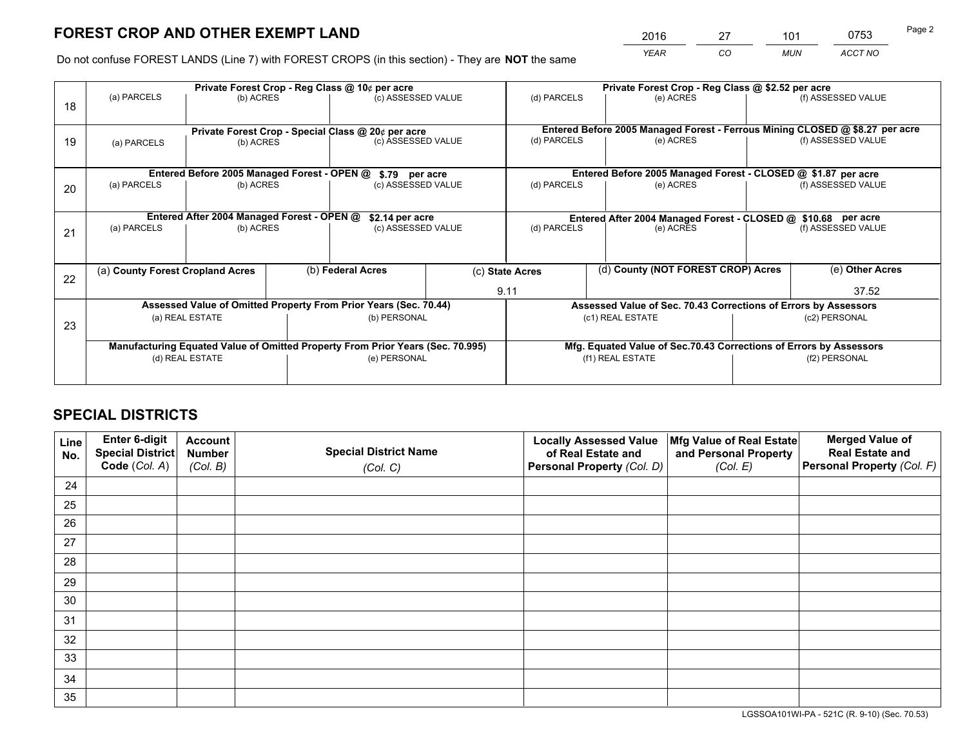*YEAR CO MUN ACCT NO* <sup>2016</sup> <sup>27</sup> <sup>101</sup> <sup>0753</sup>

Do not confuse FOREST LANDS (Line 7) with FOREST CROPS (in this section) - They are **NOT** the same

|    |                                                                                |                                             |  | Private Forest Crop - Reg Class @ 10¢ per acre                   |  |                                                                              | Private Forest Crop - Reg Class @ \$2.52 per acre                  |                    |                    |  |
|----|--------------------------------------------------------------------------------|---------------------------------------------|--|------------------------------------------------------------------|--|------------------------------------------------------------------------------|--------------------------------------------------------------------|--------------------|--------------------|--|
| 18 | (a) PARCELS                                                                    | (b) ACRES                                   |  | (c) ASSESSED VALUE                                               |  | (d) PARCELS                                                                  | (e) ACRES                                                          |                    | (f) ASSESSED VALUE |  |
|    |                                                                                |                                             |  | Private Forest Crop - Special Class @ 20¢ per acre               |  | Entered Before 2005 Managed Forest - Ferrous Mining CLOSED @ \$8.27 per acre |                                                                    |                    |                    |  |
| 19 | (a) PARCELS<br>(b) ACRES                                                       |                                             |  | (c) ASSESSED VALUE                                               |  | (d) PARCELS                                                                  | (e) ACRES                                                          |                    | (f) ASSESSED VALUE |  |
|    |                                                                                | Entered Before 2005 Managed Forest - OPEN @ |  |                                                                  |  |                                                                              | Entered Before 2005 Managed Forest - CLOSED @ \$1.87 per acre      |                    |                    |  |
| 20 | (a) PARCELS<br>(b) ACRES                                                       |                                             |  | \$.79 per acre<br>(c) ASSESSED VALUE                             |  | (d) PARCELS<br>(e) ACRES                                                     |                                                                    |                    | (f) ASSESSED VALUE |  |
|    |                                                                                | Entered After 2004 Managed Forest - OPEN @  |  | \$2.14 per acre                                                  |  |                                                                              | Entered After 2004 Managed Forest - CLOSED @ \$10.68 per acre      |                    |                    |  |
| 21 | (a) PARCELS                                                                    | (b) ACRES                                   |  | (c) ASSESSED VALUE                                               |  | (d) PARCELS<br>(e) ACRES                                                     |                                                                    | (f) ASSESSED VALUE |                    |  |
|    |                                                                                |                                             |  |                                                                  |  |                                                                              |                                                                    |                    |                    |  |
| 22 | (a) County Forest Cropland Acres                                               |                                             |  | (b) Federal Acres                                                |  | (d) County (NOT FOREST CROP) Acres<br>(c) State Acres                        |                                                                    |                    | (e) Other Acres    |  |
|    |                                                                                |                                             |  |                                                                  |  | 9.11                                                                         |                                                                    |                    | 37.52              |  |
|    |                                                                                |                                             |  | Assessed Value of Omitted Property From Prior Years (Sec. 70.44) |  |                                                                              | Assessed Value of Sec. 70.43 Corrections of Errors by Assessors    |                    |                    |  |
| 23 | (a) REAL ESTATE                                                                |                                             |  | (b) PERSONAL                                                     |  | (c1) REAL ESTATE                                                             |                                                                    | (c2) PERSONAL      |                    |  |
|    | Manufacturing Equated Value of Omitted Property From Prior Years (Sec. 70.995) |                                             |  |                                                                  |  |                                                                              | Mfg. Equated Value of Sec.70.43 Corrections of Errors by Assessors |                    |                    |  |
|    | (d) REAL ESTATE                                                                |                                             |  | (e) PERSONAL                                                     |  |                                                                              | (f1) REAL ESTATE                                                   | (f2) PERSONAL      |                    |  |
|    |                                                                                |                                             |  |                                                                  |  |                                                                              |                                                                    |                    |                    |  |

## **SPECIAL DISTRICTS**

| Line<br>No. | Enter 6-digit<br>Special District<br>Code (Col. A) | <b>Account</b><br><b>Number</b> | <b>Special District Name</b> | <b>Locally Assessed Value</b><br>of Real Estate and | Mfg Value of Real Estate<br>and Personal Property | <b>Merged Value of</b><br><b>Real Estate and</b><br>Personal Property (Col. F) |
|-------------|----------------------------------------------------|---------------------------------|------------------------------|-----------------------------------------------------|---------------------------------------------------|--------------------------------------------------------------------------------|
|             |                                                    | (Col. B)                        | (Col. C)                     | Personal Property (Col. D)                          | (Col. E)                                          |                                                                                |
| 24          |                                                    |                                 |                              |                                                     |                                                   |                                                                                |
| 25          |                                                    |                                 |                              |                                                     |                                                   |                                                                                |
| 26          |                                                    |                                 |                              |                                                     |                                                   |                                                                                |
| 27          |                                                    |                                 |                              |                                                     |                                                   |                                                                                |
| 28          |                                                    |                                 |                              |                                                     |                                                   |                                                                                |
| 29          |                                                    |                                 |                              |                                                     |                                                   |                                                                                |
| 30          |                                                    |                                 |                              |                                                     |                                                   |                                                                                |
| 31          |                                                    |                                 |                              |                                                     |                                                   |                                                                                |
| 32          |                                                    |                                 |                              |                                                     |                                                   |                                                                                |
| 33          |                                                    |                                 |                              |                                                     |                                                   |                                                                                |
| 34          |                                                    |                                 |                              |                                                     |                                                   |                                                                                |
| 35          |                                                    |                                 |                              |                                                     |                                                   |                                                                                |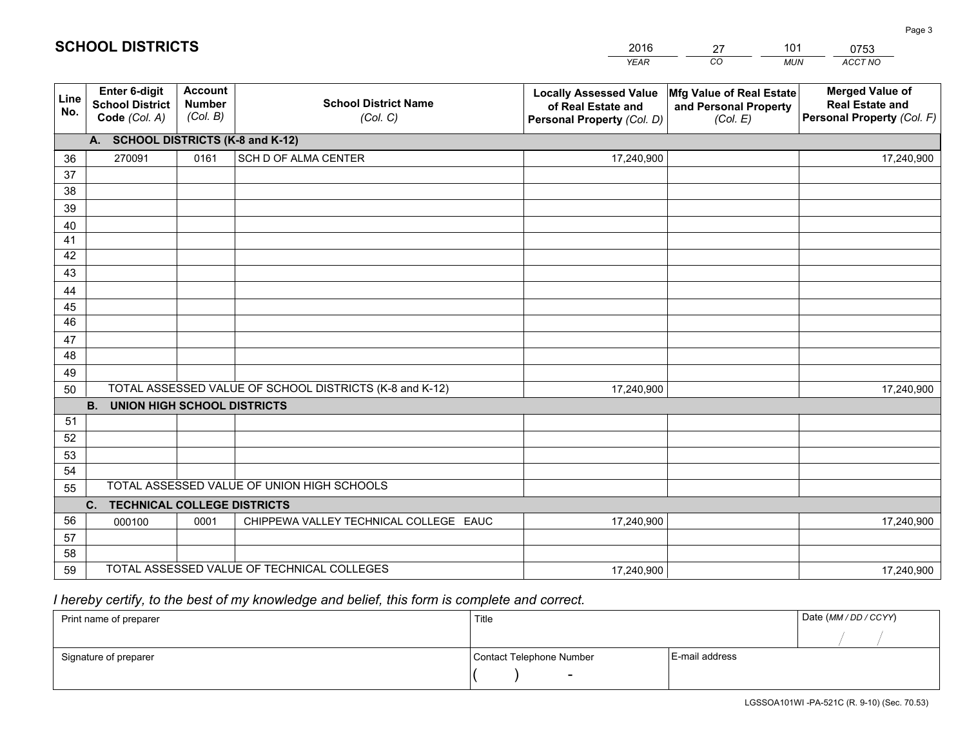|             |                                                                 |                                             |                                                         | <b>YEAR</b>                                                                       | CO<br><b>MUN</b>                                              | ACCT NO                                                                        |
|-------------|-----------------------------------------------------------------|---------------------------------------------|---------------------------------------------------------|-----------------------------------------------------------------------------------|---------------------------------------------------------------|--------------------------------------------------------------------------------|
| Line<br>No. | <b>Enter 6-digit</b><br><b>School District</b><br>Code (Col. A) | <b>Account</b><br><b>Number</b><br>(Col. B) | <b>School District Name</b><br>(Col. C)                 | <b>Locally Assessed Value</b><br>of Real Estate and<br>Personal Property (Col. D) | Mfg Value of Real Estate<br>and Personal Property<br>(Col. E) | <b>Merged Value of</b><br><b>Real Estate and</b><br>Personal Property (Col. F) |
|             | A. SCHOOL DISTRICTS (K-8 and K-12)                              |                                             |                                                         |                                                                                   |                                                               |                                                                                |
| 36          | 270091                                                          | 0161                                        | SCH D OF ALMA CENTER                                    | 17,240,900                                                                        |                                                               | 17,240,900                                                                     |
| 37          |                                                                 |                                             |                                                         |                                                                                   |                                                               |                                                                                |
| 38          |                                                                 |                                             |                                                         |                                                                                   |                                                               |                                                                                |
| 39          |                                                                 |                                             |                                                         |                                                                                   |                                                               |                                                                                |
| 40          |                                                                 |                                             |                                                         |                                                                                   |                                                               |                                                                                |
| 41          |                                                                 |                                             |                                                         |                                                                                   |                                                               |                                                                                |
| 42<br>43    |                                                                 |                                             |                                                         |                                                                                   |                                                               |                                                                                |
|             |                                                                 |                                             |                                                         |                                                                                   |                                                               |                                                                                |
| 44<br>45    |                                                                 |                                             |                                                         |                                                                                   |                                                               |                                                                                |
| 46          |                                                                 |                                             |                                                         |                                                                                   |                                                               |                                                                                |
| 47          |                                                                 |                                             |                                                         |                                                                                   |                                                               |                                                                                |
| 48          |                                                                 |                                             |                                                         |                                                                                   |                                                               |                                                                                |
| 49          |                                                                 |                                             |                                                         |                                                                                   |                                                               |                                                                                |
| 50          |                                                                 |                                             | TOTAL ASSESSED VALUE OF SCHOOL DISTRICTS (K-8 and K-12) | 17,240,900                                                                        |                                                               | 17,240,900                                                                     |
|             | <b>B.</b><br><b>UNION HIGH SCHOOL DISTRICTS</b>                 |                                             |                                                         |                                                                                   |                                                               |                                                                                |
| 51          |                                                                 |                                             |                                                         |                                                                                   |                                                               |                                                                                |
| 52          |                                                                 |                                             |                                                         |                                                                                   |                                                               |                                                                                |
| 53          |                                                                 |                                             |                                                         |                                                                                   |                                                               |                                                                                |
| 54          |                                                                 |                                             |                                                         |                                                                                   |                                                               |                                                                                |
| 55          |                                                                 |                                             | TOTAL ASSESSED VALUE OF UNION HIGH SCHOOLS              |                                                                                   |                                                               |                                                                                |
|             | C.<br><b>TECHNICAL COLLEGE DISTRICTS</b>                        |                                             |                                                         |                                                                                   |                                                               |                                                                                |
| 56          | 000100                                                          | 0001                                        | CHIPPEWA VALLEY TECHNICAL COLLEGE EAUC                  | 17,240,900                                                                        |                                                               | 17,240,900                                                                     |
| 57          |                                                                 |                                             |                                                         |                                                                                   |                                                               |                                                                                |
| 58          |                                                                 |                                             |                                                         |                                                                                   |                                                               |                                                                                |
| 59          |                                                                 |                                             | TOTAL ASSESSED VALUE OF TECHNICAL COLLEGES              | 17,240,900                                                                        |                                                               | 17,240,900                                                                     |

27

101

 *I hereby certify, to the best of my knowledge and belief, this form is complete and correct.*

**SCHOOL DISTRICTS**

| Print name of preparer | Title                    |                | Date (MM / DD / CCYY) |
|------------------------|--------------------------|----------------|-----------------------|
|                        |                          |                |                       |
| Signature of preparer  | Contact Telephone Number | E-mail address |                       |
|                        |                          |                |                       |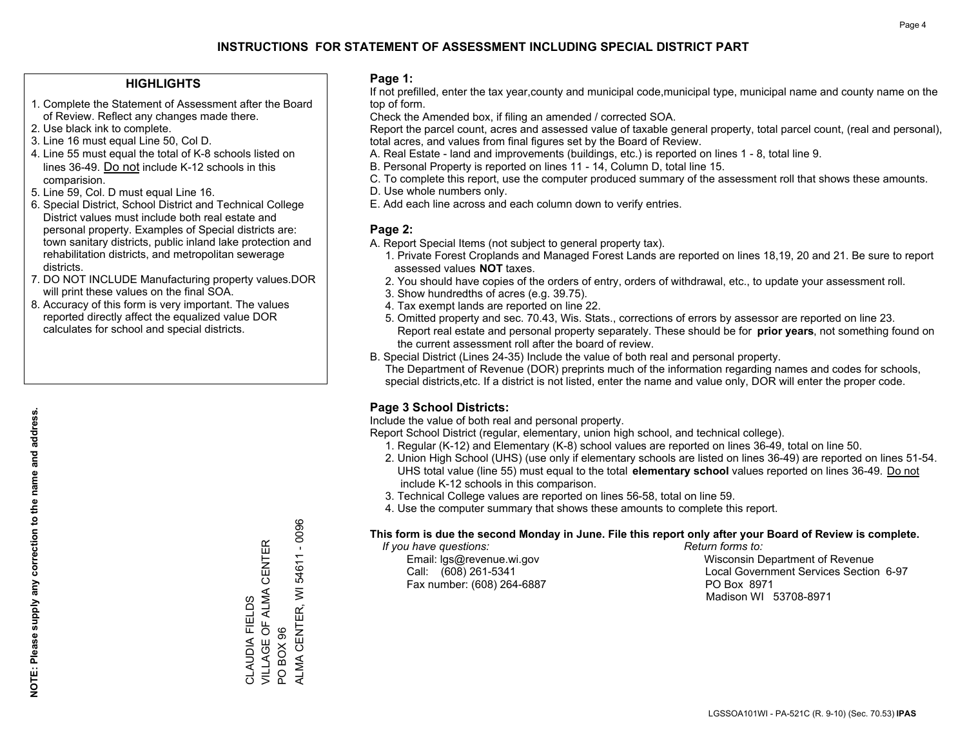### **HIGHLIGHTS**

- 1. Complete the Statement of Assessment after the Board of Review. Reflect any changes made there.
- 2. Use black ink to complete.
- 3. Line 16 must equal Line 50, Col D.
- 4. Line 55 must equal the total of K-8 schools listed on lines 36-49. Do not include K-12 schools in this comparision.
- 5. Line 59, Col. D must equal Line 16.
- 6. Special District, School District and Technical College District values must include both real estate and personal property. Examples of Special districts are: town sanitary districts, public inland lake protection and rehabilitation districts, and metropolitan sewerage districts.
- 7. DO NOT INCLUDE Manufacturing property values.DOR will print these values on the final SOA.

CLAUDIA FIELDS

VILLAGE OF ALMA CENTER

CLAUDIA FIELDS<br>VILLAGE OF ALMA CENTER

PO BOX 96

PO BOX 96

ALMA CENTER, WI 54611 - 0096

ALMA CENTER, WI 54611

 $-0096$ 

 8. Accuracy of this form is very important. The values reported directly affect the equalized value DOR calculates for school and special districts.

#### **Page 1:**

 If not prefilled, enter the tax year,county and municipal code,municipal type, municipal name and county name on the top of form.

Check the Amended box, if filing an amended / corrected SOA.

 Report the parcel count, acres and assessed value of taxable general property, total parcel count, (real and personal), total acres, and values from final figures set by the Board of Review.

- A. Real Estate land and improvements (buildings, etc.) is reported on lines 1 8, total line 9.
- B. Personal Property is reported on lines 11 14, Column D, total line 15.
- C. To complete this report, use the computer produced summary of the assessment roll that shows these amounts.
- D. Use whole numbers only.
- E. Add each line across and each column down to verify entries.

### **Page 2:**

- A. Report Special Items (not subject to general property tax).
- 1. Private Forest Croplands and Managed Forest Lands are reported on lines 18,19, 20 and 21. Be sure to report assessed values **NOT** taxes.
- 2. You should have copies of the orders of entry, orders of withdrawal, etc., to update your assessment roll.
	- 3. Show hundredths of acres (e.g. 39.75).
- 4. Tax exempt lands are reported on line 22.
- 5. Omitted property and sec. 70.43, Wis. Stats., corrections of errors by assessor are reported on line 23. Report real estate and personal property separately. These should be for **prior years**, not something found on the current assessment roll after the board of review.
- B. Special District (Lines 24-35) Include the value of both real and personal property.
- The Department of Revenue (DOR) preprints much of the information regarding names and codes for schools, special districts,etc. If a district is not listed, enter the name and value only, DOR will enter the proper code.

## **Page 3 School Districts:**

Include the value of both real and personal property.

Report School District (regular, elementary, union high school, and technical college).

- 1. Regular (K-12) and Elementary (K-8) school values are reported on lines 36-49, total on line 50.
- 2. Union High School (UHS) (use only if elementary schools are listed on lines 36-49) are reported on lines 51-54. UHS total value (line 55) must equal to the total **elementary school** values reported on lines 36-49. Do notinclude K-12 schools in this comparison.
- 3. Technical College values are reported on lines 56-58, total on line 59.
- 4. Use the computer summary that shows these amounts to complete this report.

#### **This form is due the second Monday in June. File this report only after your Board of Review is complete.**

 *If you have questions: Return forms to:*

Fax number: (608) 264-6887 PO Box 8971

 Email: lgs@revenue.wi.gov Wisconsin Department of Revenue Call: (608) 261-5341 Local Government Services Section 6-97Madison WI 53708-8971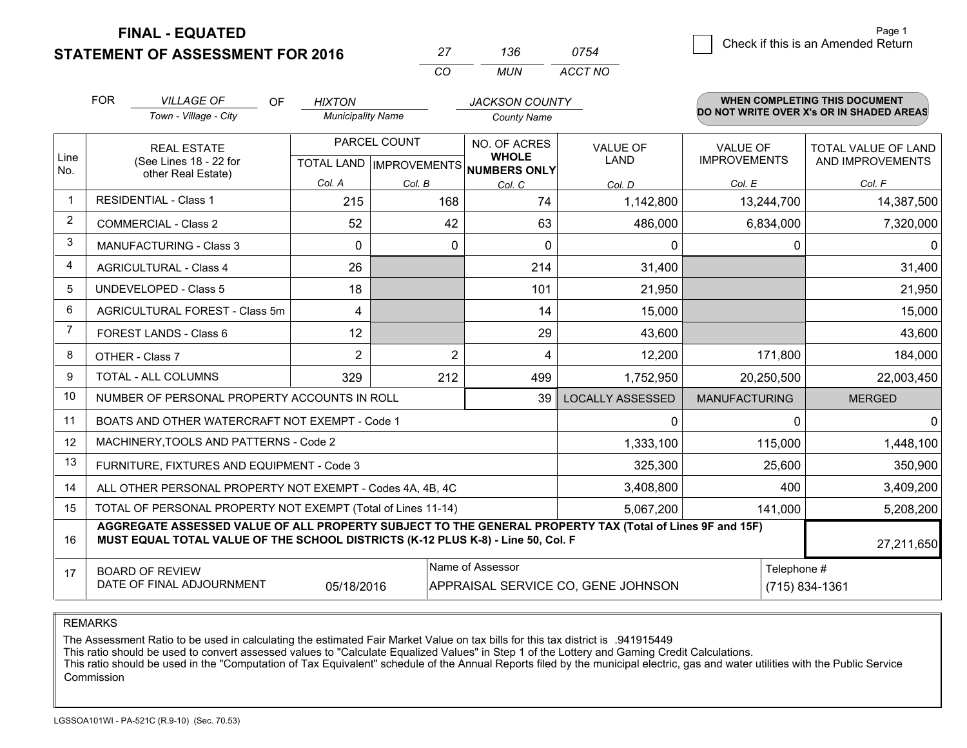**FINAL - EQUATED**

**STATEMENT OF ASSESSMENT FOR 2016** 

|          | $\cdot$ sh | 0754    |
|----------|------------|---------|
| $\cdots$ | MI IN      | ACCT NO |

|                | <b>FOR</b><br><b>VILLAGE OF</b><br><b>OF</b><br>Town - Village - City                                                                                                                                      | <b>HIXTON</b><br><b>Municipality Name</b>            |                | <b>JACKSON COUNTY</b><br><b>County Name</b> |                                |                                        | <b>WHEN COMPLETING THIS DOCUMENT</b><br>DO NOT WRITE OVER X's OR IN SHADED AREAS |  |  |  |
|----------------|------------------------------------------------------------------------------------------------------------------------------------------------------------------------------------------------------------|------------------------------------------------------|----------------|---------------------------------------------|--------------------------------|----------------------------------------|----------------------------------------------------------------------------------|--|--|--|
| Line<br>No.    | <b>REAL ESTATE</b><br>(See Lines 18 - 22 for                                                                                                                                                               | PARCEL COUNT<br>TOTAL LAND IMPROVEMENTS NUMBERS ONLY |                | NO. OF ACRES<br><b>WHOLE</b>                | <b>VALUE OF</b><br><b>LAND</b> | <b>VALUE OF</b><br><b>IMPROVEMENTS</b> | <b>TOTAL VALUE OF LAND</b><br>AND IMPROVEMENTS                                   |  |  |  |
|                | other Real Estate)                                                                                                                                                                                         | Col. A                                               | Col. B         | Col. C                                      | Col. D                         | Col. E                                 | Col. F                                                                           |  |  |  |
| $\mathbf{1}$   | <b>RESIDENTIAL - Class 1</b>                                                                                                                                                                               | 215                                                  | 168            | 74                                          | 1,142,800                      | 13,244,700                             | 14,387,500                                                                       |  |  |  |
| $\overline{2}$ | <b>COMMERCIAL - Class 2</b>                                                                                                                                                                                | 52                                                   | 42             | 63                                          | 486,000                        | 6,834,000                              | 7,320,000                                                                        |  |  |  |
| 3              | <b>MANUFACTURING - Class 3</b>                                                                                                                                                                             | $\Omega$                                             | $\mathbf 0$    | $\Omega$                                    | 0                              | $\mathbf 0$                            | $\Omega$                                                                         |  |  |  |
| 4              | <b>AGRICULTURAL - Class 4</b>                                                                                                                                                                              | 26                                                   |                | 214                                         | 31,400                         |                                        | 31,400                                                                           |  |  |  |
| 5              | <b>UNDEVELOPED - Class 5</b>                                                                                                                                                                               | 18                                                   |                | 101                                         | 21,950                         |                                        | 21,950                                                                           |  |  |  |
| 6              | AGRICULTURAL FOREST - Class 5m                                                                                                                                                                             | 4                                                    |                | 14                                          | 15,000                         |                                        | 15,000                                                                           |  |  |  |
| $\overline{7}$ | FOREST LANDS - Class 6                                                                                                                                                                                     | 12                                                   |                | 29                                          | 43,600                         |                                        | 43,600                                                                           |  |  |  |
| 8              | OTHER - Class 7                                                                                                                                                                                            | $\overline{2}$                                       | $\overline{2}$ | 4                                           | 12,200                         | 171,800                                | 184,000                                                                          |  |  |  |
| 9              | TOTAL - ALL COLUMNS                                                                                                                                                                                        | 329                                                  | 212            | 499                                         | 1,752,950                      | 20,250,500                             | 22,003,450                                                                       |  |  |  |
| 10             | NUMBER OF PERSONAL PROPERTY ACCOUNTS IN ROLL                                                                                                                                                               |                                                      |                | 39                                          | <b>LOCALLY ASSESSED</b>        | <b>MANUFACTURING</b>                   | <b>MERGED</b>                                                                    |  |  |  |
| 11             | BOATS AND OTHER WATERCRAFT NOT EXEMPT - Code 1                                                                                                                                                             |                                                      |                |                                             | 0                              | $\Omega$                               | $\mathbf{0}$                                                                     |  |  |  |
| 12             | MACHINERY, TOOLS AND PATTERNS - Code 2                                                                                                                                                                     |                                                      |                |                                             | 1,333,100                      | 115,000                                | 1,448,100                                                                        |  |  |  |
| 13             | FURNITURE, FIXTURES AND EQUIPMENT - Code 3                                                                                                                                                                 |                                                      |                |                                             | 325,300                        | 25,600                                 | 350,900                                                                          |  |  |  |
| 14             | ALL OTHER PERSONAL PROPERTY NOT EXEMPT - Codes 4A, 4B, 4C                                                                                                                                                  |                                                      |                |                                             | 3,408,800                      | 400                                    | 3,409,200                                                                        |  |  |  |
| 15             | TOTAL OF PERSONAL PROPERTY NOT EXEMPT (Total of Lines 11-14)                                                                                                                                               |                                                      |                |                                             | 5,067,200                      | 141,000                                | 5,208,200                                                                        |  |  |  |
| 16             | AGGREGATE ASSESSED VALUE OF ALL PROPERTY SUBJECT TO THE GENERAL PROPERTY TAX (Total of Lines 9F and 15F)<br>MUST EQUAL TOTAL VALUE OF THE SCHOOL DISTRICTS (K-12 PLUS K-8) - Line 50, Col. F<br>27,211,650 |                                                      |                |                                             |                                |                                        |                                                                                  |  |  |  |
| 17             | <b>BOARD OF REVIEW</b><br>DATE OF FINAL ADJOURNMENT                                                                                                                                                        | Telephone #                                          | (715) 834-1361 |                                             |                                |                                        |                                                                                  |  |  |  |

REMARKS

The Assessment Ratio to be used in calculating the estimated Fair Market Value on tax bills for this tax district is .941915449<br>This ratio should be used to convert assessed values to "Calculate Equalized Values" in Step 1 Commission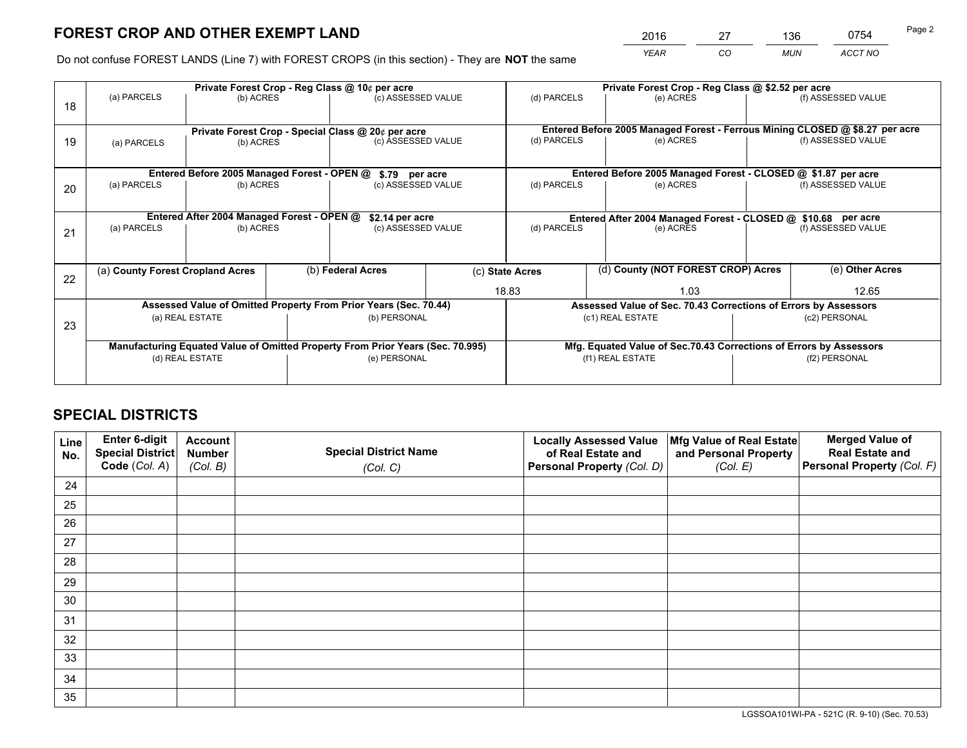*YEAR CO MUN ACCT NO* <sup>2016</sup> <sup>27</sup> <sup>136</sup> <sup>0754</sup>

Do not confuse FOREST LANDS (Line 7) with FOREST CROPS (in this section) - They are **NOT** the same

|    |                                  |                                             |  | Private Forest Crop - Reg Class @ 10¢ per acre                                 |  | Private Forest Crop - Reg Class @ \$2.52 per acre                            |                                                                 |               |                    |  |
|----|----------------------------------|---------------------------------------------|--|--------------------------------------------------------------------------------|--|------------------------------------------------------------------------------|-----------------------------------------------------------------|---------------|--------------------|--|
| 18 | (a) PARCELS                      | (b) ACRES                                   |  | (c) ASSESSED VALUE                                                             |  | (d) PARCELS                                                                  | (e) ACRES                                                       |               | (f) ASSESSED VALUE |  |
|    |                                  |                                             |  |                                                                                |  |                                                                              |                                                                 |               |                    |  |
|    |                                  |                                             |  | Private Forest Crop - Special Class @ 20¢ per acre                             |  | Entered Before 2005 Managed Forest - Ferrous Mining CLOSED @ \$8.27 per acre |                                                                 |               |                    |  |
| 19 | (a) PARCELS<br>(b) ACRES         |                                             |  | (c) ASSESSED VALUE                                                             |  | (d) PARCELS                                                                  | (e) ACRES                                                       |               | (f) ASSESSED VALUE |  |
|    |                                  |                                             |  |                                                                                |  |                                                                              |                                                                 |               |                    |  |
|    |                                  | Entered Before 2005 Managed Forest - OPEN @ |  | \$.79 per acre                                                                 |  |                                                                              | Entered Before 2005 Managed Forest - CLOSED @ \$1.87 per acre   |               |                    |  |
| 20 | (a) PARCELS                      | (b) ACRES                                   |  | (c) ASSESSED VALUE                                                             |  | (d) PARCELS                                                                  | (e) ACRES                                                       |               | (f) ASSESSED VALUE |  |
|    |                                  |                                             |  |                                                                                |  |                                                                              |                                                                 |               |                    |  |
|    |                                  | Entered After 2004 Managed Forest - OPEN @  |  | \$2.14 per acre                                                                |  |                                                                              | Entered After 2004 Managed Forest - CLOSED @ \$10.68 per acre   |               |                    |  |
| 21 | (a) PARCELS                      | (b) ACRES                                   |  | (c) ASSESSED VALUE                                                             |  | (d) PARCELS<br>(e) ACRES                                                     |                                                                 |               | (f) ASSESSED VALUE |  |
|    |                                  |                                             |  |                                                                                |  |                                                                              |                                                                 |               |                    |  |
|    |                                  |                                             |  |                                                                                |  |                                                                              |                                                                 |               |                    |  |
| 22 | (a) County Forest Cropland Acres |                                             |  | (b) Federal Acres                                                              |  | (d) County (NOT FOREST CROP) Acres<br>(c) State Acres                        |                                                                 |               | (e) Other Acres    |  |
|    |                                  |                                             |  |                                                                                |  | 18.83                                                                        | 1.03                                                            |               | 12.65              |  |
|    |                                  |                                             |  | Assessed Value of Omitted Property From Prior Years (Sec. 70.44)               |  |                                                                              | Assessed Value of Sec. 70.43 Corrections of Errors by Assessors |               |                    |  |
| 23 |                                  | (a) REAL ESTATE                             |  | (b) PERSONAL                                                                   |  |                                                                              | (c1) REAL ESTATE                                                |               | (c2) PERSONAL      |  |
|    |                                  |                                             |  |                                                                                |  |                                                                              |                                                                 |               |                    |  |
|    |                                  |                                             |  | Manufacturing Equated Value of Omitted Property From Prior Years (Sec. 70.995) |  | Mfg. Equated Value of Sec.70.43 Corrections of Errors by Assessors           |                                                                 |               |                    |  |
|    | (d) REAL ESTATE                  |                                             |  | (e) PERSONAL                                                                   |  | (f1) REAL ESTATE                                                             |                                                                 | (f2) PERSONAL |                    |  |
|    |                                  |                                             |  |                                                                                |  |                                                                              |                                                                 |               |                    |  |

## **SPECIAL DISTRICTS**

| Line<br>No. | Enter 6-digit<br>Special District<br>Code (Col. A) | <b>Account</b><br><b>Number</b> | <b>Special District Name</b> | <b>Locally Assessed Value</b><br>of Real Estate and | Mfg Value of Real Estate<br>and Personal Property | <b>Merged Value of</b><br><b>Real Estate and</b><br>Personal Property (Col. F) |
|-------------|----------------------------------------------------|---------------------------------|------------------------------|-----------------------------------------------------|---------------------------------------------------|--------------------------------------------------------------------------------|
|             |                                                    | (Col. B)                        | (Col. C)                     | Personal Property (Col. D)                          | (Col. E)                                          |                                                                                |
| 24          |                                                    |                                 |                              |                                                     |                                                   |                                                                                |
| 25          |                                                    |                                 |                              |                                                     |                                                   |                                                                                |
| 26          |                                                    |                                 |                              |                                                     |                                                   |                                                                                |
| 27          |                                                    |                                 |                              |                                                     |                                                   |                                                                                |
| 28          |                                                    |                                 |                              |                                                     |                                                   |                                                                                |
| 29          |                                                    |                                 |                              |                                                     |                                                   |                                                                                |
| 30          |                                                    |                                 |                              |                                                     |                                                   |                                                                                |
| 31          |                                                    |                                 |                              |                                                     |                                                   |                                                                                |
| 32          |                                                    |                                 |                              |                                                     |                                                   |                                                                                |
| 33          |                                                    |                                 |                              |                                                     |                                                   |                                                                                |
| 34          |                                                    |                                 |                              |                                                     |                                                   |                                                                                |
| 35          |                                                    |                                 |                              |                                                     |                                                   |                                                                                |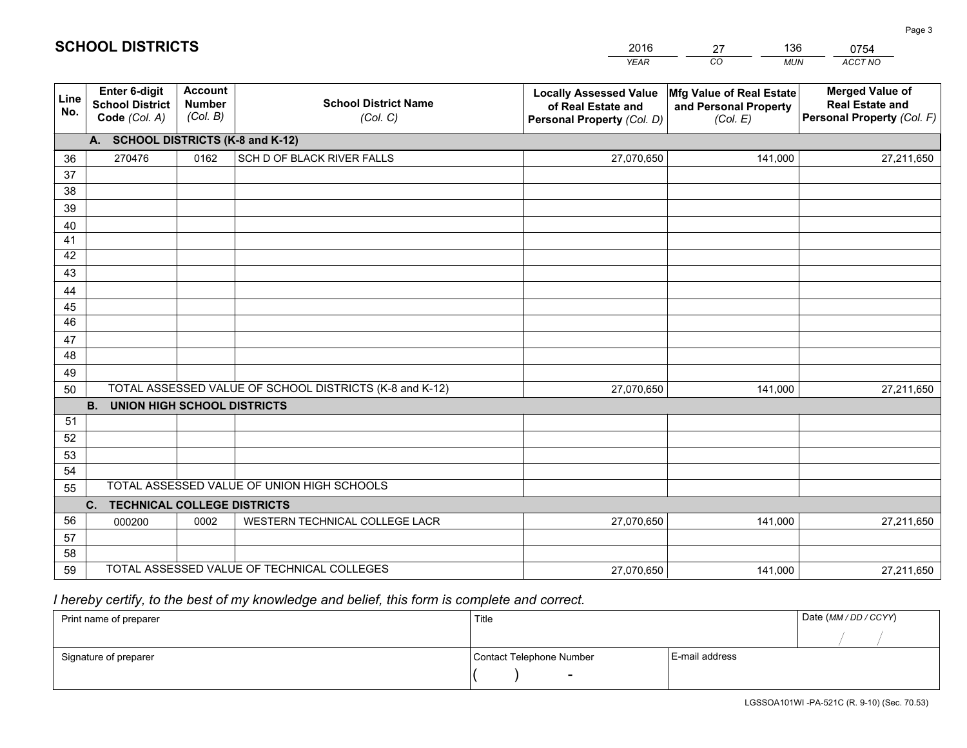|             |                                                                 |                                             |                                                         | <b>YEAR</b>                                                                       | CO<br><b>MUN</b>                                              | <b>ACCT NO</b>                                                                 |
|-------------|-----------------------------------------------------------------|---------------------------------------------|---------------------------------------------------------|-----------------------------------------------------------------------------------|---------------------------------------------------------------|--------------------------------------------------------------------------------|
| Line<br>No. | <b>Enter 6-digit</b><br><b>School District</b><br>Code (Col. A) | <b>Account</b><br><b>Number</b><br>(Col. B) | <b>School District Name</b><br>(Col. C)                 | <b>Locally Assessed Value</b><br>of Real Estate and<br>Personal Property (Col. D) | Mfg Value of Real Estate<br>and Personal Property<br>(Col. E) | <b>Merged Value of</b><br><b>Real Estate and</b><br>Personal Property (Col. F) |
|             | A. SCHOOL DISTRICTS (K-8 and K-12)                              |                                             |                                                         |                                                                                   |                                                               |                                                                                |
| 36          | 270476                                                          | 0162                                        | SCH D OF BLACK RIVER FALLS                              | 27,070,650                                                                        | 141,000                                                       | 27,211,650                                                                     |
| 37          |                                                                 |                                             |                                                         |                                                                                   |                                                               |                                                                                |
| 38          |                                                                 |                                             |                                                         |                                                                                   |                                                               |                                                                                |
| 39          |                                                                 |                                             |                                                         |                                                                                   |                                                               |                                                                                |
| 40          |                                                                 |                                             |                                                         |                                                                                   |                                                               |                                                                                |
| 41          |                                                                 |                                             |                                                         |                                                                                   |                                                               |                                                                                |
| 42          |                                                                 |                                             |                                                         |                                                                                   |                                                               |                                                                                |
| 43          |                                                                 |                                             |                                                         |                                                                                   |                                                               |                                                                                |
| 44<br>45    |                                                                 |                                             |                                                         |                                                                                   |                                                               |                                                                                |
| 46          |                                                                 |                                             |                                                         |                                                                                   |                                                               |                                                                                |
| 47          |                                                                 |                                             |                                                         |                                                                                   |                                                               |                                                                                |
| 48          |                                                                 |                                             |                                                         |                                                                                   |                                                               |                                                                                |
| 49          |                                                                 |                                             |                                                         |                                                                                   |                                                               |                                                                                |
| 50          |                                                                 |                                             | TOTAL ASSESSED VALUE OF SCHOOL DISTRICTS (K-8 and K-12) | 27,070,650                                                                        | 141,000                                                       | 27,211,650                                                                     |
|             | <b>B.</b><br><b>UNION HIGH SCHOOL DISTRICTS</b>                 |                                             |                                                         |                                                                                   |                                                               |                                                                                |
| 51          |                                                                 |                                             |                                                         |                                                                                   |                                                               |                                                                                |
| 52          |                                                                 |                                             |                                                         |                                                                                   |                                                               |                                                                                |
| 53          |                                                                 |                                             |                                                         |                                                                                   |                                                               |                                                                                |
| 54          |                                                                 |                                             |                                                         |                                                                                   |                                                               |                                                                                |
| 55          |                                                                 |                                             | TOTAL ASSESSED VALUE OF UNION HIGH SCHOOLS              |                                                                                   |                                                               |                                                                                |
|             | C.<br><b>TECHNICAL COLLEGE DISTRICTS</b>                        |                                             |                                                         |                                                                                   |                                                               |                                                                                |
| 56          | 000200                                                          | 0002                                        | WESTERN TECHNICAL COLLEGE LACR                          | 27,070,650                                                                        | 141,000                                                       | 27,211,650                                                                     |
| 57          |                                                                 |                                             |                                                         |                                                                                   |                                                               |                                                                                |
| 58          |                                                                 |                                             | TOTAL ASSESSED VALUE OF TECHNICAL COLLEGES              |                                                                                   |                                                               |                                                                                |
| 59          |                                                                 |                                             |                                                         | 27,070,650                                                                        | 141,000                                                       | 27,211,650                                                                     |

27

136

## *I hereby certify, to the best of my knowledge and belief, this form is complete and correct.*

**SCHOOL DISTRICTS**

| Print name of preparer | Title                    |                | Date (MM / DD / CCYY) |
|------------------------|--------------------------|----------------|-----------------------|
|                        |                          |                |                       |
| Signature of preparer  | Contact Telephone Number | E-mail address |                       |
|                        | $\overline{\phantom{0}}$ |                |                       |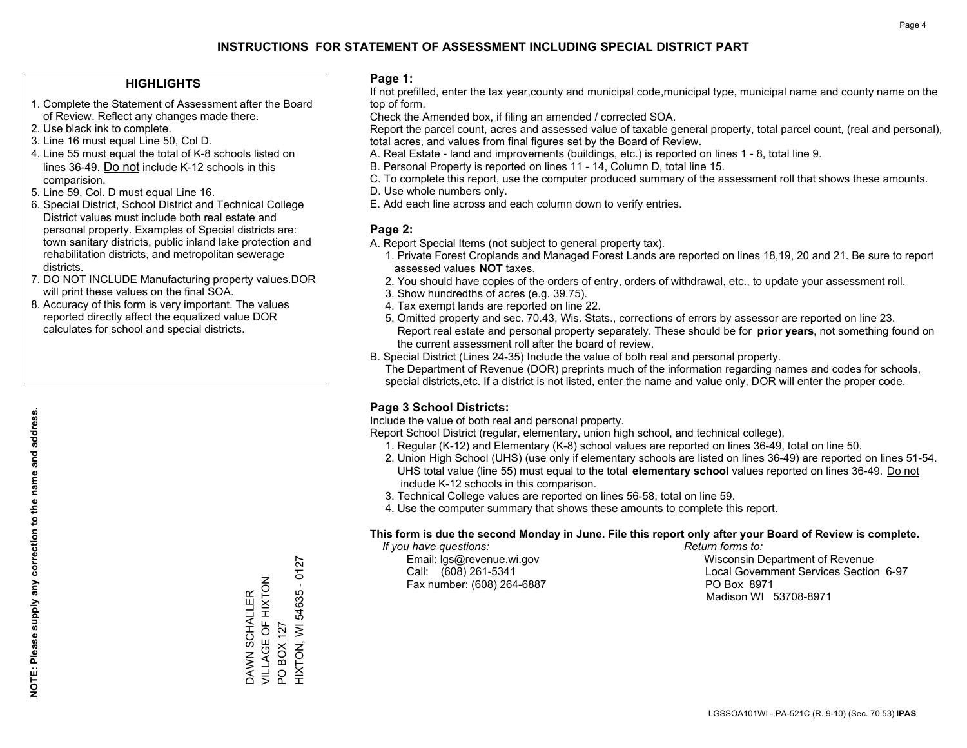#### **HIGHLIGHTS**

- 1. Complete the Statement of Assessment after the Board of Review. Reflect any changes made there.
- 2. Use black ink to complete.
- 3. Line 16 must equal Line 50, Col D.
- 4. Line 55 must equal the total of K-8 schools listed on lines 36-49. Do not include K-12 schools in this comparision.
- 5. Line 59, Col. D must equal Line 16.
- 6. Special District, School District and Technical College District values must include both real estate and personal property. Examples of Special districts are: town sanitary districts, public inland lake protection and rehabilitation districts, and metropolitan sewerage districts.
- 7. DO NOT INCLUDE Manufacturing property values.DOR will print these values on the final SOA.

DAWN SCHALLER VILLAGE OF HIXTON

DAWN SCHALLER<br>VILLAGE OF HIXTON

PO BOX 127

PO BOX 127

HIXTON, WI 54635 - 0127

HIXTON, WI 54635 - 0127

 8. Accuracy of this form is very important. The values reported directly affect the equalized value DOR calculates for school and special districts.

#### **Page 1:**

 If not prefilled, enter the tax year,county and municipal code,municipal type, municipal name and county name on the top of form.

Check the Amended box, if filing an amended / corrected SOA.

 Report the parcel count, acres and assessed value of taxable general property, total parcel count, (real and personal), total acres, and values from final figures set by the Board of Review.

- A. Real Estate land and improvements (buildings, etc.) is reported on lines 1 8, total line 9.
- B. Personal Property is reported on lines 11 14, Column D, total line 15.
- C. To complete this report, use the computer produced summary of the assessment roll that shows these amounts.
- D. Use whole numbers only.
- E. Add each line across and each column down to verify entries.

### **Page 2:**

- A. Report Special Items (not subject to general property tax).
- 1. Private Forest Croplands and Managed Forest Lands are reported on lines 18,19, 20 and 21. Be sure to report assessed values **NOT** taxes.
- 2. You should have copies of the orders of entry, orders of withdrawal, etc., to update your assessment roll.
	- 3. Show hundredths of acres (e.g. 39.75).
- 4. Tax exempt lands are reported on line 22.
- 5. Omitted property and sec. 70.43, Wis. Stats., corrections of errors by assessor are reported on line 23. Report real estate and personal property separately. These should be for **prior years**, not something found on the current assessment roll after the board of review.
- B. Special District (Lines 24-35) Include the value of both real and personal property.
- The Department of Revenue (DOR) preprints much of the information regarding names and codes for schools, special districts,etc. If a district is not listed, enter the name and value only, DOR will enter the proper code.

## **Page 3 School Districts:**

Include the value of both real and personal property.

Report School District (regular, elementary, union high school, and technical college).

- 1. Regular (K-12) and Elementary (K-8) school values are reported on lines 36-49, total on line 50.
- 2. Union High School (UHS) (use only if elementary schools are listed on lines 36-49) are reported on lines 51-54. UHS total value (line 55) must equal to the total **elementary school** values reported on lines 36-49. Do notinclude K-12 schools in this comparison.
- 3. Technical College values are reported on lines 56-58, total on line 59.
- 4. Use the computer summary that shows these amounts to complete this report.

#### **This form is due the second Monday in June. File this report only after your Board of Review is complete.**

 *If you have questions: Return forms to:*

Fax number: (608) 264-6887 PO Box 8971

 Email: lgs@revenue.wi.gov Wisconsin Department of Revenue Call: (608) 261-5341 Local Government Services Section 6-97Madison WI 53708-8971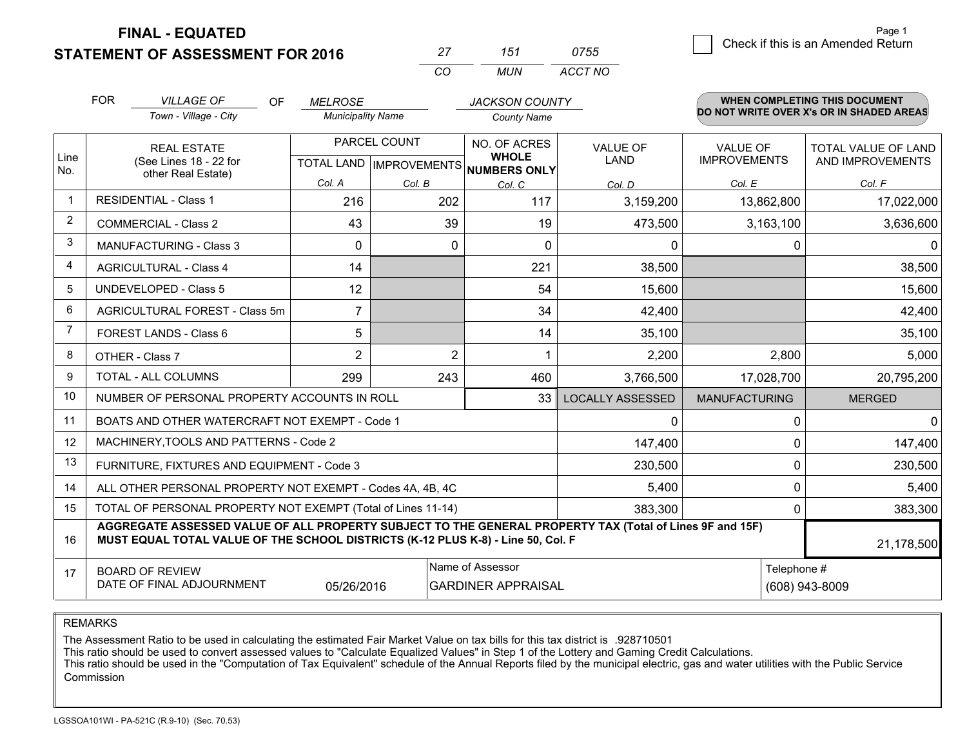**STATEMENT OF ASSESSMENT FOR 2016 FINAL - EQUATED**

**WHEN COMPLETING THIS DOCUMENT**

| 27 | 151 | 0755 |         |
|----|-----|------|---------|
| CO |     |      |         |
|    |     | MUN  | ACCT NO |

|                | <b>FOR</b>                                                                                                                        | <b>VILLAGE OF</b><br>OF                                                                                                                                                                      | <b>MELROSE</b>           |                                           | <b>JACKSON COUNTY</b>                               |                                                            |                      | <b>WHEN COMPLETING THIS DOCUMENT</b>           |
|----------------|-----------------------------------------------------------------------------------------------------------------------------------|----------------------------------------------------------------------------------------------------------------------------------------------------------------------------------------------|--------------------------|-------------------------------------------|-----------------------------------------------------|------------------------------------------------------------|----------------------|------------------------------------------------|
|                |                                                                                                                                   | Town - Village - City                                                                                                                                                                        | <b>Municipality Name</b> |                                           | <b>County Name</b>                                  |                                                            |                      | DO NOT WRITE OVER X's OR IN SHADED AREAS       |
| Line<br>No.    | <b>REAL ESTATE</b><br>(See Lines 18 - 22 for<br>other Real Estate)                                                                |                                                                                                                                                                                              |                          | PARCEL COUNT<br>TOTAL LAND   IMPROVEMENTS | NO. OF ACRES<br><b>WHOLE</b><br><b>NUMBERS ONLY</b> | VALUE OF<br>VALUE OF<br><b>IMPROVEMENTS</b><br><b>LAND</b> |                      | <b>TOTAL VALUE OF LAND</b><br>AND IMPROVEMENTS |
|                |                                                                                                                                   |                                                                                                                                                                                              | Col. A                   | Col. B                                    | Col. C                                              | Col. D                                                     | Col. E               | Col. F                                         |
| $\mathbf{1}$   |                                                                                                                                   | <b>RESIDENTIAL - Class 1</b>                                                                                                                                                                 | 216                      | 202                                       | 117                                                 | 3,159,200                                                  | 13,862,800           | 17,022,000                                     |
| $\overline{2}$ |                                                                                                                                   | <b>COMMERCIAL - Class 2</b>                                                                                                                                                                  | 43                       | 39                                        | 19                                                  | 473,500                                                    | 3,163,100            | 3,636,600                                      |
| 3              |                                                                                                                                   | <b>MANUFACTURING - Class 3</b>                                                                                                                                                               | 0                        | $\mathbf{0}$                              | $\mathbf{0}$                                        | $\mathbf{0}$                                               |                      | 0                                              |
| 4              |                                                                                                                                   | <b>AGRICULTURAL - Class 4</b>                                                                                                                                                                | 14                       |                                           | 221                                                 | 38,500                                                     |                      | 38,500                                         |
| 5              |                                                                                                                                   | <b>UNDEVELOPED - Class 5</b>                                                                                                                                                                 | 12                       |                                           | 54                                                  | 15,600                                                     |                      | 15,600                                         |
| 6              |                                                                                                                                   | AGRICULTURAL FOREST - Class 5m                                                                                                                                                               |                          |                                           | 34                                                  | 42,400                                                     |                      | 42,400                                         |
| $\overline{7}$ |                                                                                                                                   | FOREST LANDS - Class 6                                                                                                                                                                       | 5                        |                                           | 14                                                  | 35,100                                                     |                      | 35,100                                         |
| 8              |                                                                                                                                   | OTHER - Class 7                                                                                                                                                                              | $\overline{2}$           | $\overline{2}$                            |                                                     | 2,200                                                      | 2,800                | 5,000                                          |
| 9              |                                                                                                                                   | TOTAL - ALL COLUMNS                                                                                                                                                                          | 299                      | 243                                       | 460                                                 | 3,766,500                                                  | 17,028,700           | 20,795,200                                     |
| 10             |                                                                                                                                   | NUMBER OF PERSONAL PROPERTY ACCOUNTS IN ROLL                                                                                                                                                 |                          |                                           | 33                                                  | <b>LOCALLY ASSESSED</b>                                    | <b>MANUFACTURING</b> | <b>MERGED</b>                                  |
| 11             |                                                                                                                                   | BOATS AND OTHER WATERCRAFT NOT EXEMPT - Code 1                                                                                                                                               |                          |                                           |                                                     | $\mathbf{0}$                                               |                      | 0                                              |
| 12             |                                                                                                                                   | MACHINERY, TOOLS AND PATTERNS - Code 2                                                                                                                                                       |                          |                                           |                                                     | 147,400                                                    |                      | 147,400<br>0                                   |
| 13             |                                                                                                                                   | FURNITURE, FIXTURES AND EQUIPMENT - Code 3                                                                                                                                                   |                          |                                           |                                                     | 230,500                                                    |                      | 230,500<br>0                                   |
| 14             |                                                                                                                                   | ALL OTHER PERSONAL PROPERTY NOT EXEMPT - Codes 4A, 4B, 4C                                                                                                                                    |                          |                                           |                                                     | 5,400                                                      |                      | 0<br>5,400                                     |
| 15             |                                                                                                                                   | TOTAL OF PERSONAL PROPERTY NOT EXEMPT (Total of Lines 11-14)                                                                                                                                 |                          |                                           |                                                     | 383,300                                                    |                      | 383,300<br>0                                   |
| 16             |                                                                                                                                   | AGGREGATE ASSESSED VALUE OF ALL PROPERTY SUBJECT TO THE GENERAL PROPERTY TAX (Total of Lines 9F and 15F)<br>MUST EQUAL TOTAL VALUE OF THE SCHOOL DISTRICTS (K-12 PLUS K-8) - Line 50, Col. F |                          |                                           |                                                     |                                                            |                      | 21,178,500                                     |
| 17             | Name of Assessor<br>Telephone #<br><b>BOARD OF REVIEW</b><br>DATE OF FINAL ADJOURNMENT<br>05/26/2016<br><b>GARDINER APPRAISAL</b> |                                                                                                                                                                                              |                          |                                           |                                                     | (608) 943-8009                                             |                      |                                                |
|                |                                                                                                                                   |                                                                                                                                                                                              |                          |                                           |                                                     |                                                            |                      |                                                |

REMARKS

The Assessment Ratio to be used in calculating the estimated Fair Market Value on tax bills for this tax district is .928710501<br>This ratio should be used to convert assessed values to "Calculate Equalized Values" in Step 1 Commission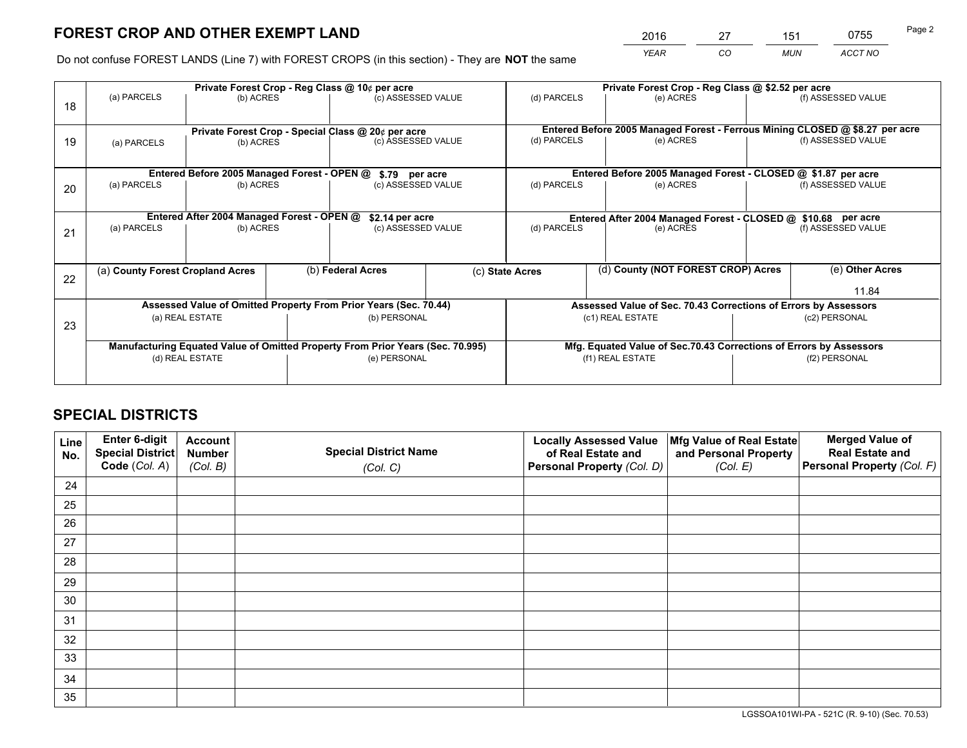*YEAR CO MUN ACCT NO* <sup>2016</sup> <sup>27</sup> <sup>151</sup> <sup>0755</sup> Page 2

Do not confuse FOREST LANDS (Line 7) with FOREST CROPS (in this section) - They are **NOT** the same

|    |                                                                                |                                             | Private Forest Crop - Reg Class @ 10¢ per acre                   |                    | Private Forest Crop - Reg Class @ \$2.52 per acre             |                                                                              |                    |                    |  |
|----|--------------------------------------------------------------------------------|---------------------------------------------|------------------------------------------------------------------|--------------------|---------------------------------------------------------------|------------------------------------------------------------------------------|--------------------|--------------------|--|
| 18 | (a) PARCELS                                                                    | (b) ACRES                                   |                                                                  | (c) ASSESSED VALUE | (d) PARCELS                                                   | (e) ACRES                                                                    |                    | (f) ASSESSED VALUE |  |
|    |                                                                                |                                             | Private Forest Crop - Special Class @ 20¢ per acre               |                    |                                                               | Entered Before 2005 Managed Forest - Ferrous Mining CLOSED @ \$8.27 per acre |                    |                    |  |
| 19 | (b) ACRES<br>(a) PARCELS                                                       |                                             |                                                                  | (c) ASSESSED VALUE | (d) PARCELS<br>(e) ACRES                                      |                                                                              | (f) ASSESSED VALUE |                    |  |
|    |                                                                                | Entered Before 2005 Managed Forest - OPEN @ |                                                                  | \$.79 per acre     | Entered Before 2005 Managed Forest - CLOSED @ \$1.87 per acre |                                                                              |                    |                    |  |
| 20 | (a) PARCELS<br>(b) ACRES                                                       |                                             |                                                                  | (c) ASSESSED VALUE | (d) PARCELS                                                   | (e) ACRES                                                                    |                    |                    |  |
|    |                                                                                | Entered After 2004 Managed Forest - OPEN @  |                                                                  | \$2.14 per acre    |                                                               | Entered After 2004 Managed Forest - CLOSED @ \$10.68 per acre                |                    |                    |  |
| 21 | (a) PARCELS                                                                    | (b) ACRES                                   |                                                                  | (c) ASSESSED VALUE |                                                               | (e) ACRES                                                                    | (f) ASSESSED VALUE |                    |  |
| 22 | (a) County Forest Cropland Acres                                               |                                             | (b) Federal Acres                                                |                    | (c) State Acres                                               | (d) County (NOT FOREST CROP) Acres                                           |                    | (e) Other Acres    |  |
|    |                                                                                |                                             |                                                                  |                    |                                                               |                                                                              |                    | 11.84              |  |
|    |                                                                                |                                             | Assessed Value of Omitted Property From Prior Years (Sec. 70.44) |                    |                                                               | Assessed Value of Sec. 70.43 Corrections of Errors by Assessors              |                    |                    |  |
| 23 | (a) REAL ESTATE                                                                |                                             | (b) PERSONAL                                                     |                    |                                                               | (c1) REAL ESTATE<br>(c2) PERSONAL                                            |                    |                    |  |
|    | Manufacturing Equated Value of Omitted Property From Prior Years (Sec. 70.995) |                                             |                                                                  |                    |                                                               | Mfg. Equated Value of Sec.70.43 Corrections of Errors by Assessors           |                    |                    |  |
|    |                                                                                | (d) REAL ESTATE                             | (e) PERSONAL                                                     |                    |                                                               | (f1) REAL ESTATE                                                             | (f2) PERSONAL      |                    |  |
|    |                                                                                |                                             |                                                                  |                    |                                                               |                                                                              |                    |                    |  |

## **SPECIAL DISTRICTS**

| Line<br>No. | Enter 6-digit<br><b>Special District</b> | <b>Account</b><br><b>Number</b> | <b>Special District Name</b> | <b>Locally Assessed Value</b><br>of Real Estate and | Mfg Value of Real Estate<br>and Personal Property | <b>Merged Value of</b><br><b>Real Estate and</b> |
|-------------|------------------------------------------|---------------------------------|------------------------------|-----------------------------------------------------|---------------------------------------------------|--------------------------------------------------|
|             | Code (Col. A)                            | (Col. B)                        | (Col. C)                     | Personal Property (Col. D)                          | (Col. E)                                          | Personal Property (Col. F)                       |
| 24          |                                          |                                 |                              |                                                     |                                                   |                                                  |
| 25          |                                          |                                 |                              |                                                     |                                                   |                                                  |
| 26          |                                          |                                 |                              |                                                     |                                                   |                                                  |
| 27          |                                          |                                 |                              |                                                     |                                                   |                                                  |
| 28          |                                          |                                 |                              |                                                     |                                                   |                                                  |
| 29          |                                          |                                 |                              |                                                     |                                                   |                                                  |
| 30          |                                          |                                 |                              |                                                     |                                                   |                                                  |
| 31          |                                          |                                 |                              |                                                     |                                                   |                                                  |
| 32          |                                          |                                 |                              |                                                     |                                                   |                                                  |
| 33          |                                          |                                 |                              |                                                     |                                                   |                                                  |
| 34          |                                          |                                 |                              |                                                     |                                                   |                                                  |
| 35          |                                          |                                 |                              |                                                     |                                                   |                                                  |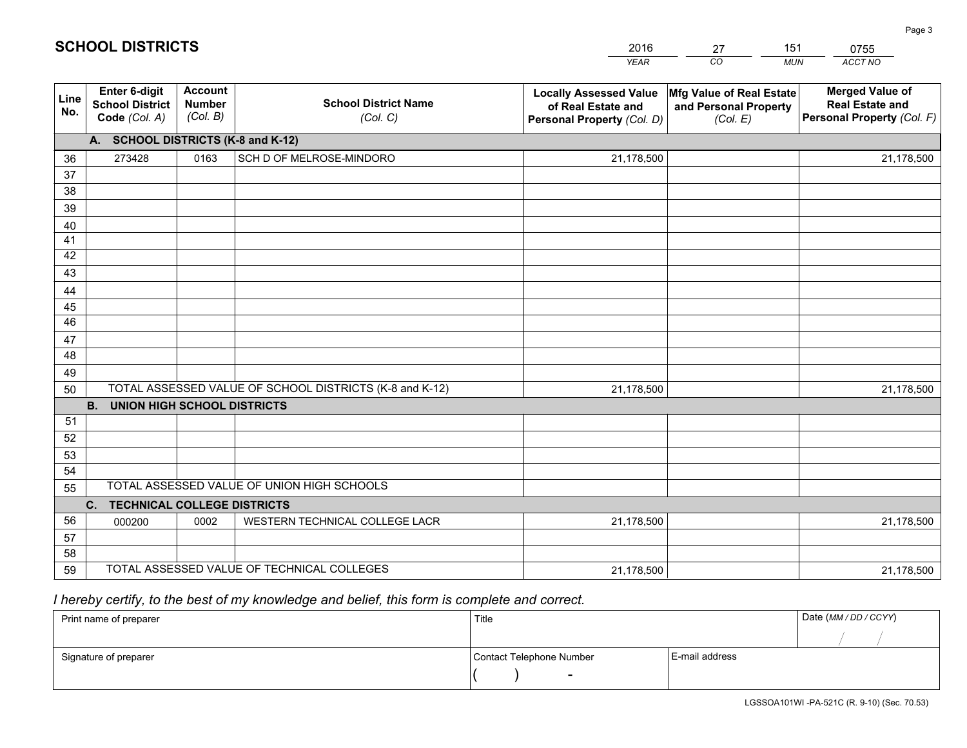|             |                                                          |                                             |                                                         | <b>YEAR</b>                                                                       | CO<br><b>MUN</b>                                              | ACCT NO                                                                        |
|-------------|----------------------------------------------------------|---------------------------------------------|---------------------------------------------------------|-----------------------------------------------------------------------------------|---------------------------------------------------------------|--------------------------------------------------------------------------------|
| Line<br>No. | Enter 6-digit<br><b>School District</b><br>Code (Col. A) | <b>Account</b><br><b>Number</b><br>(Col. B) | <b>School District Name</b><br>(Col. C)                 | <b>Locally Assessed Value</b><br>of Real Estate and<br>Personal Property (Col. D) | Mfg Value of Real Estate<br>and Personal Property<br>(Col. E) | <b>Merged Value of</b><br><b>Real Estate and</b><br>Personal Property (Col. F) |
|             | A. SCHOOL DISTRICTS (K-8 and K-12)                       |                                             |                                                         |                                                                                   |                                                               |                                                                                |
| 36          | 273428                                                   | 0163                                        | SCH D OF MELROSE-MINDORO                                | 21,178,500                                                                        |                                                               | 21,178,500                                                                     |
| 37          |                                                          |                                             |                                                         |                                                                                   |                                                               |                                                                                |
| 38          |                                                          |                                             |                                                         |                                                                                   |                                                               |                                                                                |
| 39          |                                                          |                                             |                                                         |                                                                                   |                                                               |                                                                                |
| 40          |                                                          |                                             |                                                         |                                                                                   |                                                               |                                                                                |
| 41          |                                                          |                                             |                                                         |                                                                                   |                                                               |                                                                                |
| 42          |                                                          |                                             |                                                         |                                                                                   |                                                               |                                                                                |
| 43          |                                                          |                                             |                                                         |                                                                                   |                                                               |                                                                                |
| 44          |                                                          |                                             |                                                         |                                                                                   |                                                               |                                                                                |
| 45<br>46    |                                                          |                                             |                                                         |                                                                                   |                                                               |                                                                                |
|             |                                                          |                                             |                                                         |                                                                                   |                                                               |                                                                                |
| 47<br>48    |                                                          |                                             |                                                         |                                                                                   |                                                               |                                                                                |
| 49          |                                                          |                                             |                                                         |                                                                                   |                                                               |                                                                                |
| 50          |                                                          |                                             | TOTAL ASSESSED VALUE OF SCHOOL DISTRICTS (K-8 and K-12) | 21,178,500                                                                        |                                                               | 21,178,500                                                                     |
|             | <b>UNION HIGH SCHOOL DISTRICTS</b><br><b>B.</b>          |                                             |                                                         |                                                                                   |                                                               |                                                                                |
| 51          |                                                          |                                             |                                                         |                                                                                   |                                                               |                                                                                |
| 52          |                                                          |                                             |                                                         |                                                                                   |                                                               |                                                                                |
| 53          |                                                          |                                             |                                                         |                                                                                   |                                                               |                                                                                |
| 54          |                                                          |                                             |                                                         |                                                                                   |                                                               |                                                                                |
| 55          |                                                          |                                             | TOTAL ASSESSED VALUE OF UNION HIGH SCHOOLS              |                                                                                   |                                                               |                                                                                |
|             | C. TECHNICAL COLLEGE DISTRICTS                           |                                             |                                                         |                                                                                   |                                                               |                                                                                |
| 56          | 000200                                                   | 0002                                        | WESTERN TECHNICAL COLLEGE LACR                          | 21,178,500                                                                        |                                                               | 21,178,500                                                                     |
| 57          |                                                          |                                             |                                                         |                                                                                   |                                                               |                                                                                |
| 58          |                                                          |                                             |                                                         |                                                                                   |                                                               |                                                                                |
| 59          |                                                          |                                             | TOTAL ASSESSED VALUE OF TECHNICAL COLLEGES              | 21,178,500                                                                        |                                                               | 21,178,500                                                                     |

27

151

## *I hereby certify, to the best of my knowledge and belief, this form is complete and correct.*

**SCHOOL DISTRICTS**

| Print name of preparer | Title                    |                | Date (MM / DD / CCYY) |
|------------------------|--------------------------|----------------|-----------------------|
|                        |                          |                |                       |
| Signature of preparer  | Contact Telephone Number | E-mail address |                       |
|                        | $\overline{\phantom{0}}$ |                |                       |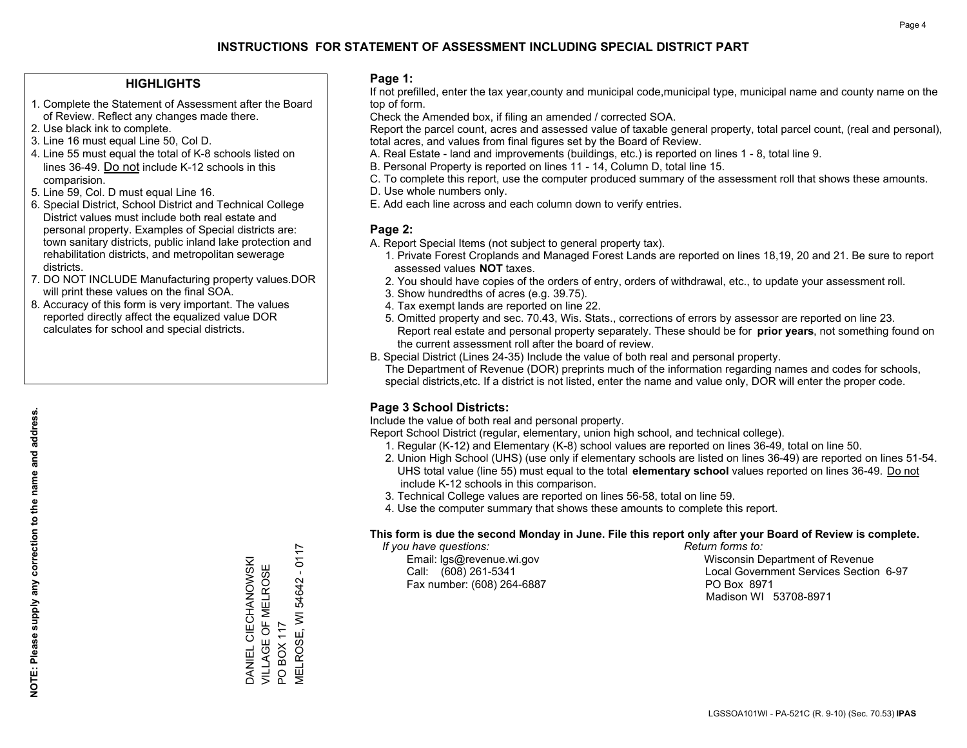### **HIGHLIGHTS**

- 1. Complete the Statement of Assessment after the Board of Review. Reflect any changes made there.
- 2. Use black ink to complete.
- 3. Line 16 must equal Line 50, Col D.
- 4. Line 55 must equal the total of K-8 schools listed on lines 36-49. Do not include K-12 schools in this comparision.
- 5. Line 59, Col. D must equal Line 16.
- 6. Special District, School District and Technical College District values must include both real estate and personal property. Examples of Special districts are: town sanitary districts, public inland lake protection and rehabilitation districts, and metropolitan sewerage districts.
- 7. DO NOT INCLUDE Manufacturing property values.DOR will print these values on the final SOA.

DANIEL CIECHANOWSKI VILLAGE OF MELROSE

DANIEL CIECHANOWSKI VILLAGE OF MELROSE

PO BOX 117

 $\overline{S}$ 

MELROSE, WI 54642 - 0117

VELROSE, WI **BOX 117** 

54642

 $-0117$ 

 8. Accuracy of this form is very important. The values reported directly affect the equalized value DOR calculates for school and special districts.

#### **Page 1:**

 If not prefilled, enter the tax year,county and municipal code,municipal type, municipal name and county name on the top of form.

Check the Amended box, if filing an amended / corrected SOA.

 Report the parcel count, acres and assessed value of taxable general property, total parcel count, (real and personal), total acres, and values from final figures set by the Board of Review.

- A. Real Estate land and improvements (buildings, etc.) is reported on lines 1 8, total line 9.
- B. Personal Property is reported on lines 11 14, Column D, total line 15.
- C. To complete this report, use the computer produced summary of the assessment roll that shows these amounts.
- D. Use whole numbers only.
- E. Add each line across and each column down to verify entries.

## **Page 2:**

- A. Report Special Items (not subject to general property tax).
- 1. Private Forest Croplands and Managed Forest Lands are reported on lines 18,19, 20 and 21. Be sure to report assessed values **NOT** taxes.
- 2. You should have copies of the orders of entry, orders of withdrawal, etc., to update your assessment roll.
	- 3. Show hundredths of acres (e.g. 39.75).
- 4. Tax exempt lands are reported on line 22.
- 5. Omitted property and sec. 70.43, Wis. Stats., corrections of errors by assessor are reported on line 23. Report real estate and personal property separately. These should be for **prior years**, not something found on the current assessment roll after the board of review.
- B. Special District (Lines 24-35) Include the value of both real and personal property.

 The Department of Revenue (DOR) preprints much of the information regarding names and codes for schools, special districts,etc. If a district is not listed, enter the name and value only, DOR will enter the proper code.

## **Page 3 School Districts:**

Include the value of both real and personal property.

Report School District (regular, elementary, union high school, and technical college).

- 1. Regular (K-12) and Elementary (K-8) school values are reported on lines 36-49, total on line 50.
- 2. Union High School (UHS) (use only if elementary schools are listed on lines 36-49) are reported on lines 51-54. UHS total value (line 55) must equal to the total **elementary school** values reported on lines 36-49. Do notinclude K-12 schools in this comparison.
- 3. Technical College values are reported on lines 56-58, total on line 59.
- 4. Use the computer summary that shows these amounts to complete this report.

#### **This form is due the second Monday in June. File this report only after your Board of Review is complete.**

 *If you have questions: Return forms to:*

Fax number: (608) 264-6887 PO Box 8971

 Email: lgs@revenue.wi.gov Wisconsin Department of Revenue Call: (608) 261-5341 Local Government Services Section 6-97Madison WI 53708-8971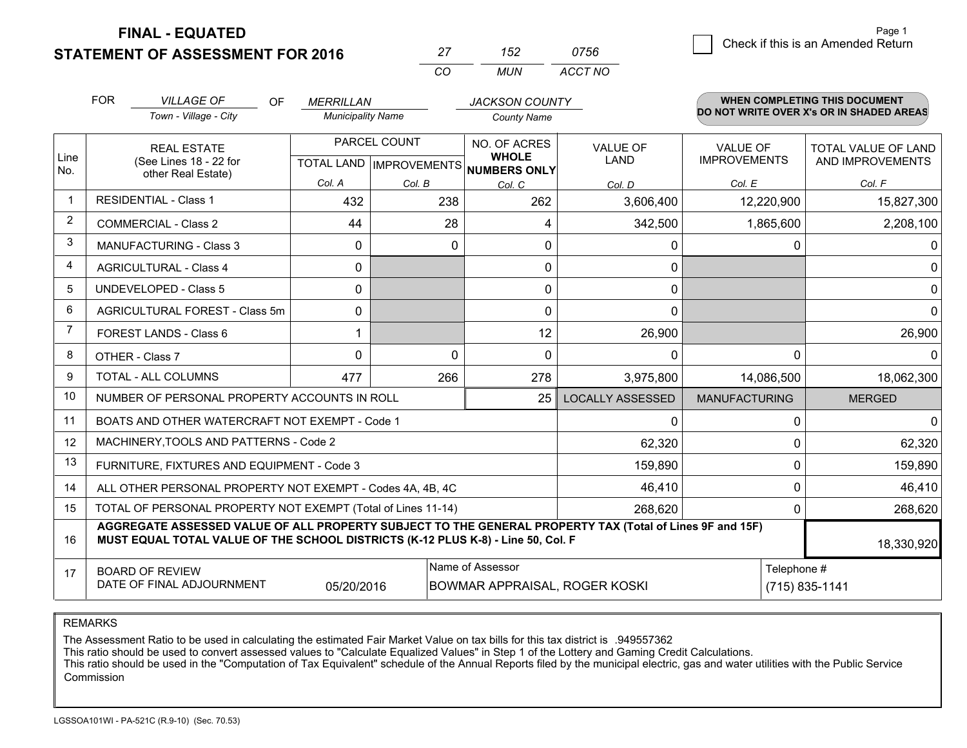**STATEMENT OF ASSESSMENT FOR 2016** 

**FINAL - EQUATED**

| 27 | 152 | 0756    |
|----|-----|---------|
| CO | MUN | ACCT NO |

|                         | <b>FOR</b><br><b>VILLAGE OF</b><br><b>OF</b><br><b>MERRILLAN</b><br>Town - Village - City<br><b>Municipality Name</b>                                                                        |                                                      |          | <b>JACKSON COUNTY</b><br><b>County Name</b> |                                | <b>WHEN COMPLETING THIS DOCUMENT</b><br>DO NOT WRITE OVER X's OR IN SHADED AREAS |                                         |
|-------------------------|----------------------------------------------------------------------------------------------------------------------------------------------------------------------------------------------|------------------------------------------------------|----------|---------------------------------------------|--------------------------------|----------------------------------------------------------------------------------|-----------------------------------------|
| Line<br>No.             | <b>REAL ESTATE</b><br>(See Lines 18 - 22 for<br>other Real Estate)                                                                                                                           | PARCEL COUNT<br>TOTAL LAND IMPROVEMENTS NUMBERS ONLY |          | NO. OF ACRES<br><b>WHOLE</b>                | <b>VALUE OF</b><br><b>LAND</b> | <b>VALUE OF</b><br><b>IMPROVEMENTS</b>                                           | TOTAL VALUE OF LAND<br>AND IMPROVEMENTS |
|                         |                                                                                                                                                                                              | Col. A                                               | Col. B   | Col. C                                      | Col. D                         | Col. E                                                                           | Col. F                                  |
| $\overline{\mathbf{1}}$ | <b>RESIDENTIAL - Class 1</b>                                                                                                                                                                 | 432                                                  | 238      | 262                                         | 3,606,400                      | 12,220,900                                                                       | 15,827,300                              |
| 2                       | <b>COMMERCIAL - Class 2</b>                                                                                                                                                                  | 44                                                   | 28       | 4                                           | 342,500                        | 1,865,600                                                                        | 2,208,100                               |
| 3                       | MANUFACTURING - Class 3                                                                                                                                                                      | 0                                                    | 0        | 0                                           | 0                              | 0                                                                                | $\mathbf{0}$                            |
| 4                       | <b>AGRICULTURAL - Class 4</b>                                                                                                                                                                | 0                                                    |          | 0                                           | 0                              |                                                                                  | $\mathbf 0$                             |
| 5                       | <b>UNDEVELOPED - Class 5</b>                                                                                                                                                                 | $\Omega$                                             |          | $\Omega$                                    | 0                              |                                                                                  | 0                                       |
| 6                       | AGRICULTURAL FOREST - Class 5m                                                                                                                                                               | 0                                                    |          | 0                                           | 0                              |                                                                                  | $\mathbf{0}$                            |
| $\overline{7}$          | FOREST LANDS - Class 6                                                                                                                                                                       | 1                                                    |          | 12                                          | 26,900                         |                                                                                  | 26,900                                  |
| 8                       | OTHER - Class 7                                                                                                                                                                              | $\Omega$                                             | $\Omega$ | $\Omega$                                    | $\Omega$                       | $\Omega$                                                                         | $\Omega$                                |
| 9                       | TOTAL - ALL COLUMNS                                                                                                                                                                          | 477                                                  | 266      | 278                                         | 3,975,800                      | 14,086,500                                                                       | 18,062,300                              |
| 10                      | NUMBER OF PERSONAL PROPERTY ACCOUNTS IN ROLL                                                                                                                                                 |                                                      |          | 25                                          | <b>LOCALLY ASSESSED</b>        | <b>MANUFACTURING</b>                                                             | <b>MERGED</b>                           |
| 11                      | BOATS AND OTHER WATERCRAFT NOT EXEMPT - Code 1                                                                                                                                               |                                                      |          |                                             | 0                              | 0                                                                                | 0                                       |
| 12                      | MACHINERY, TOOLS AND PATTERNS - Code 2                                                                                                                                                       |                                                      |          |                                             | 62,320                         | 0                                                                                | 62,320                                  |
| 13                      | FURNITURE, FIXTURES AND EQUIPMENT - Code 3                                                                                                                                                   |                                                      |          |                                             | 159,890                        | $\Omega$                                                                         | 159,890                                 |
| 14                      | ALL OTHER PERSONAL PROPERTY NOT EXEMPT - Codes 4A, 4B, 4C                                                                                                                                    |                                                      |          |                                             | 46,410                         | 0                                                                                | 46,410                                  |
| 15                      | TOTAL OF PERSONAL PROPERTY NOT EXEMPT (Total of Lines 11-14)                                                                                                                                 |                                                      |          | 268,620                                     | $\Omega$                       | 268,620                                                                          |                                         |
| 16                      | AGGREGATE ASSESSED VALUE OF ALL PROPERTY SUBJECT TO THE GENERAL PROPERTY TAX (Total of Lines 9F and 15F)<br>MUST EQUAL TOTAL VALUE OF THE SCHOOL DISTRICTS (K-12 PLUS K-8) - Line 50, Col. F |                                                      |          |                                             |                                |                                                                                  | 18,330,920                              |
| 17                      | Name of Assessor<br>Telephone #<br><b>BOARD OF REVIEW</b><br>DATE OF FINAL ADJOURNMENT<br>05/20/2016<br>BOWMAR APPRAISAL, ROGER KOSKI                                                        |                                                      |          |                                             |                                |                                                                                  | (715) 835-1141                          |

REMARKS

The Assessment Ratio to be used in calculating the estimated Fair Market Value on tax bills for this tax district is .949557362

This ratio should be used to convert assessed values to "Calculate Equalized Values" in Step 1 of the Lottery and Gaming Credit Calculations.

 This ratio should be used in the "Computation of Tax Equivalent" schedule of the Annual Reports filed by the municipal electric, gas and water utilities with the Public Service Commission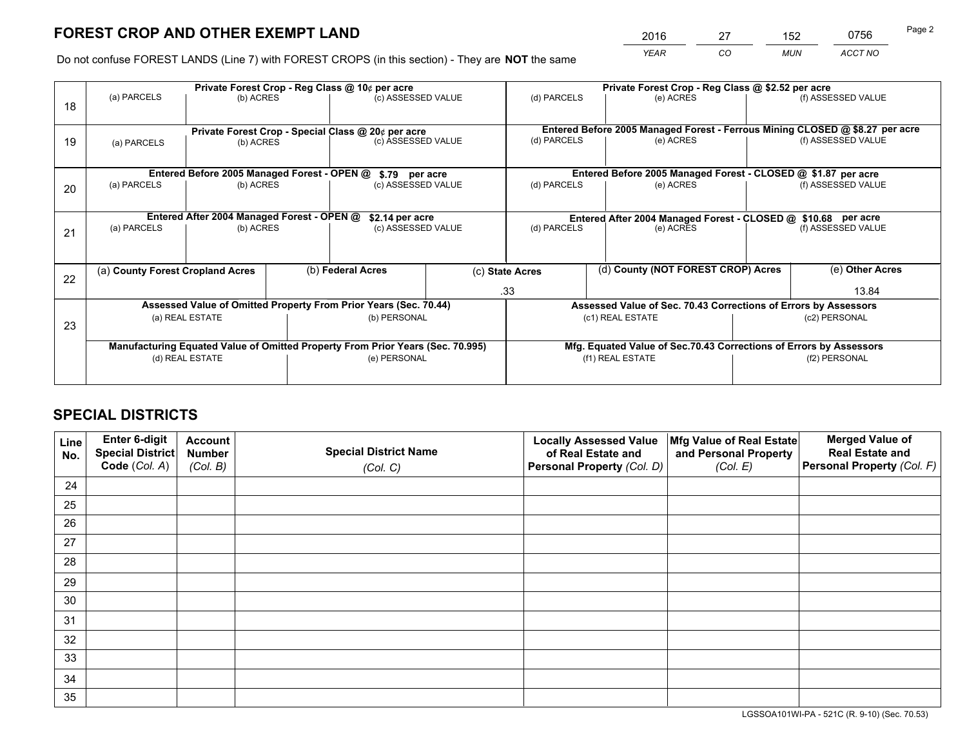*YEAR CO MUN ACCT NO* <sup>2016</sup> <sup>27</sup> <sup>152</sup> <sup>0756</sup>

Do not confuse FOREST LANDS (Line 7) with FOREST CROPS (in this section) - They are **NOT** the same

|    |                 |                                             |  | Private Forest Crop - Reg Class @ 10¢ per acre                                 |  | Private Forest Crop - Reg Class @ \$2.52 per acre             |                                                                              |  |                    |  |
|----|-----------------|---------------------------------------------|--|--------------------------------------------------------------------------------|--|---------------------------------------------------------------|------------------------------------------------------------------------------|--|--------------------|--|
| 18 | (a) PARCELS     | (b) ACRES                                   |  | (c) ASSESSED VALUE                                                             |  | (d) PARCELS                                                   | (e) ACRES                                                                    |  | (f) ASSESSED VALUE |  |
|    |                 |                                             |  |                                                                                |  |                                                               |                                                                              |  |                    |  |
|    |                 |                                             |  | Private Forest Crop - Special Class @ 20¢ per acre                             |  |                                                               | Entered Before 2005 Managed Forest - Ferrous Mining CLOSED @ \$8.27 per acre |  |                    |  |
| 19 | (a) PARCELS     | (b) ACRES                                   |  | (c) ASSESSED VALUE                                                             |  | (d) PARCELS                                                   | (e) ACRES                                                                    |  | (f) ASSESSED VALUE |  |
|    |                 |                                             |  |                                                                                |  |                                                               |                                                                              |  |                    |  |
|    |                 | Entered Before 2005 Managed Forest - OPEN @ |  | \$.79 per acre                                                                 |  | Entered Before 2005 Managed Forest - CLOSED @ \$1.87 per acre |                                                                              |  |                    |  |
| 20 | (a) PARCELS     | (b) ACRES                                   |  | (c) ASSESSED VALUE                                                             |  | (d) PARCELS                                                   | (e) ACRES                                                                    |  | (f) ASSESSED VALUE |  |
|    |                 |                                             |  |                                                                                |  |                                                               |                                                                              |  |                    |  |
|    |                 | Entered After 2004 Managed Forest - OPEN @  |  | \$2.14 per acre                                                                |  |                                                               | Entered After 2004 Managed Forest - CLOSED @ \$10.68 per acre                |  |                    |  |
| 21 | (a) PARCELS     | (b) ACRES                                   |  | (c) ASSESSED VALUE                                                             |  | (d) PARCELS                                                   | (e) ACRES                                                                    |  | (f) ASSESSED VALUE |  |
|    |                 |                                             |  |                                                                                |  |                                                               |                                                                              |  |                    |  |
|    |                 |                                             |  | (b) Federal Acres                                                              |  |                                                               | (d) County (NOT FOREST CROP) Acres                                           |  |                    |  |
| 22 |                 | (a) County Forest Cropland Acres            |  |                                                                                |  | (c) State Acres                                               |                                                                              |  | (e) Other Acres    |  |
|    |                 |                                             |  |                                                                                |  | .33                                                           |                                                                              |  | 13.84              |  |
|    |                 |                                             |  | Assessed Value of Omitted Property From Prior Years (Sec. 70.44)               |  |                                                               | Assessed Value of Sec. 70.43 Corrections of Errors by Assessors              |  |                    |  |
| 23 |                 | (a) REAL ESTATE                             |  | (b) PERSONAL                                                                   |  |                                                               | (c1) REAL ESTATE                                                             |  | (c2) PERSONAL      |  |
|    |                 |                                             |  |                                                                                |  |                                                               |                                                                              |  |                    |  |
|    |                 |                                             |  | Manufacturing Equated Value of Omitted Property From Prior Years (Sec. 70.995) |  |                                                               | Mfg. Equated Value of Sec.70.43 Corrections of Errors by Assessors           |  |                    |  |
|    | (d) REAL ESTATE |                                             |  | (e) PERSONAL                                                                   |  |                                                               | (f1) REAL ESTATE                                                             |  | (f2) PERSONAL      |  |
|    |                 |                                             |  |                                                                                |  |                                                               |                                                                              |  |                    |  |

## **SPECIAL DISTRICTS**

| Line<br>No. | Enter 6-digit<br>Special District<br>Code (Col. A) | <b>Account</b><br><b>Number</b> | <b>Special District Name</b> | <b>Locally Assessed Value</b><br>of Real Estate and | Mfg Value of Real Estate<br>and Personal Property | <b>Merged Value of</b><br><b>Real Estate and</b><br>Personal Property (Col. F) |
|-------------|----------------------------------------------------|---------------------------------|------------------------------|-----------------------------------------------------|---------------------------------------------------|--------------------------------------------------------------------------------|
|             |                                                    | (Col. B)                        | (Col. C)                     | Personal Property (Col. D)                          | (Col. E)                                          |                                                                                |
| 24          |                                                    |                                 |                              |                                                     |                                                   |                                                                                |
| 25          |                                                    |                                 |                              |                                                     |                                                   |                                                                                |
| 26          |                                                    |                                 |                              |                                                     |                                                   |                                                                                |
| 27          |                                                    |                                 |                              |                                                     |                                                   |                                                                                |
| 28          |                                                    |                                 |                              |                                                     |                                                   |                                                                                |
| 29          |                                                    |                                 |                              |                                                     |                                                   |                                                                                |
| 30          |                                                    |                                 |                              |                                                     |                                                   |                                                                                |
| 31          |                                                    |                                 |                              |                                                     |                                                   |                                                                                |
| 32          |                                                    |                                 |                              |                                                     |                                                   |                                                                                |
| 33          |                                                    |                                 |                              |                                                     |                                                   |                                                                                |
| 34          |                                                    |                                 |                              |                                                     |                                                   |                                                                                |
| 35          |                                                    |                                 |                              |                                                     |                                                   |                                                                                |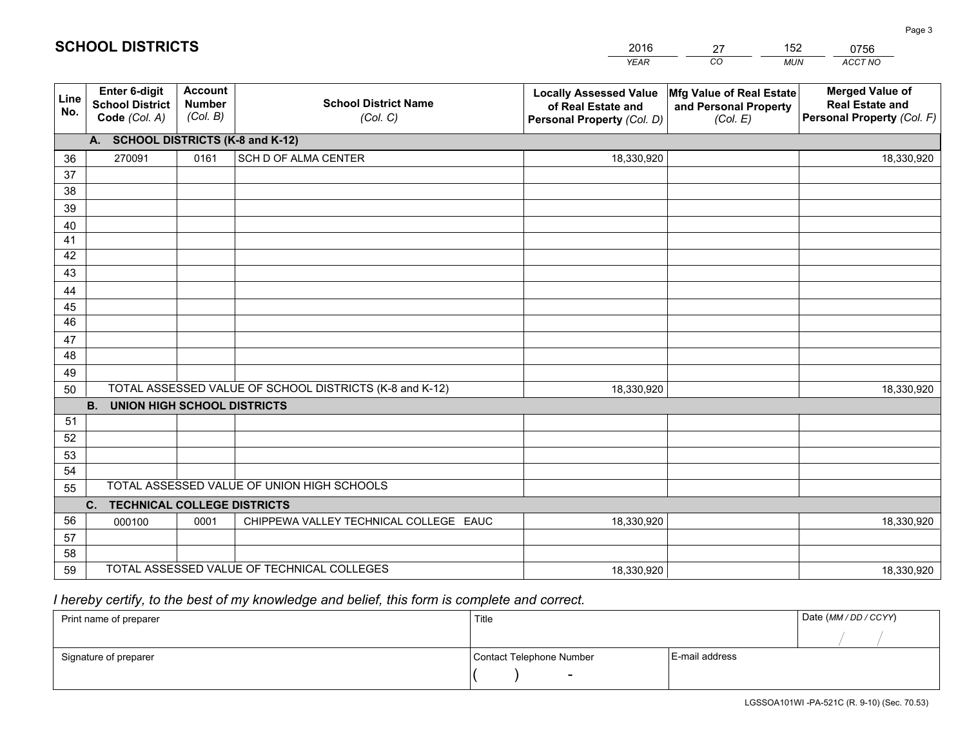|             |                                                                 |                                             |                                                         | <b>YEAR</b>                                                                       | CO<br><b>MUN</b>                                              | ACCT NO                                                                        |
|-------------|-----------------------------------------------------------------|---------------------------------------------|---------------------------------------------------------|-----------------------------------------------------------------------------------|---------------------------------------------------------------|--------------------------------------------------------------------------------|
| Line<br>No. | <b>Enter 6-digit</b><br><b>School District</b><br>Code (Col. A) | <b>Account</b><br><b>Number</b><br>(Col. B) | <b>School District Name</b><br>(Col. C)                 | <b>Locally Assessed Value</b><br>of Real Estate and<br>Personal Property (Col. D) | Mfg Value of Real Estate<br>and Personal Property<br>(Col. E) | <b>Merged Value of</b><br><b>Real Estate and</b><br>Personal Property (Col. F) |
|             | A. SCHOOL DISTRICTS (K-8 and K-12)                              |                                             |                                                         |                                                                                   |                                                               |                                                                                |
| 36          | 270091                                                          | 0161                                        | SCH D OF ALMA CENTER                                    | 18,330,920                                                                        |                                                               | 18,330,920                                                                     |
| 37          |                                                                 |                                             |                                                         |                                                                                   |                                                               |                                                                                |
| 38          |                                                                 |                                             |                                                         |                                                                                   |                                                               |                                                                                |
| 39          |                                                                 |                                             |                                                         |                                                                                   |                                                               |                                                                                |
| 40          |                                                                 |                                             |                                                         |                                                                                   |                                                               |                                                                                |
| 41          |                                                                 |                                             |                                                         |                                                                                   |                                                               |                                                                                |
| 42          |                                                                 |                                             |                                                         |                                                                                   |                                                               |                                                                                |
| 43          |                                                                 |                                             |                                                         |                                                                                   |                                                               |                                                                                |
| 44<br>45    |                                                                 |                                             |                                                         |                                                                                   |                                                               |                                                                                |
| 46          |                                                                 |                                             |                                                         |                                                                                   |                                                               |                                                                                |
| 47          |                                                                 |                                             |                                                         |                                                                                   |                                                               |                                                                                |
| 48          |                                                                 |                                             |                                                         |                                                                                   |                                                               |                                                                                |
| 49          |                                                                 |                                             |                                                         |                                                                                   |                                                               |                                                                                |
| 50          |                                                                 |                                             | TOTAL ASSESSED VALUE OF SCHOOL DISTRICTS (K-8 and K-12) | 18,330,920                                                                        |                                                               | 18,330,920                                                                     |
|             | <b>B.</b><br><b>UNION HIGH SCHOOL DISTRICTS</b>                 |                                             |                                                         |                                                                                   |                                                               |                                                                                |
| 51          |                                                                 |                                             |                                                         |                                                                                   |                                                               |                                                                                |
| 52          |                                                                 |                                             |                                                         |                                                                                   |                                                               |                                                                                |
| 53          |                                                                 |                                             |                                                         |                                                                                   |                                                               |                                                                                |
| 54          |                                                                 |                                             |                                                         |                                                                                   |                                                               |                                                                                |
| 55          |                                                                 |                                             | TOTAL ASSESSED VALUE OF UNION HIGH SCHOOLS              |                                                                                   |                                                               |                                                                                |
|             | $C_{1}$<br><b>TECHNICAL COLLEGE DISTRICTS</b>                   |                                             |                                                         |                                                                                   |                                                               |                                                                                |
| 56          | 000100                                                          | 0001                                        | CHIPPEWA VALLEY TECHNICAL COLLEGE EAUC                  | 18,330,920                                                                        |                                                               | 18,330,920                                                                     |
| 57          |                                                                 |                                             |                                                         |                                                                                   |                                                               |                                                                                |
| 58          |                                                                 |                                             |                                                         |                                                                                   |                                                               |                                                                                |
| 59          |                                                                 |                                             | TOTAL ASSESSED VALUE OF TECHNICAL COLLEGES              | 18,330,920                                                                        |                                                               | 18,330,920                                                                     |

27

152

 *I hereby certify, to the best of my knowledge and belief, this form is complete and correct.*

**SCHOOL DISTRICTS**

| Print name of preparer | Title                    |                | Date (MM / DD / CCYY) |
|------------------------|--------------------------|----------------|-----------------------|
|                        |                          |                |                       |
| Signature of preparer  | Contact Telephone Number | E-mail address |                       |
|                        |                          |                |                       |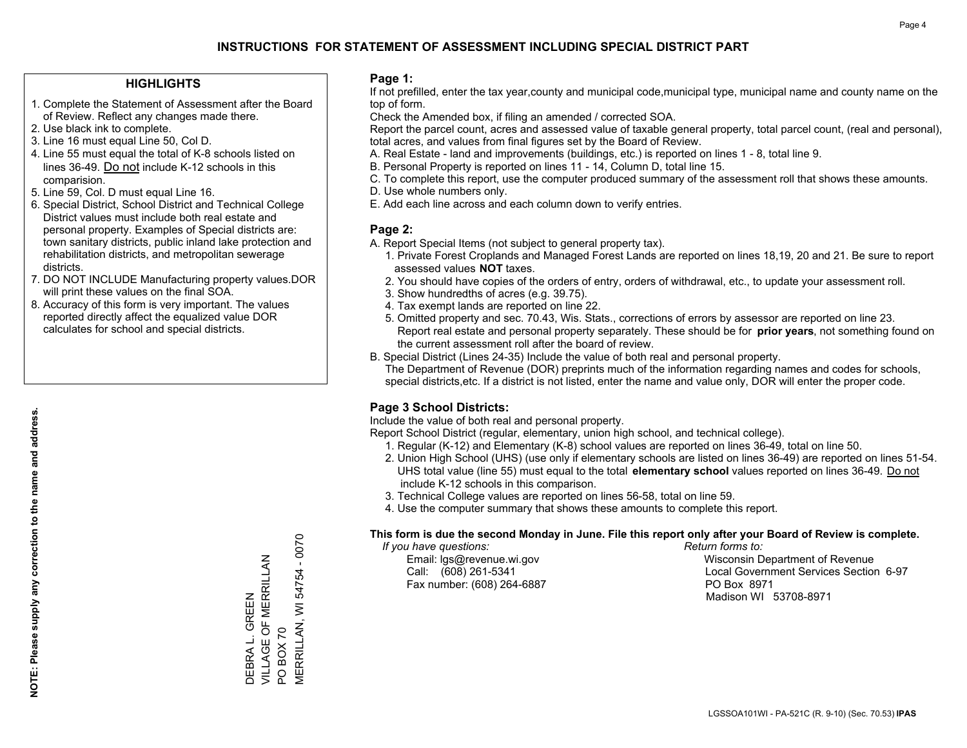### **HIGHLIGHTS**

- 1. Complete the Statement of Assessment after the Board of Review. Reflect any changes made there.
- 2. Use black ink to complete.
- 3. Line 16 must equal Line 50, Col D.
- 4. Line 55 must equal the total of K-8 schools listed on lines 36-49. Do not include K-12 schools in this comparision.
- 5. Line 59, Col. D must equal Line 16.
- 6. Special District, School District and Technical College District values must include both real estate and personal property. Examples of Special districts are: town sanitary districts, public inland lake protection and rehabilitation districts, and metropolitan sewerage districts.
- 7. DO NOT INCLUDE Manufacturing property values.DOR will print these values on the final SOA.

DEBRA L. GREEN

VILLAGE OF MERRILLAN

DEBRA L. GREEN<br>VILLAGE OF MERRILLAN

PO BOX 70

 $\overline{S}$ 

**BOX 70** 

MERRILLAN, WI 54754 - 0070

**VIERRILLAN, WI 54754** 

 $-0070$ 

 8. Accuracy of this form is very important. The values reported directly affect the equalized value DOR calculates for school and special districts.

#### **Page 1:**

 If not prefilled, enter the tax year,county and municipal code,municipal type, municipal name and county name on the top of form.

Check the Amended box, if filing an amended / corrected SOA.

 Report the parcel count, acres and assessed value of taxable general property, total parcel count, (real and personal), total acres, and values from final figures set by the Board of Review.

- A. Real Estate land and improvements (buildings, etc.) is reported on lines 1 8, total line 9.
- B. Personal Property is reported on lines 11 14, Column D, total line 15.
- C. To complete this report, use the computer produced summary of the assessment roll that shows these amounts.
- D. Use whole numbers only.
- E. Add each line across and each column down to verify entries.

## **Page 2:**

- A. Report Special Items (not subject to general property tax).
- 1. Private Forest Croplands and Managed Forest Lands are reported on lines 18,19, 20 and 21. Be sure to report assessed values **NOT** taxes.
- 2. You should have copies of the orders of entry, orders of withdrawal, etc., to update your assessment roll.
	- 3. Show hundredths of acres (e.g. 39.75).
- 4. Tax exempt lands are reported on line 22.
- 5. Omitted property and sec. 70.43, Wis. Stats., corrections of errors by assessor are reported on line 23. Report real estate and personal property separately. These should be for **prior years**, not something found on the current assessment roll after the board of review.
- B. Special District (Lines 24-35) Include the value of both real and personal property.
- The Department of Revenue (DOR) preprints much of the information regarding names and codes for schools, special districts,etc. If a district is not listed, enter the name and value only, DOR will enter the proper code.

## **Page 3 School Districts:**

Include the value of both real and personal property.

Report School District (regular, elementary, union high school, and technical college).

- 1. Regular (K-12) and Elementary (K-8) school values are reported on lines 36-49, total on line 50.
- 2. Union High School (UHS) (use only if elementary schools are listed on lines 36-49) are reported on lines 51-54. UHS total value (line 55) must equal to the total **elementary school** values reported on lines 36-49. Do notinclude K-12 schools in this comparison.
- 3. Technical College values are reported on lines 56-58, total on line 59.
- 4. Use the computer summary that shows these amounts to complete this report.

#### **This form is due the second Monday in June. File this report only after your Board of Review is complete.**

 *If you have questions: Return forms to:*

Fax number: (608) 264-6887 PO Box 8971

 Email: lgs@revenue.wi.gov Wisconsin Department of Revenue Call: (608) 261-5341 Local Government Services Section 6-97Madison WI 53708-8971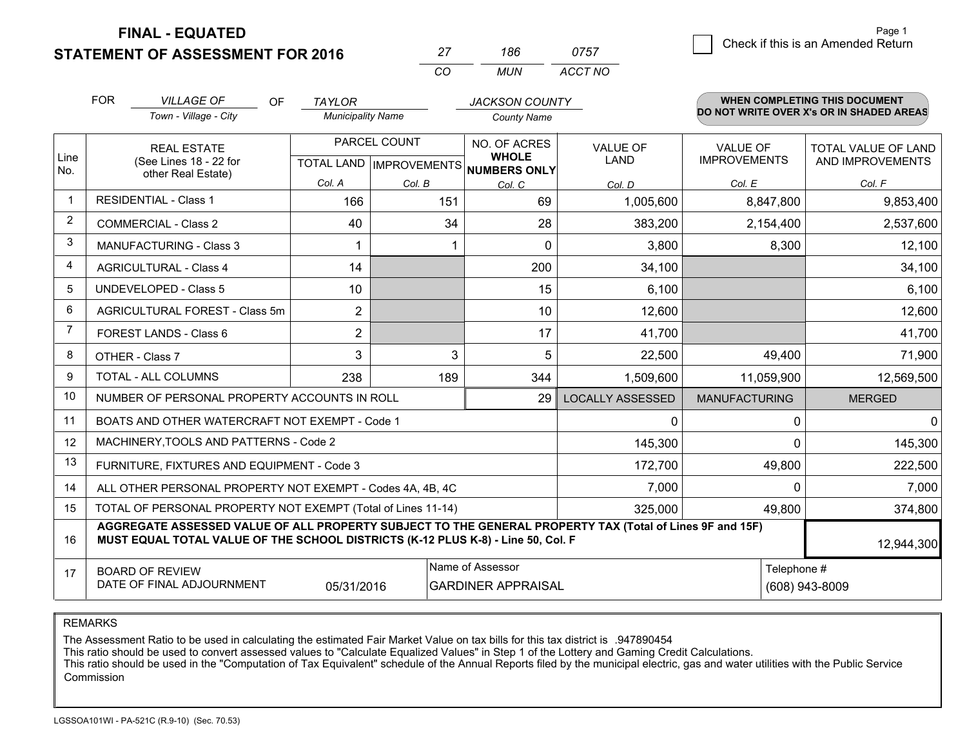**FINAL - EQUATED**

**STATEMENT OF ASSESSMENT FOR 2016** 

|          |       | 0757    |
|----------|-------|---------|
| $\cdots$ | MI IN | ACCT NO |

|             | <b>FOR</b>                                                                                                                                          | <b>VILLAGE OF</b><br>OF                                                                                                                                                                      | <b>TAYLOR</b>                             |         | <b>JACKSON COUNTY</b>                               |                         |                                          | <b>WHEN COMPLETING THIS DOCUMENT</b>    |  |
|-------------|-----------------------------------------------------------------------------------------------------------------------------------------------------|----------------------------------------------------------------------------------------------------------------------------------------------------------------------------------------------|-------------------------------------------|---------|-----------------------------------------------------|-------------------------|------------------------------------------|-----------------------------------------|--|
|             |                                                                                                                                                     | Town - Village - City                                                                                                                                                                        | <b>Municipality Name</b>                  |         | <b>County Name</b>                                  |                         | DO NOT WRITE OVER X's OR IN SHADED AREAS |                                         |  |
| Line<br>No. |                                                                                                                                                     | <b>REAL ESTATE</b><br>(See Lines 18 - 22 for                                                                                                                                                 | PARCEL COUNT<br>TOTAL LAND   IMPROVEMENTS |         | NO. OF ACRES<br><b>WHOLE</b><br><b>NUMBERS ONLY</b> | VALUE OF<br>LAND        | VALUE OF<br><b>IMPROVEMENTS</b>          | TOTAL VALUE OF LAND<br>AND IMPROVEMENTS |  |
|             |                                                                                                                                                     | other Real Estate)                                                                                                                                                                           | Col. A                                    | Col. B  | Col. C                                              | Col. D                  | Col. E                                   | Col. F                                  |  |
|             |                                                                                                                                                     | <b>RESIDENTIAL - Class 1</b>                                                                                                                                                                 | 166                                       | 151     | 69                                                  | 1,005,600               | 8,847,800                                | 9,853,400                               |  |
| 2           |                                                                                                                                                     | <b>COMMERCIAL - Class 2</b>                                                                                                                                                                  | 40                                        | 34      | 28                                                  | 383,200                 | 2,154,400                                | 2,537,600                               |  |
| 3           |                                                                                                                                                     | <b>MANUFACTURING - Class 3</b>                                                                                                                                                               | 1                                         |         | $\Omega$                                            | 3,800                   | 8,300                                    | 12,100                                  |  |
| 4           |                                                                                                                                                     | <b>AGRICULTURAL - Class 4</b>                                                                                                                                                                | 14                                        |         | 200                                                 | 34,100                  |                                          | 34,100                                  |  |
| 5           |                                                                                                                                                     | <b>UNDEVELOPED - Class 5</b>                                                                                                                                                                 | 10                                        |         | 15                                                  | 6,100                   |                                          | 6,100                                   |  |
| 6           |                                                                                                                                                     | AGRICULTURAL FOREST - Class 5m                                                                                                                                                               | $\overline{2}$                            |         | 10                                                  | 12,600                  |                                          | 12,600                                  |  |
| 7           |                                                                                                                                                     | FOREST LANDS - Class 6                                                                                                                                                                       | $\overline{2}$                            |         | 17                                                  | 41,700                  |                                          | 41,700                                  |  |
| 8           |                                                                                                                                                     | OTHER - Class 7                                                                                                                                                                              | 3                                         | 3       | 5                                                   | 22,500                  | 49,400                                   | 71,900                                  |  |
| 9           |                                                                                                                                                     | TOTAL - ALL COLUMNS                                                                                                                                                                          | 238                                       | 189     | 344                                                 | 1,509,600               | 11,059,900                               | 12,569,500                              |  |
| 10          |                                                                                                                                                     | NUMBER OF PERSONAL PROPERTY ACCOUNTS IN ROLL                                                                                                                                                 |                                           |         | 29                                                  | <b>LOCALLY ASSESSED</b> | <b>MANUFACTURING</b>                     | <b>MERGED</b>                           |  |
| 11          |                                                                                                                                                     | BOATS AND OTHER WATERCRAFT NOT EXEMPT - Code 1                                                                                                                                               |                                           |         |                                                     | $\mathbf 0$             |                                          | 0<br>$\Omega$                           |  |
| 12          |                                                                                                                                                     | MACHINERY, TOOLS AND PATTERNS - Code 2                                                                                                                                                       |                                           |         |                                                     | 145,300                 |                                          | 145,300<br>0                            |  |
| 13          |                                                                                                                                                     | FURNITURE, FIXTURES AND EQUIPMENT - Code 3                                                                                                                                                   |                                           |         |                                                     | 172,700                 | 49,800                                   | 222,500                                 |  |
| 14          |                                                                                                                                                     | ALL OTHER PERSONAL PROPERTY NOT EXEMPT - Codes 4A, 4B, 4C                                                                                                                                    |                                           |         |                                                     | 7,000                   |                                          | 7,000<br>0                              |  |
| 15          |                                                                                                                                                     | TOTAL OF PERSONAL PROPERTY NOT EXEMPT (Total of Lines 11-14)                                                                                                                                 |                                           | 325,000 | 49,800                                              | 374,800                 |                                          |                                         |  |
| 16          |                                                                                                                                                     | AGGREGATE ASSESSED VALUE OF ALL PROPERTY SUBJECT TO THE GENERAL PROPERTY TAX (Total of Lines 9F and 15F)<br>MUST EQUAL TOTAL VALUE OF THE SCHOOL DISTRICTS (K-12 PLUS K-8) - Line 50, Col. F |                                           |         |                                                     |                         |                                          | 12,944,300                              |  |
| 17          | Name of Assessor<br>Telephone #<br><b>BOARD OF REVIEW</b><br>DATE OF FINAL ADJOURNMENT<br>(608) 943-8009<br>05/31/2016<br><b>GARDINER APPRAISAL</b> |                                                                                                                                                                                              |                                           |         |                                                     |                         |                                          |                                         |  |

REMARKS

The Assessment Ratio to be used in calculating the estimated Fair Market Value on tax bills for this tax district is .947890454<br>This ratio should be used to convert assessed values to "Calculate Equalized Values" in Step 1 Commission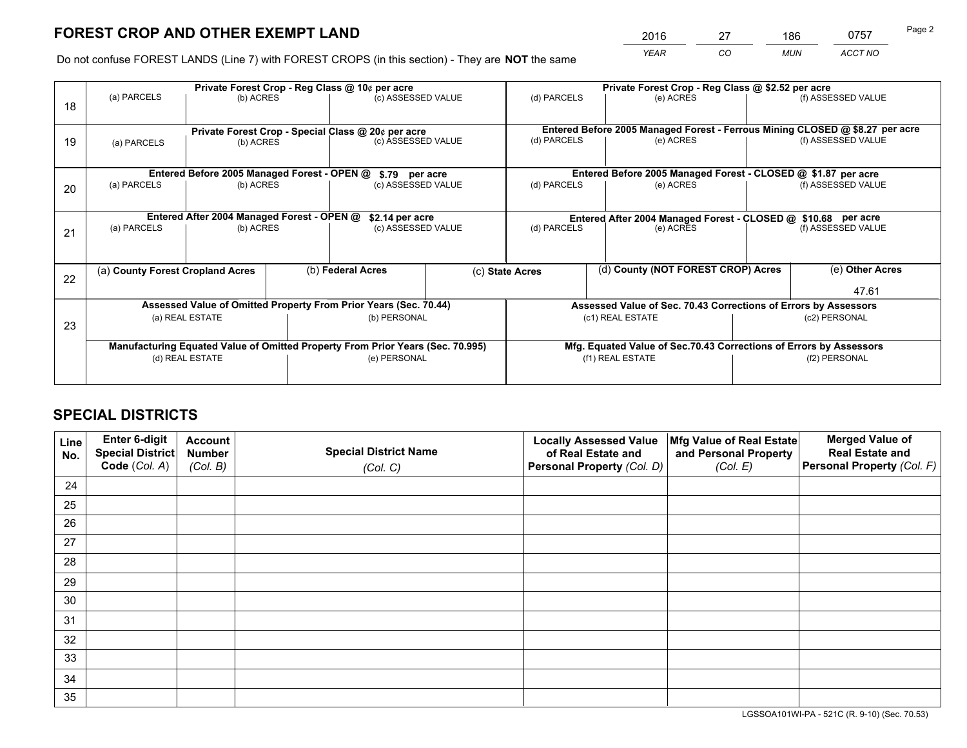*YEAR CO MUN ACCT NO* 2016 27 186 0757

Do not confuse FOREST LANDS (Line 7) with FOREST CROPS (in this section) - They are **NOT** the same

|    | Private Forest Crop - Reg Class @ 10¢ per acre                                 |                                                                  |  |                                                    |  | Private Forest Crop - Reg Class @ \$2.52 per acre             |                                                                              |  |                                                                 |  |
|----|--------------------------------------------------------------------------------|------------------------------------------------------------------|--|----------------------------------------------------|--|---------------------------------------------------------------|------------------------------------------------------------------------------|--|-----------------------------------------------------------------|--|
| 18 | (a) PARCELS                                                                    | (b) ACRES                                                        |  | (c) ASSESSED VALUE                                 |  | (d) PARCELS                                                   | (e) ACRES                                                                    |  | (f) ASSESSED VALUE                                              |  |
|    |                                                                                |                                                                  |  | Private Forest Crop - Special Class @ 20¢ per acre |  |                                                               | Entered Before 2005 Managed Forest - Ferrous Mining CLOSED @ \$8.27 per acre |  |                                                                 |  |
| 19 | (b) ACRES<br>(a) PARCELS                                                       |                                                                  |  | (c) ASSESSED VALUE                                 |  | (d) PARCELS                                                   | (e) ACRES                                                                    |  | (f) ASSESSED VALUE                                              |  |
|    |                                                                                | Entered Before 2005 Managed Forest - OPEN @                      |  |                                                    |  |                                                               | Entered Before 2005 Managed Forest - CLOSED @ \$1.87 per acre                |  |                                                                 |  |
| 20 | (a) PARCELS<br>(b) ACRES                                                       |                                                                  |  | \$.79 per acre<br>(c) ASSESSED VALUE               |  | (d) PARCELS<br>(e) ACRES                                      |                                                                              |  | (f) ASSESSED VALUE                                              |  |
|    | Entered After 2004 Managed Forest - OPEN @<br>\$2.14 per acre                  |                                                                  |  |                                                    |  | Entered After 2004 Managed Forest - CLOSED @ \$10.68 per acre |                                                                              |  |                                                                 |  |
| 21 | (a) PARCELS                                                                    | (b) ACRES                                                        |  | (c) ASSESSED VALUE                                 |  | (d) PARCELS                                                   | (e) ACRES                                                                    |  | (f) ASSESSED VALUE                                              |  |
|    | (a) County Forest Cropland Acres                                               |                                                                  |  | (b) Federal Acres                                  |  | (c) State Acres                                               | (d) County (NOT FOREST CROP) Acres                                           |  | (e) Other Acres                                                 |  |
| 22 |                                                                                |                                                                  |  |                                                    |  |                                                               |                                                                              |  | 47.61                                                           |  |
|    |                                                                                | Assessed Value of Omitted Property From Prior Years (Sec. 70.44) |  |                                                    |  |                                                               |                                                                              |  | Assessed Value of Sec. 70.43 Corrections of Errors by Assessors |  |
| 23 | (a) REAL ESTATE                                                                |                                                                  |  | (b) PERSONAL                                       |  | (c1) REAL ESTATE                                              |                                                                              |  | (c2) PERSONAL                                                   |  |
|    | Manufacturing Equated Value of Omitted Property From Prior Years (Sec. 70.995) |                                                                  |  |                                                    |  |                                                               | Mfg. Equated Value of Sec.70.43 Corrections of Errors by Assessors           |  |                                                                 |  |
|    |                                                                                | (d) REAL ESTATE                                                  |  | (e) PERSONAL                                       |  | (f1) REAL ESTATE                                              |                                                                              |  | (f2) PERSONAL                                                   |  |
|    |                                                                                |                                                                  |  |                                                    |  |                                                               |                                                                              |  |                                                                 |  |

## **SPECIAL DISTRICTS**

| Line<br>No. | Enter 6-digit<br>Special District<br>Code (Col. A) | <b>Account</b><br><b>Number</b> | <b>Special District Name</b> | <b>Locally Assessed Value</b><br>of Real Estate and | Mfg Value of Real Estate<br>and Personal Property | <b>Merged Value of</b><br><b>Real Estate and</b><br>Personal Property (Col. F) |
|-------------|----------------------------------------------------|---------------------------------|------------------------------|-----------------------------------------------------|---------------------------------------------------|--------------------------------------------------------------------------------|
|             |                                                    | (Col. B)                        | (Col. C)                     | Personal Property (Col. D)                          | (Col. E)                                          |                                                                                |
| 24          |                                                    |                                 |                              |                                                     |                                                   |                                                                                |
| 25          |                                                    |                                 |                              |                                                     |                                                   |                                                                                |
| 26          |                                                    |                                 |                              |                                                     |                                                   |                                                                                |
| 27          |                                                    |                                 |                              |                                                     |                                                   |                                                                                |
| 28          |                                                    |                                 |                              |                                                     |                                                   |                                                                                |
| 29          |                                                    |                                 |                              |                                                     |                                                   |                                                                                |
| 30          |                                                    |                                 |                              |                                                     |                                                   |                                                                                |
| 31          |                                                    |                                 |                              |                                                     |                                                   |                                                                                |
| 32          |                                                    |                                 |                              |                                                     |                                                   |                                                                                |
| 33          |                                                    |                                 |                              |                                                     |                                                   |                                                                                |
| 34          |                                                    |                                 |                              |                                                     |                                                   |                                                                                |
| 35          |                                                    |                                 |                              |                                                     |                                                   |                                                                                |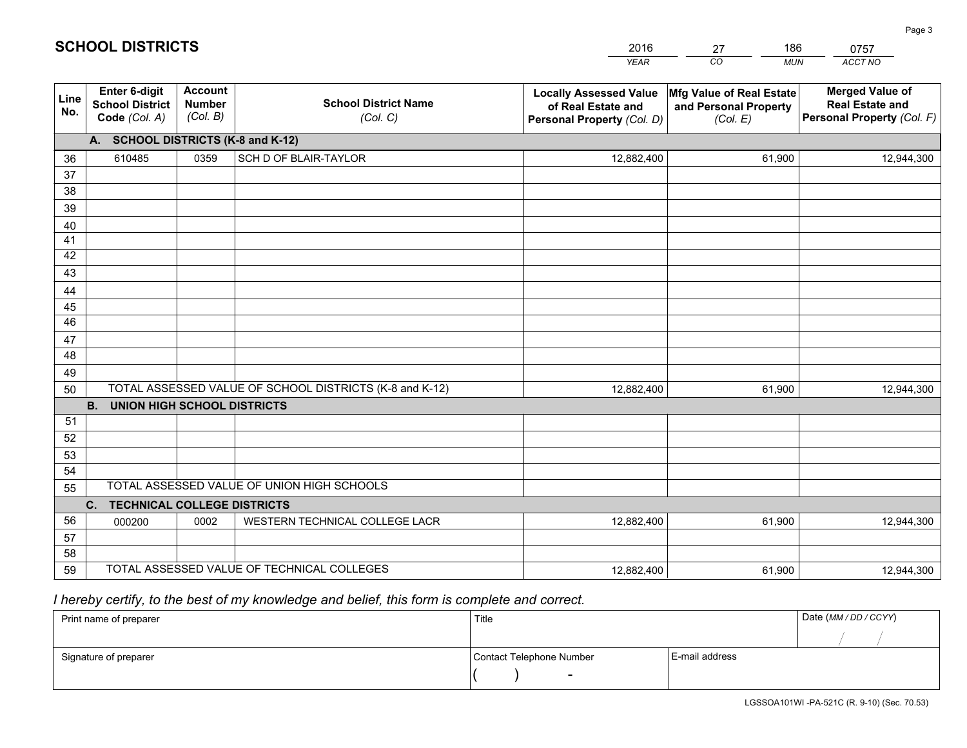|             |                                                                 |                                             |                                                         | <b>YEAR</b>                                                                       | CO<br><b>MUN</b>                                              | ACCT NO                                                                        |
|-------------|-----------------------------------------------------------------|---------------------------------------------|---------------------------------------------------------|-----------------------------------------------------------------------------------|---------------------------------------------------------------|--------------------------------------------------------------------------------|
| Line<br>No. | <b>Enter 6-digit</b><br><b>School District</b><br>Code (Col. A) | <b>Account</b><br><b>Number</b><br>(Col. B) | <b>School District Name</b><br>(Col. C)                 | <b>Locally Assessed Value</b><br>of Real Estate and<br>Personal Property (Col. D) | Mfg Value of Real Estate<br>and Personal Property<br>(Col. E) | <b>Merged Value of</b><br><b>Real Estate and</b><br>Personal Property (Col. F) |
|             | A. SCHOOL DISTRICTS (K-8 and K-12)                              |                                             |                                                         |                                                                                   |                                                               |                                                                                |
| 36          | 610485                                                          | 0359                                        | SCH D OF BLAIR-TAYLOR                                   | 12,882,400                                                                        | 61,900                                                        | 12,944,300                                                                     |
| 37          |                                                                 |                                             |                                                         |                                                                                   |                                                               |                                                                                |
| 38          |                                                                 |                                             |                                                         |                                                                                   |                                                               |                                                                                |
| 39          |                                                                 |                                             |                                                         |                                                                                   |                                                               |                                                                                |
| 40          |                                                                 |                                             |                                                         |                                                                                   |                                                               |                                                                                |
| 41<br>42    |                                                                 |                                             |                                                         |                                                                                   |                                                               |                                                                                |
| 43          |                                                                 |                                             |                                                         |                                                                                   |                                                               |                                                                                |
|             |                                                                 |                                             |                                                         |                                                                                   |                                                               |                                                                                |
| 44<br>45    |                                                                 |                                             |                                                         |                                                                                   |                                                               |                                                                                |
| 46          |                                                                 |                                             |                                                         |                                                                                   |                                                               |                                                                                |
| 47          |                                                                 |                                             |                                                         |                                                                                   |                                                               |                                                                                |
| 48          |                                                                 |                                             |                                                         |                                                                                   |                                                               |                                                                                |
| 49          |                                                                 |                                             |                                                         |                                                                                   |                                                               |                                                                                |
| 50          |                                                                 |                                             | TOTAL ASSESSED VALUE OF SCHOOL DISTRICTS (K-8 and K-12) | 12,882,400                                                                        | 61,900                                                        | 12,944,300                                                                     |
|             | <b>B.</b><br><b>UNION HIGH SCHOOL DISTRICTS</b>                 |                                             |                                                         |                                                                                   |                                                               |                                                                                |
| 51          |                                                                 |                                             |                                                         |                                                                                   |                                                               |                                                                                |
| 52          |                                                                 |                                             |                                                         |                                                                                   |                                                               |                                                                                |
| 53          |                                                                 |                                             |                                                         |                                                                                   |                                                               |                                                                                |
| 54          |                                                                 |                                             |                                                         |                                                                                   |                                                               |                                                                                |
| 55          |                                                                 |                                             | TOTAL ASSESSED VALUE OF UNION HIGH SCHOOLS              |                                                                                   |                                                               |                                                                                |
|             | C.<br><b>TECHNICAL COLLEGE DISTRICTS</b>                        |                                             |                                                         |                                                                                   |                                                               |                                                                                |
| 56          | 000200                                                          | 0002                                        | WESTERN TECHNICAL COLLEGE LACR                          | 12,882,400                                                                        | 61,900                                                        | 12,944,300                                                                     |
| 57          |                                                                 |                                             |                                                         |                                                                                   |                                                               |                                                                                |
| 58<br>59    |                                                                 |                                             | TOTAL ASSESSED VALUE OF TECHNICAL COLLEGES              |                                                                                   |                                                               |                                                                                |
|             |                                                                 |                                             |                                                         | 12,882,400                                                                        | 61,900                                                        | 12,944,300                                                                     |

27

186

 *I hereby certify, to the best of my knowledge and belief, this form is complete and correct.*

**SCHOOL DISTRICTS**

| Print name of preparer | Title                    |                | Date (MM / DD / CCYY) |
|------------------------|--------------------------|----------------|-----------------------|
|                        |                          |                |                       |
| Signature of preparer  | Contact Telephone Number | E-mail address |                       |
|                        | -                        |                |                       |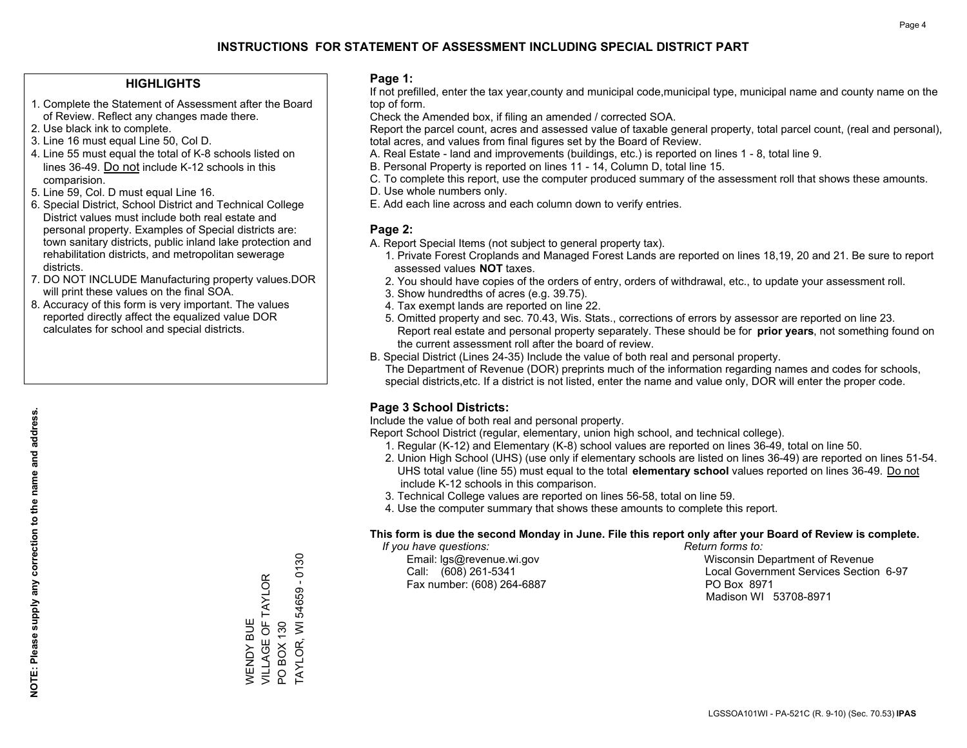#### **HIGHLIGHTS**

- 1. Complete the Statement of Assessment after the Board of Review. Reflect any changes made there.
- 2. Use black ink to complete.
- 3. Line 16 must equal Line 50, Col D.
- 4. Line 55 must equal the total of K-8 schools listed on lines 36-49. Do not include K-12 schools in this comparision.
- 5. Line 59, Col. D must equal Line 16.
- 6. Special District, School District and Technical College District values must include both real estate and personal property. Examples of Special districts are: town sanitary districts, public inland lake protection and rehabilitation districts, and metropolitan sewerage districts.
- 7. DO NOT INCLUDE Manufacturing property values.DOR will print these values on the final SOA.

WENDY BUE

**NENDY BUE** 

VILLAGE OF TAYLOR

VILLAGE OF TAYLOR

PO BOX 130

PO BOX 130

TAYLOR, WI 54659 - 0130

**TAYLOR, WI 54659** 

 $-0130$ 

 8. Accuracy of this form is very important. The values reported directly affect the equalized value DOR calculates for school and special districts.

#### **Page 1:**

 If not prefilled, enter the tax year,county and municipal code,municipal type, municipal name and county name on the top of form.

Check the Amended box, if filing an amended / corrected SOA.

 Report the parcel count, acres and assessed value of taxable general property, total parcel count, (real and personal), total acres, and values from final figures set by the Board of Review.

- A. Real Estate land and improvements (buildings, etc.) is reported on lines 1 8, total line 9.
- B. Personal Property is reported on lines 11 14, Column D, total line 15.
- C. To complete this report, use the computer produced summary of the assessment roll that shows these amounts.
- D. Use whole numbers only.
- E. Add each line across and each column down to verify entries.

### **Page 2:**

- A. Report Special Items (not subject to general property tax).
- 1. Private Forest Croplands and Managed Forest Lands are reported on lines 18,19, 20 and 21. Be sure to report assessed values **NOT** taxes.
- 2. You should have copies of the orders of entry, orders of withdrawal, etc., to update your assessment roll.
	- 3. Show hundredths of acres (e.g. 39.75).
- 4. Tax exempt lands are reported on line 22.
- 5. Omitted property and sec. 70.43, Wis. Stats., corrections of errors by assessor are reported on line 23. Report real estate and personal property separately. These should be for **prior years**, not something found on the current assessment roll after the board of review.
- B. Special District (Lines 24-35) Include the value of both real and personal property.
- The Department of Revenue (DOR) preprints much of the information regarding names and codes for schools, special districts,etc. If a district is not listed, enter the name and value only, DOR will enter the proper code.

## **Page 3 School Districts:**

Include the value of both real and personal property.

Report School District (regular, elementary, union high school, and technical college).

- 1. Regular (K-12) and Elementary (K-8) school values are reported on lines 36-49, total on line 50.
- 2. Union High School (UHS) (use only if elementary schools are listed on lines 36-49) are reported on lines 51-54. UHS total value (line 55) must equal to the total **elementary school** values reported on lines 36-49. Do notinclude K-12 schools in this comparison.
- 3. Technical College values are reported on lines 56-58, total on line 59.
- 4. Use the computer summary that shows these amounts to complete this report.

#### **This form is due the second Monday in June. File this report only after your Board of Review is complete.**

 *If you have questions: Return forms to:*

Fax number: (608) 264-6887 PO Box 8971

 Email: lgs@revenue.wi.gov Wisconsin Department of Revenue Call: (608) 261-5341 Local Government Services Section 6-97Madison WI 53708-8971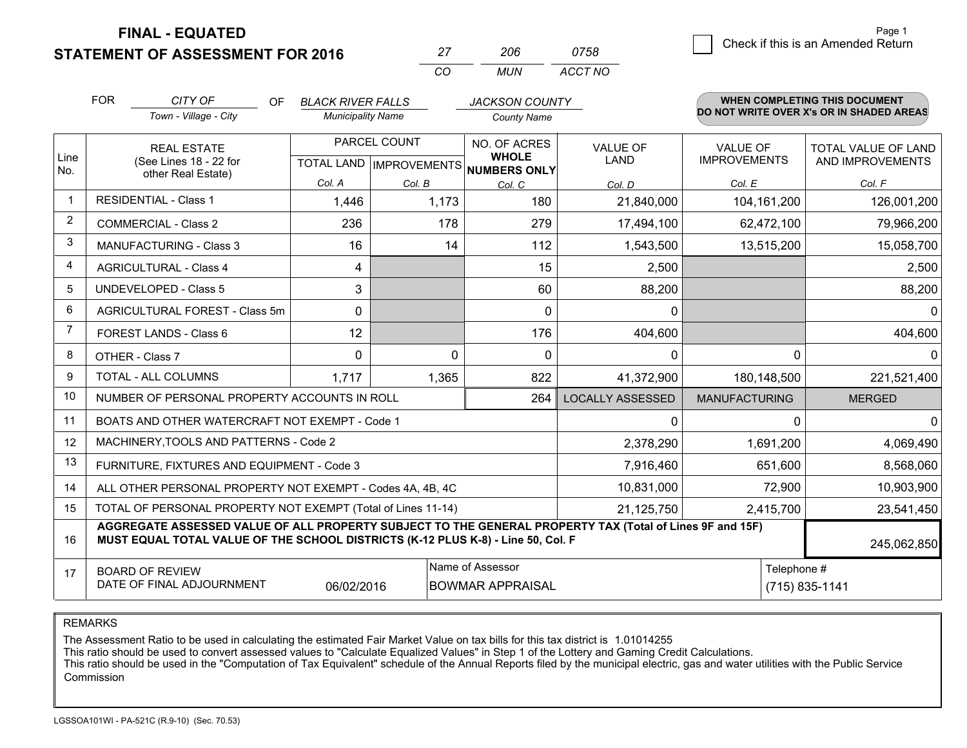**STATEMENT OF ASSESSMENT FOR 2016** 

**FINAL - EQUATED**

|   | Page 1                             |
|---|------------------------------------|
| 8 | Check if this is an Amended Return |
|   |                                    |

|                | <b>FOR</b>                                                                           | CITY OF<br>OF                                                                                                                                                                                | <b>BLACK RIVER FALLS</b> |                                  | <b>JACKSON COUNTY</b>               |                         |                      | <b>WHEN COMPLETING THIS DOCUMENT</b>     |
|----------------|--------------------------------------------------------------------------------------|----------------------------------------------------------------------------------------------------------------------------------------------------------------------------------------------|--------------------------|----------------------------------|-------------------------------------|-------------------------|----------------------|------------------------------------------|
|                |                                                                                      | Town - Village - City                                                                                                                                                                        | <b>Municipality Name</b> |                                  | <b>County Name</b>                  |                         |                      | DO NOT WRITE OVER X's OR IN SHADED AREAS |
|                |                                                                                      | <b>REAL ESTATE</b>                                                                                                                                                                           | PARCEL COUNT             |                                  | NO. OF ACRES                        | <b>VALUE OF</b>         | <b>VALUE OF</b>      | <b>TOTAL VALUE OF LAND</b>               |
| Line<br>No.    |                                                                                      | (See Lines 18 - 22 for<br>other Real Estate)                                                                                                                                                 |                          | <b>TOTAL LAND   IMPROVEMENTS</b> | <b>WHOLE</b><br><b>NUMBERS ONLY</b> | <b>LAND</b>             | <b>IMPROVEMENTS</b>  | AND IMPROVEMENTS                         |
|                |                                                                                      |                                                                                                                                                                                              | Col. A                   | Col. B                           | Col. C                              | Col. D                  | Col. E               | Col. F                                   |
| $\mathbf 1$    |                                                                                      | <b>RESIDENTIAL - Class 1</b>                                                                                                                                                                 | 1,446                    | 1,173                            | 180                                 | 21,840,000              | 104, 161, 200        | 126,001,200                              |
| 2              | <b>COMMERCIAL - Class 2</b>                                                          |                                                                                                                                                                                              | 236                      | 178                              | 279                                 | 17,494,100              | 62,472,100           | 79,966,200                               |
| 3              |                                                                                      | <b>MANUFACTURING - Class 3</b>                                                                                                                                                               | 16                       | 14                               | 112                                 | 1,543,500               | 13,515,200           | 15,058,700                               |
| 4              |                                                                                      | <b>AGRICULTURAL - Class 4</b>                                                                                                                                                                | 4                        |                                  | 15                                  | 2,500                   |                      | 2,500                                    |
| 5              | <b>UNDEVELOPED - Class 5</b>                                                         |                                                                                                                                                                                              | 3                        |                                  | 60                                  | 88,200                  |                      | 88,200                                   |
| 6              | AGRICULTURAL FOREST - Class 5m                                                       |                                                                                                                                                                                              | 0                        |                                  | 0                                   | $\mathbf{0}$            |                      | $\Omega$                                 |
| $\overline{7}$ | FOREST LANDS - Class 6                                                               |                                                                                                                                                                                              | 12                       |                                  | 176                                 | 404,600                 |                      | 404,600                                  |
| 8              | OTHER - Class 7                                                                      |                                                                                                                                                                                              | $\Omega$                 | $\Omega$                         | $\Omega$                            | $\mathbf{0}$            | $\Omega$             | $\Omega$                                 |
| 9              |                                                                                      | TOTAL - ALL COLUMNS                                                                                                                                                                          | 1.717                    | 1,365                            | 822                                 | 41,372,900              | 180,148,500          | 221,521,400                              |
| 10             |                                                                                      | NUMBER OF PERSONAL PROPERTY ACCOUNTS IN ROLL                                                                                                                                                 |                          |                                  | 264                                 | <b>LOCALLY ASSESSED</b> | <b>MANUFACTURING</b> | <b>MERGED</b>                            |
| 11             |                                                                                      | BOATS AND OTHER WATERCRAFT NOT EXEMPT - Code 1                                                                                                                                               |                          |                                  |                                     | $\mathbf{0}$            | $\Omega$             | $\Omega$                                 |
| 12             |                                                                                      | MACHINERY, TOOLS AND PATTERNS - Code 2                                                                                                                                                       |                          |                                  |                                     | 2,378,290               | 1,691,200            | 4,069,490                                |
| 13             |                                                                                      | FURNITURE, FIXTURES AND EQUIPMENT - Code 3                                                                                                                                                   |                          |                                  |                                     | 7,916,460               | 651,600              | 8,568,060                                |
| 14             |                                                                                      | ALL OTHER PERSONAL PROPERTY NOT EXEMPT - Codes 4A, 4B, 4C                                                                                                                                    |                          |                                  |                                     | 10,831,000              | 72,900               | 10,903,900                               |
| 15             | TOTAL OF PERSONAL PROPERTY NOT EXEMPT (Total of Lines 11-14)                         |                                                                                                                                                                                              |                          |                                  |                                     | 21,125,750              | 2,415,700            | 23,541,450                               |
| 16             |                                                                                      | AGGREGATE ASSESSED VALUE OF ALL PROPERTY SUBJECT TO THE GENERAL PROPERTY TAX (Total of Lines 9F and 15F)<br>MUST EQUAL TOTAL VALUE OF THE SCHOOL DISTRICTS (K-12 PLUS K-8) - Line 50, Col. F |                          |                                  |                                     |                         |                      | 245,062,850                              |
| 17             |                                                                                      | <b>BOARD OF REVIEW</b>                                                                                                                                                                       |                          |                                  | Name of Assessor                    |                         | Telephone #          |                                          |
|                | DATE OF FINAL ADJOURNMENT<br>06/02/2016<br><b>BOWMAR APPRAISAL</b><br>(715) 835-1141 |                                                                                                                                                                                              |                          |                                  |                                     |                         |                      |                                          |

*CO*

*MUN*

*ACCT NO0758*

*<sup>27</sup> <sup>206</sup>*

REMARKS

The Assessment Ratio to be used in calculating the estimated Fair Market Value on tax bills for this tax district is 1.01014255<br>This ratio should be used to convert assessed values to "Calculate Equalized Values" in Step 1 Commission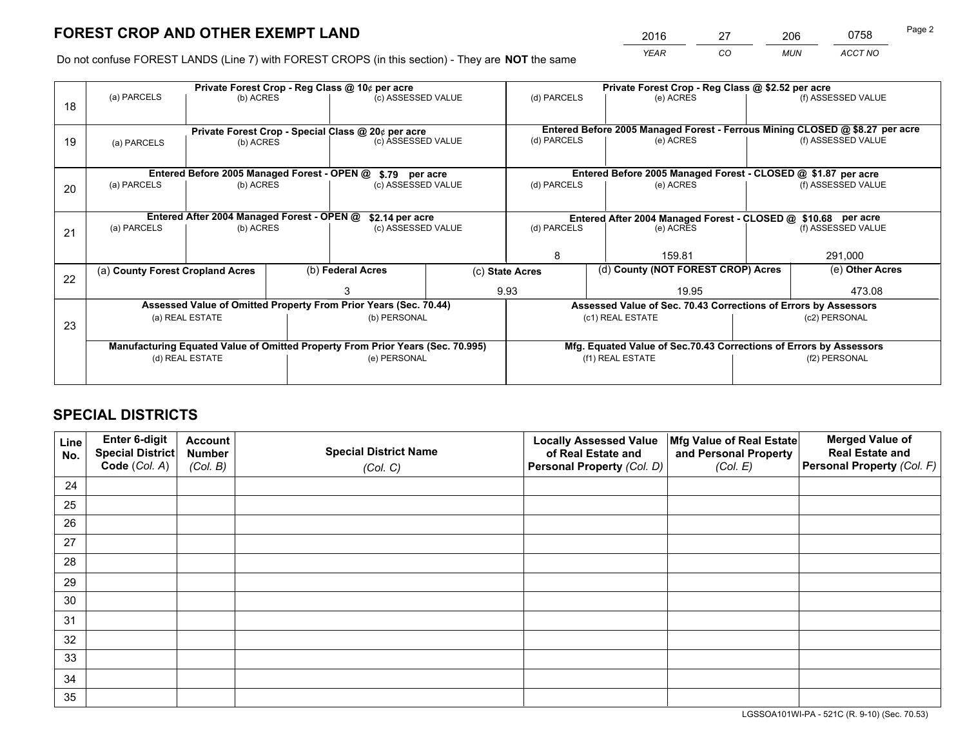*YEAR CO MUN ACCT NO* <sup>2016</sup> <sup>27</sup> <sup>206</sup> <sup>0758</sup> Page 2

Do not confuse FOREST LANDS (Line 7) with FOREST CROPS (in this section) - They are **NOT** the same

|    |                                                                                |                                             |  | Private Forest Crop - Reg Class @ 10¢ per acre                   |  | Private Forest Crop - Reg Class @ \$2.52 per acre |                                                                              |               |                    |  |
|----|--------------------------------------------------------------------------------|---------------------------------------------|--|------------------------------------------------------------------|--|---------------------------------------------------|------------------------------------------------------------------------------|---------------|--------------------|--|
| 18 | (a) PARCELS                                                                    | (b) ACRES                                   |  | (c) ASSESSED VALUE                                               |  | (d) PARCELS                                       | (e) ACRES                                                                    |               | (f) ASSESSED VALUE |  |
|    |                                                                                |                                             |  | Private Forest Crop - Special Class @ 20¢ per acre               |  |                                                   | Entered Before 2005 Managed Forest - Ferrous Mining CLOSED @ \$8.27 per acre |               |                    |  |
| 19 | (b) ACRES<br>(a) PARCELS                                                       |                                             |  | (c) ASSESSED VALUE                                               |  | (d) PARCELS                                       | (e) ACRES                                                                    |               | (f) ASSESSED VALUE |  |
|    |                                                                                | Entered Before 2005 Managed Forest - OPEN @ |  |                                                                  |  |                                                   | Entered Before 2005 Managed Forest - CLOSED @ \$1.87 per acre                |               |                    |  |
| 20 | (a) PARCELS<br>(b) ACRES                                                       |                                             |  | \$.79 per acre<br>(c) ASSESSED VALUE                             |  | (d) PARCELS                                       | (e) ACRES                                                                    |               | (f) ASSESSED VALUE |  |
|    |                                                                                | Entered After 2004 Managed Forest - OPEN @  |  | \$2.14 per acre                                                  |  |                                                   | Entered After 2004 Managed Forest - CLOSED @ \$10.68 per acre                |               |                    |  |
| 21 | (a) PARCELS                                                                    | (b) ACRES                                   |  | (c) ASSESSED VALUE                                               |  | (d) PARCELS                                       | (e) ACRES                                                                    |               | (f) ASSESSED VALUE |  |
|    |                                                                                |                                             |  |                                                                  |  | 8                                                 | 159.81                                                                       |               | 291,000            |  |
| 22 | (a) County Forest Cropland Acres                                               |                                             |  | (b) Federal Acres                                                |  | (c) State Acres                                   | (d) County (NOT FOREST CROP) Acres                                           |               | (e) Other Acres    |  |
|    |                                                                                |                                             |  |                                                                  |  | 9.93                                              | 19.95                                                                        |               | 473.08             |  |
|    |                                                                                |                                             |  | Assessed Value of Omitted Property From Prior Years (Sec. 70.44) |  |                                                   | Assessed Value of Sec. 70.43 Corrections of Errors by Assessors              |               |                    |  |
| 23 | (a) REAL ESTATE                                                                |                                             |  | (b) PERSONAL                                                     |  | (c1) REAL ESTATE                                  |                                                                              | (c2) PERSONAL |                    |  |
|    | Manufacturing Equated Value of Omitted Property From Prior Years (Sec. 70.995) |                                             |  |                                                                  |  |                                                   | Mfg. Equated Value of Sec.70.43 Corrections of Errors by Assessors           |               |                    |  |
|    |                                                                                | (d) REAL ESTATE                             |  | (e) PERSONAL                                                     |  |                                                   | (f1) REAL ESTATE                                                             |               | (f2) PERSONAL      |  |
|    |                                                                                |                                             |  |                                                                  |  |                                                   |                                                                              |               |                    |  |

## **SPECIAL DISTRICTS**

| Line<br>No. | Enter 6-digit<br>Special District<br>Code (Col. A) | <b>Account</b><br><b>Number</b> | <b>Special District Name</b> | <b>Locally Assessed Value</b><br>of Real Estate and | Mfg Value of Real Estate<br>and Personal Property | <b>Merged Value of</b><br><b>Real Estate and</b><br>Personal Property (Col. F) |
|-------------|----------------------------------------------------|---------------------------------|------------------------------|-----------------------------------------------------|---------------------------------------------------|--------------------------------------------------------------------------------|
|             |                                                    | (Col. B)                        | (Col. C)                     | Personal Property (Col. D)                          | (Col. E)                                          |                                                                                |
| 24          |                                                    |                                 |                              |                                                     |                                                   |                                                                                |
| 25          |                                                    |                                 |                              |                                                     |                                                   |                                                                                |
| 26          |                                                    |                                 |                              |                                                     |                                                   |                                                                                |
| 27          |                                                    |                                 |                              |                                                     |                                                   |                                                                                |
| 28          |                                                    |                                 |                              |                                                     |                                                   |                                                                                |
| 29          |                                                    |                                 |                              |                                                     |                                                   |                                                                                |
| 30          |                                                    |                                 |                              |                                                     |                                                   |                                                                                |
| 31          |                                                    |                                 |                              |                                                     |                                                   |                                                                                |
| 32          |                                                    |                                 |                              |                                                     |                                                   |                                                                                |
| 33          |                                                    |                                 |                              |                                                     |                                                   |                                                                                |
| 34          |                                                    |                                 |                              |                                                     |                                                   |                                                                                |
| 35          |                                                    |                                 |                              |                                                     |                                                   |                                                                                |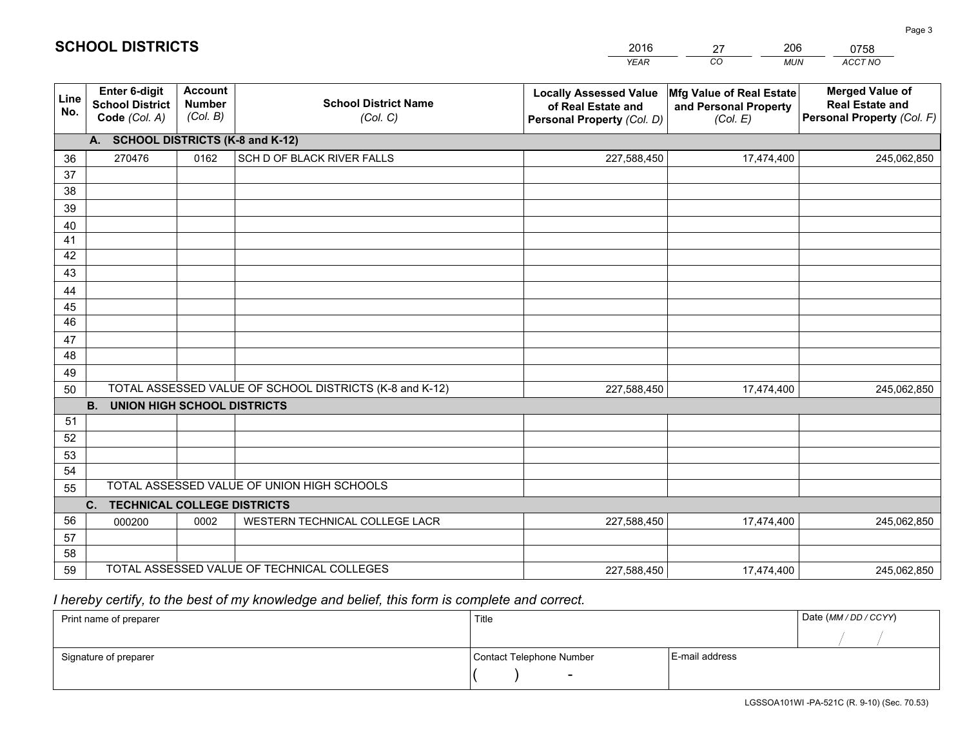|             |                                                          |                                                                                                     |                                            | <b>YEAR</b>                                                                       | CO<br><b>MUN</b>                                              | ACCT NO                                                                        |
|-------------|----------------------------------------------------------|-----------------------------------------------------------------------------------------------------|--------------------------------------------|-----------------------------------------------------------------------------------|---------------------------------------------------------------|--------------------------------------------------------------------------------|
| Line<br>No. | Enter 6-digit<br><b>School District</b><br>Code (Col. A) | <b>Account</b><br><b>Number</b><br>(Col. B)                                                         | <b>School District Name</b><br>(Col. C)    | <b>Locally Assessed Value</b><br>of Real Estate and<br>Personal Property (Col. D) | Mfg Value of Real Estate<br>and Personal Property<br>(Col. E) | <b>Merged Value of</b><br><b>Real Estate and</b><br>Personal Property (Col. F) |
|             | <b>SCHOOL DISTRICTS (K-8 and K-12)</b><br>A.             |                                                                                                     |                                            |                                                                                   |                                                               |                                                                                |
| 36          | 270476                                                   | 0162                                                                                                | SCH D OF BLACK RIVER FALLS                 | 227,588,450                                                                       | 17,474,400                                                    | 245,062,850                                                                    |
| 37          |                                                          |                                                                                                     |                                            |                                                                                   |                                                               |                                                                                |
| 38          |                                                          |                                                                                                     |                                            |                                                                                   |                                                               |                                                                                |
| 39          |                                                          |                                                                                                     |                                            |                                                                                   |                                                               |                                                                                |
| 40          |                                                          |                                                                                                     |                                            |                                                                                   |                                                               |                                                                                |
| 41<br>42    |                                                          |                                                                                                     |                                            |                                                                                   |                                                               |                                                                                |
| 43          |                                                          |                                                                                                     |                                            |                                                                                   |                                                               |                                                                                |
| 44          |                                                          |                                                                                                     |                                            |                                                                                   |                                                               |                                                                                |
| 45          |                                                          |                                                                                                     |                                            |                                                                                   |                                                               |                                                                                |
| 46          |                                                          |                                                                                                     |                                            |                                                                                   |                                                               |                                                                                |
| 47          |                                                          |                                                                                                     |                                            |                                                                                   |                                                               |                                                                                |
| 48          |                                                          |                                                                                                     |                                            |                                                                                   |                                                               |                                                                                |
| 49          |                                                          |                                                                                                     |                                            |                                                                                   |                                                               |                                                                                |
| 50          |                                                          | TOTAL ASSESSED VALUE OF SCHOOL DISTRICTS (K-8 and K-12)<br>227,588,450<br>17,474,400<br>245,062,850 |                                            |                                                                                   |                                                               |                                                                                |
|             | <b>B.</b><br><b>UNION HIGH SCHOOL DISTRICTS</b>          |                                                                                                     |                                            |                                                                                   |                                                               |                                                                                |
| 51          |                                                          |                                                                                                     |                                            |                                                                                   |                                                               |                                                                                |
| 52          |                                                          |                                                                                                     |                                            |                                                                                   |                                                               |                                                                                |
| 53<br>54    |                                                          |                                                                                                     |                                            |                                                                                   |                                                               |                                                                                |
| 55          |                                                          |                                                                                                     | TOTAL ASSESSED VALUE OF UNION HIGH SCHOOLS |                                                                                   |                                                               |                                                                                |
|             | C.<br><b>TECHNICAL COLLEGE DISTRICTS</b>                 |                                                                                                     |                                            |                                                                                   |                                                               |                                                                                |
| 56          | 000200                                                   | 0002                                                                                                | WESTERN TECHNICAL COLLEGE LACR             | 227,588,450                                                                       | 17,474,400                                                    | 245,062,850                                                                    |
| 57          |                                                          |                                                                                                     |                                            |                                                                                   |                                                               |                                                                                |
| 58          |                                                          |                                                                                                     |                                            |                                                                                   |                                                               |                                                                                |
| 59          |                                                          |                                                                                                     | TOTAL ASSESSED VALUE OF TECHNICAL COLLEGES | 227,588,450                                                                       | 17,474,400                                                    | 245,062,850                                                                    |

27

206

 *I hereby certify, to the best of my knowledge and belief, this form is complete and correct.*

**SCHOOL DISTRICTS**

| Print name of preparer | Title                    |                | Date (MM / DD / CCYY) |
|------------------------|--------------------------|----------------|-----------------------|
|                        |                          |                |                       |
| Signature of preparer  | Contact Telephone Number | E-mail address |                       |
|                        | $\sim$                   |                |                       |